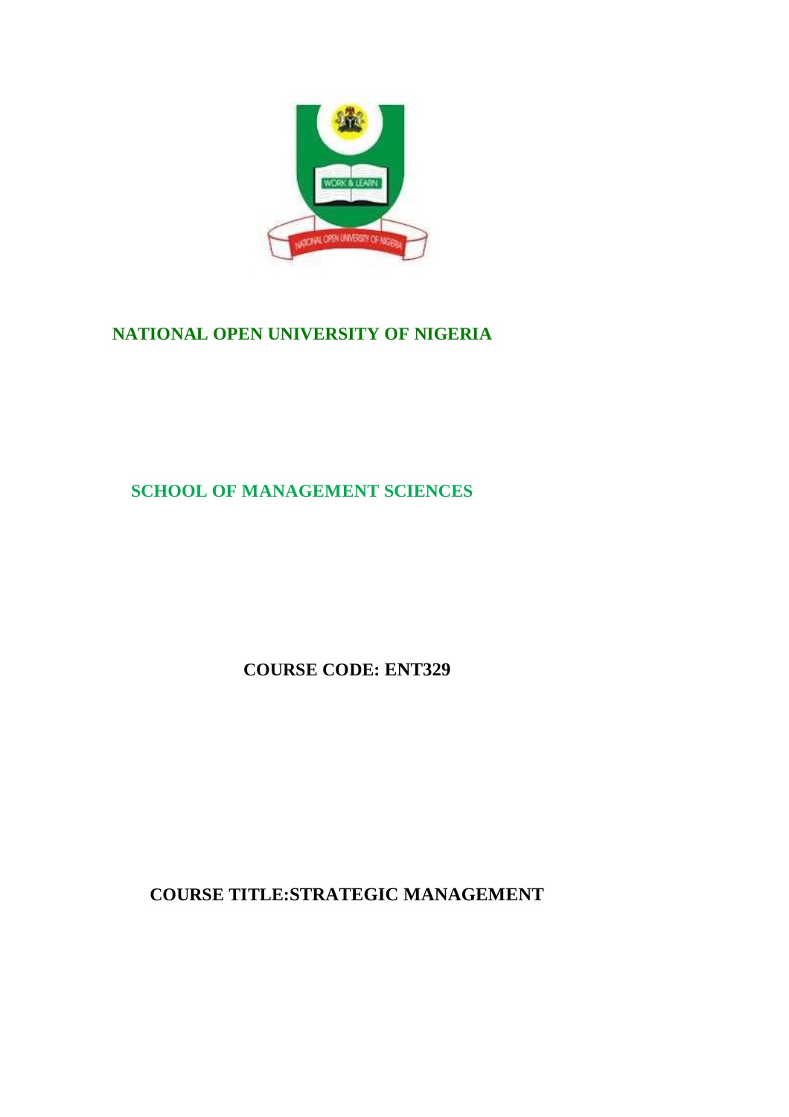

# **NATIONAL OPEN UNIVERSITY OF NIGERIA**

**SCHOOL OF MANAGEMENT SCIENCES**

**COURSE CODE: ENT329**

**COURSE TITLE:STRATEGIC MANAGEMENT**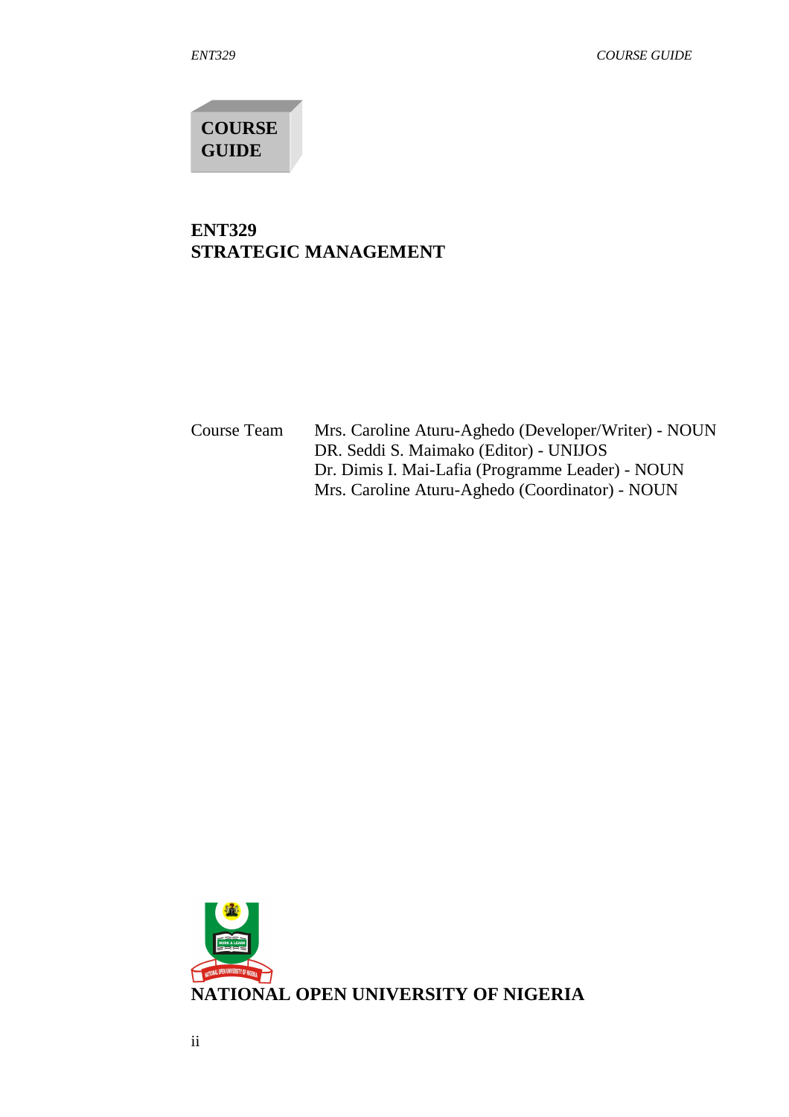**COURSE GUIDE**

## **ENT329 STRATEGIC MANAGEMENT**

Course Team Mrs. Caroline Aturu-Aghedo (Developer/Writer) - NOUN DR. Seddi S. Maimako (Editor) - UNIJOS Dr. Dimis I. Mai-Lafia (Programme Leader) - NOUN Mrs. Caroline Aturu-Aghedo (Coordinator) - NOUN

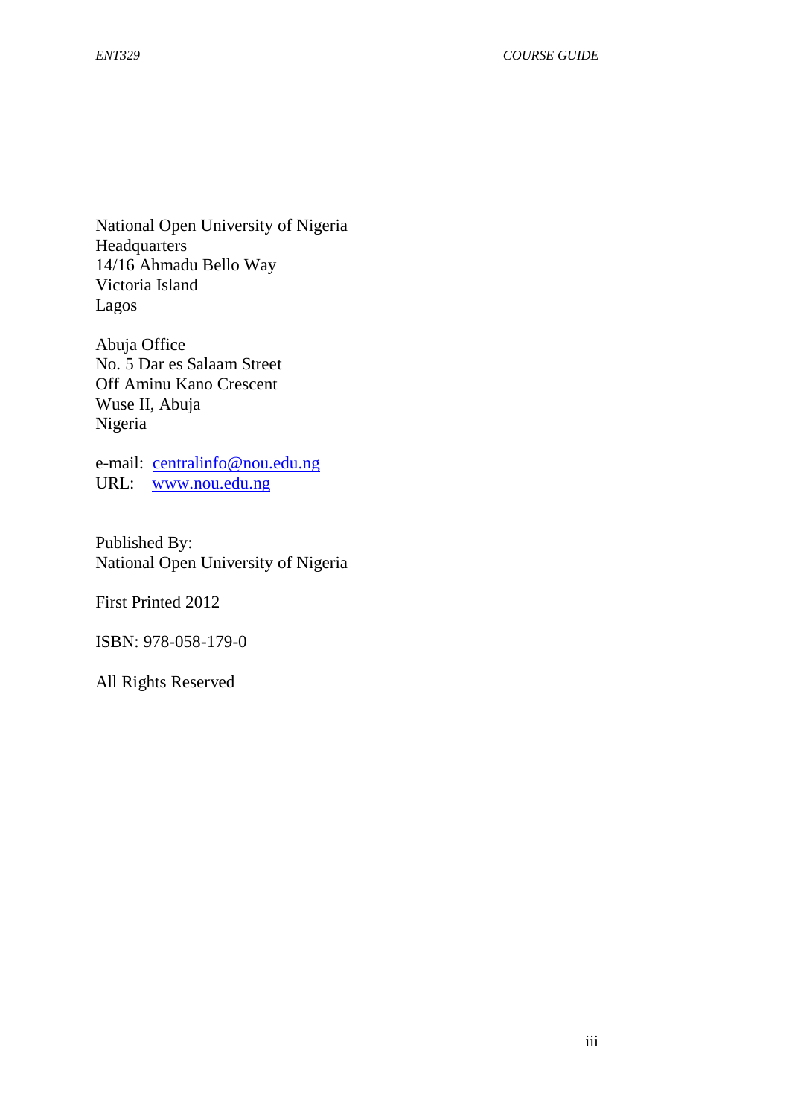National Open University of Nigeria **Headquarters** 14/16 Ahmadu Bello Way Victoria Island Lagos

Abuja Office No. 5 Dar es Salaam Street Off Aminu Kano Crescent Wuse II, Abuja Nigeria

e-mail: centralinfo@nou.edu.ng URL: www.nou.edu.ng

Published By: National Open University of Nigeria

First Printed 2012

ISBN: 978-058-179-0

All Rights Reserved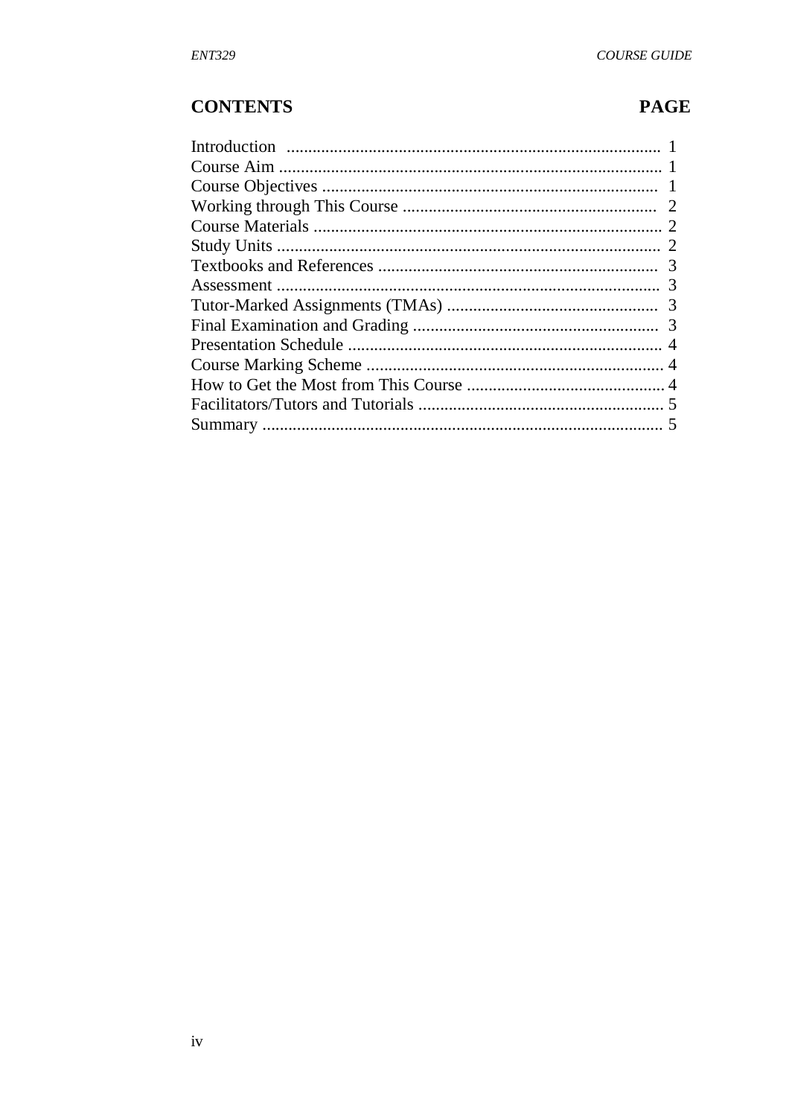# **CONTENTS**

# **PAGE**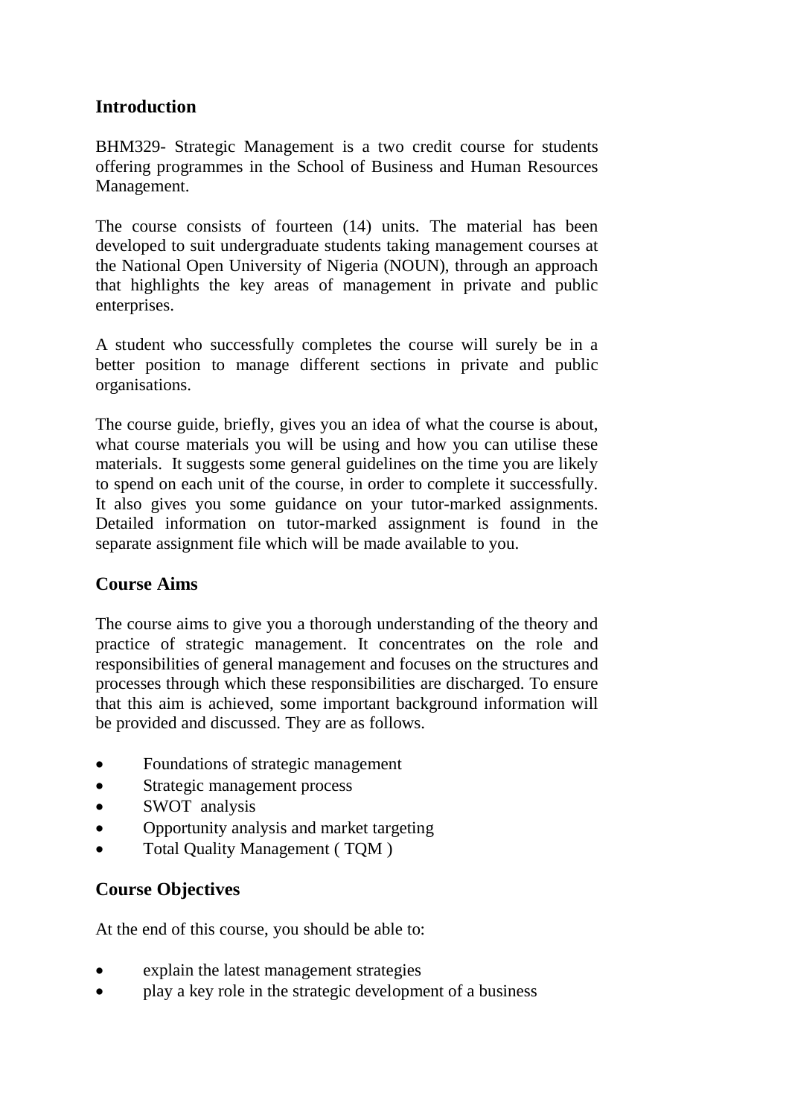# **Introduction**

BHM329- Strategic Management is a two credit course for students offering programmes in the School of Business and Human Resources Management.

The course consists of fourteen (14) units. The material has been developed to suit undergraduate students taking management courses at the National Open University of Nigeria (NOUN), through an approach that highlights the key areas of management in private and public enterprises.

A student who successfully completes the course will surely be in a better position to manage different sections in private and public organisations.

The course guide, briefly, gives you an idea of what the course is about, what course materials you will be using and how you can utilise these materials. It suggests some general guidelines on the time you are likely to spend on each unit of the course, in order to complete it successfully. It also gives you some guidance on your tutor-marked assignments. Detailed information on tutor-marked assignment is found in the separate assignment file which will be made available to you.

# **Course Aims**

The course aims to give you a thorough understanding of the theory and practice of strategic management. It concentrates on the role and responsibilities of general management and focuses on the structures and processes through which these responsibilities are discharged. To ensure that this aim is achieved, some important background information will be provided and discussed. They are as follows.

- Foundations of strategic management
- Strategic management process
- SWOT analysis
- Opportunity analysis and market targeting
- Total Quality Management ( TQM )

# **Course Objectives**

At the end of this course, you should be able to:

- explain the latest management strategies
- play a key role in the strategic development of a business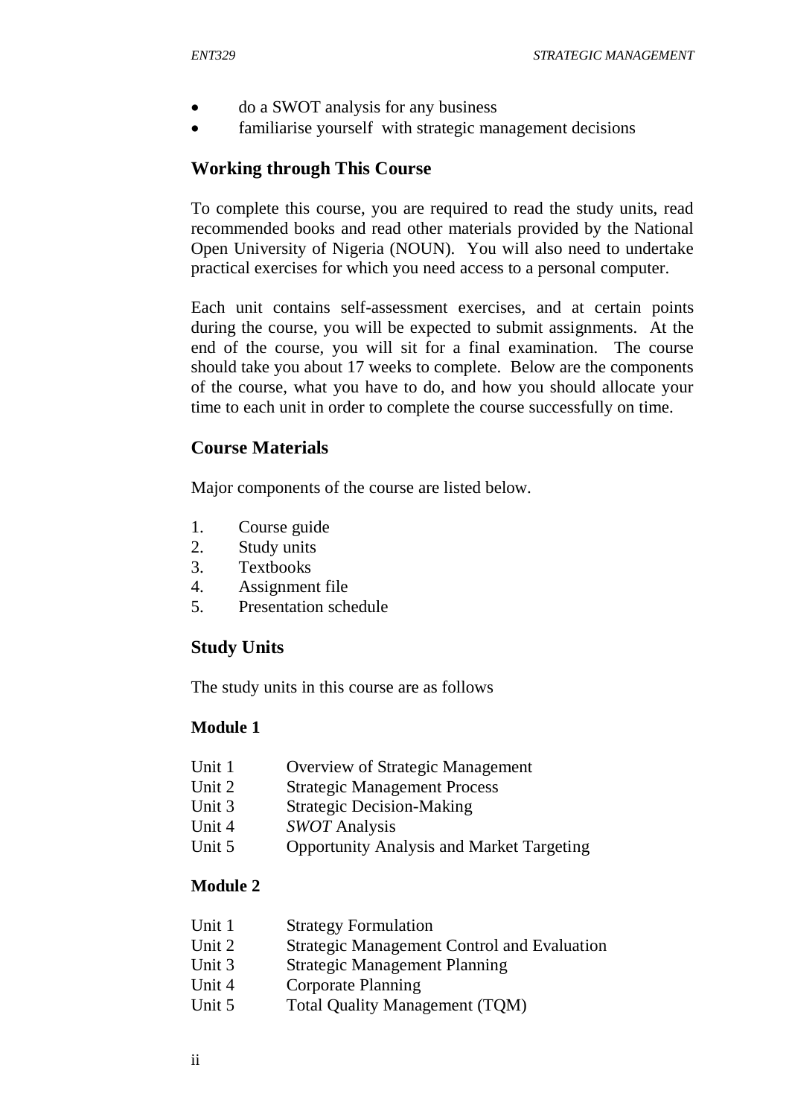- do a SWOT analysis for any business
- familiarise yourself with strategic management decisions

# **Working through This Course**

To complete this course, you are required to read the study units, read recommended books and read other materials provided by the National Open University of Nigeria (NOUN). You will also need to undertake practical exercises for which you need access to a personal computer.

Each unit contains self-assessment exercises, and at certain points during the course, you will be expected to submit assignments. At the end of the course, you will sit for a final examination. The course should take you about 17 weeks to complete. Below are the components of the course, what you have to do, and how you should allocate your time to each unit in order to complete the course successfully on time.

# **Course Materials**

Major components of the course are listed below.

- 1. Course guide
- 2. Study units
- 3. Textbooks
- 4. Assignment file
- 5. Presentation schedule

## **Study Units**

The study units in this course are as follows

#### **Module 1**

- Unit 1 Overview of Strategic Management
- Unit 2 Strategic Management Process
- Unit 3 Strategic Decision-Making
- Unit 4 *SWOT* Analysis
- Unit 5 Opportunity Analysis and Market Targeting

## **Module 2**

| Unit 1 | <b>Strategy Formulation</b>                        |
|--------|----------------------------------------------------|
| Unit 2 | <b>Strategic Management Control and Evaluation</b> |
| Unit 3 | <b>Strategic Management Planning</b>               |
| Unit 4 | <b>Corporate Planning</b>                          |
| Unit 5 | Total Quality Management (TQM)                     |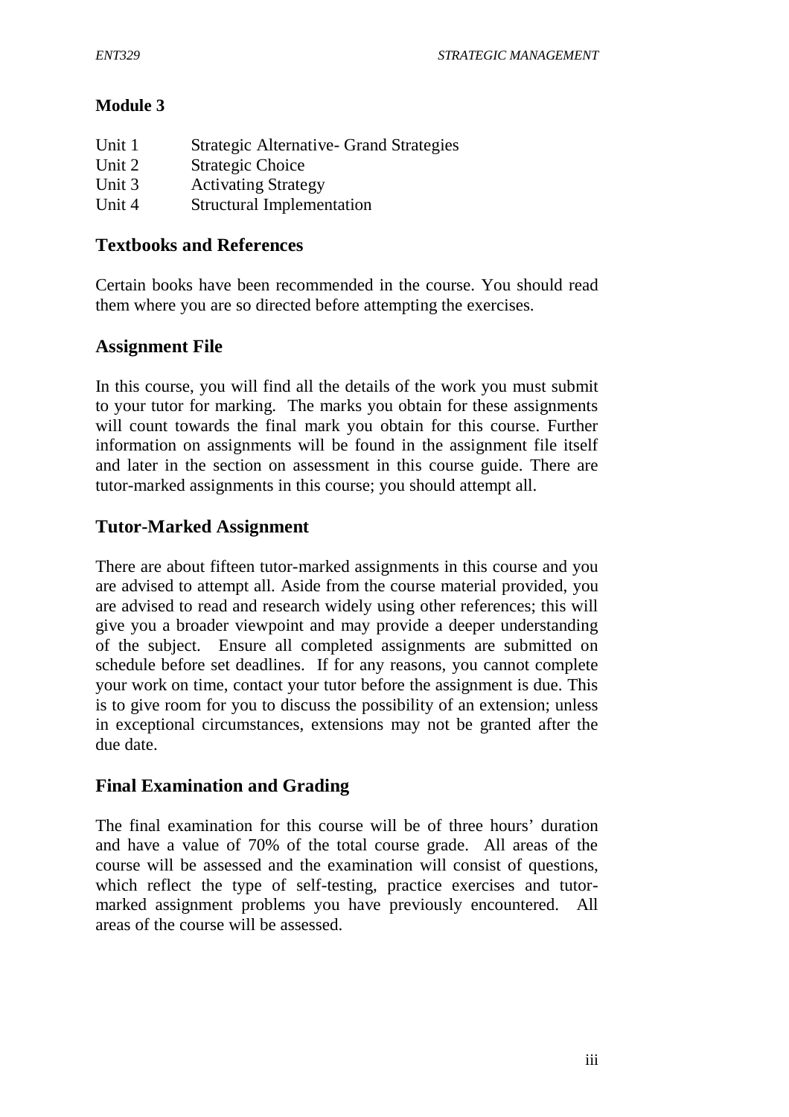# **Module 3**

| Strategic Alternative - Grand Strategies |
|------------------------------------------|
| <b>Strategic Choice</b>                  |
| <b>Activating Strategy</b>               |
| <b>Structural Implementation</b>         |
|                                          |

## **Textbooks and References**

Certain books have been recommended in the course. You should read them where you are so directed before attempting the exercises.

# **Assignment File**

In this course, you will find all the details of the work you must submit to your tutor for marking. The marks you obtain for these assignments will count towards the final mark you obtain for this course. Further information on assignments will be found in the assignment file itself and later in the section on assessment in this course guide. There are tutor-marked assignments in this course; you should attempt all.

# **Tutor-Marked Assignment**

There are about fifteen tutor-marked assignments in this course and you are advised to attempt all. Aside from the course material provided, you are advised to read and research widely using other references; this will give you a broader viewpoint and may provide a deeper understanding of the subject. Ensure all completed assignments are submitted on schedule before set deadlines. If for any reasons, you cannot complete your work on time, contact your tutor before the assignment is due. This is to give room for you to discuss the possibility of an extension; unless in exceptional circumstances, extensions may not be granted after the due date.

# **Final Examination and Grading**

The final examination for this course will be of three hours' duration and have a value of 70% of the total course grade. All areas of the course will be assessed and the examination will consist of questions, which reflect the type of self-testing, practice exercises and tutormarked assignment problems you have previously encountered. All areas of the course will be assessed.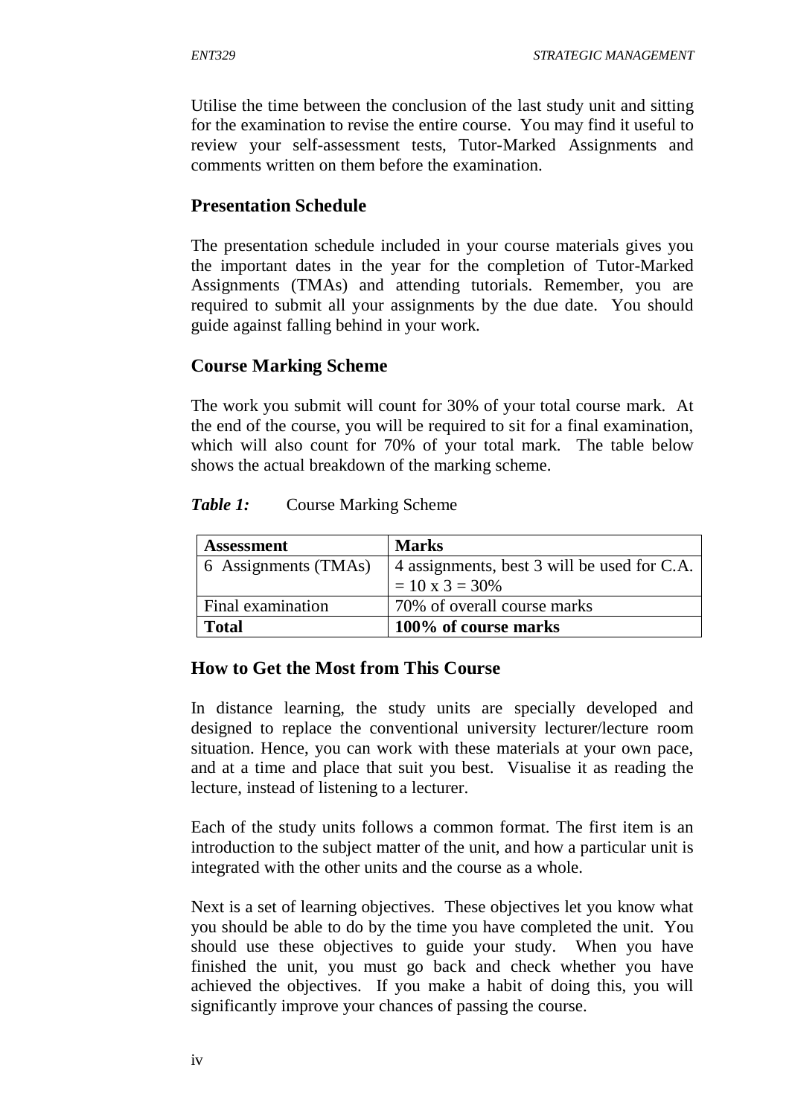Utilise the time between the conclusion of the last study unit and sitting for the examination to revise the entire course. You may find it useful to review your self-assessment tests, Tutor-Marked Assignments and comments written on them before the examination.

## **Presentation Schedule**

The presentation schedule included in your course materials gives you the important dates in the year for the completion of Tutor-Marked Assignments (TMAs) and attending tutorials. Remember, you are required to submit all your assignments by the due date. You should guide against falling behind in your work.

## **Course Marking Scheme**

The work you submit will count for 30% of your total course mark. At the end of the course, you will be required to sit for a final examination, which will also count for 70% of your total mark. The table below shows the actual breakdown of the marking scheme.

#### *Table 1:* Course Marking Scheme

| <b>Assessment</b>    | <b>Marks</b>                                |  |
|----------------------|---------------------------------------------|--|
| 6 Assignments (TMAs) | 4 assignments, best 3 will be used for C.A. |  |
|                      | $= 10 \times 3 = 30\%$                      |  |
| Final examination    | 70% of overall course marks                 |  |
| <b>Total</b>         | 100% of course marks                        |  |

## **How to Get the Most from This Course**

In distance learning, the study units are specially developed and designed to replace the conventional university lecturer/lecture room situation. Hence, you can work with these materials at your own pace, and at a time and place that suit you best. Visualise it as reading the lecture, instead of listening to a lecturer.

Each of the study units follows a common format. The first item is an introduction to the subject matter of the unit, and how a particular unit is integrated with the other units and the course as a whole.

Next is a set of learning objectives. These objectives let you know what you should be able to do by the time you have completed the unit. You should use these objectives to guide your study. When you have finished the unit, you must go back and check whether you have achieved the objectives. If you make a habit of doing this, you will significantly improve your chances of passing the course.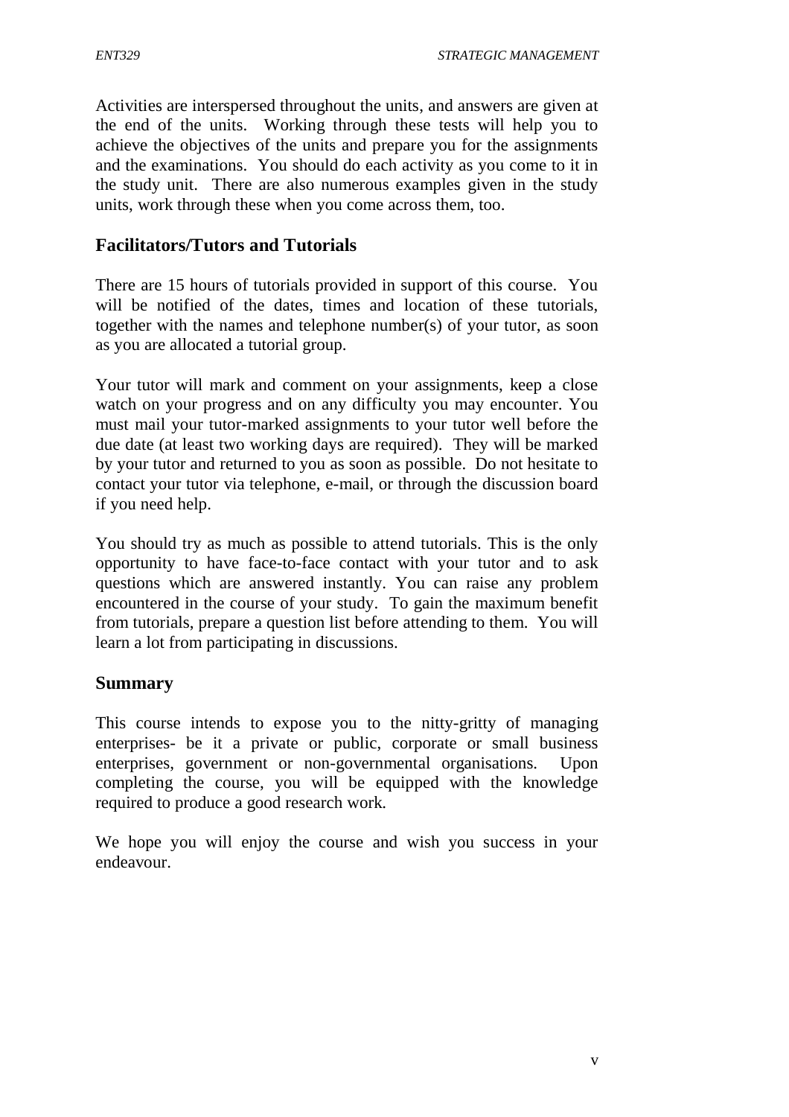Activities are interspersed throughout the units, and answers are given at the end of the units. Working through these tests will help you to achieve the objectives of the units and prepare you for the assignments and the examinations. You should do each activity as you come to it in the study unit. There are also numerous examples given in the study units, work through these when you come across them, too.

## **Facilitators/Tutors and Tutorials**

There are 15 hours of tutorials provided in support of this course. You will be notified of the dates, times and location of these tutorials, together with the names and telephone number(s) of your tutor, as soon as you are allocated a tutorial group.

Your tutor will mark and comment on your assignments, keep a close watch on your progress and on any difficulty you may encounter. You must mail your tutor-marked assignments to your tutor well before the due date (at least two working days are required). They will be marked by your tutor and returned to you as soon as possible. Do not hesitate to contact your tutor via telephone, e-mail, or through the discussion board if you need help.

You should try as much as possible to attend tutorials. This is the only opportunity to have face-to-face contact with your tutor and to ask questions which are answered instantly. You can raise any problem encountered in the course of your study. To gain the maximum benefit from tutorials, prepare a question list before attending to them. You will learn a lot from participating in discussions.

#### **Summary**

This course intends to expose you to the nitty-gritty of managing enterprises- be it a private or public, corporate or small business enterprises, government or non-governmental organisations. Upon completing the course, you will be equipped with the knowledge required to produce a good research work.

We hope you will enjoy the course and wish you success in your endeavour.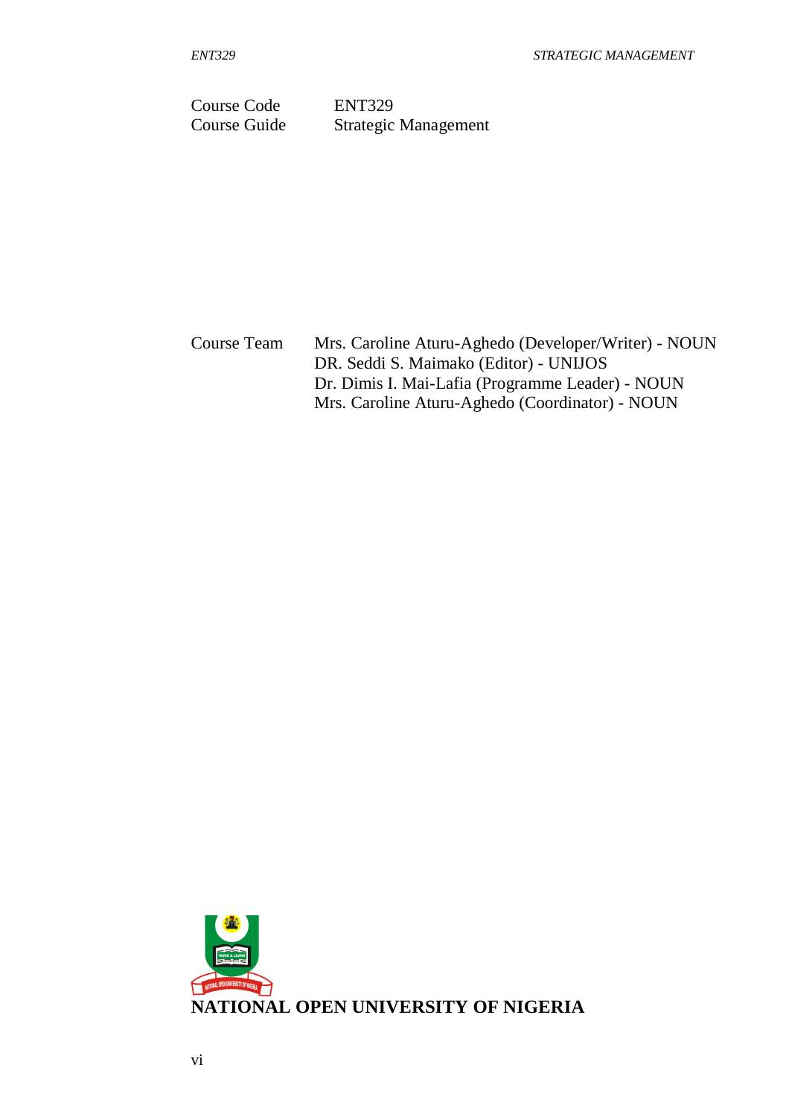Course Code ENT329 Course Guide Strategic Management

Course Team Mrs. Caroline Aturu-Aghedo (Developer/Writer) - NOUN DR. Seddi S. Maimako (Editor) - UNIJOS Dr. Dimis I. Mai-Lafia (Programme Leader) - NOUN Mrs. Caroline Aturu-Aghedo (Coordinator) - NOUN

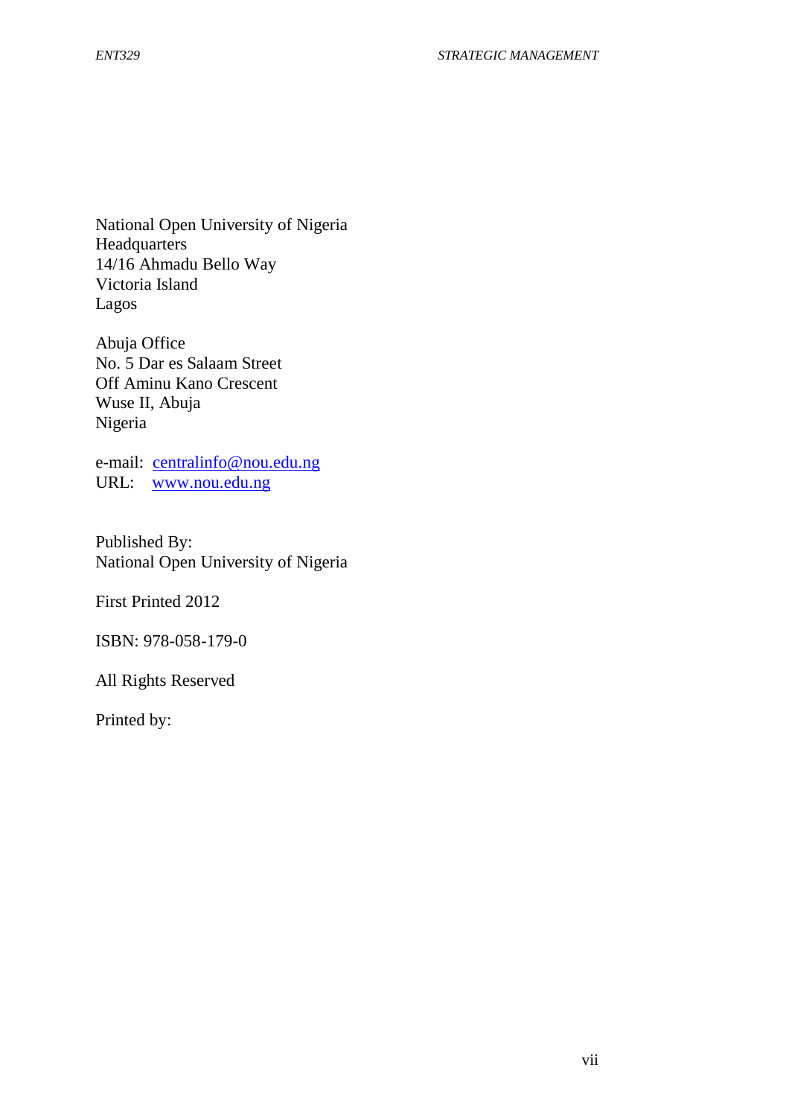National Open University of Nigeria **Headquarters** 14/16 Ahmadu Bello Way Victoria Island Lagos

Abuja Office No. 5 Dar es Salaam Street Off Aminu Kano Crescent Wuse II, Abuja Nigeria

e-mail: centralinfo@nou.edu.ng URL: www.nou.edu.ng

Published By: National Open University of Nigeria

First Printed 2012

ISBN: 978-058-179-0

All Rights Reserved

Printed by: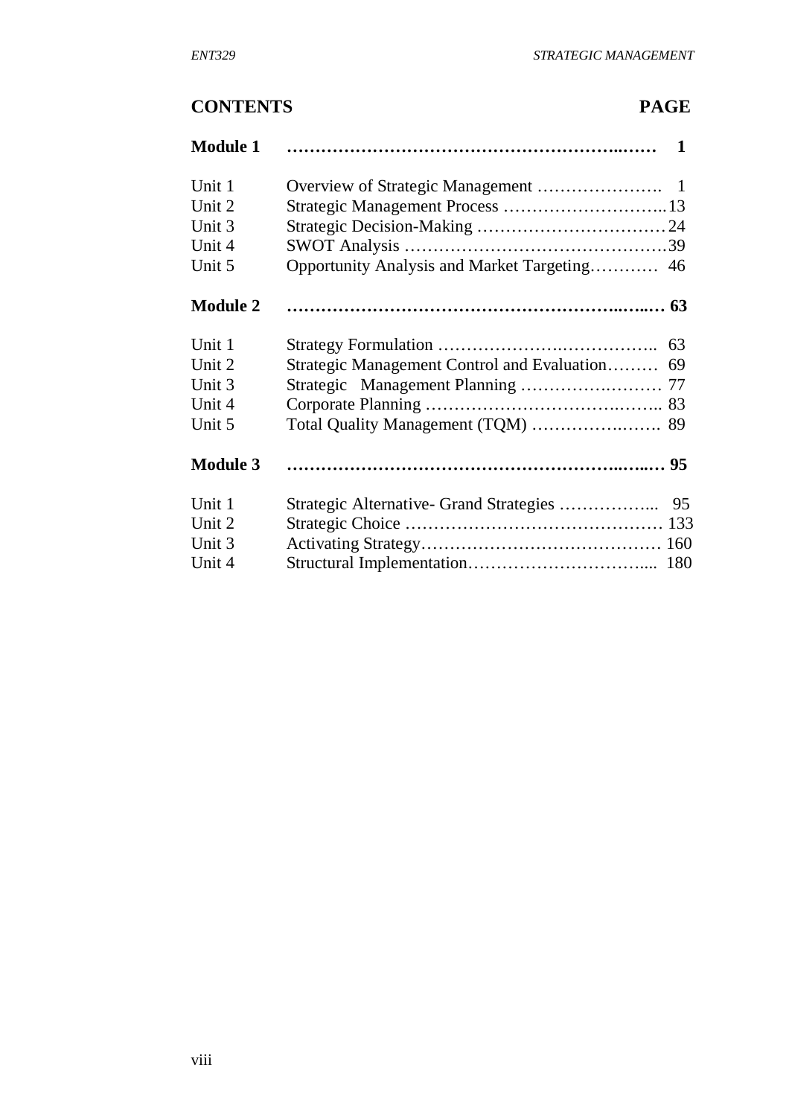# **CONTENTS PAGE**

| <b>Module 1</b> |    |
|-----------------|----|
| Unit 1          |    |
| Unit 2          |    |
| Unit 3          |    |
| Unit 4          |    |
| Unit 5          |    |
| <b>Module 2</b> |    |
| Unit 1          |    |
| Unit 2          |    |
| Unit 3          |    |
| Unit 4          |    |
| Unit 5          |    |
| <b>Module 3</b> |    |
| Unit 1          | 95 |
| Unit 2          |    |
| Unit 3          |    |
| Unit 4          |    |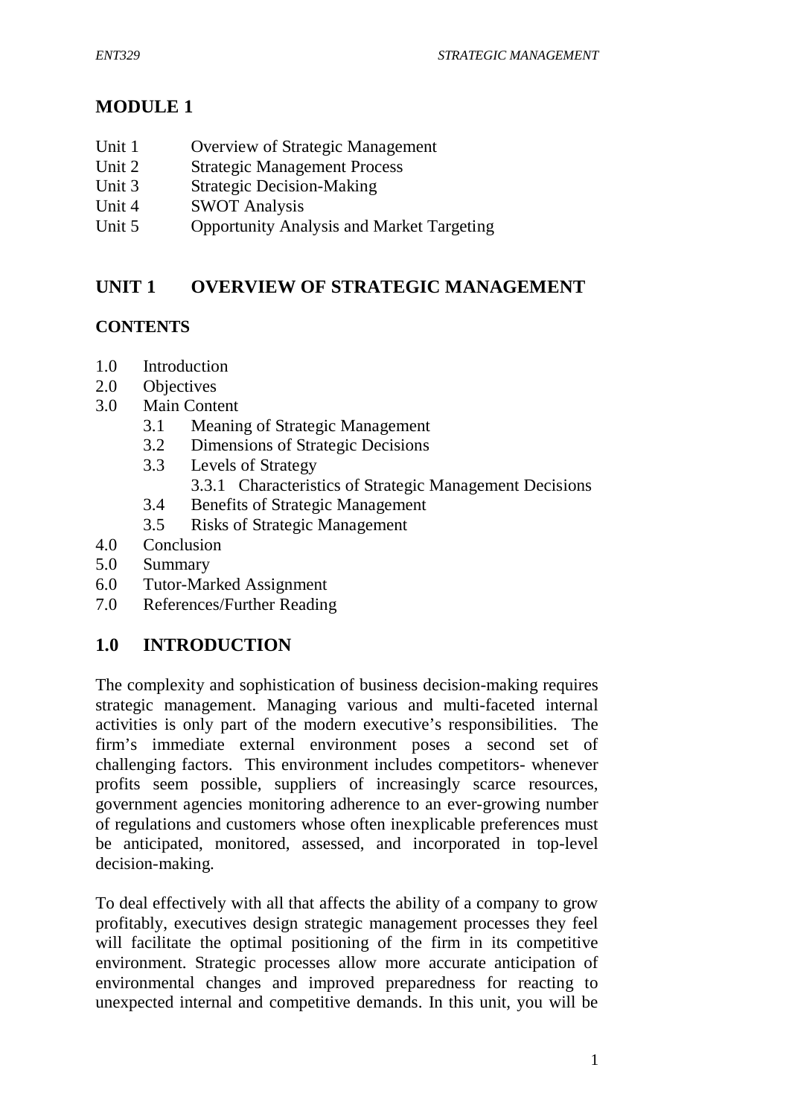# **MODULE 1**

- Unit 1 Overview of Strategic Management
- Unit 2 Strategic Management Process
- Unit 3 Strategic Decision-Making
- Unit 4 SWOT Analysis
- Unit 5 Opportunity Analysis and Market Targeting

# **UNIT 1 OVERVIEW OF STRATEGIC MANAGEMENT**

# **CONTENTS**

- 1.0 Introduction
- 2.0 Objectives
- 3.0 Main Content
	- 3.1 Meaning of Strategic Management
	- 3.2 Dimensions of Strategic Decisions
	- 3.3 Levels of Strategy
		- 3.3.1 Characteristics of Strategic Management Decisions
	- 3.4 Benefits of Strategic Management
	- 3.5 Risks of Strategic Management
- 4.0 Conclusion
- 5.0 Summary
- 6.0 Tutor-Marked Assignment
- 7.0 References/Further Reading

# **1.0 INTRODUCTION**

The complexity and sophistication of business decision-making requires strategic management. Managing various and multi-faceted internal activities is only part of the modern executive's responsibilities. The firm's immediate external environment poses a second set of challenging factors. This environment includes competitors- whenever profits seem possible, suppliers of increasingly scarce resources, government agencies monitoring adherence to an ever-growing number of regulations and customers whose often inexplicable preferences must be anticipated, monitored, assessed, and incorporated in top-level decision-making.

To deal effectively with all that affects the ability of a company to grow profitably, executives design strategic management processes they feel will facilitate the optimal positioning of the firm in its competitive environment. Strategic processes allow more accurate anticipation of environmental changes and improved preparedness for reacting to unexpected internal and competitive demands. In this unit, you will be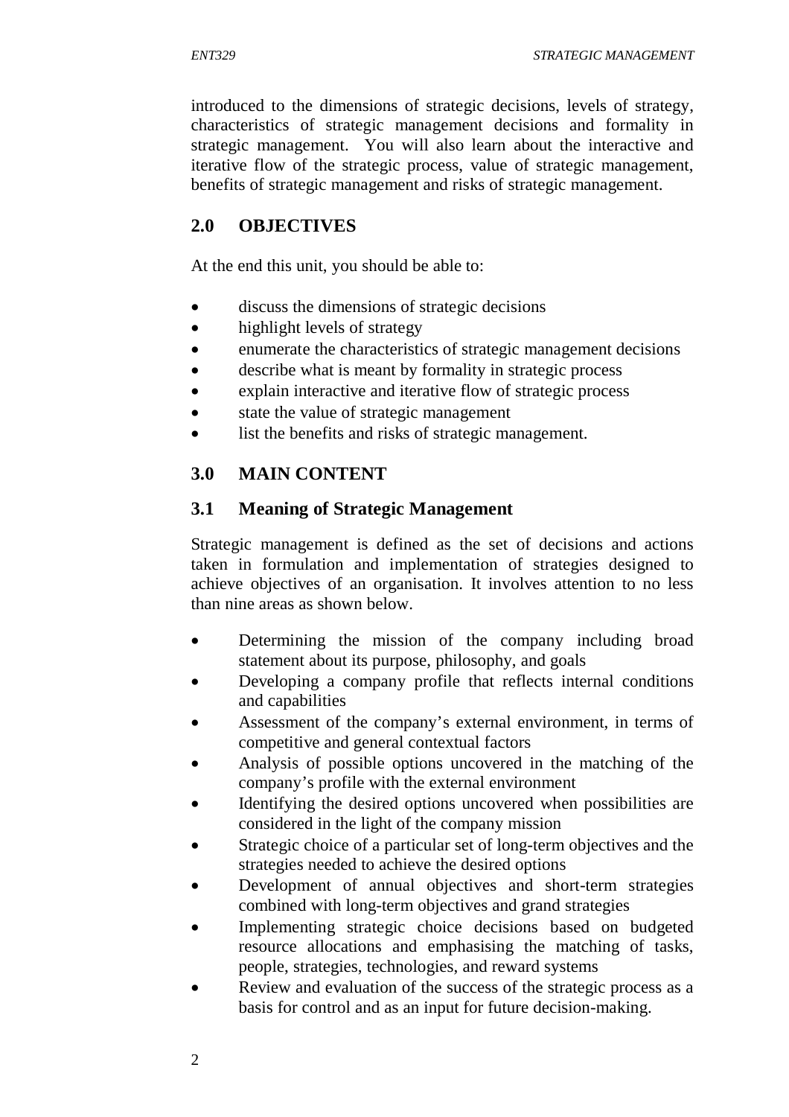introduced to the dimensions of strategic decisions, levels of strategy, characteristics of strategic management decisions and formality in strategic management. You will also learn about the interactive and iterative flow of the strategic process, value of strategic management, benefits of strategic management and risks of strategic management.

# **2.0 OBJECTIVES**

At the end this unit, you should be able to:

- discuss the dimensions of strategic decisions
- highlight levels of strategy
- enumerate the characteristics of strategic management decisions
- describe what is meant by formality in strategic process
- explain interactive and iterative flow of strategic process
- state the value of strategic management
- list the benefits and risks of strategic management.

# **3.0 MAIN CONTENT**

## **3.1 Meaning of Strategic Management**

Strategic management is defined as the set of decisions and actions taken in formulation and implementation of strategies designed to achieve objectives of an organisation. It involves attention to no less than nine areas as shown below.

- Determining the mission of the company including broad statement about its purpose, philosophy, and goals
- Developing a company profile that reflects internal conditions and capabilities
- Assessment of the company's external environment, in terms of competitive and general contextual factors
- Analysis of possible options uncovered in the matching of the company's profile with the external environment
- Identifying the desired options uncovered when possibilities are considered in the light of the company mission
- Strategic choice of a particular set of long-term objectives and the strategies needed to achieve the desired options
- Development of annual objectives and short-term strategies combined with long-term objectives and grand strategies
- Implementing strategic choice decisions based on budgeted resource allocations and emphasising the matching of tasks, people, strategies, technologies, and reward systems
- Review and evaluation of the success of the strategic process as a basis for control and as an input for future decision-making.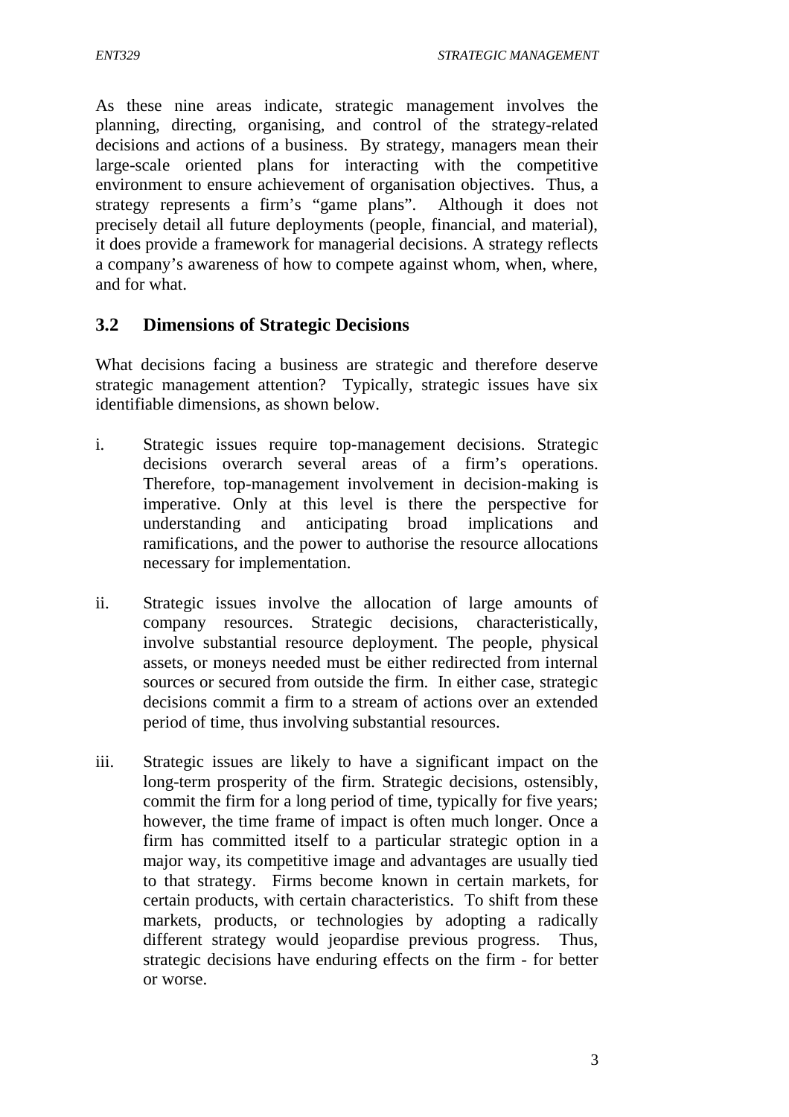As these nine areas indicate, strategic management involves the planning, directing, organising, and control of the strategy-related decisions and actions of a business. By strategy, managers mean their large-scale oriented plans for interacting with the competitive environment to ensure achievement of organisation objectives. Thus, a strategy represents a firm's "game plans". Although it does not precisely detail all future deployments (people, financial, and material), it does provide a framework for managerial decisions. A strategy reflects a company's awareness of how to compete against whom, when, where, and for what.

## **3.2 Dimensions of Strategic Decisions**

What decisions facing a business are strategic and therefore deserve strategic management attention? Typically, strategic issues have six identifiable dimensions, as shown below.

- i. Strategic issues require top-management decisions. Strategic decisions overarch several areas of a firm's operations. Therefore, top-management involvement in decision-making is imperative. Only at this level is there the perspective for understanding and anticipating broad implications and ramifications, and the power to authorise the resource allocations necessary for implementation.
- ii. Strategic issues involve the allocation of large amounts of company resources. Strategic decisions, characteristically, involve substantial resource deployment. The people, physical assets, or moneys needed must be either redirected from internal sources or secured from outside the firm. In either case, strategic decisions commit a firm to a stream of actions over an extended period of time, thus involving substantial resources.
- iii. Strategic issues are likely to have a significant impact on the long-term prosperity of the firm. Strategic decisions, ostensibly, commit the firm for a long period of time, typically for five years; however, the time frame of impact is often much longer. Once a firm has committed itself to a particular strategic option in a major way, its competitive image and advantages are usually tied to that strategy. Firms become known in certain markets, for certain products, with certain characteristics. To shift from these markets, products, or technologies by adopting a radically different strategy would jeopardise previous progress. Thus, strategic decisions have enduring effects on the firm - for better or worse.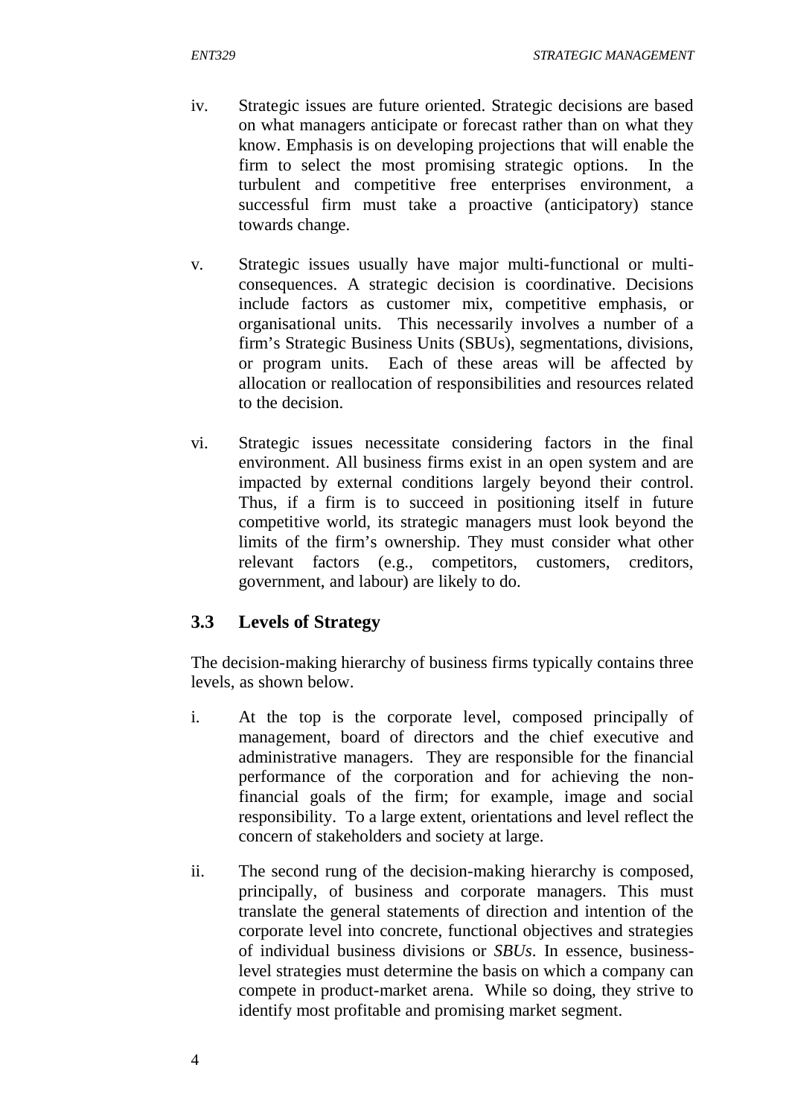- iv. Strategic issues are future oriented. Strategic decisions are based on what managers anticipate or forecast rather than on what they know. Emphasis is on developing projections that will enable the firm to select the most promising strategic options. In the turbulent and competitive free enterprises environment, a successful firm must take a proactive (anticipatory) stance towards change.
- v. Strategic issues usually have major multi-functional or multiconsequences. A strategic decision is coordinative. Decisions include factors as customer mix, competitive emphasis, or organisational units. This necessarily involves a number of a firm's Strategic Business Units (SBUs), segmentations, divisions, or program units. Each of these areas will be affected by allocation or reallocation of responsibilities and resources related to the decision.
- vi. Strategic issues necessitate considering factors in the final environment. All business firms exist in an open system and are impacted by external conditions largely beyond their control. Thus, if a firm is to succeed in positioning itself in future competitive world, its strategic managers must look beyond the limits of the firm's ownership. They must consider what other relevant factors (e.g., competitors, customers, creditors, government, and labour) are likely to do.

# **3.3 Levels of Strategy**

The decision-making hierarchy of business firms typically contains three levels, as shown below.

- i. At the top is the corporate level, composed principally of management, board of directors and the chief executive and administrative managers. They are responsible for the financial performance of the corporation and for achieving the nonfinancial goals of the firm; for example, image and social responsibility. To a large extent, orientations and level reflect the concern of stakeholders and society at large.
- ii. The second rung of the decision-making hierarchy is composed, principally, of business and corporate managers. This must translate the general statements of direction and intention of the corporate level into concrete, functional objectives and strategies of individual business divisions or *SBUs*. In essence, businesslevel strategies must determine the basis on which a company can compete in product-market arena. While so doing, they strive to identify most profitable and promising market segment.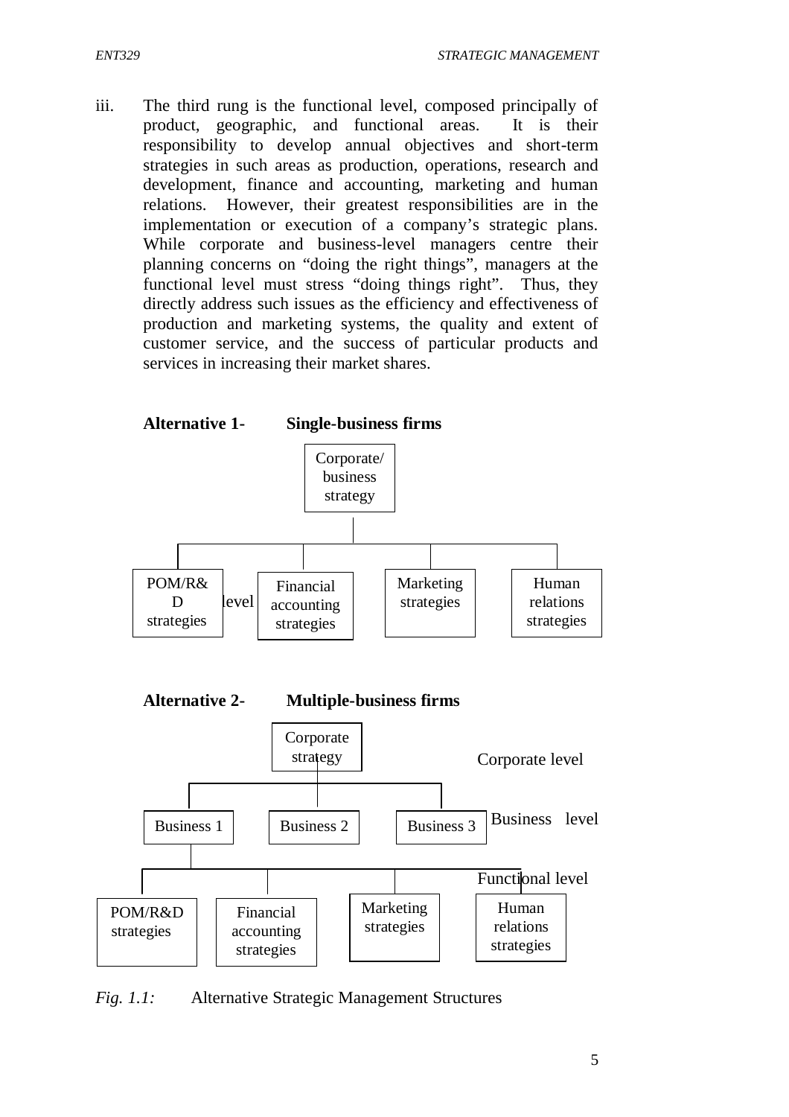iii. The third rung is the functional level, composed principally of product, geographic, and functional areas. It is their responsibility to develop annual objectives and short-term strategies in such areas as production, operations, research and development, finance and accounting, marketing and human relations. However, their greatest responsibilities are in the implementation or execution of a company's strategic plans. While corporate and business-level managers centre their planning concerns on "doing the right things", managers at the functional level must stress "doing things right". Thus, they directly address such issues as the efficiency and effectiveness of production and marketing systems, the quality and extent of customer service, and the success of particular products and services in increasing their market shares.



*Fig. 1.1:* Alternative Strategic Management Structures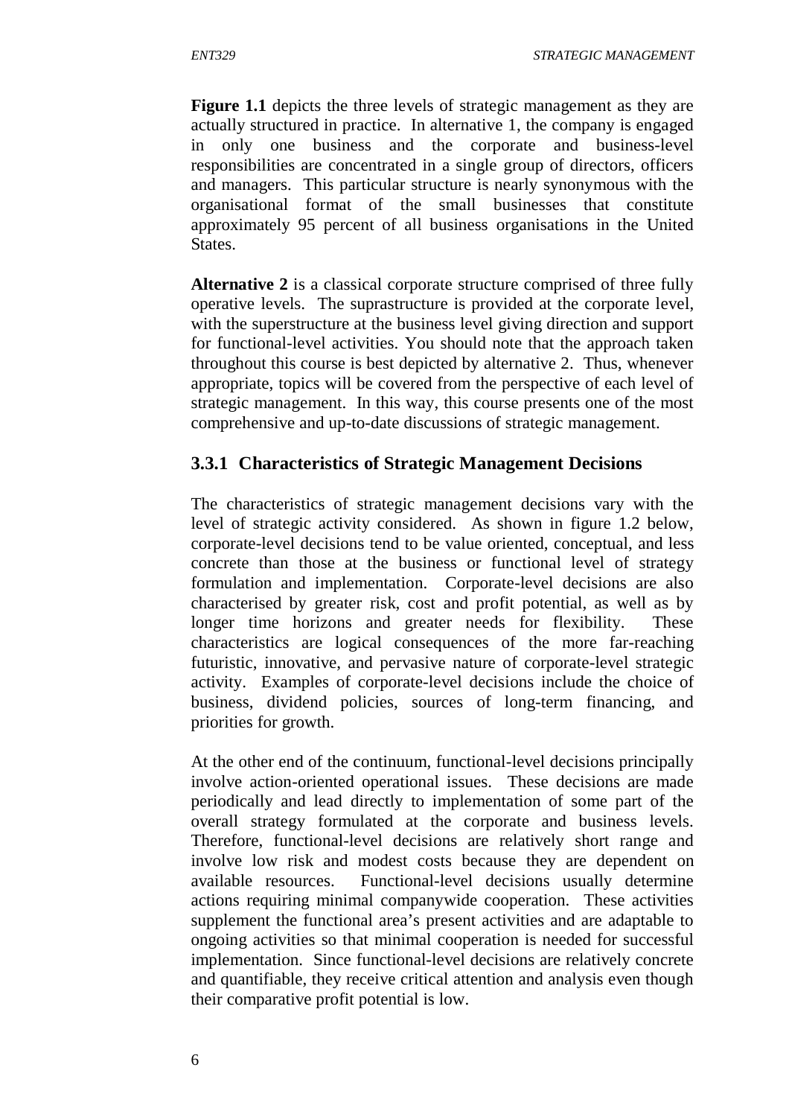**Figure 1.1** depicts the three levels of strategic management as they are actually structured in practice. In alternative 1, the company is engaged in only one business and the corporate and business-level responsibilities are concentrated in a single group of directors, officers and managers. This particular structure is nearly synonymous with the organisational format of the small businesses that constitute approximately 95 percent of all business organisations in the United States.

**Alternative 2** is a classical corporate structure comprised of three fully operative levels. The suprastructure is provided at the corporate level, with the superstructure at the business level giving direction and support for functional-level activities. You should note that the approach taken throughout this course is best depicted by alternative 2. Thus, whenever appropriate, topics will be covered from the perspective of each level of strategic management. In this way, this course presents one of the most comprehensive and up-to-date discussions of strategic management.

# **3.3.1 Characteristics of Strategic Management Decisions**

The characteristics of strategic management decisions vary with the level of strategic activity considered. As shown in figure 1.2 below, corporate-level decisions tend to be value oriented, conceptual, and less concrete than those at the business or functional level of strategy formulation and implementation. Corporate-level decisions are also characterised by greater risk, cost and profit potential, as well as by longer time horizons and greater needs for flexibility. These characteristics are logical consequences of the more far-reaching futuristic, innovative, and pervasive nature of corporate-level strategic activity. Examples of corporate-level decisions include the choice of business, dividend policies, sources of long-term financing, and priorities for growth.

At the other end of the continuum, functional-level decisions principally involve action-oriented operational issues. These decisions are made periodically and lead directly to implementation of some part of the overall strategy formulated at the corporate and business levels. Therefore, functional-level decisions are relatively short range and involve low risk and modest costs because they are dependent on available resources. Functional-level decisions usually determine actions requiring minimal companywide cooperation. These activities supplement the functional area's present activities and are adaptable to ongoing activities so that minimal cooperation is needed for successful implementation. Since functional-level decisions are relatively concrete and quantifiable, they receive critical attention and analysis even though their comparative profit potential is low.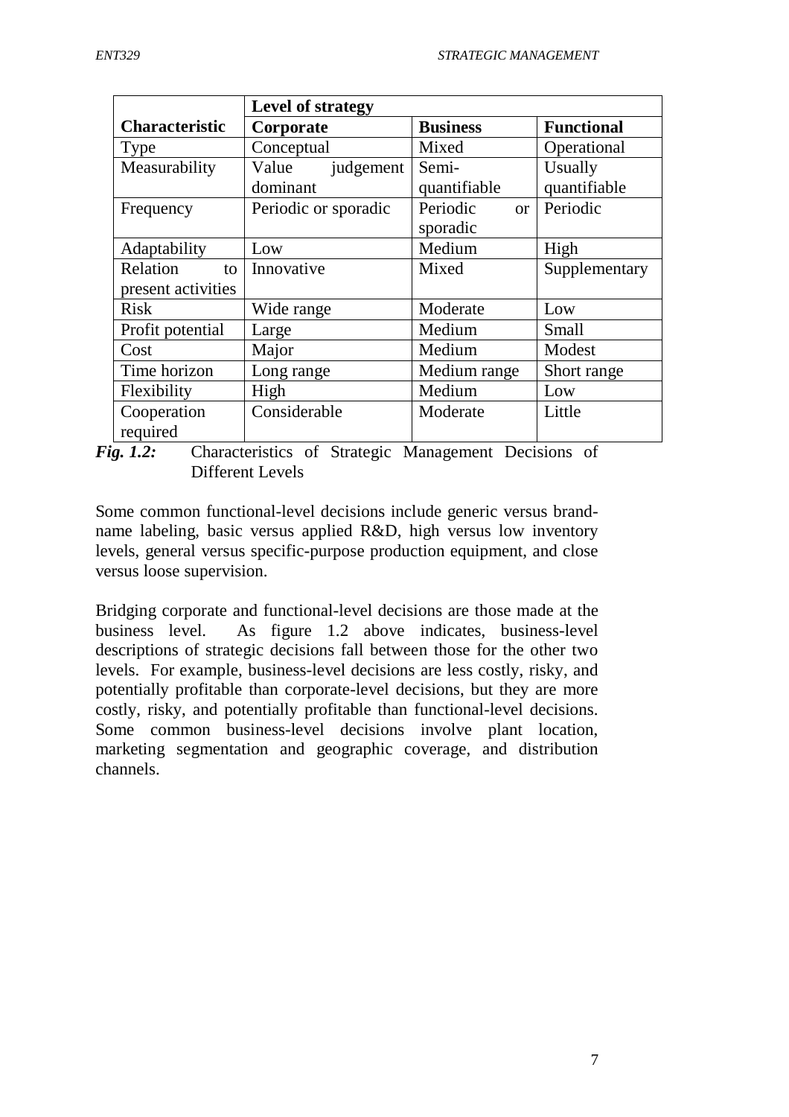|                       | Level of strategy    |                 |                   |
|-----------------------|----------------------|-----------------|-------------------|
| <b>Characteristic</b> | Corporate            | <b>Business</b> | <b>Functional</b> |
| <b>Type</b>           | Conceptual           | Mixed           | Operational       |
| Measurability         | Value<br>judgement   | Semi-           | Usually           |
|                       | dominant             | quantifiable    | quantifiable      |
| Frequency             | Periodic or sporadic | Periodic<br>or  | Periodic          |
|                       |                      | sporadic        |                   |
| Adaptability          | Low                  | Medium          | High              |
| Relation<br>to        | Innovative           | Mixed           | Supplementary     |
| present activities    |                      |                 |                   |
| <b>Risk</b>           | Wide range           | Moderate        | Low               |
| Profit potential      | Large                | Medium          | <b>Small</b>      |
| Cost                  | Major                | Medium          | Modest            |
| Time horizon          | Long range           | Medium range    | Short range       |
| Flexibility           | High                 | Medium          | Low               |
| Cooperation           | Considerable         | Moderate        | Little            |
| required              |                      |                 |                   |

*Fig. 1.2:*Characteristics of Strategic Management Decisions of Different Levels

Some common functional-level decisions include generic versus brandname labeling, basic versus applied R&D, high versus low inventory levels, general versus specific-purpose production equipment, and close versus loose supervision.

Bridging corporate and functional-level decisions are those made at the business level. As figure 1.2 above indicates, business-level descriptions of strategic decisions fall between those for the other two levels. For example, business-level decisions are less costly, risky, and potentially profitable than corporate-level decisions, but they are more costly, risky, and potentially profitable than functional-level decisions. Some common business-level decisions involve plant location, marketing segmentation and geographic coverage, and distribution channels.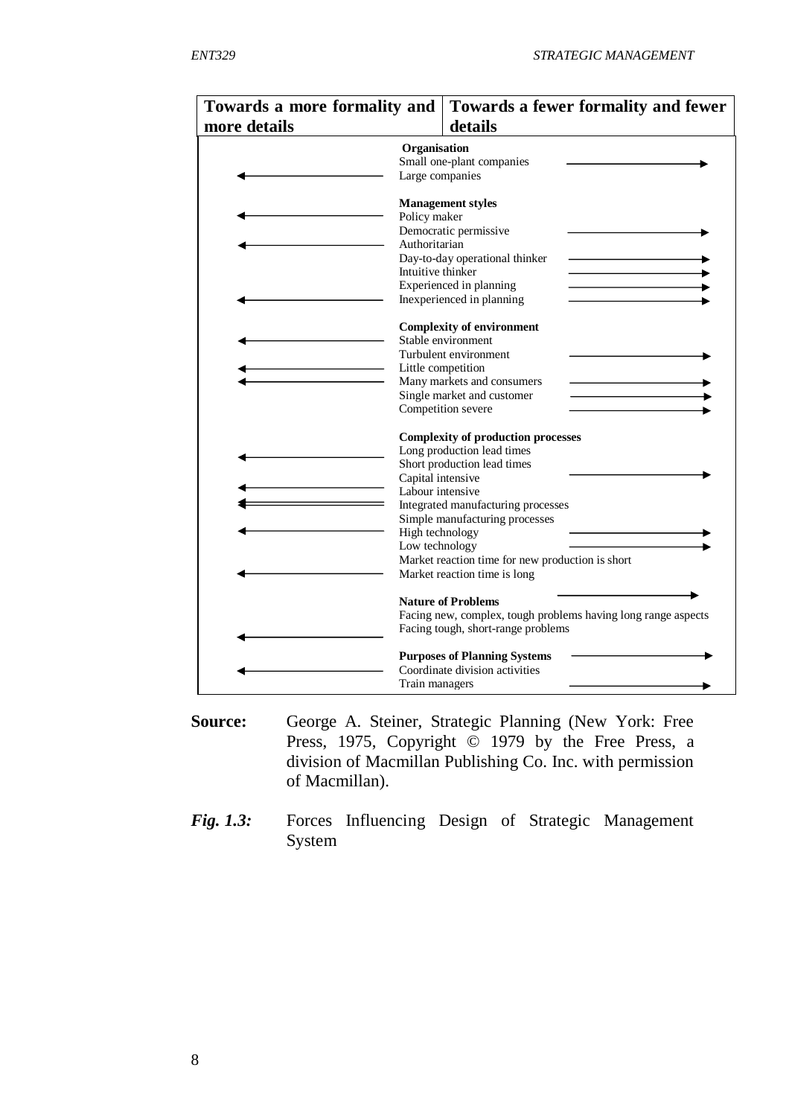| Towards a more formality and | Towards a fewer formality and fewer                                                                                                                                                                                                                                                                                                              |
|------------------------------|--------------------------------------------------------------------------------------------------------------------------------------------------------------------------------------------------------------------------------------------------------------------------------------------------------------------------------------------------|
| more details                 | details                                                                                                                                                                                                                                                                                                                                          |
|                              | Organisation<br>Small one-plant companies<br>Large companies                                                                                                                                                                                                                                                                                     |
|                              | <b>Management styles</b><br>Policy maker<br>Democratic permissive<br>Authoritarian<br>Day-to-day operational thinker<br>Intuitive thinker<br>Experienced in planning<br>Inexperienced in planning                                                                                                                                                |
|                              | <b>Complexity of environment</b><br>Stable environment<br>Turbulent environment<br>Little competition<br>Many markets and consumers<br>Single market and customer<br>Competition severe                                                                                                                                                          |
|                              | <b>Complexity of production processes</b><br>Long production lead times<br>Short production lead times<br>Capital intensive<br>Labour intensive<br>Integrated manufacturing processes<br>Simple manufacturing processes<br>High technology<br>Low technology<br>Market reaction time for new production is short<br>Market reaction time is long |
|                              | <b>Nature of Problems</b><br>Facing new, complex, tough problems having long range aspects<br>Facing tough, short-range problems<br><b>Purposes of Planning Systems</b><br>Coordinate division activities<br>Train managers                                                                                                                      |

- **Source:** George A. Steiner, Strategic Planning (New York: Free Press, 1975, Copyright © 1979 by the Free Press, a division of Macmillan Publishing Co. Inc. with permission of Macmillan).
- *Fig. 1.3:* Forces Influencing Design of Strategic Management System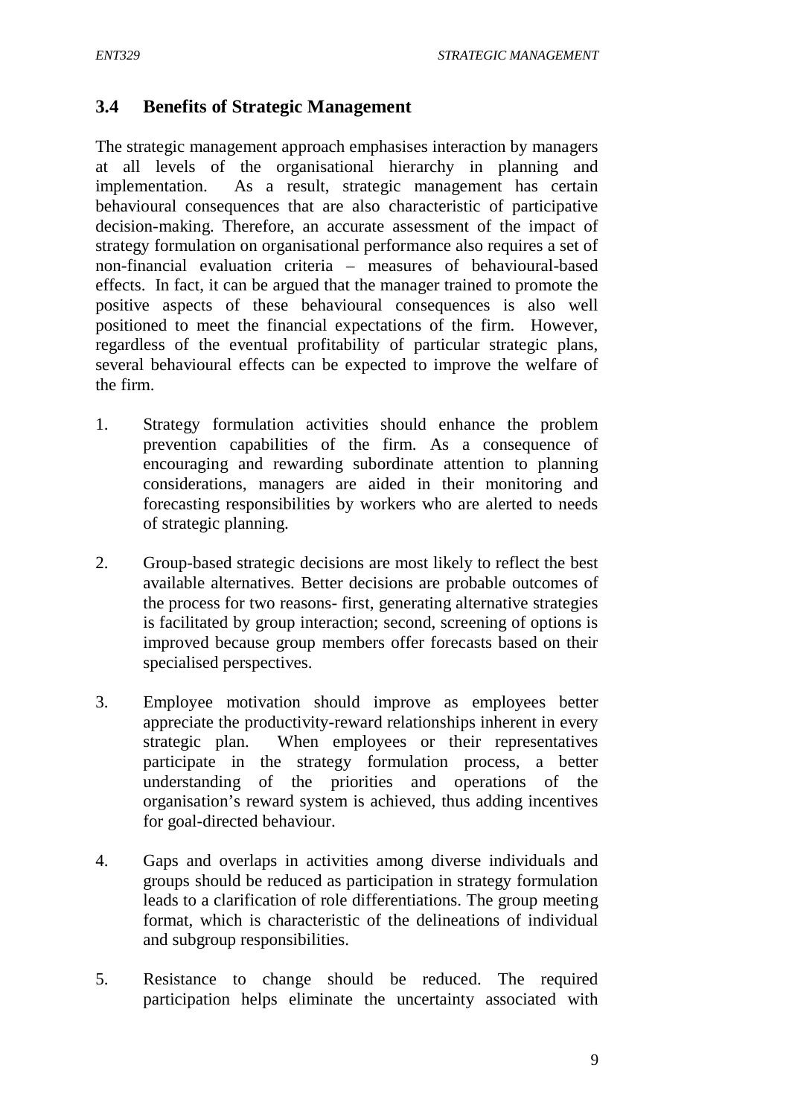# **3.4 Benefits of Strategic Management**

The strategic management approach emphasises interaction by managers at all levels of the organisational hierarchy in planning and implementation. As a result, strategic management has certain behavioural consequences that are also characteristic of participative decision-making. Therefore, an accurate assessment of the impact of strategy formulation on organisational performance also requires a set of non-financial evaluation criteria – measures of behavioural-based effects. In fact, it can be argued that the manager trained to promote the positive aspects of these behavioural consequences is also well positioned to meet the financial expectations of the firm. However, regardless of the eventual profitability of particular strategic plans, several behavioural effects can be expected to improve the welfare of the firm.

- 1. Strategy formulation activities should enhance the problem prevention capabilities of the firm. As a consequence of encouraging and rewarding subordinate attention to planning considerations, managers are aided in their monitoring and forecasting responsibilities by workers who are alerted to needs of strategic planning.
- 2. Group-based strategic decisions are most likely to reflect the best available alternatives. Better decisions are probable outcomes of the process for two reasons- first, generating alternative strategies is facilitated by group interaction; second, screening of options is improved because group members offer forecasts based on their specialised perspectives.
- 3. Employee motivation should improve as employees better appreciate the productivity-reward relationships inherent in every strategic plan. When employees or their representatives participate in the strategy formulation process, a better understanding of the priorities and operations of the organisation's reward system is achieved, thus adding incentives for goal-directed behaviour.
- 4. Gaps and overlaps in activities among diverse individuals and groups should be reduced as participation in strategy formulation leads to a clarification of role differentiations. The group meeting format, which is characteristic of the delineations of individual and subgroup responsibilities.
- 5. Resistance to change should be reduced. The required participation helps eliminate the uncertainty associated with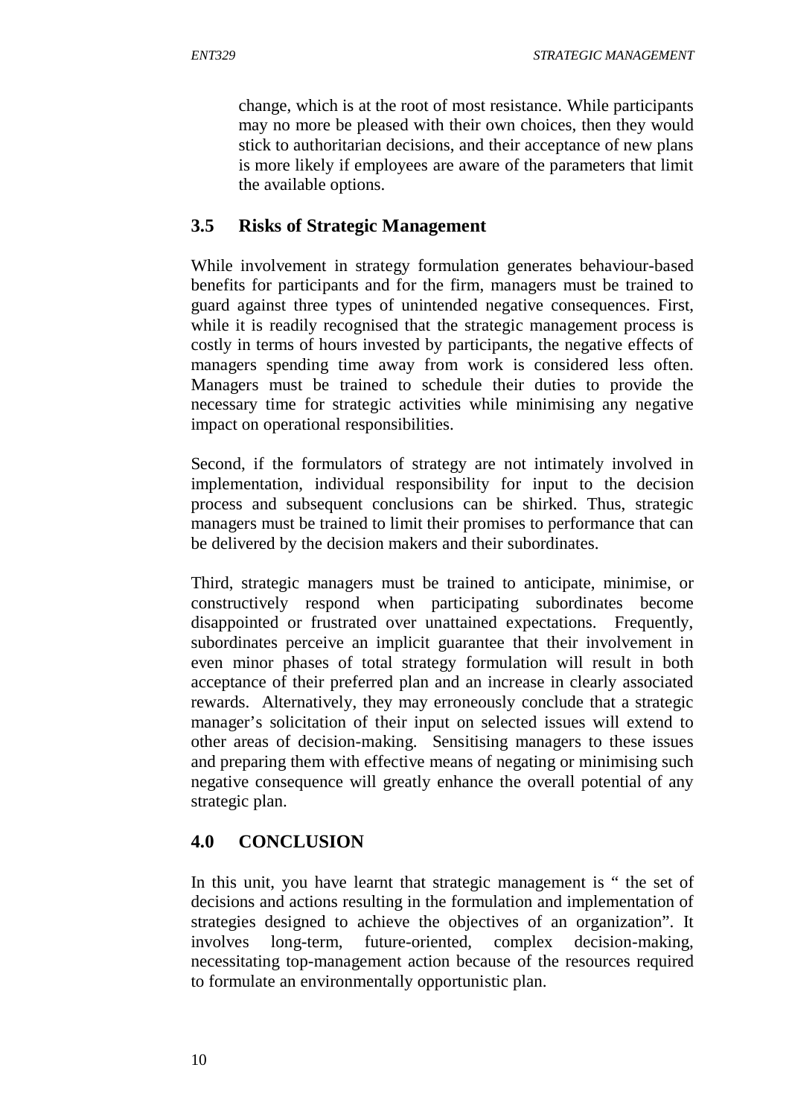change, which is at the root of most resistance. While participants may no more be pleased with their own choices, then they would stick to authoritarian decisions, and their acceptance of new plans is more likely if employees are aware of the parameters that limit the available options.

# **3.5 Risks of Strategic Management**

While involvement in strategy formulation generates behaviour-based benefits for participants and for the firm, managers must be trained to guard against three types of unintended negative consequences. First, while it is readily recognised that the strategic management process is costly in terms of hours invested by participants, the negative effects of managers spending time away from work is considered less often. Managers must be trained to schedule their duties to provide the necessary time for strategic activities while minimising any negative impact on operational responsibilities.

Second, if the formulators of strategy are not intimately involved in implementation, individual responsibility for input to the decision process and subsequent conclusions can be shirked. Thus, strategic managers must be trained to limit their promises to performance that can be delivered by the decision makers and their subordinates.

Third, strategic managers must be trained to anticipate, minimise, or constructively respond when participating subordinates become disappointed or frustrated over unattained expectations. Frequently, subordinates perceive an implicit guarantee that their involvement in even minor phases of total strategy formulation will result in both acceptance of their preferred plan and an increase in clearly associated rewards. Alternatively, they may erroneously conclude that a strategic manager's solicitation of their input on selected issues will extend to other areas of decision-making. Sensitising managers to these issues and preparing them with effective means of negating or minimising such negative consequence will greatly enhance the overall potential of any strategic plan.

# **4.0 CONCLUSION**

In this unit, you have learnt that strategic management is " the set of decisions and actions resulting in the formulation and implementation of strategies designed to achieve the objectives of an organization". It involves long-term, future-oriented, complex decision-making, necessitating top-management action because of the resources required to formulate an environmentally opportunistic plan.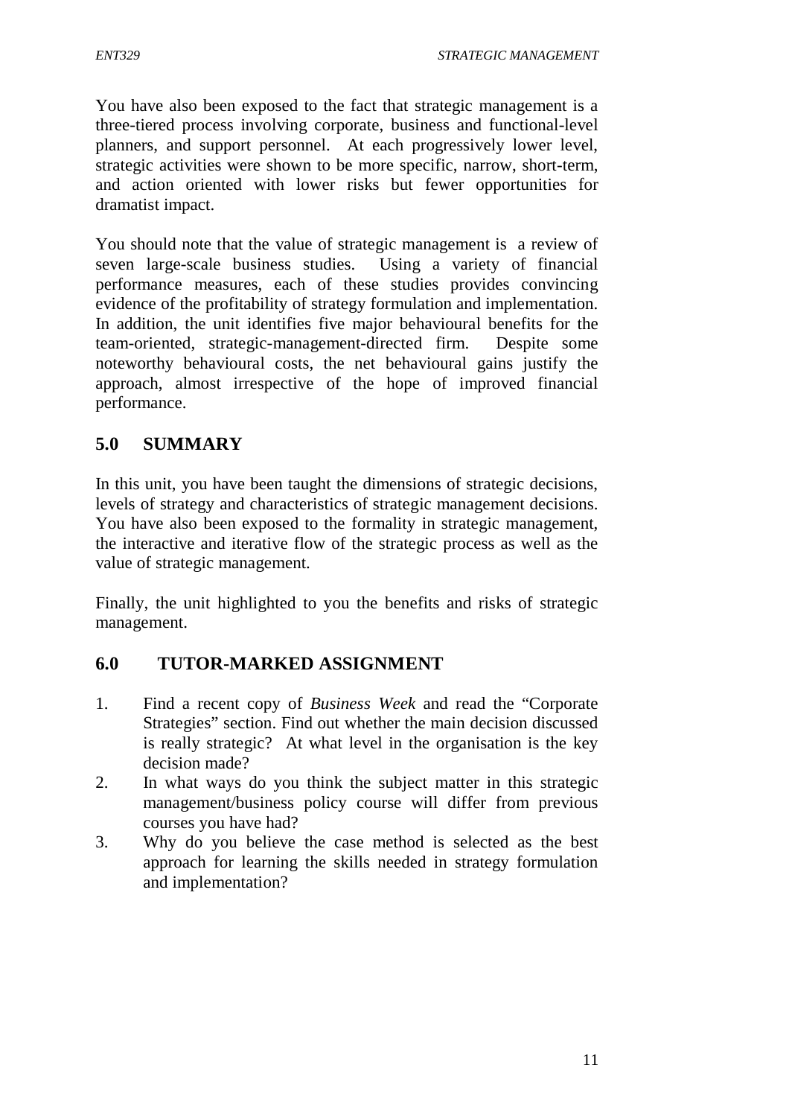You have also been exposed to the fact that strategic management is a three-tiered process involving corporate, business and functional-level planners, and support personnel. At each progressively lower level, strategic activities were shown to be more specific, narrow, short-term, and action oriented with lower risks but fewer opportunities for dramatist impact.

You should note that the value of strategic management is a review of seven large-scale business studies. Using a variety of financial performance measures, each of these studies provides convincing evidence of the profitability of strategy formulation and implementation. In addition, the unit identifies five major behavioural benefits for the team-oriented, strategic-management-directed firm. Despite some noteworthy behavioural costs, the net behavioural gains justify the approach, almost irrespective of the hope of improved financial performance.

# **5.0 SUMMARY**

In this unit, you have been taught the dimensions of strategic decisions, levels of strategy and characteristics of strategic management decisions. You have also been exposed to the formality in strategic management, the interactive and iterative flow of the strategic process as well as the value of strategic management.

Finally, the unit highlighted to you the benefits and risks of strategic management.

# **6.0 TUTOR-MARKED ASSIGNMENT**

- 1. Find a recent copy of *Business Week* and read the "Corporate Strategies" section. Find out whether the main decision discussed is really strategic? At what level in the organisation is the key decision made?
- 2. In what ways do you think the subject matter in this strategic management/business policy course will differ from previous courses you have had?
- 3. Why do you believe the case method is selected as the best approach for learning the skills needed in strategy formulation and implementation?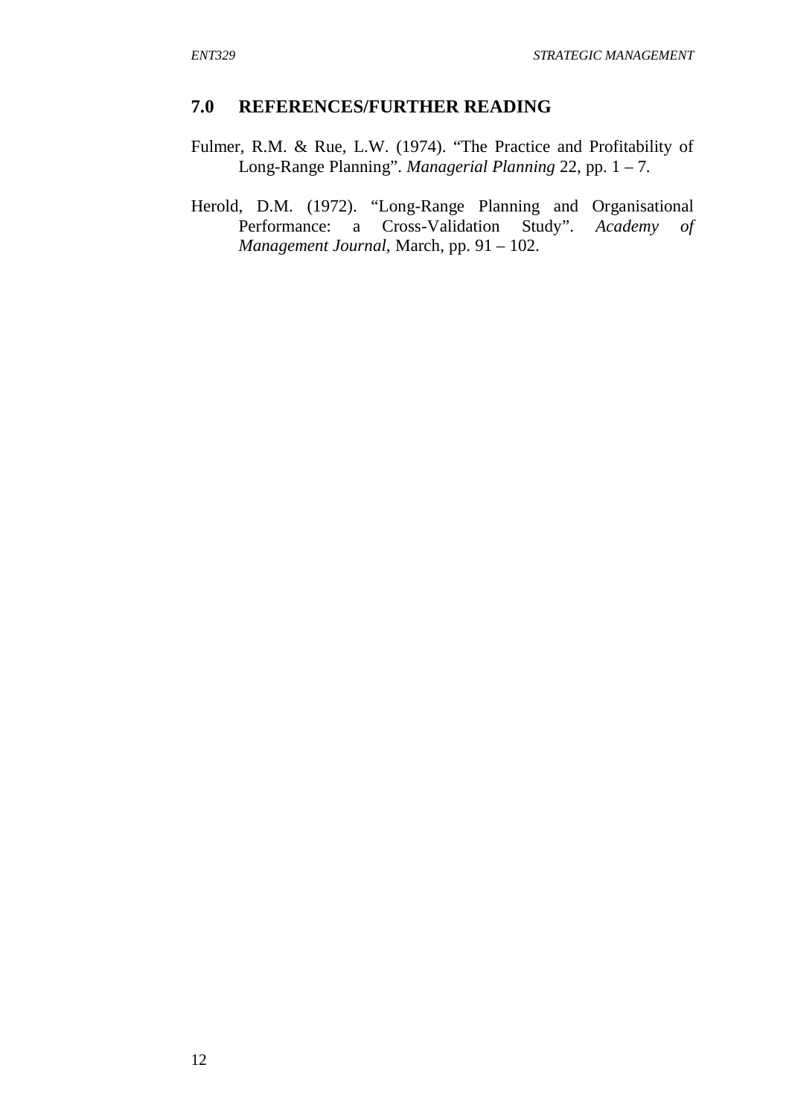#### **7.0 REFERENCES/FURTHER READING**

- Fulmer, R.M. & Rue, L.W. (1974). "The Practice and Profitability of Long-Range Planning". *Managerial Planning* 22, pp. 1 – 7.
- Herold, D.M. (1972). "Long-Range Planning and Organisational Performance: a Cross-Validation Study". Academy of Performance: a Cross-Validation Study". *Academy of Management Journal,* March, pp. 91 – 102.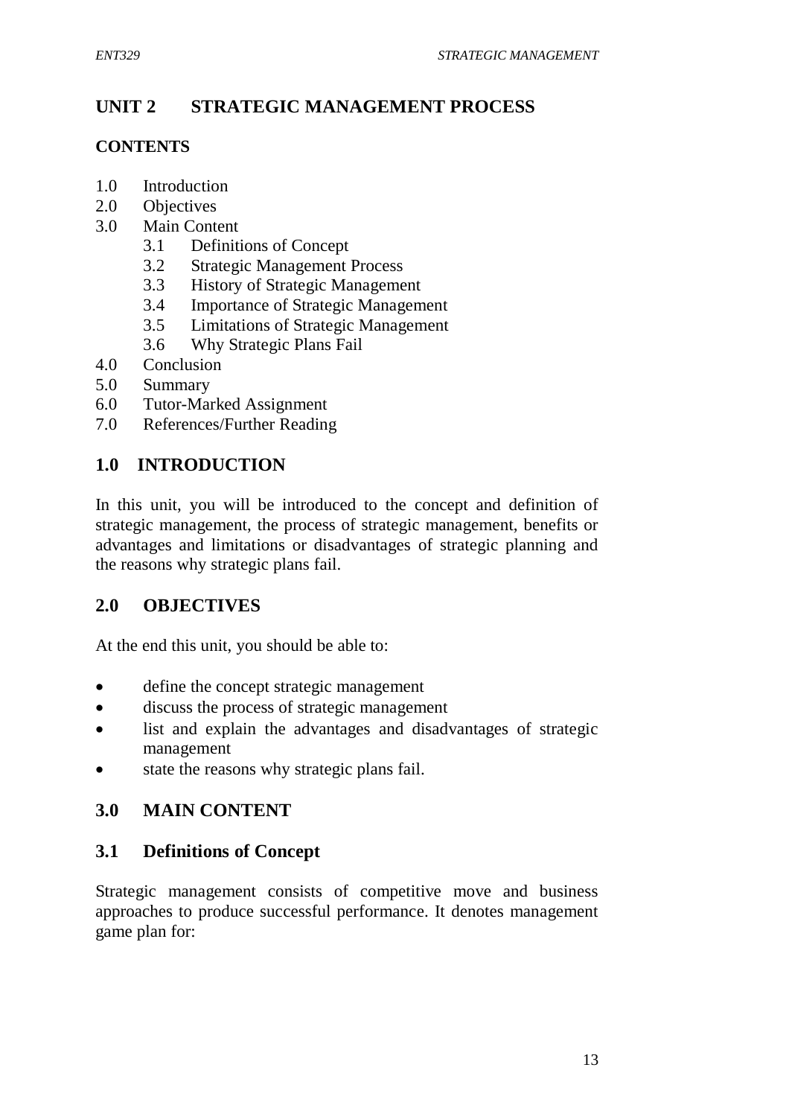# **UNIT 2 STRATEGIC MANAGEMENT PROCESS**

## **CONTENTS**

- 1.0 Introduction
- 2.0 Objectives
- 3.0 Main Content
	- 3.1 Definitions of Concept
	- 3.2 Strategic Management Process
	- 3.3 History of Strategic Management
	- 3.4 Importance of Strategic Management
	- 3.5 Limitations of Strategic Management
	- 3.6 Why Strategic Plans Fail
- 4.0 Conclusion
- 5.0 Summary
- 6.0 Tutor-Marked Assignment
- 7.0 References/Further Reading

# **1.0 INTRODUCTION**

In this unit, you will be introduced to the concept and definition of strategic management, the process of strategic management, benefits or advantages and limitations or disadvantages of strategic planning and the reasons why strategic plans fail.

# **2.0 OBJECTIVES**

At the end this unit, you should be able to:

- define the concept strategic management
- discuss the process of strategic management
- list and explain the advantages and disadvantages of strategic management
- state the reasons why strategic plans fail.

# **3.0 MAIN CONTENT**

# **3.1 Definitions of Concept**

Strategic management consists of competitive move and business approaches to produce successful performance. It denotes management game plan for: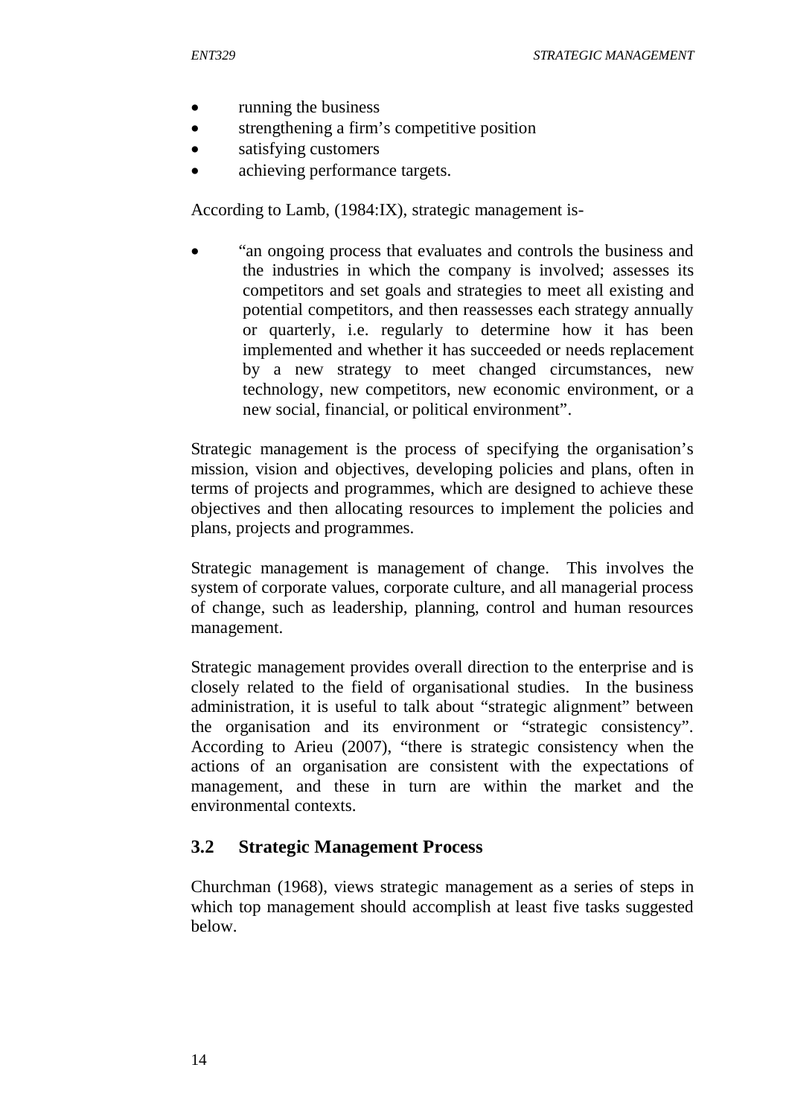- running the business
- strengthening a firm's competitive position
- satisfying customers
- achieving performance targets.

According to Lamb, (1984:IX), strategic management is-

• "an ongoing process that evaluates and controls the business and the industries in which the company is involved; assesses its competitors and set goals and strategies to meet all existing and potential competitors, and then reassesses each strategy annually or quarterly, i.e. regularly to determine how it has been implemented and whether it has succeeded or needs replacement by a new strategy to meet changed circumstances, new technology, new competitors, new economic environment, or a new social, financial, or political environment".

Strategic management is the process of specifying the organisation's mission, vision and objectives, developing policies and plans, often in terms of projects and programmes, which are designed to achieve these objectives and then allocating resources to implement the policies and plans, projects and programmes.

Strategic management is management of change. This involves the system of corporate values, corporate culture, and all managerial process of change, such as leadership, planning, control and human resources management.

Strategic management provides overall direction to the enterprise and is closely related to the field of organisational studies. In the business administration, it is useful to talk about "strategic alignment" between the organisation and its environment or "strategic consistency". According to Arieu (2007), "there is strategic consistency when the actions of an organisation are consistent with the expectations of management, and these in turn are within the market and the environmental contexts.

## **3.2 Strategic Management Process**

Churchman (1968), views strategic management as a series of steps in which top management should accomplish at least five tasks suggested below.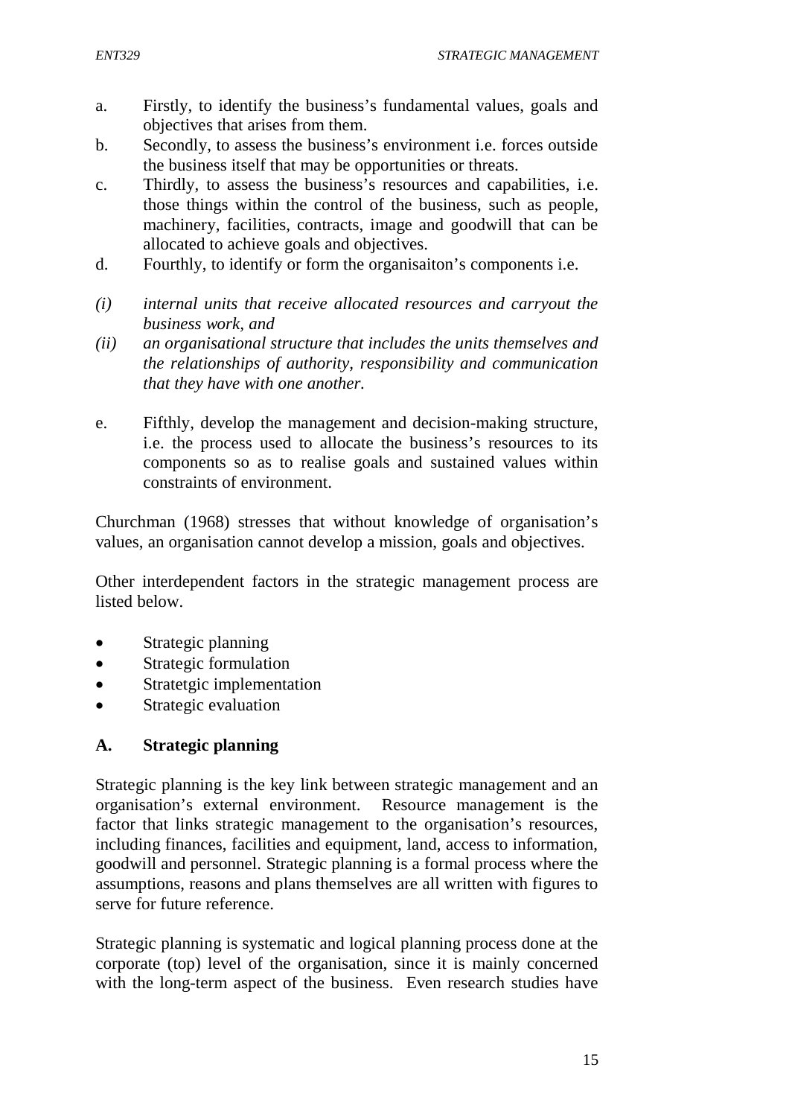- a. Firstly, to identify the business's fundamental values, goals and objectives that arises from them.
- b. Secondly, to assess the business's environment i.e. forces outside the business itself that may be opportunities or threats.
- c. Thirdly, to assess the business's resources and capabilities, i.e. those things within the control of the business, such as people, machinery, facilities, contracts, image and goodwill that can be allocated to achieve goals and objectives.
- d. Fourthly, to identify or form the organisaiton's components i.e.
- *(i) internal units that receive allocated resources and carryout the business work, and*
- *(ii) an organisational structure that includes the units themselves and the relationships of authority, responsibility and communication that they have with one another.*
- e. Fifthly, develop the management and decision-making structure, i.e. the process used to allocate the business's resources to its components so as to realise goals and sustained values within constraints of environment.

Churchman (1968) stresses that without knowledge of organisation's values, an organisation cannot develop a mission, goals and objectives.

Other interdependent factors in the strategic management process are listed below.

- Strategic planning
- Strategic formulation
- Stratetgic implementation
- Strategic evaluation

#### **A. Strategic planning**

Strategic planning is the key link between strategic management and an organisation's external environment. Resource management is the factor that links strategic management to the organisation's resources, including finances, facilities and equipment, land, access to information, goodwill and personnel. Strategic planning is a formal process where the assumptions, reasons and plans themselves are all written with figures to serve for future reference.

Strategic planning is systematic and logical planning process done at the corporate (top) level of the organisation, since it is mainly concerned with the long-term aspect of the business. Even research studies have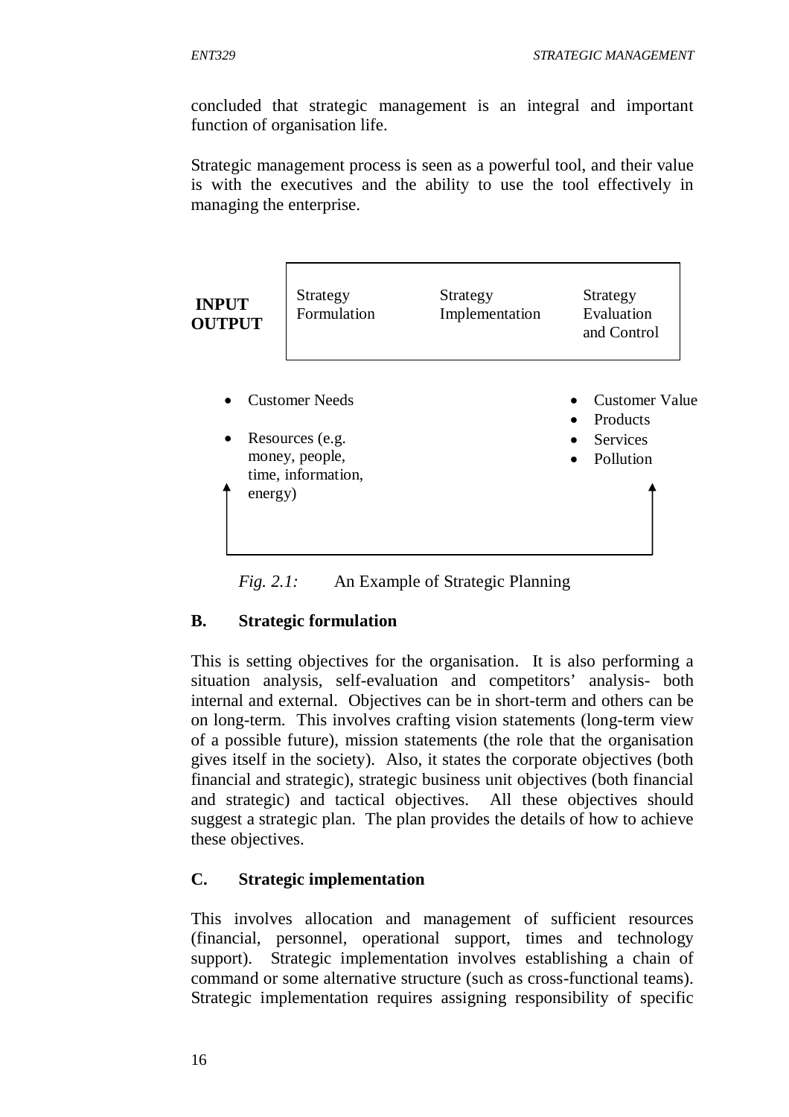concluded that strategic management is an integral and important function of organisation life.

Strategic management process is seen as a powerful tool, and their value is with the executives and the ability to use the tool effectively in managing the enterprise.

| <b>INPUT</b><br><b>OUTPUT</b> | Strategy<br>Formulation                                                          | Strategy<br>Implementation | Strategy<br>Evaluation<br>and Control                      |
|-------------------------------|----------------------------------------------------------------------------------|----------------------------|------------------------------------------------------------|
| $\bullet$<br>energy)          | <b>Customer Needs</b><br>Resources (e.g.<br>money, people,<br>time, information, |                            | <b>Customer Value</b><br>Products<br>Services<br>Pollution |

*Fig. 2.1:* An Example of Strategic Planning

## **B. Strategic formulation**

This is setting objectives for the organisation. It is also performing a situation analysis, self-evaluation and competitors' analysis- both internal and external. Objectives can be in short-term and others can be on long-term. This involves crafting vision statements (long-term view of a possible future), mission statements (the role that the organisation gives itself in the society). Also, it states the corporate objectives (both financial and strategic), strategic business unit objectives (both financial and strategic) and tactical objectives. All these objectives should suggest a strategic plan. The plan provides the details of how to achieve these objectives.

# **C. Strategic implementation**

This involves allocation and management of sufficient resources (financial, personnel, operational support, times and technology support). Strategic implementation involves establishing a chain of command or some alternative structure (such as cross-functional teams). Strategic implementation requires assigning responsibility of specific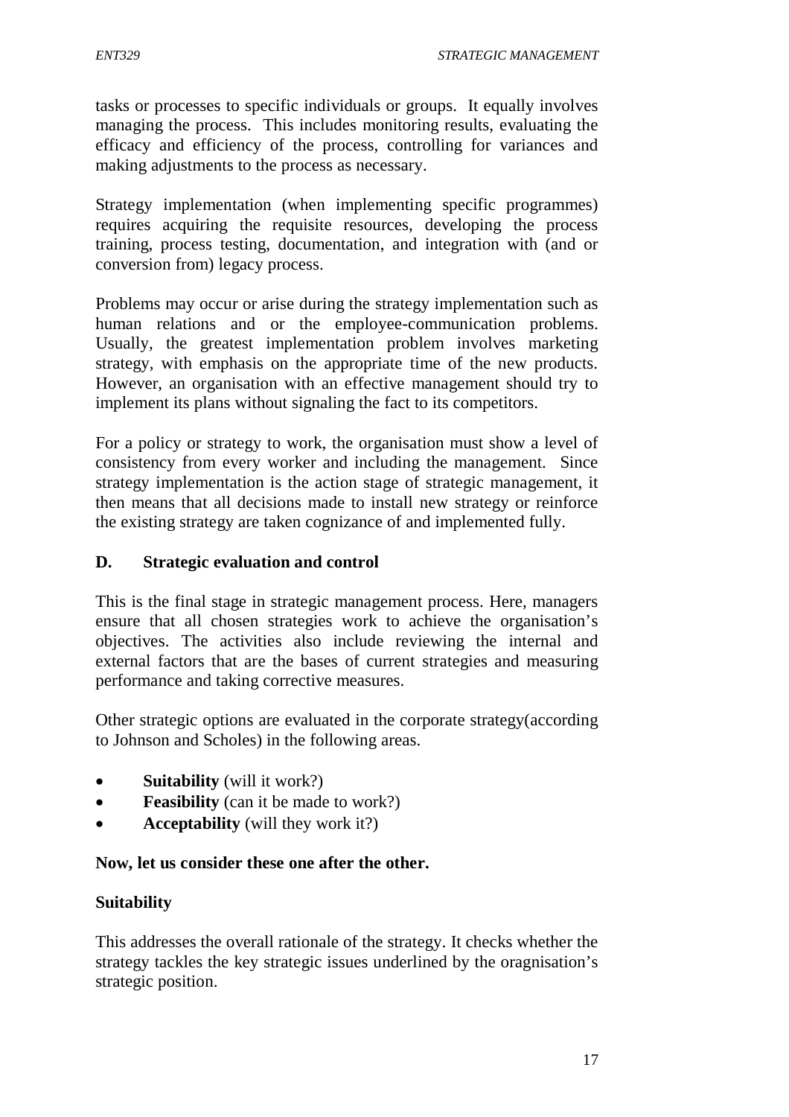tasks or processes to specific individuals or groups. It equally involves managing the process. This includes monitoring results, evaluating the efficacy and efficiency of the process, controlling for variances and making adjustments to the process as necessary.

Strategy implementation (when implementing specific programmes) requires acquiring the requisite resources, developing the process training, process testing, documentation, and integration with (and or conversion from) legacy process.

Problems may occur or arise during the strategy implementation such as human relations and or the employee-communication problems. Usually, the greatest implementation problem involves marketing strategy, with emphasis on the appropriate time of the new products. However, an organisation with an effective management should try to implement its plans without signaling the fact to its competitors.

For a policy or strategy to work, the organisation must show a level of consistency from every worker and including the management. Since strategy implementation is the action stage of strategic management, it then means that all decisions made to install new strategy or reinforce the existing strategy are taken cognizance of and implemented fully.

#### **D. Strategic evaluation and control**

This is the final stage in strategic management process. Here, managers ensure that all chosen strategies work to achieve the organisation's objectives. The activities also include reviewing the internal and external factors that are the bases of current strategies and measuring performance and taking corrective measures.

Other strategic options are evaluated in the corporate strategy(according to Johnson and Scholes) in the following areas.

- **Suitability** (will it work?)
- **Feasibility** (can it be made to work?)
- **Acceptability** (will they work it?)

#### **Now, let us consider these one after the other.**

#### **Suitability**

This addresses the overall rationale of the strategy. It checks whether the strategy tackles the key strategic issues underlined by the oragnisation's strategic position.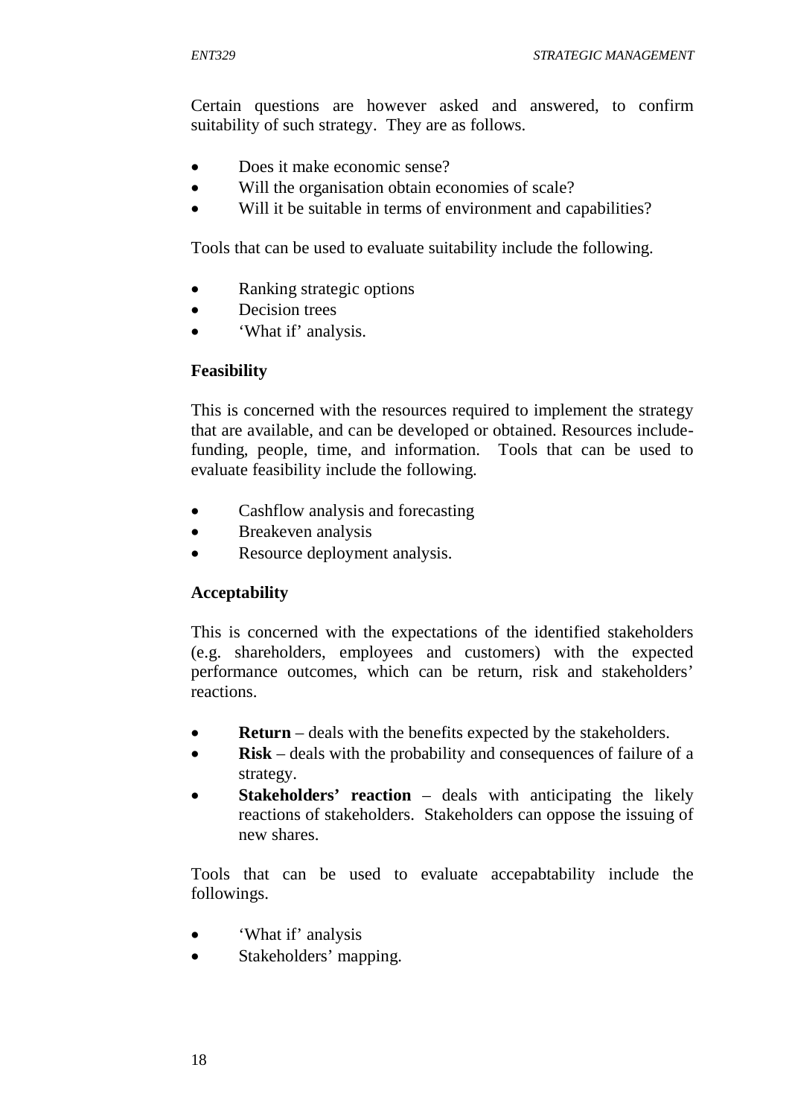Certain questions are however asked and answered, to confirm suitability of such strategy. They are as follows.

- Does it make economic sense?
- Will the organisation obtain economies of scale?
- Will it be suitable in terms of environment and capabilities?

Tools that can be used to evaluate suitability include the following.

- Ranking strategic options
- Decision trees
- 'What if' analysis.

#### **Feasibility**

This is concerned with the resources required to implement the strategy that are available, and can be developed or obtained. Resources includefunding, people, time, and information. Tools that can be used to evaluate feasibility include the following.

- Cashflow analysis and forecasting
- Breakeven analysis
- Resource deployment analysis.

## **Acceptability**

This is concerned with the expectations of the identified stakeholders (e.g. shareholders, employees and customers) with the expected performance outcomes, which can be return, risk and stakeholders' reactions.

- **Return** deals with the benefits expected by the stakeholders.
- **Risk** deals with the probability and consequences of failure of a strategy.
- **Stakeholders' reaction**  deals with anticipating the likely reactions of stakeholders. Stakeholders can oppose the issuing of new shares.

Tools that can be used to evaluate accepabtability include the followings.

- 'What if' analysis
- Stakeholders' mapping.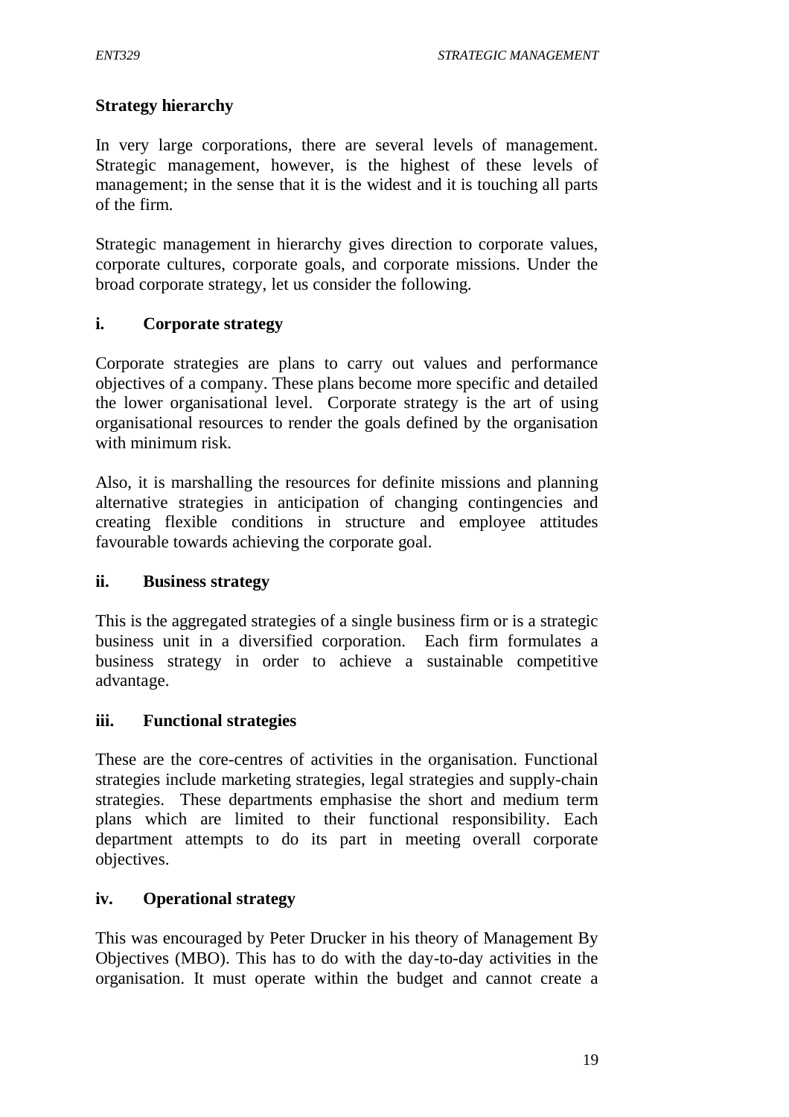# **Strategy hierarchy**

In very large corporations, there are several levels of management. Strategic management, however, is the highest of these levels of management; in the sense that it is the widest and it is touching all parts of the firm.

Strategic management in hierarchy gives direction to corporate values, corporate cultures, corporate goals, and corporate missions. Under the broad corporate strategy, let us consider the following.

## **i. Corporate strategy**

Corporate strategies are plans to carry out values and performance objectives of a company. These plans become more specific and detailed the lower organisational level. Corporate strategy is the art of using organisational resources to render the goals defined by the organisation with minimum risk.

Also, it is marshalling the resources for definite missions and planning alternative strategies in anticipation of changing contingencies and creating flexible conditions in structure and employee attitudes favourable towards achieving the corporate goal.

## **ii. Business strategy**

This is the aggregated strategies of a single business firm or is a strategic business unit in a diversified corporation. Each firm formulates a business strategy in order to achieve a sustainable competitive advantage.

## **iii. Functional strategies**

These are the core-centres of activities in the organisation. Functional strategies include marketing strategies, legal strategies and supply-chain strategies. These departments emphasise the short and medium term plans which are limited to their functional responsibility. Each department attempts to do its part in meeting overall corporate objectives.

## **iv. Operational strategy**

This was encouraged by Peter Drucker in his theory of Management By Objectives (MBO). This has to do with the day-to-day activities in the organisation. It must operate within the budget and cannot create a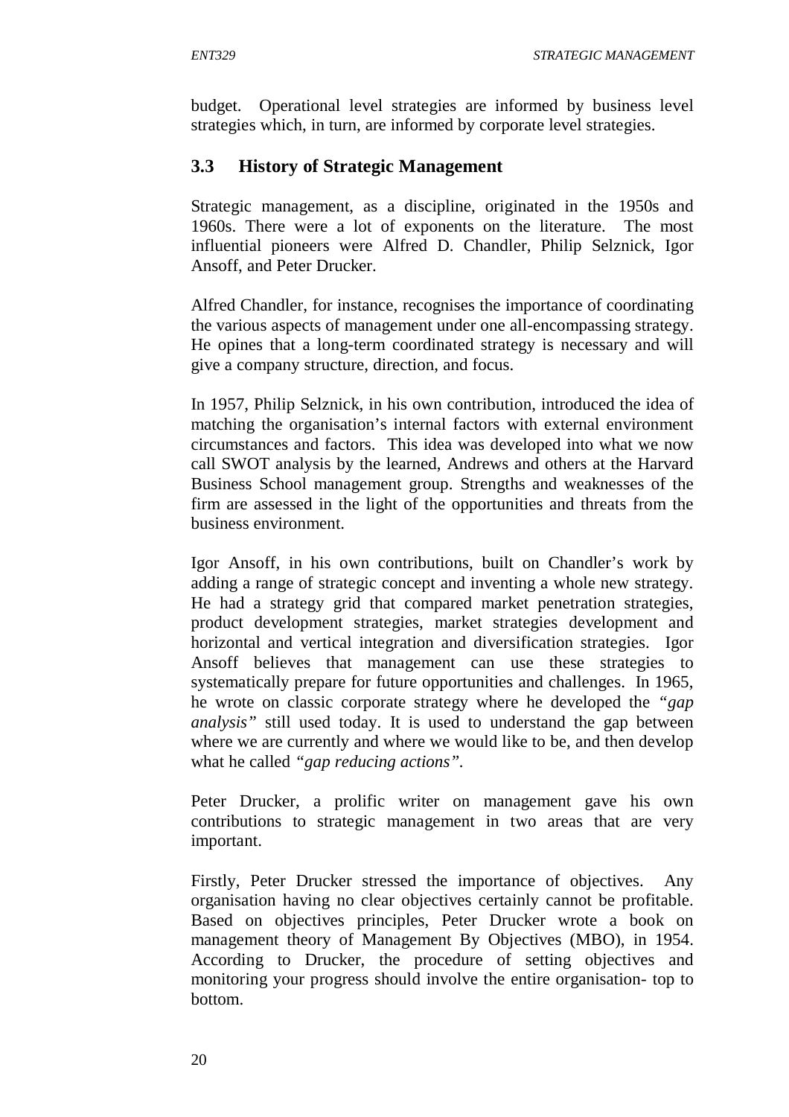budget. Operational level strategies are informed by business level strategies which, in turn, are informed by corporate level strategies.

# **3.3 History of Strategic Management**

Strategic management, as a discipline, originated in the 1950s and 1960s. There were a lot of exponents on the literature. The most influential pioneers were Alfred D. Chandler, Philip Selznick, Igor Ansoff, and Peter Drucker.

Alfred Chandler, for instance, recognises the importance of coordinating the various aspects of management under one all-encompassing strategy. He opines that a long-term coordinated strategy is necessary and will give a company structure, direction, and focus.

In 1957, Philip Selznick, in his own contribution, introduced the idea of matching the organisation's internal factors with external environment circumstances and factors. This idea was developed into what we now call SWOT analysis by the learned, Andrews and others at the Harvard Business School management group. Strengths and weaknesses of the firm are assessed in the light of the opportunities and threats from the business environment.

Igor Ansoff, in his own contributions, built on Chandler's work by adding a range of strategic concept and inventing a whole new strategy. He had a strategy grid that compared market penetration strategies, product development strategies, market strategies development and horizontal and vertical integration and diversification strategies. Igor Ansoff believes that management can use these strategies to systematically prepare for future opportunities and challenges. In 1965, he wrote on classic corporate strategy where he developed the *"gap analysis"* still used today. It is used to understand the gap between where we are currently and where we would like to be, and then develop what he called *"gap reducing actions".*

Peter Drucker, a prolific writer on management gave his own contributions to strategic management in two areas that are very important.

Firstly, Peter Drucker stressed the importance of objectives. Any organisation having no clear objectives certainly cannot be profitable. Based on objectives principles, Peter Drucker wrote a book on management theory of Management By Objectives (MBO), in 1954. According to Drucker, the procedure of setting objectives and monitoring your progress should involve the entire organisation- top to bottom.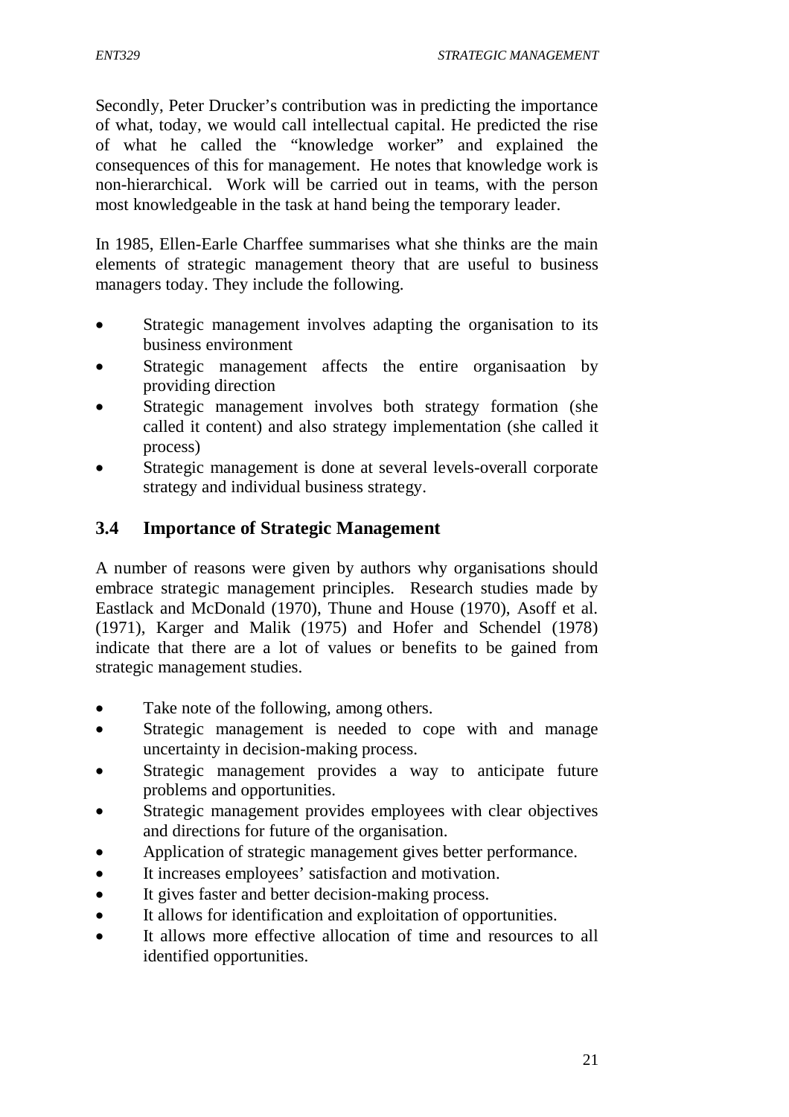Secondly, Peter Drucker's contribution was in predicting the importance of what, today, we would call intellectual capital. He predicted the rise of what he called the "knowledge worker" and explained the consequences of this for management. He notes that knowledge work is non-hierarchical. Work will be carried out in teams, with the person most knowledgeable in the task at hand being the temporary leader.

In 1985, Ellen-Earle Charffee summarises what she thinks are the main elements of strategic management theory that are useful to business managers today. They include the following.

- Strategic management involves adapting the organisation to its business environment
- Strategic management affects the entire organisaation by providing direction
- Strategic management involves both strategy formation (she called it content) and also strategy implementation (she called it process)
- Strategic management is done at several levels-overall corporate strategy and individual business strategy.

# **3.4 Importance of Strategic Management**

A number of reasons were given by authors why organisations should embrace strategic management principles. Research studies made by Eastlack and McDonald (1970), Thune and House (1970), Asoff et al. (1971), Karger and Malik (1975) and Hofer and Schendel (1978) indicate that there are a lot of values or benefits to be gained from strategic management studies.

- Take note of the following, among others.
- Strategic management is needed to cope with and manage uncertainty in decision-making process.
- Strategic management provides a way to anticipate future problems and opportunities.
- Strategic management provides employees with clear objectives and directions for future of the organisation.
- Application of strategic management gives better performance.
- It increases employees' satisfaction and motivation.
- It gives faster and better decision-making process.
- It allows for identification and exploitation of opportunities.
- It allows more effective allocation of time and resources to all identified opportunities.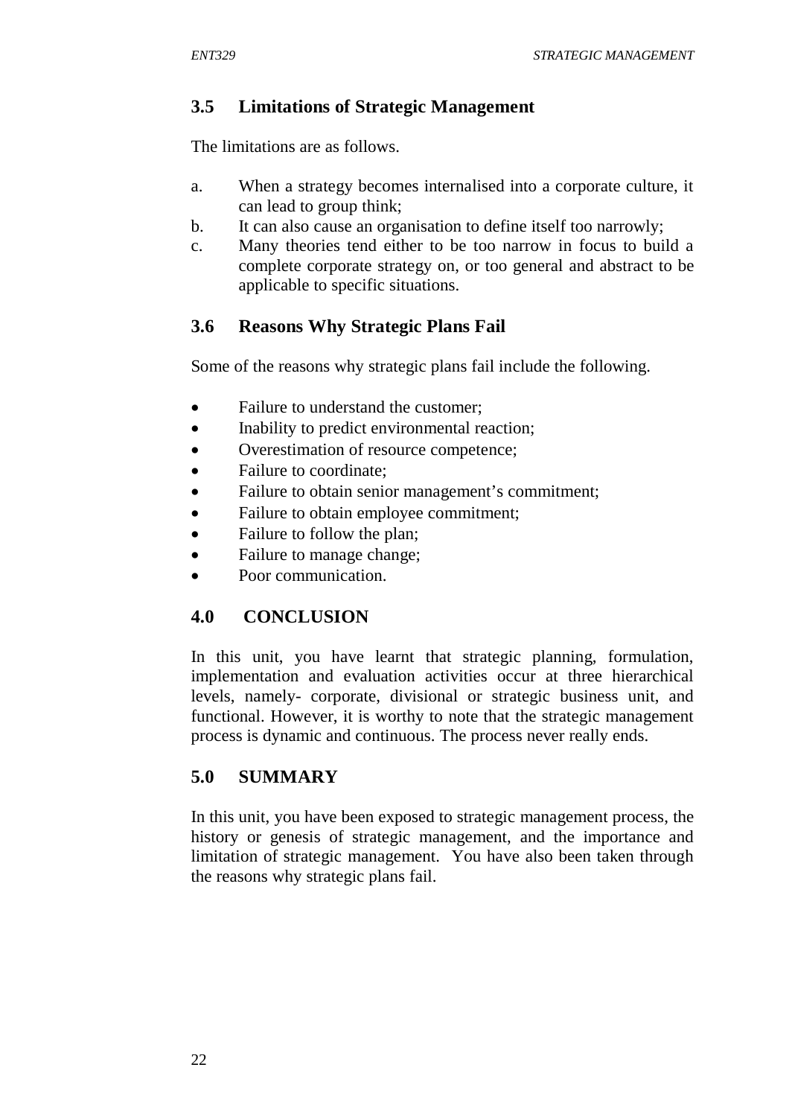# **3.5 Limitations of Strategic Management**

The limitations are as follows.

- a. When a strategy becomes internalised into a corporate culture, it can lead to group think;
- b. It can also cause an organisation to define itself too narrowly;
- c. Many theories tend either to be too narrow in focus to build a complete corporate strategy on, or too general and abstract to be applicable to specific situations.

# **3.6 Reasons Why Strategic Plans Fail**

Some of the reasons why strategic plans fail include the following.

- Failure to understand the customer;
- Inability to predict environmental reaction:
- Overestimation of resource competence;
- Failure to coordinate;
- Failure to obtain senior management's commitment;
- Failure to obtain employee commitment;
- Failure to follow the plan;
- Failure to manage change;
- Poor communication.

# **4.0 CONCLUSION**

In this unit, you have learnt that strategic planning, formulation, implementation and evaluation activities occur at three hierarchical levels, namely- corporate, divisional or strategic business unit, and functional. However, it is worthy to note that the strategic management process is dynamic and continuous. The process never really ends.

# **5.0 SUMMARY**

In this unit, you have been exposed to strategic management process, the history or genesis of strategic management, and the importance and limitation of strategic management. You have also been taken through the reasons why strategic plans fail.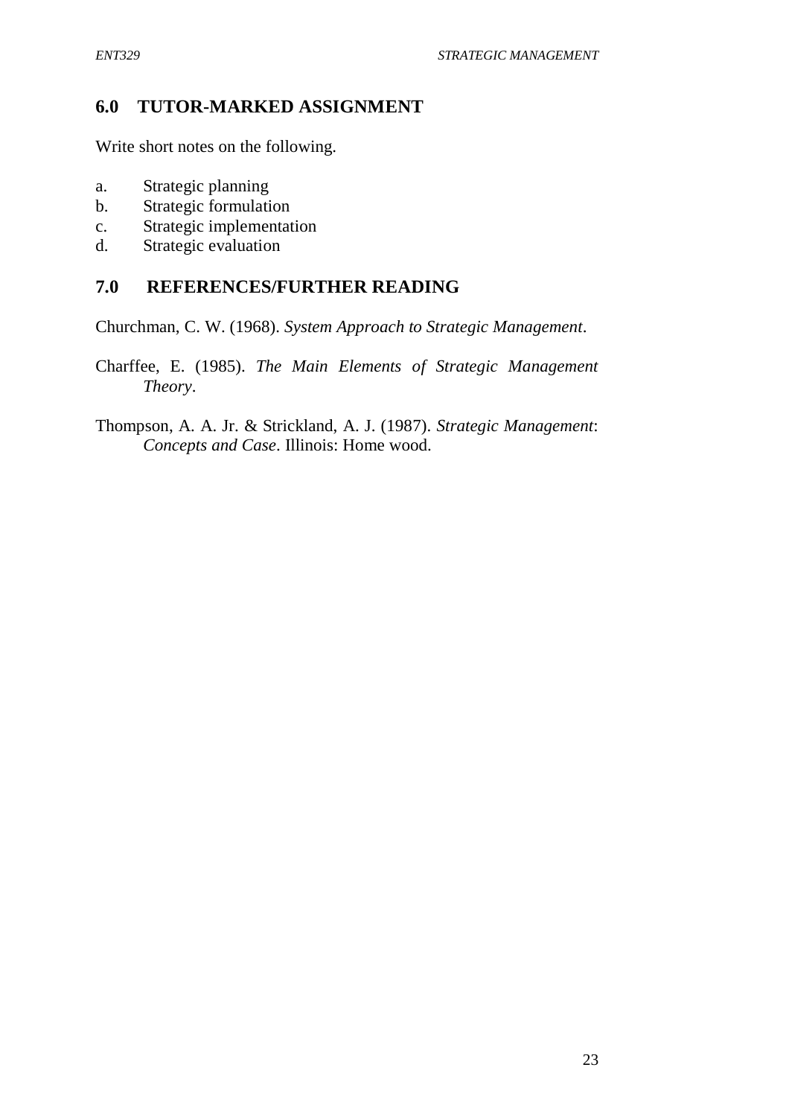## **6.0 TUTOR-MARKED ASSIGNMENT**

Write short notes on the following.

- a. Strategic planning
- b. Strategic formulation
- c. Strategic implementation
- d. Strategic evaluation

# **7.0 REFERENCES/FURTHER READING**

Churchman, C. W. (1968). *System Approach to Strategic Management*.

Charffee, E. (1985). *The Main Elements of Strategic Management Theory*.

Thompson, A. A. Jr. & Strickland, A. J. (1987). *Strategic Management*: *Concepts and Case*. Illinois: Home wood.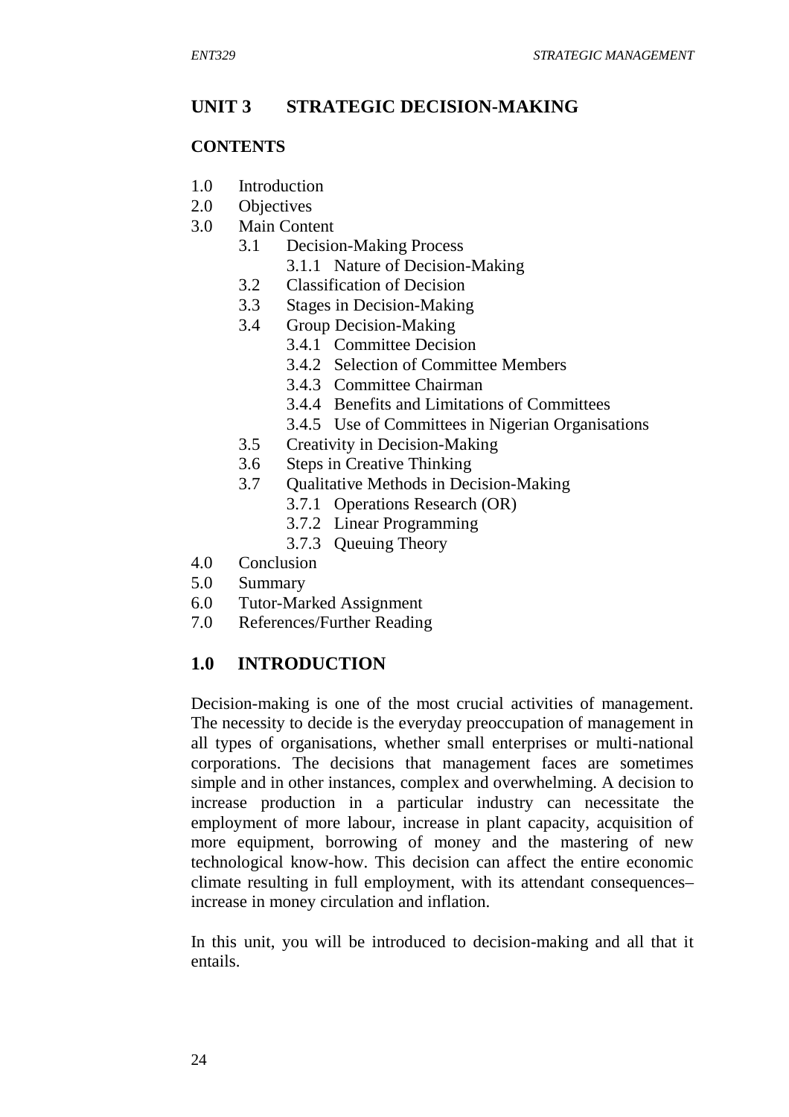## **UNIT 3 STRATEGIC DECISION-MAKING**

#### **CONTENTS**

- 1.0 Introduction
- 2.0 Objectives
- 3.0 Main Content
	- 3.1 Decision-Making Process
		- 3.1.1 Nature of Decision-Making
	- 3.2 Classification of Decision
	- 3.3 Stages in Decision-Making
	- 3.4 Group Decision-Making
		- 3.4.1 Committee Decision
		- 3.4.2 Selection of Committee Members
		- 3.4.3 Committee Chairman
		- 3.4.4 Benefits and Limitations of Committees
		- 3.4.5 Use of Committees in Nigerian Organisations
	- 3.5 Creativity in Decision-Making
	- 3.6 Steps in Creative Thinking
	- 3.7 Qualitative Methods in Decision-Making
		- 3.7.1 Operations Research (OR)
			- 3.7.2 Linear Programming
			- 3.7.3 Queuing Theory
- 4.0 Conclusion
- 5.0 Summary
- 6.0 Tutor-Marked Assignment
- 7.0 References/Further Reading

# **1.0 INTRODUCTION**

Decision-making is one of the most crucial activities of management. The necessity to decide is the everyday preoccupation of management in all types of organisations, whether small enterprises or multi-national corporations. The decisions that management faces are sometimes simple and in other instances, complex and overwhelming. A decision to increase production in a particular industry can necessitate the employment of more labour, increase in plant capacity, acquisition of more equipment, borrowing of money and the mastering of new technological know-how. This decision can affect the entire economic climate resulting in full employment, with its attendant consequences– increase in money circulation and inflation.

In this unit, you will be introduced to decision-making and all that it entails.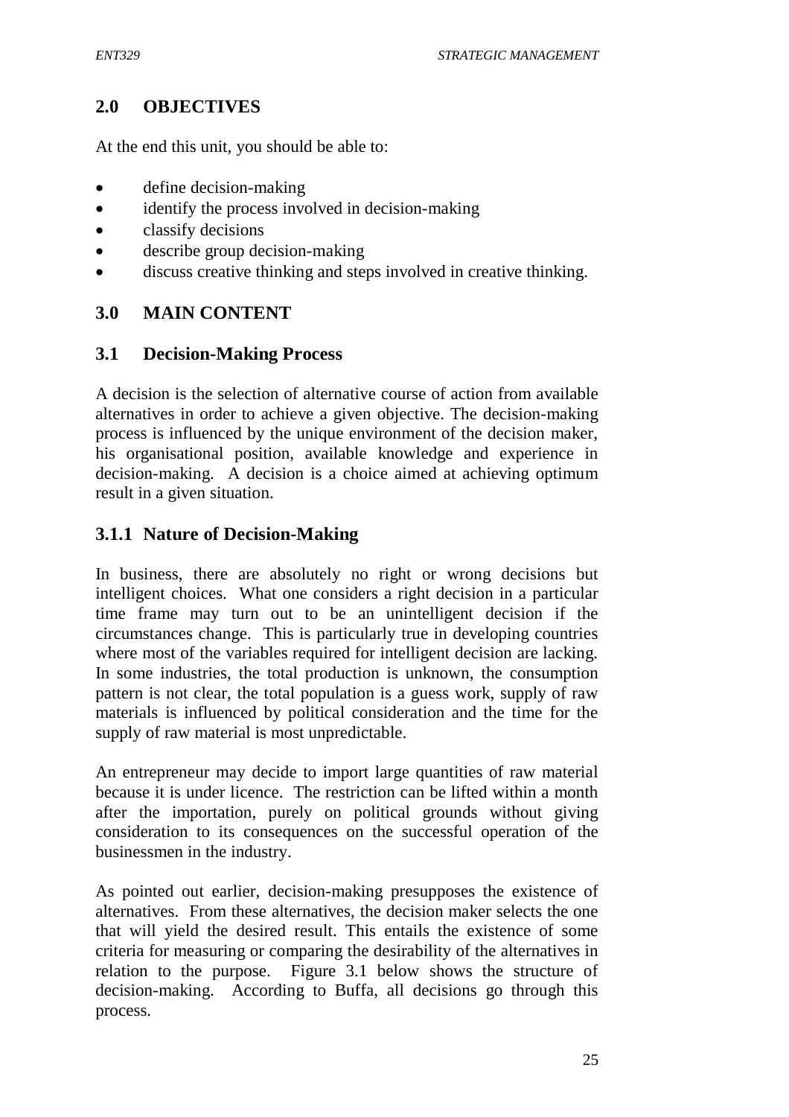## **2.0 OBJECTIVES**

At the end this unit, you should be able to:

- define decision-making
- identify the process involved in decision-making
- classify decisions
- describe group decision-making
- discuss creative thinking and steps involved in creative thinking.

#### **3.0 MAIN CONTENT**

#### **3.1 Decision-Making Process**

A decision is the selection of alternative course of action from available alternatives in order to achieve a given objective. The decision-making process is influenced by the unique environment of the decision maker, his organisational position, available knowledge and experience in decision-making. A decision is a choice aimed at achieving optimum result in a given situation.

## **3.1.1 Nature of Decision-Making**

In business, there are absolutely no right or wrong decisions but intelligent choices. What one considers a right decision in a particular time frame may turn out to be an unintelligent decision if the circumstances change. This is particularly true in developing countries where most of the variables required for intelligent decision are lacking. In some industries, the total production is unknown, the consumption pattern is not clear, the total population is a guess work, supply of raw materials is influenced by political consideration and the time for the supply of raw material is most unpredictable.

An entrepreneur may decide to import large quantities of raw material because it is under licence. The restriction can be lifted within a month after the importation, purely on political grounds without giving consideration to its consequences on the successful operation of the businessmen in the industry.

As pointed out earlier, decision-making presupposes the existence of alternatives. From these alternatives, the decision maker selects the one that will yield the desired result. This entails the existence of some criteria for measuring or comparing the desirability of the alternatives in relation to the purpose. Figure 3.1 below shows the structure of decision-making. According to Buffa, all decisions go through this process.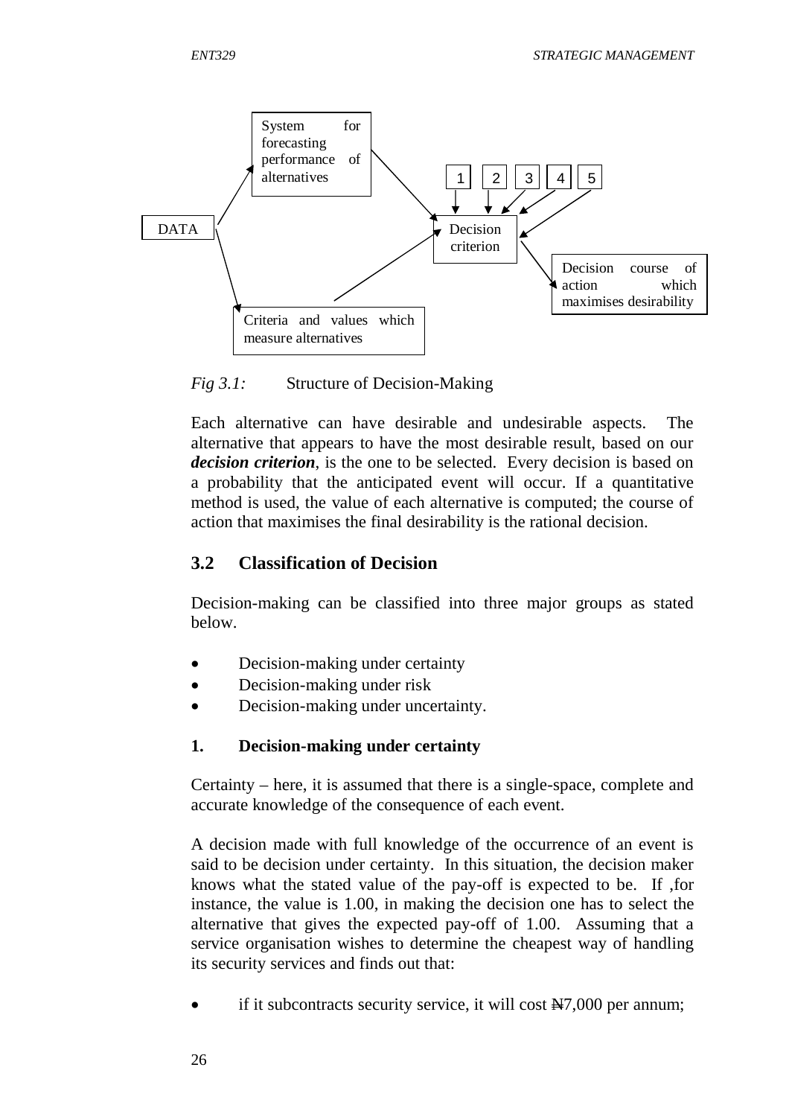

*Fig 3.1:* Structure of Decision-Making

Each alternative can have desirable and undesirable aspects. The alternative that appears to have the most desirable result, based on our *decision criterion*, is the one to be selected. Every decision is based on a probability that the anticipated event will occur. If a quantitative method is used, the value of each alternative is computed; the course of action that maximises the final desirability is the rational decision.

### **3.2 Classification of Decision**

Decision-making can be classified into three major groups as stated below.

- Decision-making under certainty
- Decision-making under risk
- Decision-making under uncertainty.

#### **1. Decision-making under certainty**

Certainty – here, it is assumed that there is a single-space, complete and accurate knowledge of the consequence of each event.

A decision made with full knowledge of the occurrence of an event is said to be decision under certainty. In this situation, the decision maker knows what the stated value of the pay-off is expected to be. If ,for instance, the value is 1.00, in making the decision one has to select the alternative that gives the expected pay-off of 1.00. Assuming that a service organisation wishes to determine the cheapest way of handling its security services and finds out that:

if it subcontracts security service, it will cost  $\frac{N}{2}7,000$  per annum;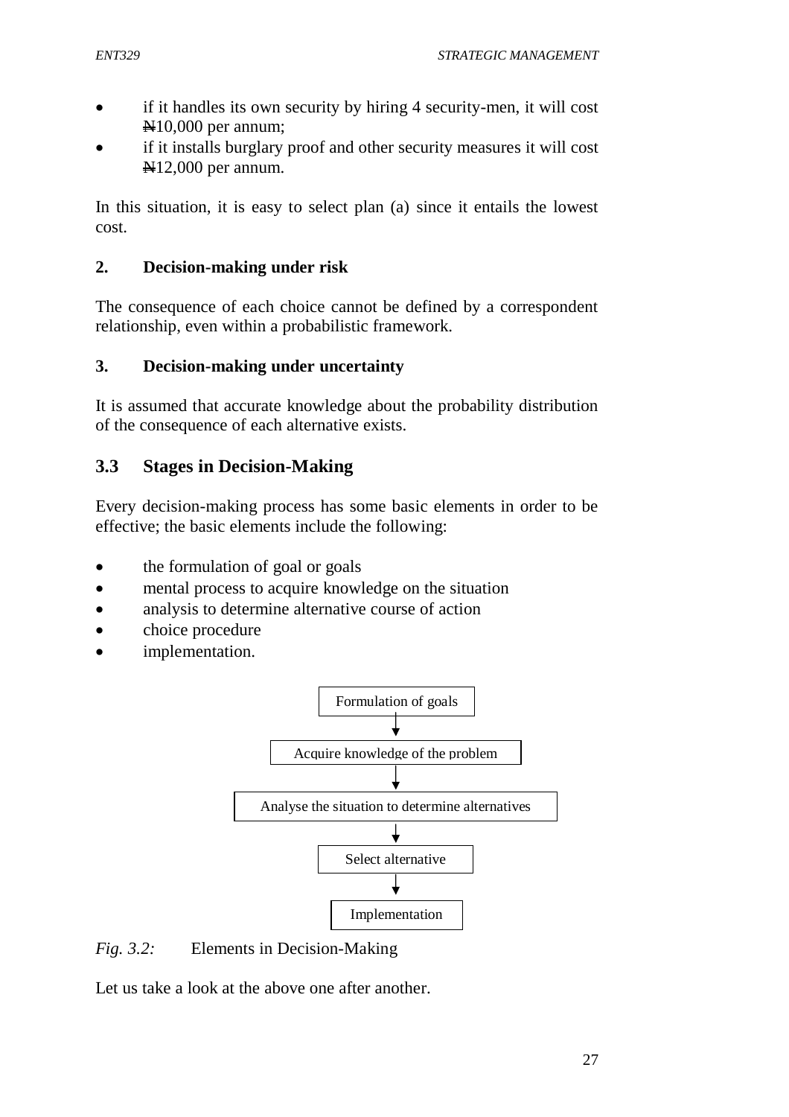- if it handles its own security by hiring 4 security-men, it will cost N10,000 per annum;
- if it installs burglary proof and other security measures it will cost N12,000 per annum.

In this situation, it is easy to select plan (a) since it entails the lowest cost.

#### **2. Decision-making under risk**

The consequence of each choice cannot be defined by a correspondent relationship, even within a probabilistic framework.

#### **3. Decision-making under uncertainty**

It is assumed that accurate knowledge about the probability distribution of the consequence of each alternative exists.

# **3.3 Stages in Decision-Making**

Every decision-making process has some basic elements in order to be effective; the basic elements include the following:

- the formulation of goal or goals
- mental process to acquire knowledge on the situation
- analysis to determine alternative course of action
- choice procedure
- implementation.



## *Fig. 3.2:* Elements in Decision-Making

Let us take a look at the above one after another.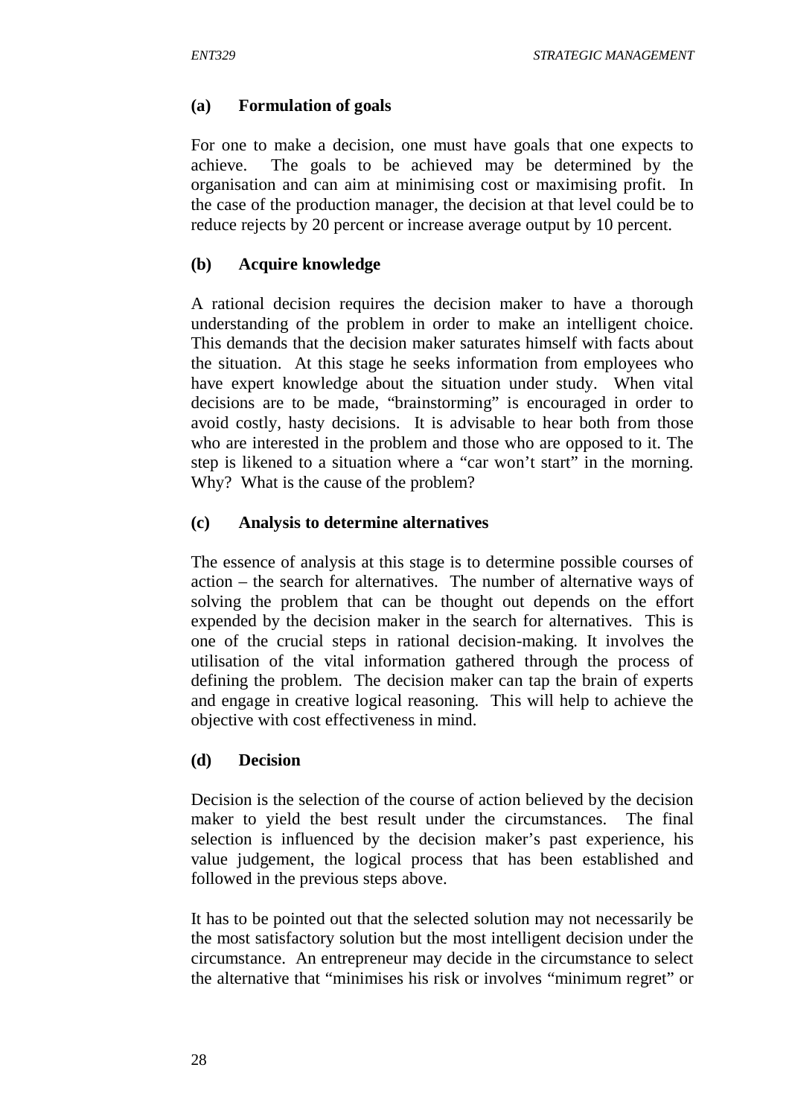#### **(a) Formulation of goals**

For one to make a decision, one must have goals that one expects to achieve. The goals to be achieved may be determined by the organisation and can aim at minimising cost or maximising profit. In the case of the production manager, the decision at that level could be to reduce rejects by 20 percent or increase average output by 10 percent.

#### **(b) Acquire knowledge**

A rational decision requires the decision maker to have a thorough understanding of the problem in order to make an intelligent choice. This demands that the decision maker saturates himself with facts about the situation. At this stage he seeks information from employees who have expert knowledge about the situation under study. When vital decisions are to be made, "brainstorming" is encouraged in order to avoid costly, hasty decisions. It is advisable to hear both from those who are interested in the problem and those who are opposed to it. The step is likened to a situation where a "car won't start" in the morning. Why? What is the cause of the problem?

#### **(c) Analysis to determine alternatives**

The essence of analysis at this stage is to determine possible courses of action – the search for alternatives. The number of alternative ways of solving the problem that can be thought out depends on the effort expended by the decision maker in the search for alternatives. This is one of the crucial steps in rational decision-making. It involves the utilisation of the vital information gathered through the process of defining the problem. The decision maker can tap the brain of experts and engage in creative logical reasoning. This will help to achieve the objective with cost effectiveness in mind.

#### **(d) Decision**

Decision is the selection of the course of action believed by the decision maker to yield the best result under the circumstances. The final selection is influenced by the decision maker's past experience, his value judgement, the logical process that has been established and followed in the previous steps above.

It has to be pointed out that the selected solution may not necessarily be the most satisfactory solution but the most intelligent decision under the circumstance. An entrepreneur may decide in the circumstance to select the alternative that "minimises his risk or involves "minimum regret" or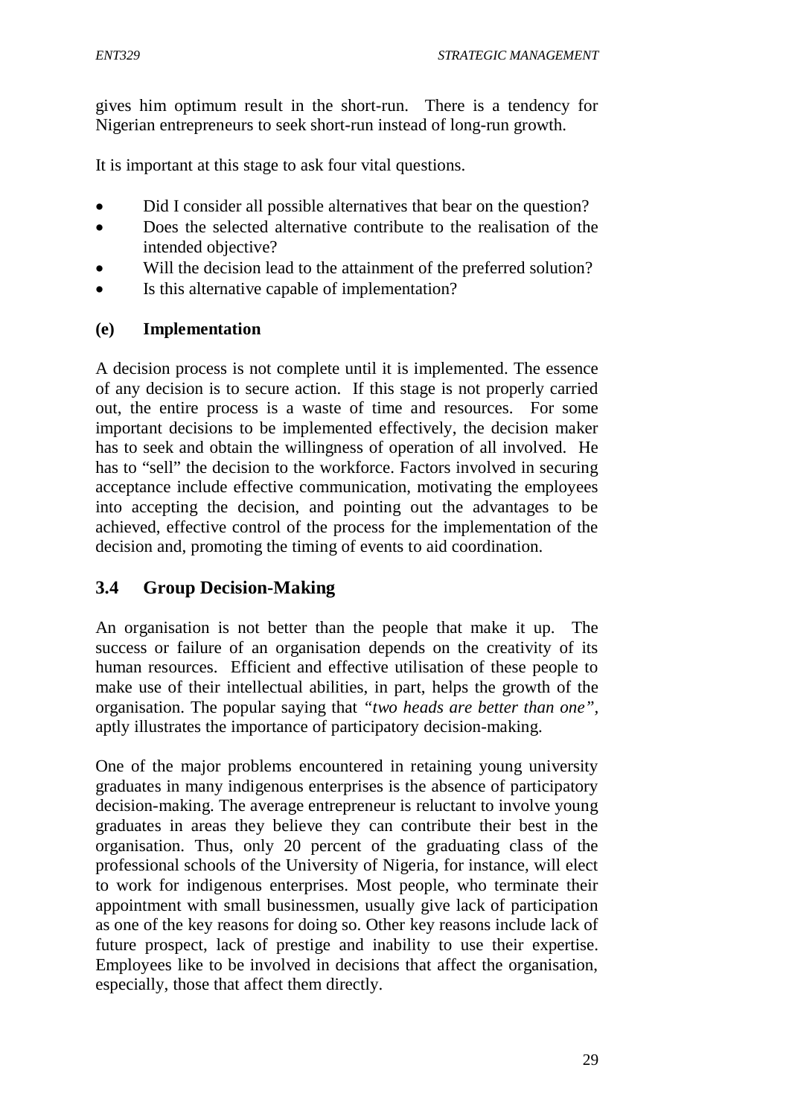gives him optimum result in the short-run. There is a tendency for Nigerian entrepreneurs to seek short-run instead of long-run growth.

It is important at this stage to ask four vital questions.

- Did I consider all possible alternatives that bear on the question?
- Does the selected alternative contribute to the realisation of the intended objective?
- Will the decision lead to the attainment of the preferred solution?
- Is this alternative capable of implementation?

#### **(e) Implementation**

A decision process is not complete until it is implemented. The essence of any decision is to secure action. If this stage is not properly carried out, the entire process is a waste of time and resources. For some important decisions to be implemented effectively, the decision maker has to seek and obtain the willingness of operation of all involved. He has to "sell" the decision to the workforce. Factors involved in securing acceptance include effective communication, motivating the employees into accepting the decision, and pointing out the advantages to be achieved, effective control of the process for the implementation of the decision and, promoting the timing of events to aid coordination.

# **3.4 Group Decision-Making**

An organisation is not better than the people that make it up. The success or failure of an organisation depends on the creativity of its human resources. Efficient and effective utilisation of these people to make use of their intellectual abilities, in part, helps the growth of the organisation. The popular saying that *"two heads are better than one",* aptly illustrates the importance of participatory decision-making.

One of the major problems encountered in retaining young university graduates in many indigenous enterprises is the absence of participatory decision-making. The average entrepreneur is reluctant to involve young graduates in areas they believe they can contribute their best in the organisation. Thus, only 20 percent of the graduating class of the professional schools of the University of Nigeria, for instance, will elect to work for indigenous enterprises. Most people, who terminate their appointment with small businessmen, usually give lack of participation as one of the key reasons for doing so. Other key reasons include lack of future prospect, lack of prestige and inability to use their expertise. Employees like to be involved in decisions that affect the organisation, especially, those that affect them directly.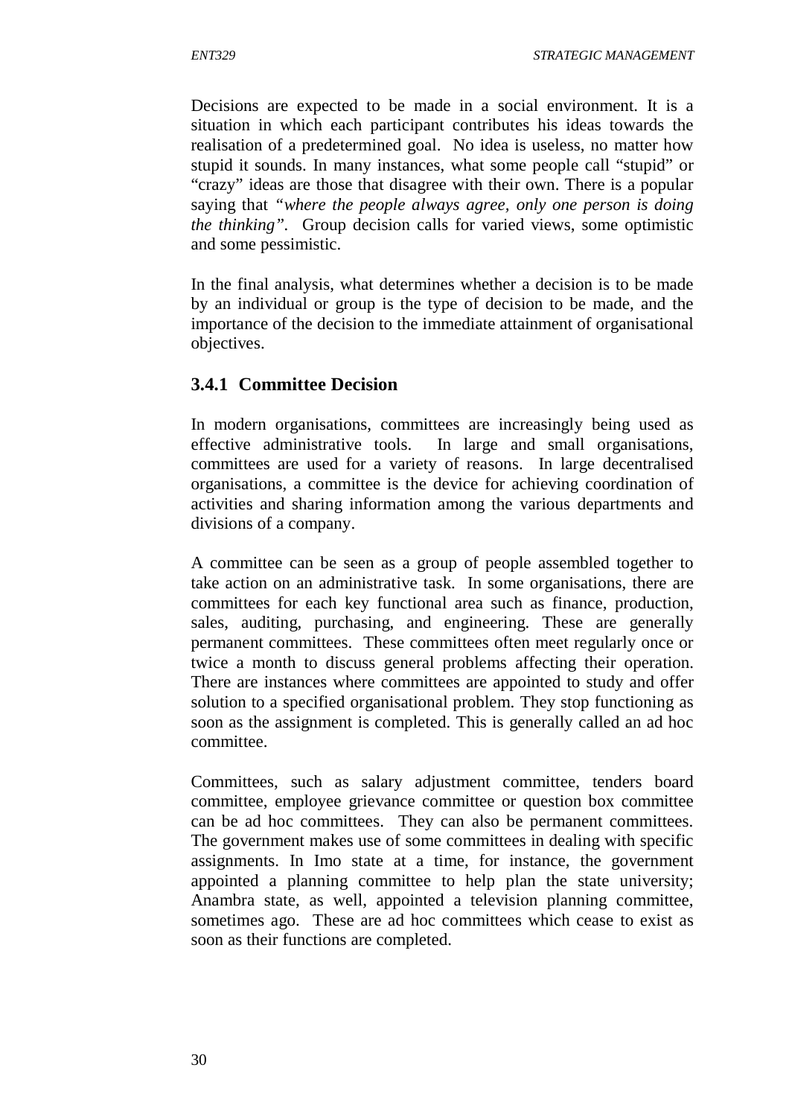Decisions are expected to be made in a social environment. It is a situation in which each participant contributes his ideas towards the realisation of a predetermined goal. No idea is useless, no matter how stupid it sounds. In many instances, what some people call "stupid" or "crazy" ideas are those that disagree with their own. There is a popular saying that *"where the people always agree, only one person is doing the thinking".* Group decision calls for varied views, some optimistic and some pessimistic.

In the final analysis, what determines whether a decision is to be made by an individual or group is the type of decision to be made, and the importance of the decision to the immediate attainment of organisational objectives.

## **3.4.1 Committee Decision**

In modern organisations, committees are increasingly being used as effective administrative tools. In large and small organisations, committees are used for a variety of reasons. In large decentralised organisations, a committee is the device for achieving coordination of activities and sharing information among the various departments and divisions of a company.

A committee can be seen as a group of people assembled together to take action on an administrative task. In some organisations, there are committees for each key functional area such as finance, production, sales, auditing, purchasing, and engineering. These are generally permanent committees. These committees often meet regularly once or twice a month to discuss general problems affecting their operation. There are instances where committees are appointed to study and offer solution to a specified organisational problem. They stop functioning as soon as the assignment is completed. This is generally called an ad hoc committee.

Committees, such as salary adjustment committee, tenders board committee, employee grievance committee or question box committee can be ad hoc committees. They can also be permanent committees. The government makes use of some committees in dealing with specific assignments. In Imo state at a time, for instance, the government appointed a planning committee to help plan the state university; Anambra state, as well, appointed a television planning committee, sometimes ago. These are ad hoc committees which cease to exist as soon as their functions are completed.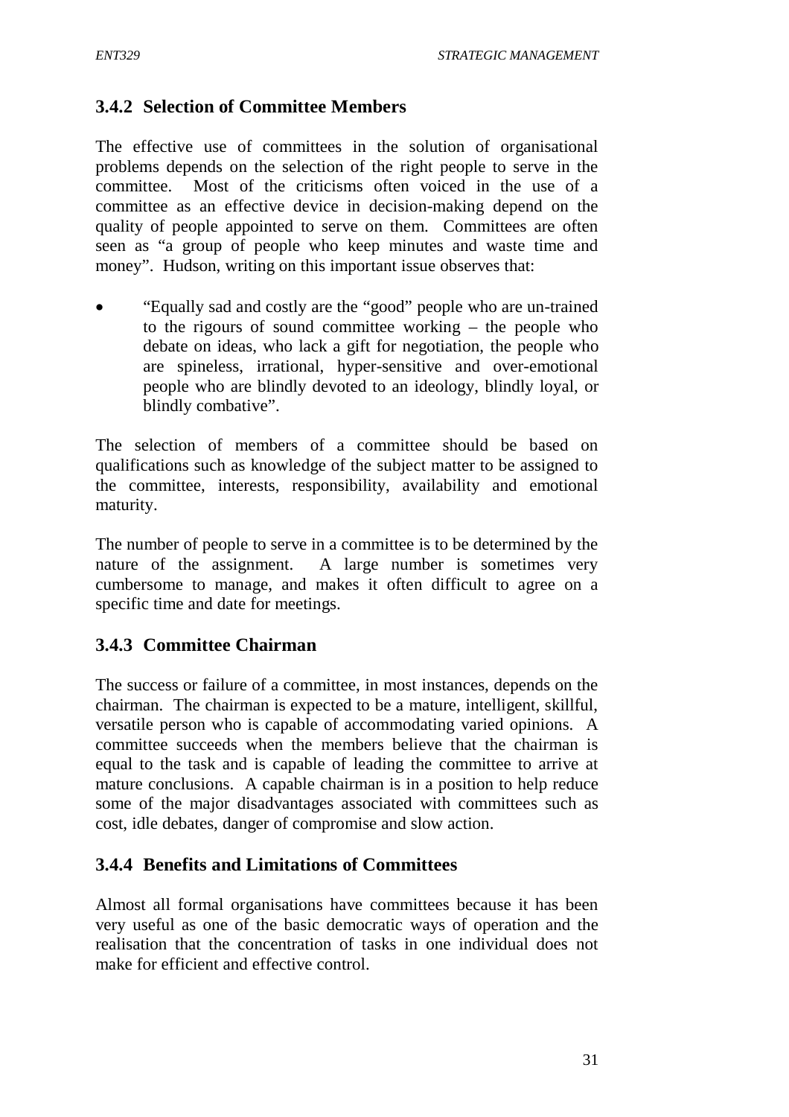### **3.4.2 Selection of Committee Members**

The effective use of committees in the solution of organisational problems depends on the selection of the right people to serve in the committee. Most of the criticisms often voiced in the use of a committee as an effective device in decision-making depend on the quality of people appointed to serve on them. Committees are often seen as "a group of people who keep minutes and waste time and money". Hudson, writing on this important issue observes that:

 "Equally sad and costly are the "good" people who are un-trained to the rigours of sound committee working – the people who debate on ideas, who lack a gift for negotiation, the people who are spineless, irrational, hyper-sensitive and over-emotional people who are blindly devoted to an ideology, blindly loyal, or blindly combative".

The selection of members of a committee should be based on qualifications such as knowledge of the subject matter to be assigned to the committee, interests, responsibility, availability and emotional maturity.

The number of people to serve in a committee is to be determined by the nature of the assignment. A large number is sometimes very cumbersome to manage, and makes it often difficult to agree on a specific time and date for meetings.

## **3.4.3 Committee Chairman**

The success or failure of a committee, in most instances, depends on the chairman. The chairman is expected to be a mature, intelligent, skillful, versatile person who is capable of accommodating varied opinions. A committee succeeds when the members believe that the chairman is equal to the task and is capable of leading the committee to arrive at mature conclusions. A capable chairman is in a position to help reduce some of the major disadvantages associated with committees such as cost, idle debates, danger of compromise and slow action.

#### **3.4.4 Benefits and Limitations of Committees**

Almost all formal organisations have committees because it has been very useful as one of the basic democratic ways of operation and the realisation that the concentration of tasks in one individual does not make for efficient and effective control.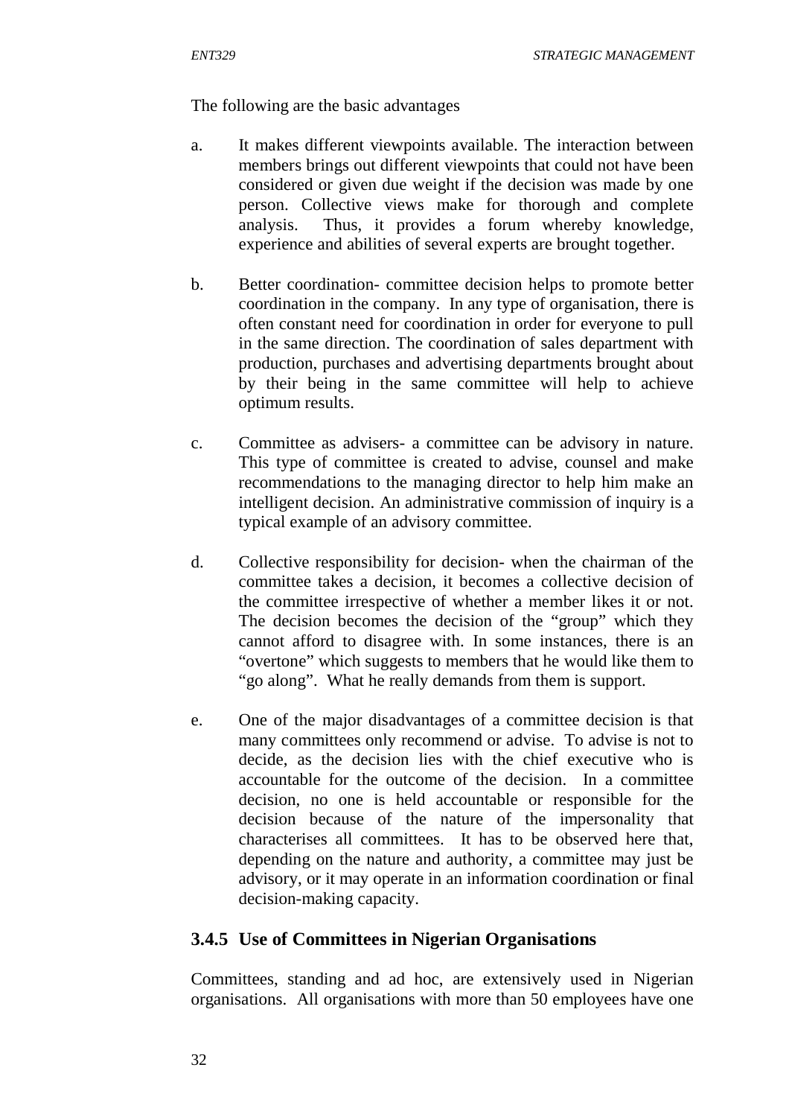The following are the basic advantages

- a. It makes different viewpoints available. The interaction between members brings out different viewpoints that could not have been considered or given due weight if the decision was made by one person. Collective views make for thorough and complete analysis. Thus, it provides a forum whereby knowledge, experience and abilities of several experts are brought together.
- b. Better coordination- committee decision helps to promote better coordination in the company. In any type of organisation, there is often constant need for coordination in order for everyone to pull in the same direction. The coordination of sales department with production, purchases and advertising departments brought about by their being in the same committee will help to achieve optimum results.
- c. Committee as advisers- a committee can be advisory in nature. This type of committee is created to advise, counsel and make recommendations to the managing director to help him make an intelligent decision. An administrative commission of inquiry is a typical example of an advisory committee.
- d. Collective responsibility for decision- when the chairman of the committee takes a decision, it becomes a collective decision of the committee irrespective of whether a member likes it or not. The decision becomes the decision of the "group" which they cannot afford to disagree with. In some instances, there is an "overtone" which suggests to members that he would like them to "go along". What he really demands from them is support.
- e. One of the major disadvantages of a committee decision is that many committees only recommend or advise. To advise is not to decide, as the decision lies with the chief executive who is accountable for the outcome of the decision. In a committee decision, no one is held accountable or responsible for the decision because of the nature of the impersonality that characterises all committees. It has to be observed here that, depending on the nature and authority, a committee may just be advisory, or it may operate in an information coordination or final decision-making capacity.

# **3.4.5 Use of Committees in Nigerian Organisations**

Committees, standing and ad hoc, are extensively used in Nigerian organisations. All organisations with more than 50 employees have one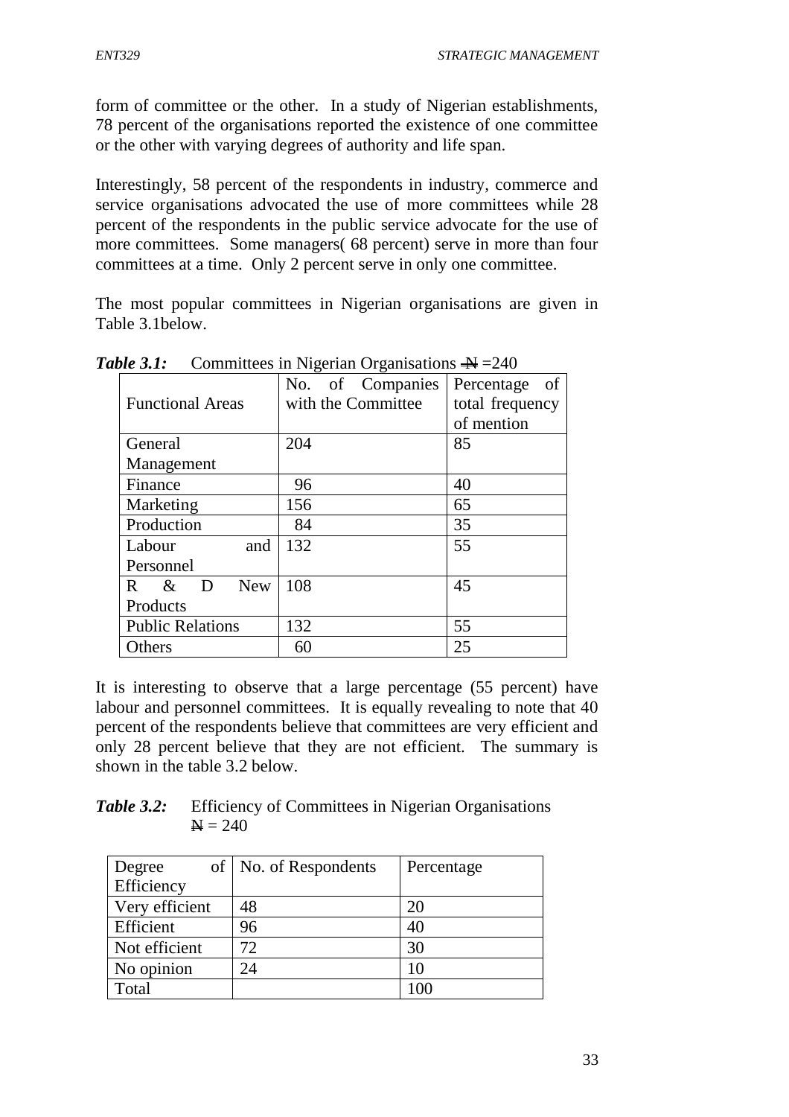form of committee or the other. In a study of Nigerian establishments, 78 percent of the organisations reported the existence of one committee or the other with varying degrees of authority and life span.

Interestingly, 58 percent of the respondents in industry, commerce and service organisations advocated the use of more committees while 28 percent of the respondents in the public service advocate for the use of more committees. Some managers( 68 percent) serve in more than four committees at a time. Only 2 percent serve in only one committee.

The most popular committees in Nigerian organisations are given in Table 3.1below.

|                               | No. of Companies   | Percentage<br>of |
|-------------------------------|--------------------|------------------|
| <b>Functional Areas</b>       | with the Committee | total frequency  |
|                               |                    | of mention       |
| General                       | 204                | 85               |
| Management                    |                    |                  |
| Finance                       | 96                 | 40               |
| Marketing                     | 156                | 65               |
| Production                    | 84                 | 35               |
| Labour<br>and                 | 132                | 55               |
| Personnel                     |                    |                  |
| <b>New</b><br>$\&$<br>R.<br>D | 108                | 45               |
| Products                      |                    |                  |
| <b>Public Relations</b>       | 132                | 55               |
| Others                        | 60                 | 25               |

**Table 3.1:** Committees in Nigerian Organisations  $\rightarrow \!\!\!\!\!\rightarrow = 240$ 

It is interesting to observe that a large percentage (55 percent) have labour and personnel committees. It is equally revealing to note that 40 percent of the respondents believe that committees are very efficient and only 28 percent believe that they are not efficient. The summary is shown in the table 3.2 below.

*Table 3.2:* Efficiency of Committees in Nigerian Organisations  $A = 240$ 

| Degree         | of   No. of Respondents | Percentage |
|----------------|-------------------------|------------|
| Efficiency     |                         |            |
| Very efficient | 48                      | 20         |
| Efficient      | 96                      | 40         |
| Not efficient  | 72                      | 30         |
| No opinion     | 24                      | 10         |
| Total          |                         |            |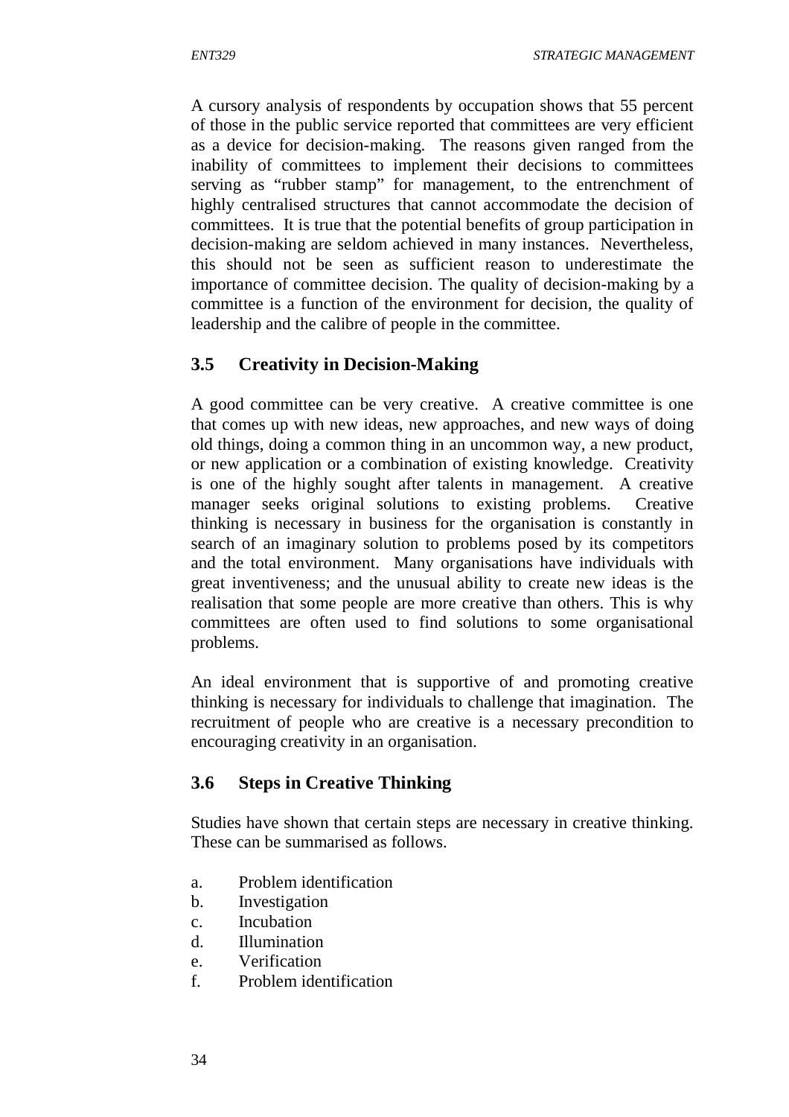A cursory analysis of respondents by occupation shows that 55 percent of those in the public service reported that committees are very efficient as a device for decision-making. The reasons given ranged from the inability of committees to implement their decisions to committees serving as "rubber stamp" for management, to the entrenchment of highly centralised structures that cannot accommodate the decision of committees. It is true that the potential benefits of group participation in decision-making are seldom achieved in many instances. Nevertheless, this should not be seen as sufficient reason to underestimate the importance of committee decision. The quality of decision-making by a committee is a function of the environment for decision, the quality of leadership and the calibre of people in the committee.

# **3.5 Creativity in Decision-Making**

A good committee can be very creative. A creative committee is one that comes up with new ideas, new approaches, and new ways of doing old things, doing a common thing in an uncommon way, a new product, or new application or a combination of existing knowledge. Creativity is one of the highly sought after talents in management. A creative manager seeks original solutions to existing problems. Creative thinking is necessary in business for the organisation is constantly in search of an imaginary solution to problems posed by its competitors and the total environment. Many organisations have individuals with great inventiveness; and the unusual ability to create new ideas is the realisation that some people are more creative than others. This is why committees are often used to find solutions to some organisational problems.

An ideal environment that is supportive of and promoting creative thinking is necessary for individuals to challenge that imagination. The recruitment of people who are creative is a necessary precondition to encouraging creativity in an organisation.

## **3.6 Steps in Creative Thinking**

Studies have shown that certain steps are necessary in creative thinking. These can be summarised as follows.

- a. Problem identification
- b. Investigation
- c. Incubation
- d. Illumination
- e. Verification
- f. Problem identification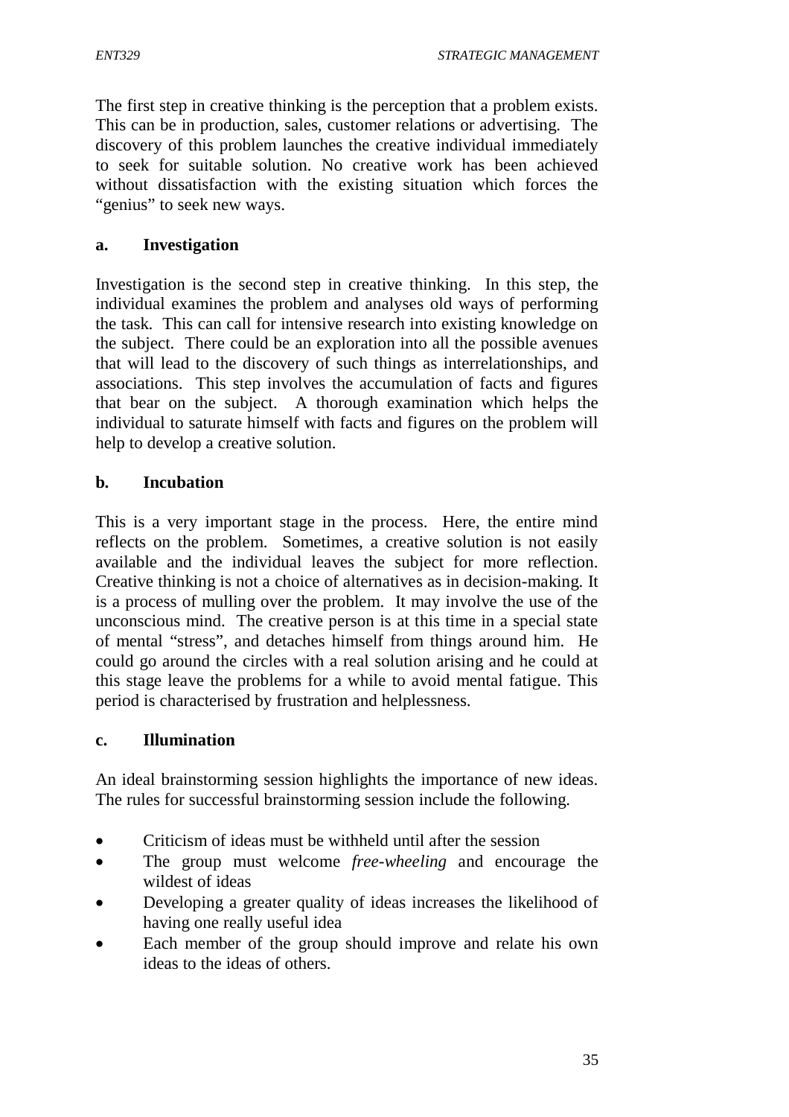The first step in creative thinking is the perception that a problem exists. This can be in production, sales, customer relations or advertising. The discovery of this problem launches the creative individual immediately to seek for suitable solution. No creative work has been achieved without dissatisfaction with the existing situation which forces the " genius" to seek new ways.

#### **a. Investigation**

Investigation is the second step in creative thinking. In this step, the individual examines the problem and analyses old ways of performing the task. This can call for intensive research into existing knowledge on the subject. There could be an exploration into all the possible avenues that will lead to the discovery of such things as interrelationships, and associations. This step involves the accumulation of facts and figures that bear on the subject. A thorough examination which helps the individual to saturate himself with facts and figures on the problem will help to develop a creative solution.

#### **b. Incubation**

This is a very important stage in the process. Here, the entire mind reflects on the problem. Sometimes, a creative solution is not easily available and the individual leaves the subject for more reflection. Creative thinking is not a choice of alternatives as in decision-making. It is a process of mulling over the problem. It may involve the use of the unconscious mind. The creative person is at this time in a special state of mental "stress", and detaches himself from things around him. He could go around the circles with a real solution arising and he could at this stage leave the problems for a while to avoid mental fatigue. This period is characterised by frustration and helplessness.

#### **c. Illumination**

An ideal brainstorming session highlights the importance of new ideas. The rules for successful brainstorming session include the following.

- Criticism of ideas must be withheld until after the session
- The group must welcome *free-wheeling* and encourage the wildest of ideas
- Developing a greater quality of ideas increases the likelihood of having one really useful idea
- Each member of the group should improve and relate his own ideas to the ideas of others.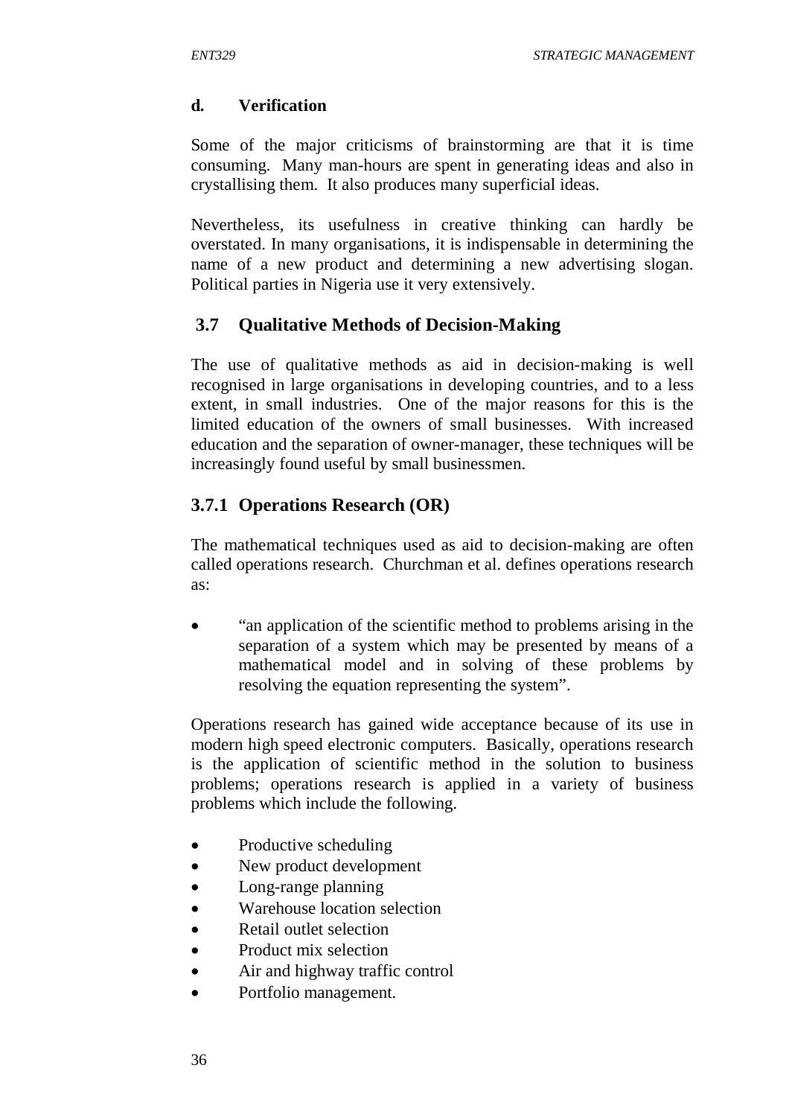#### **d. Verification**

Some of the major criticisms of brainstorming are that it is time consuming. Many man-hours are spent in generating ideas and also in crystallising them. It also produces many superficial ideas.

Nevertheless, its usefulness in creative thinking can hardly be overstated. In many organisations, it is indispensable in determining the name of a new product and determining a new advertising slogan. Political parties in Nigeria use it very extensively.

# **3.7 Qualitative Methods of Decision-Making**

The use of qualitative methods as aid in decision-making is well recognised in large organisations in developing countries, and to a less extent, in small industries. One of the major reasons for this is the limited education of the owners of small businesses. With increased education and the separation of owner-manager, these techniques will be increasingly found useful by small businessmen.

# **3.7.1 Operations Research (OR)**

The mathematical techniques used as aid to decision-making are often called operations research. Churchman et al. defines operations research as:

 "an application of the scientific method to problems arising in the separation of a system which may be presented by means of a mathematical model and in solving of these problems by resolving the equation representing the system".

Operations research has gained wide acceptance because of its use in modern high speed electronic computers. Basically, operations research is the application of scientific method in the solution to business problems; operations research is applied in a variety of business problems which include the following.

- Productive scheduling
- New product development
- Long-range planning
- Warehouse location selection
- Retail outlet selection
- Product mix selection
- Air and highway traffic control
- Portfolio management.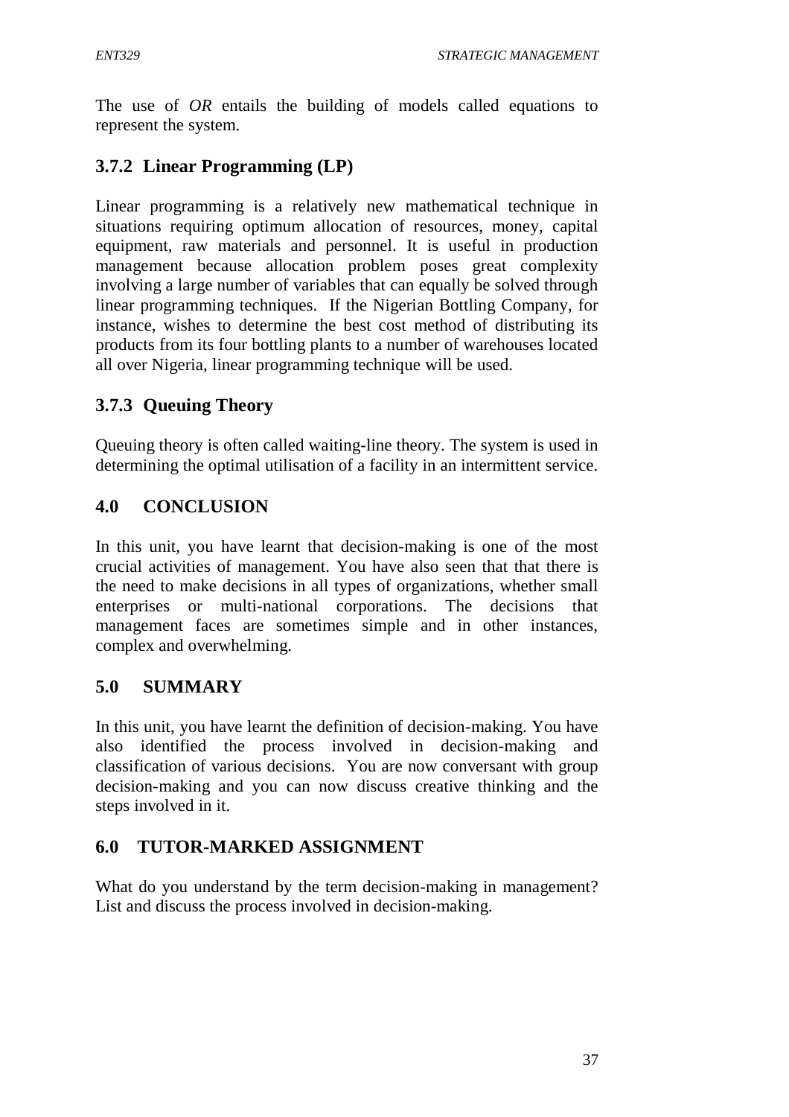The use of *OR* entails the building of models called equations to represent the system.

# **3.7.2 Linear Programming (LP)**

Linear programming is a relatively new mathematical technique in situations requiring optimum allocation of resources, money, capital equipment, raw materials and personnel. It is useful in production management because allocation problem poses great complexity involving a large number of variables that can equally be solved through linear programming techniques. If the Nigerian Bottling Company, for instance, wishes to determine the best cost method of distributing its products from its four bottling plants to a number of warehouses located all over Nigeria, linear programming technique will be used.

# **3.7.3 Queuing Theory**

Queuing theory is often called waiting-line theory. The system is used in determining the optimal utilisation of a facility in an intermittent service.

# **4.0 CONCLUSION**

In this unit, you have learnt that decision-making is one of the most crucial activities of management. You have also seen that that there is the need to make decisions in all types of organizations, whether small enterprises or multi-national corporations. The decisions that management faces are sometimes simple and in other instances, complex and overwhelming.

## **5.0 SUMMARY**

In this unit, you have learnt the definition of decision-making. You have also identified the process involved in decision-making and classification of various decisions. You are now conversant with group decision-making and you can now discuss creative thinking and the steps involved in it.

# **6.0 TUTOR-MARKED ASSIGNMENT**

What do you understand by the term decision-making in management? List and discuss the process involved in decision-making.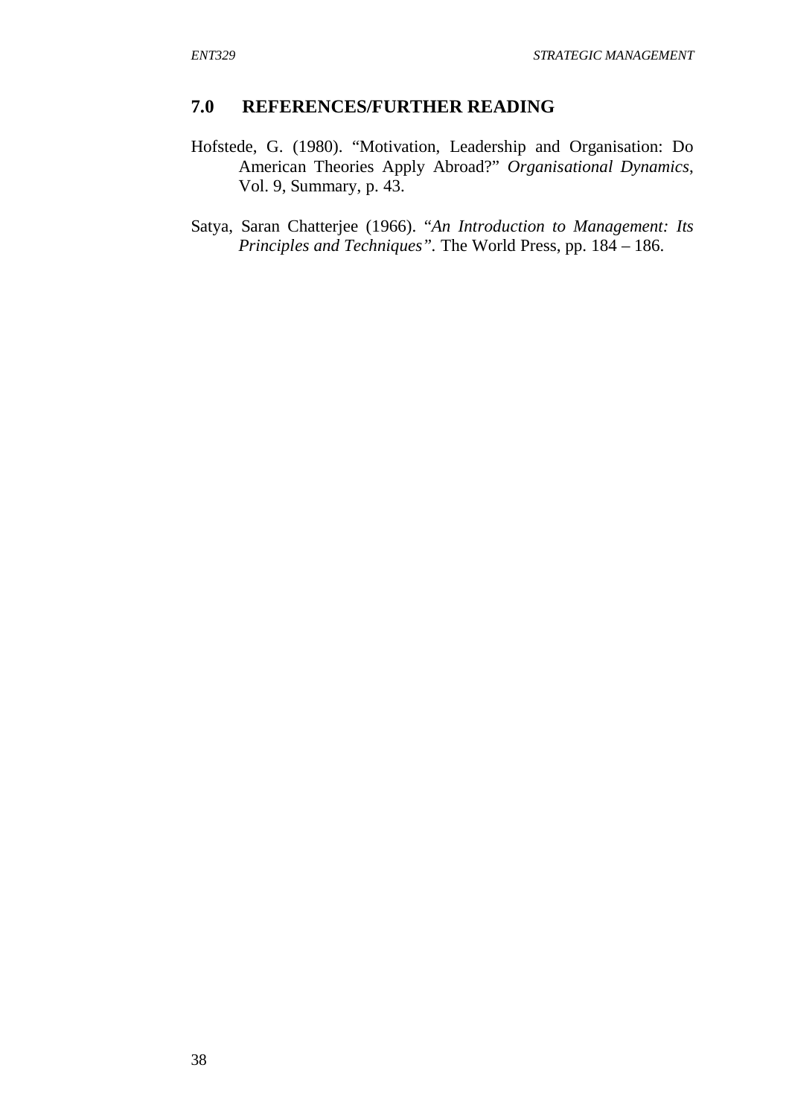#### **7.0 REFERENCES/FURTHER READING**

- Hofstede, G. (1980). "Motivation, Leadership and Organisation: Do American Theories Apply Abroad?" *Organisational Dynamics*, Vol. 9, Summary, p. 43.
- Satya, Saran Chatterjee (1966). "*An Introduction to Management: Its Principles and Techniques".* The World Press, pp. 184 – 186.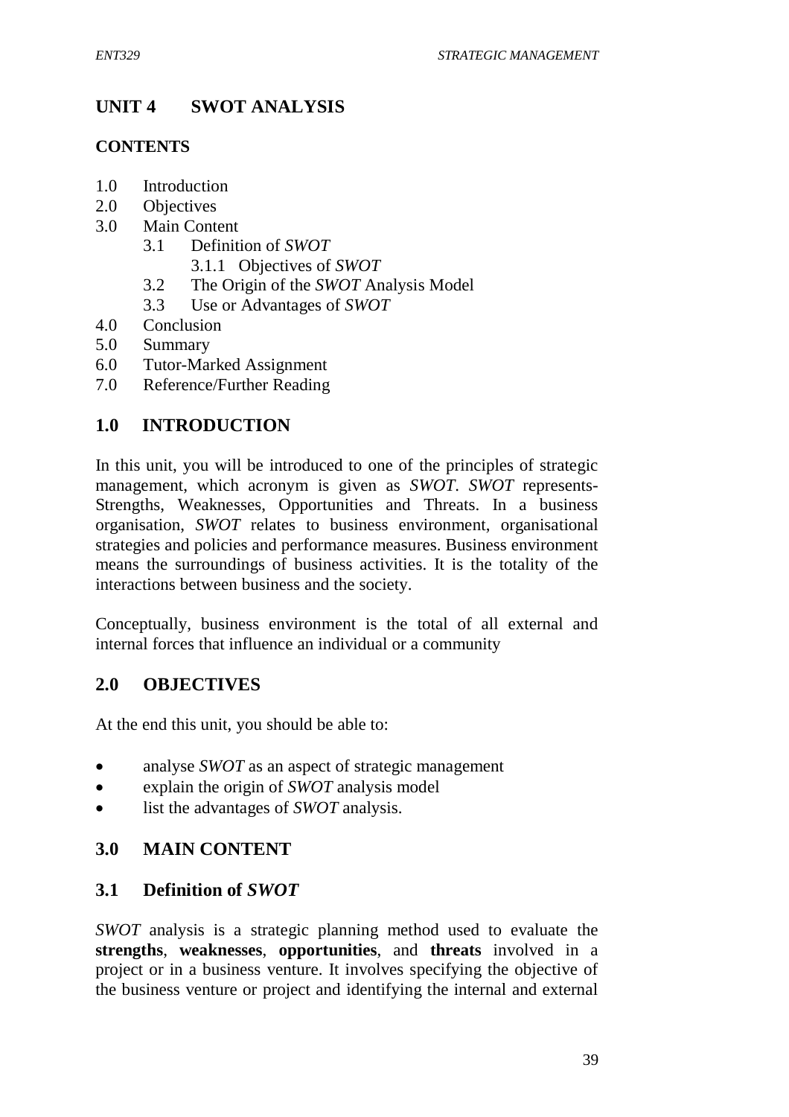# **UNIT 4 SWOT ANALYSIS**

## **CONTENTS**

- 1.0 Introduction
- 2.0 Objectives
- 3.0 Main Content
	- 3.1 Definition of *SWOT*
		- 3.1.1 Objectives of *SWOT*
	- 3.2 The Origin of the *SWOT* Analysis Model
	- 3.3 Use or Advantages of *SWOT*
- 4.0 Conclusion
- 5.0 Summary
- 6.0 Tutor-Marked Assignment
- 7.0 Reference/Further Reading

# **1.0 INTRODUCTION**

In this unit, you will be introduced to one of the principles of strategic management, which acronym is given as *SWOT*. *SWOT* represents-Strengths, Weaknesses, Opportunities and Threats. In a business organisation, *SWOT* relates to business environment, organisational strategies and policies and performance measures. Business environment means the surroundings of business activities. It is the totality of the interactions between business and the society.

Conceptually, business environment is the total of all external and internal forces that influence an individual or a community

# **2.0 OBJECTIVES**

At the end this unit, you should be able to:

- analyse *SWOT* as an aspect of strategic management
- explain the origin of *SWOT* analysis model
- list the advantages of *SWOT* analysis.

# **3.0 MAIN CONTENT**

# **3.1 Definition of** *SWOT*

*SWOT* analysis is a strategic planning method used to evaluate the **strengths**, **weaknesses**, **opportunities**, and **threats** involved in a project or in a business venture. It involves specifying the objective of the business venture or project and identifying the internal and external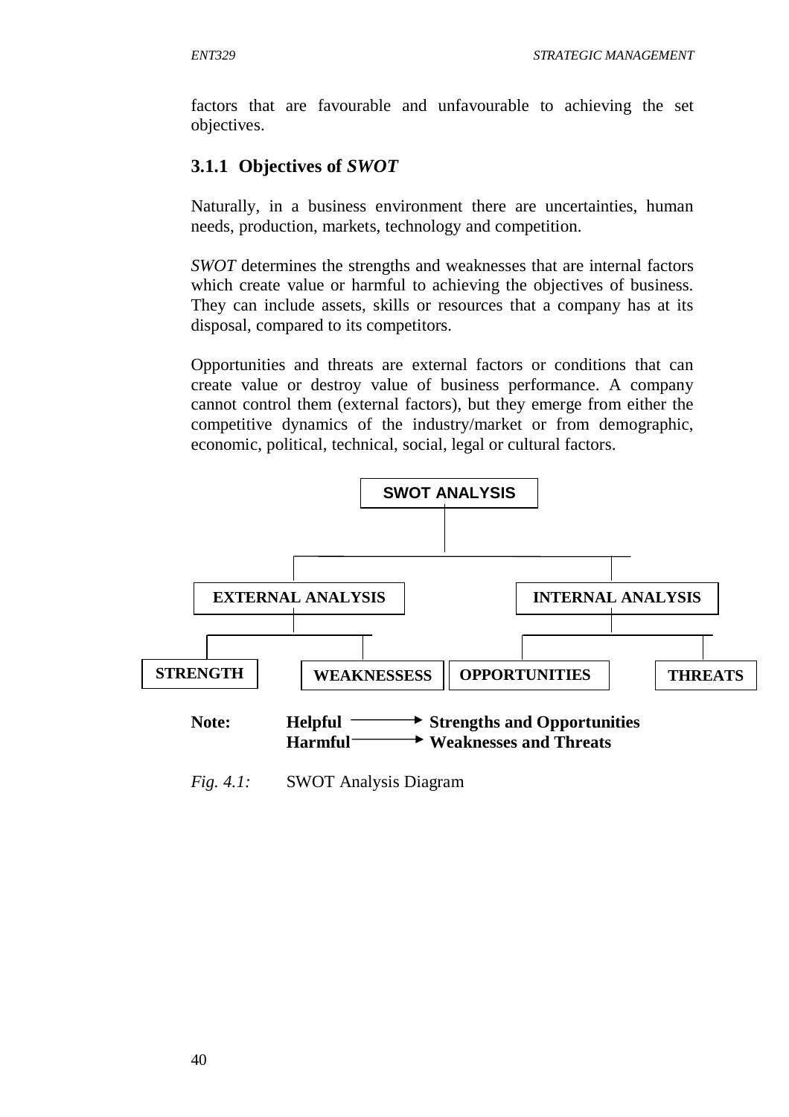factors that are favourable and unfavourable to achieving the set objectives.

# **3.1.1 Objectives of** *SWOT*

Naturally, in a business environment there are uncertainties, human needs, production, markets, technology and competition.

*SWOT* determines the strengths and weaknesses that are internal factors which create value or harmful to achieving the objectives of business. They can include assets, skills or resources that a company has at its disposal, compared to its competitors.

Opportunities and threats are external factors or conditions that can create value or destroy value of business performance. A company cannot control them (external factors), but they emerge from either the competitive dynamics of the industry/market or from demographic, economic, political, technical, social, legal or cultural factors.



*Fig. 4.1:* SWOT Analysis Diagram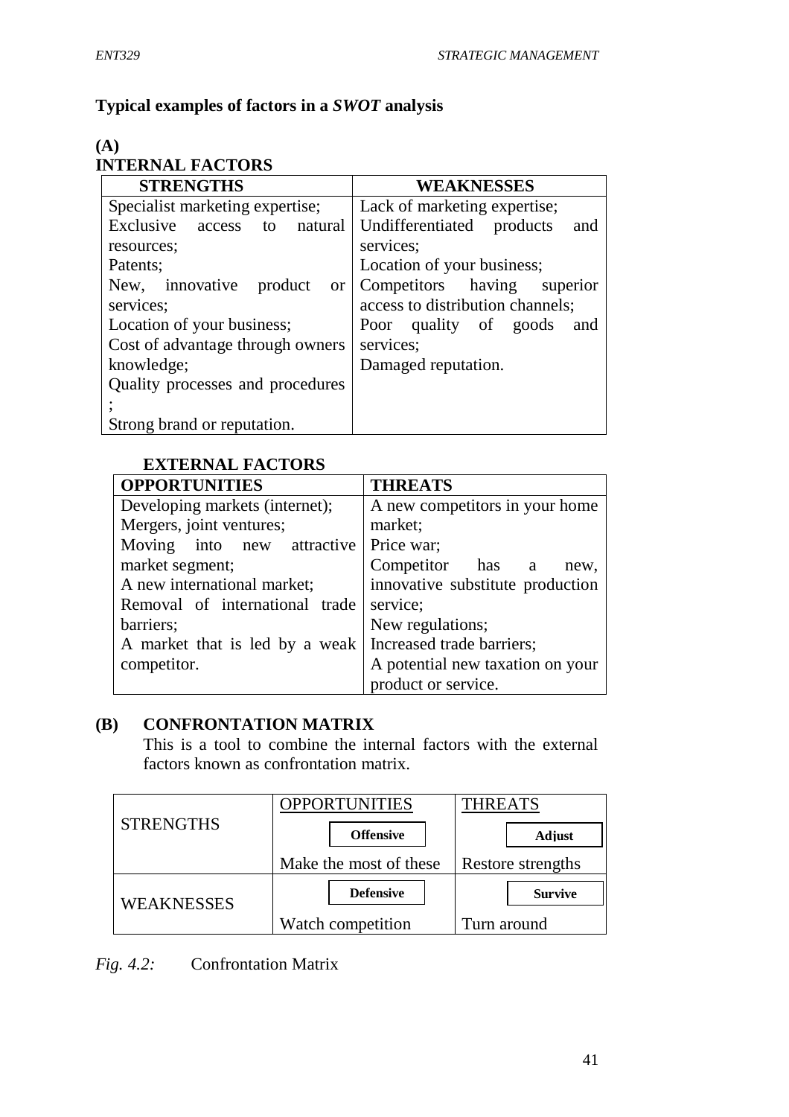# **Typical examples of factors in a** *SWOT* **analysis**

#### **(A) INTERNAL FACTORS**

| <b>STRENGTHS</b>                            | <b>WEAKNESSES</b>                |  |  |
|---------------------------------------------|----------------------------------|--|--|
| Specialist marketing expertise;             | Lack of marketing expertise;     |  |  |
| Exclusive access<br>to natural              | Undifferentiated products<br>and |  |  |
| resources;                                  | services;                        |  |  |
| Patents;                                    | Location of your business;       |  |  |
| New, innovative<br>product<br><sub>or</sub> | Competitors having superior      |  |  |
| services;                                   | access to distribution channels; |  |  |
| Location of your business;                  | Poor quality of goods<br>and     |  |  |
| Cost of advantage through owners            | services;                        |  |  |
| knowledge;                                  | Damaged reputation.              |  |  |
| Quality processes and procedures            |                                  |  |  |
|                                             |                                  |  |  |
| Strong brand or reputation.                 |                                  |  |  |

# **EXTERNAL FACTORS**

| <b>OPPORTUNITIES</b>           | <b>THREATS</b>                   |  |
|--------------------------------|----------------------------------|--|
| Developing markets (internet); | A new competitors in your home   |  |
| Mergers, joint ventures;       | market;                          |  |
| Moving into new attractive     | Price war;                       |  |
| market segment;                | Competitor has a<br>new.         |  |
| A new international market;    | innovative substitute production |  |
| Removal of international trade | service;                         |  |
| barriers;                      | New regulations;                 |  |
| A market that is led by a weak | Increased trade barriers;        |  |
| competitor.                    | A potential new taxation on your |  |
|                                | product or service.              |  |

# **(B) CONFRONTATION MATRIX**

This is a tool to combine the internal factors with the external factors known as confrontation matrix.

|                  | OPPORTUNITIES          | <b><i>THREATS</i></b> |  |
|------------------|------------------------|-----------------------|--|
| <b>STRENGTHS</b> | <b>Offensive</b>       | Adjust                |  |
|                  | Make the most of these | Restore strengths     |  |
| WEAKNESSES       | <b>Defensive</b>       | <b>Survive</b>        |  |
|                  | Watch competition      | Turn around           |  |

*Fig. 4.2:* Confrontation Matrix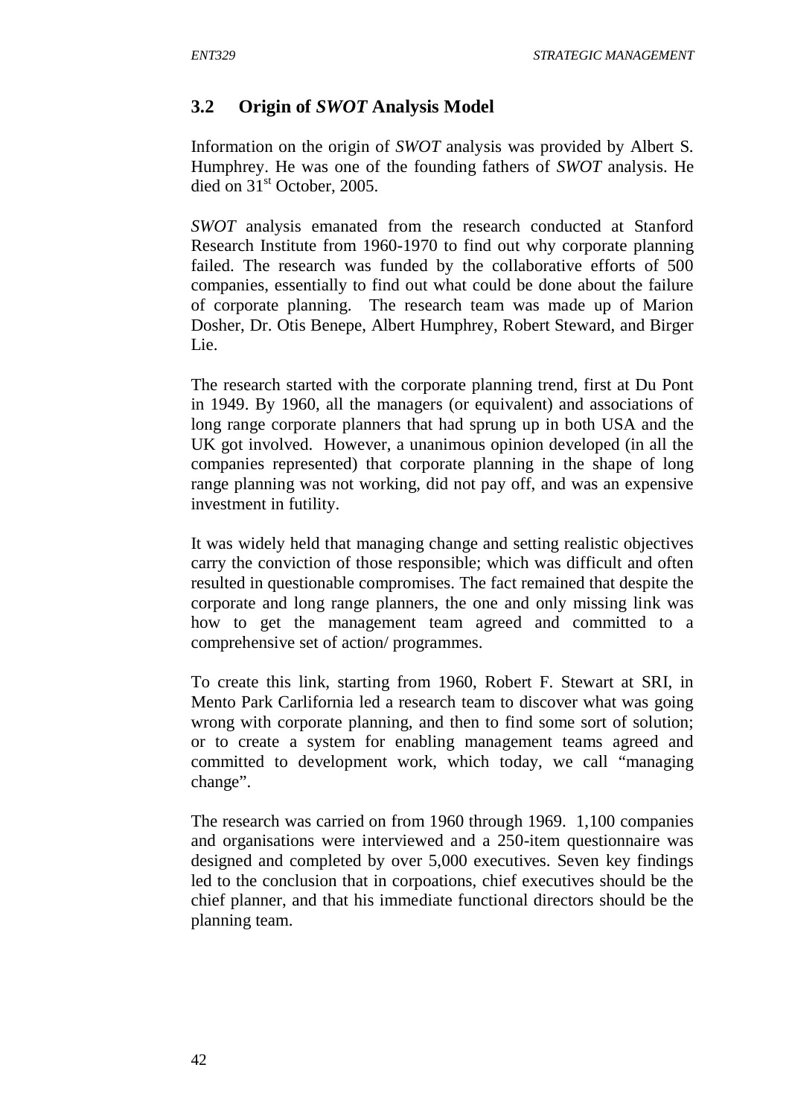## **3.2 Origin of** *SWOT* **Analysis Model**

Information on the origin of *SWOT* analysis was provided by Albert S. Humphrey. He was one of the founding fathers of *SWOT* analysis. He died on 31<sup>st</sup> October, 2005.

*SWOT* analysis emanated from the research conducted at Stanford Research Institute from 1960-1970 to find out why corporate planning failed. The research was funded by the collaborative efforts of 500 companies, essentially to find out what could be done about the failure of corporate planning. The research team was made up of Marion Dosher, Dr. Otis Benepe, Albert Humphrey, Robert Steward, and Birger Lie.

The research started with the corporate planning trend, first at Du Pont in 1949. By 1960, all the managers (or equivalent) and associations of long range corporate planners that had sprung up in both USA and the UK got involved. However, a unanimous opinion developed (in all the companies represented) that corporate planning in the shape of long range planning was not working, did not pay off, and was an expensive investment in futility.

It was widely held that managing change and setting realistic objectives carry the conviction of those responsible; which was difficult and often resulted in questionable compromises. The fact remained that despite the corporate and long range planners, the one and only missing link was how to get the management team agreed and committed to a comprehensive set of action/ programmes.

To create this link, starting from 1960, Robert F. Stewart at SRI, in Mento Park Carlifornia led a research team to discover what was going wrong with corporate planning, and then to find some sort of solution; or to create a system for enabling management teams agreed and committed to development work, which today, we call "managing change".

The research was carried on from 1960 through 1969. 1,100 companies and organisations were interviewed and a 250-item questionnaire was designed and completed by over 5,000 executives. Seven key findings led to the conclusion that in corpoations, chief executives should be the chief planner, and that his immediate functional directors should be the planning team.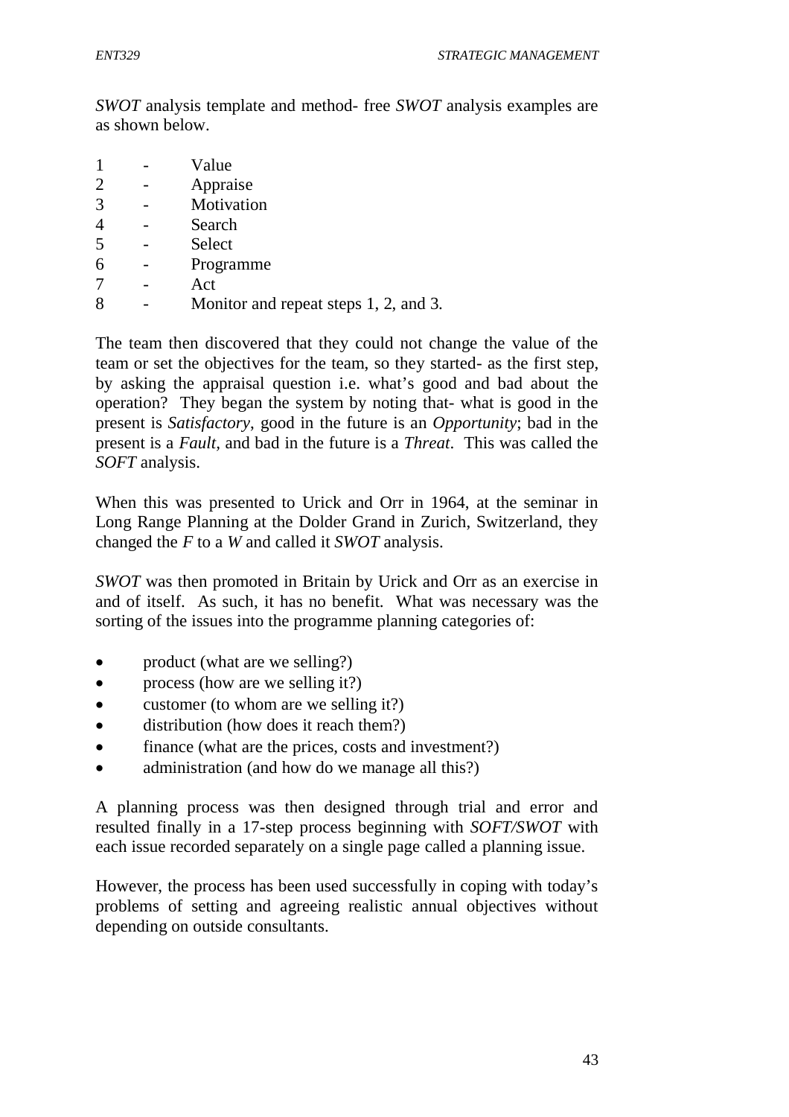*SWOT* analysis template and method- free *SWOT* analysis examples are as shown below.

- 1 Value 2 - Appraise 3 - Motivation 4 - Search 5 - Select 6 - Programme
- 7 Act
- 8 Monitor and repeat steps 1, 2, and 3.

The team then discovered that they could not change the value of the team or set the objectives for the team, so they started- as the first step, by asking the appraisal question i.e. what's good and bad about the operation? They began the system by noting that- what is good in the present is *Satisfactory*, good in the future is an *Opportunity*; bad in the present is a *Fault,* and bad in the future is a *Threat*. This was called the *SOFT* analysis.

When this was presented to Urick and Orr in 1964, at the seminar in Long Range Planning at the Dolder Grand in Zurich, Switzerland, they changed the *F* to a *W* and called it *SWOT* analysis.

*SWOT* was then promoted in Britain by Urick and Orr as an exercise in and of itself. As such, it has no benefit. What was necessary was the sorting of the issues into the programme planning categories of:

- product (what are we selling?)
- process (how are we selling it?)
- customer (to whom are we selling it?)
- distribution (how does it reach them?)
- finance (what are the prices, costs and investment?)
- administration (and how do we manage all this?)

A planning process was then designed through trial and error and resulted finally in a 17-step process beginning with *SOFT/SWOT* with each issue recorded separately on a single page called a planning issue.

However, the process has been used successfully in coping with today's problems of setting and agreeing realistic annual objectives without depending on outside consultants.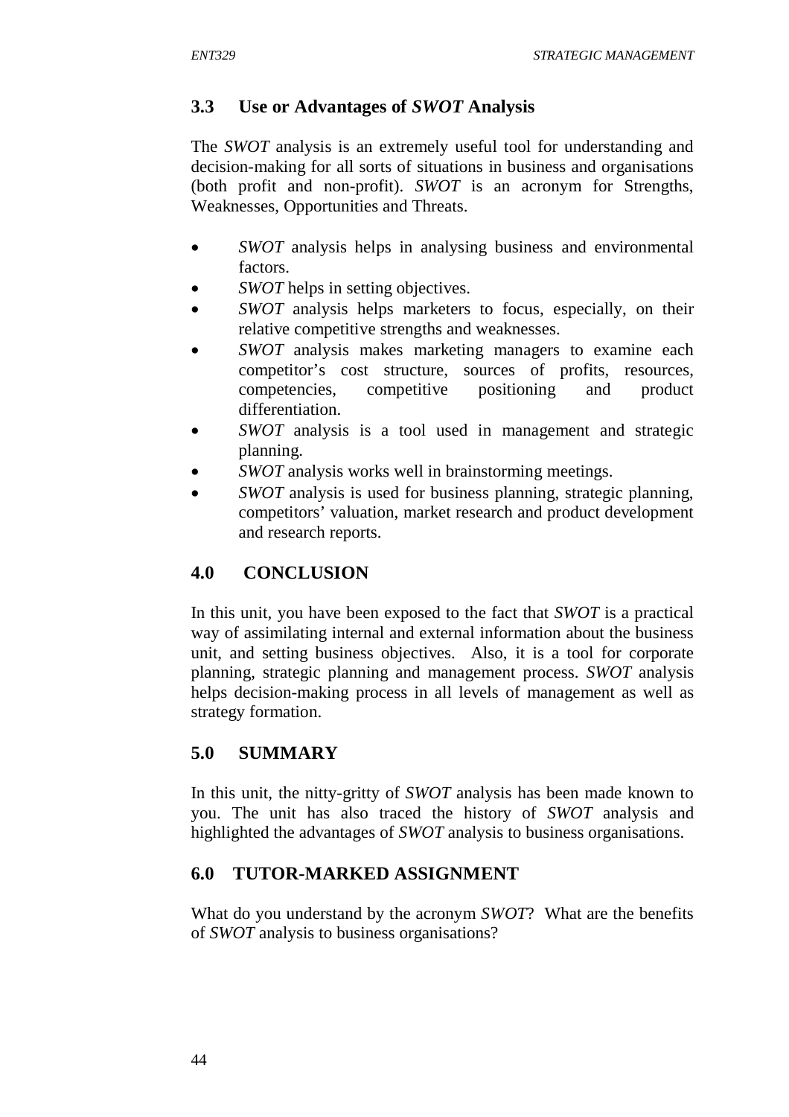# **3.3 Use or Advantages of** *SWOT* **Analysis**

The *SWOT* analysis is an extremely useful tool for understanding and decision-making for all sorts of situations in business and organisations (both profit and non-profit). *SWOT* is an acronym for Strengths, Weaknesses, Opportunities and Threats.

- *SWOT* analysis helps in analysing business and environmental factors.
- *SWOT* helps in setting objectives.
- *SWOT* analysis helps marketers to focus, especially, on their relative competitive strengths and weaknesses.
- *SWOT* analysis makes marketing managers to examine each competitor's cost structure, sources of profits, resources, competencies, competitive positioning and product differentiation.
- *SWOT* analysis is a tool used in management and strategic planning.
- *SWOT* analysis works well in brainstorming meetings.
- *SWOT* analysis is used for business planning, strategic planning, competitors' valuation, market research and product development and research reports.

# **4.0 CONCLUSION**

In this unit, you have been exposed to the fact that *SWOT* is a practical way of assimilating internal and external information about the business unit, and setting business objectives. Also, it is a tool for corporate planning, strategic planning and management process. *SWOT* analysis helps decision-making process in all levels of management as well as strategy formation.

# **5.0 SUMMARY**

In this unit, the nitty-gritty of *SWOT* analysis has been made known to you. The unit has also traced the history of *SWOT* analysis and highlighted the advantages of *SWOT* analysis to business organisations.

# **6.0 TUTOR-MARKED ASSIGNMENT**

What do you understand by the acronym *SWOT*? What are the benefits of *SWOT* analysis to business organisations?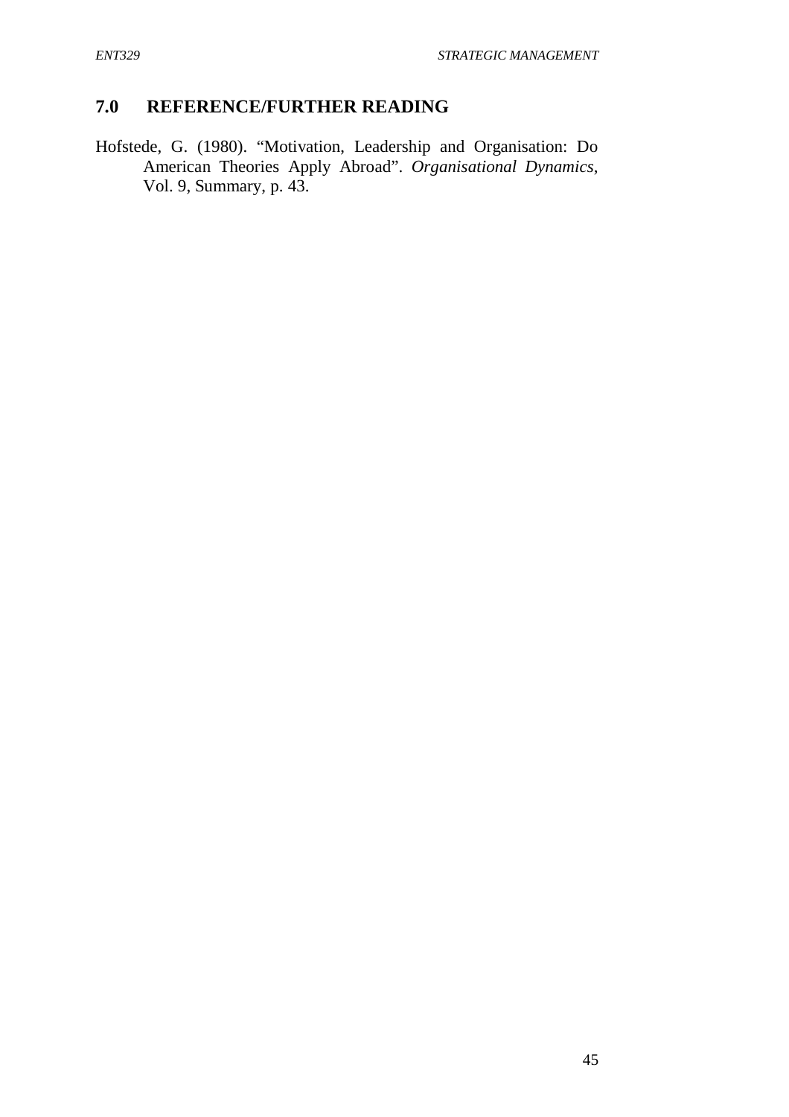# **7.0 REFERENCE/FURTHER READING**

Hofstede, G. (1980). "Motivation, Leadership and Organisation: Do American Theories Apply Abroad". *Organisational Dynamics*, Vol. 9, Summary, p. 43.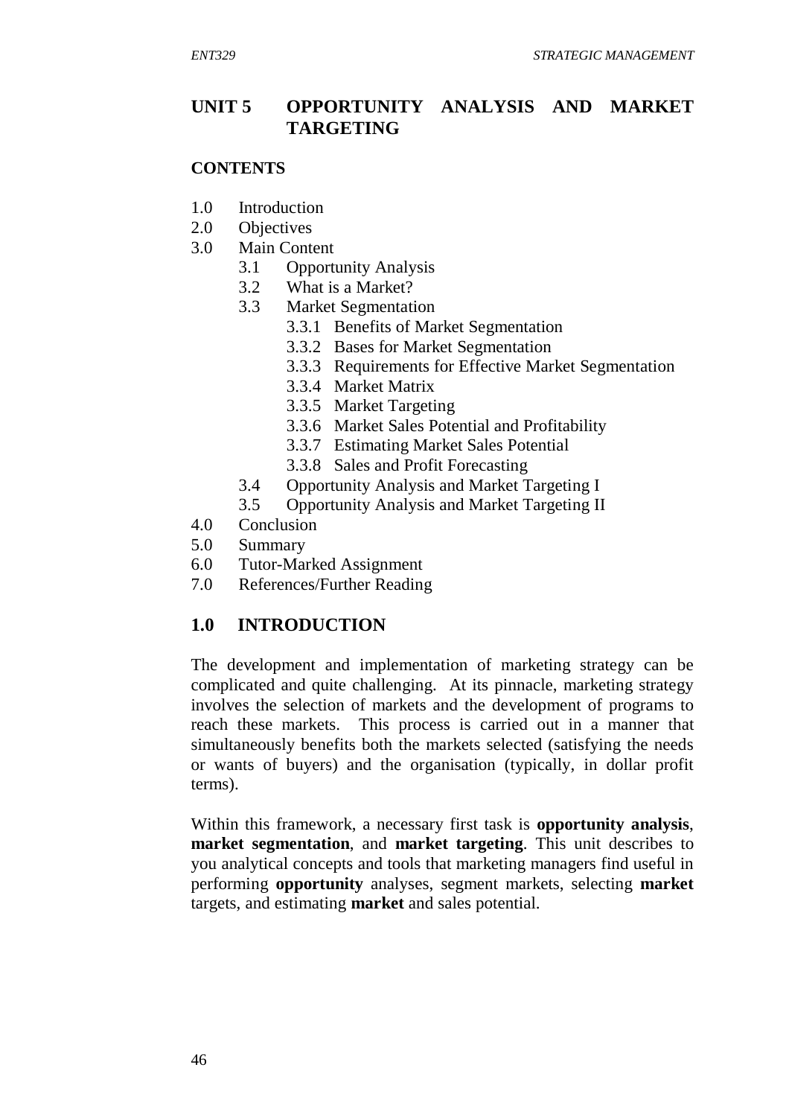### **UNIT 5 OPPORTUNITY ANALYSIS AND MARKET TARGETING**

#### **CONTENTS**

- 1.0 Introduction
- 2.0 Objectives
- 3.0 Main Content
	- 3.1 Opportunity Analysis
	- 3.2 What is a Market?
	- 3.3 Market Segmentation
		- 3.3.1 Benefits of Market Segmentation
		- 3.3.2 Bases for Market Segmentation
		- 3.3.3 Requirements for Effective Market Segmentation
		- 3.3.4 Market Matrix
		- 3.3.5 Market Targeting
		- 3.3.6 Market Sales Potential and Profitability
		- 3.3.7 Estimating Market Sales Potential
		- 3.3.8 Sales and Profit Forecasting
	- 3.4 Opportunity Analysis and Market Targeting I
	- 3.5 Opportunity Analysis and Market Targeting II
- 4.0 Conclusion
- 5.0 Summary
- 6.0 Tutor-Marked Assignment
- 7.0 References/Further Reading

#### **1.0 INTRODUCTION**

The development and implementation of marketing strategy can be complicated and quite challenging. At its pinnacle, marketing strategy involves the selection of markets and the development of programs to reach these markets. This process is carried out in a manner that simultaneously benefits both the markets selected (satisfying the needs or wants of buyers) and the organisation (typically, in dollar profit terms).

Within this framework, a necessary first task is **opportunity analysis**, **market segmentation**, and **market targeting**. This unit describes to you analytical concepts and tools that marketing managers find useful in performing **opportunity** analyses, segment markets, selecting **market** targets, and estimating **market** and sales potential.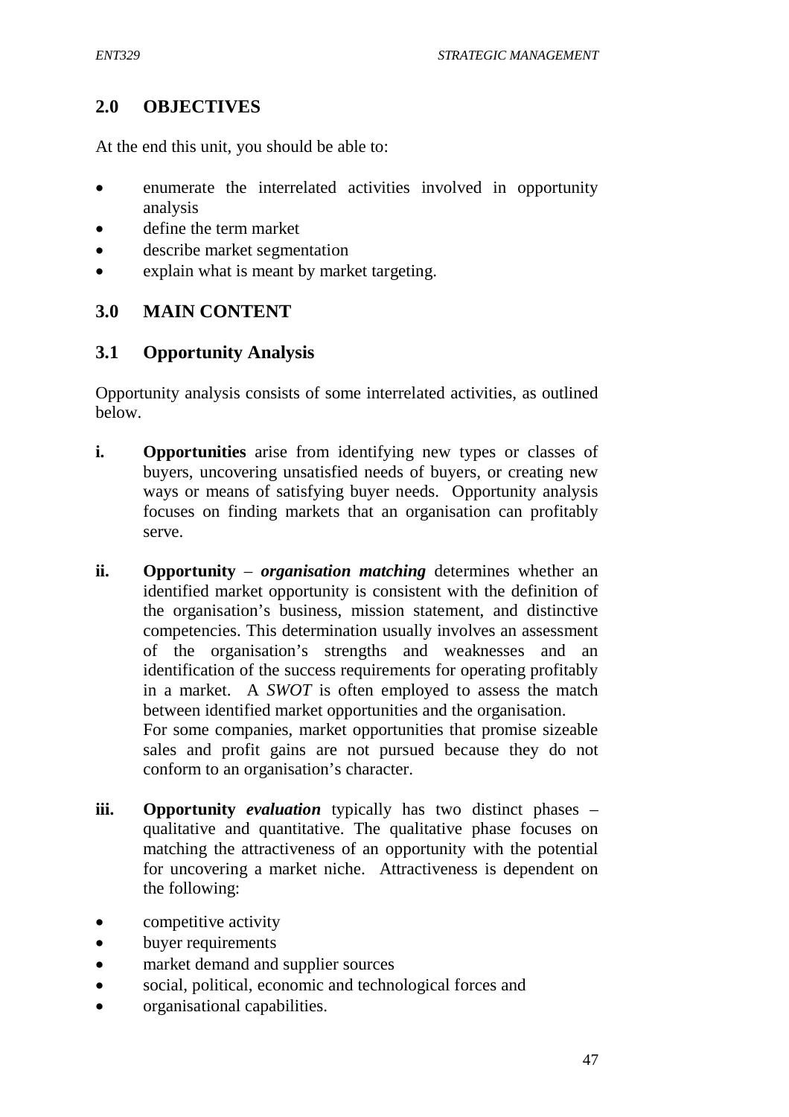## **2.0 OBJECTIVES**

At the end this unit, you should be able to:

- enumerate the interrelated activities involved in opportunity analysis
- define the term market
- describe market segmentation
- explain what is meant by market targeting.

## **3.0 MAIN CONTENT**

## **3.1 Opportunity Analysis**

Opportunity analysis consists of some interrelated activities, as outlined below.

- **i.** Opportunities arise from identifying new types or classes of buyers, uncovering unsatisfied needs of buyers, or creating new ways or means of satisfying buyer needs. Opportunity analysis focuses on finding markets that an organisation can profitably serve.
- **ii. Opportunity** *organisation matching* determines whether an identified market opportunity is consistent with the definition of the organisation's business, mission statement, and distinctive competencies. This determination usually involves an assessment of the organisation's strengths and weaknesses and an identification of the success requirements for operating profitably in a market. A *SWOT* is often employed to assess the match between identified market opportunities and the organisation. For some companies, market opportunities that promise sizeable sales and profit gains are not pursued because they do not conform to an organisation's character.
- **iii.** Opportunity *evaluation* typically has two distinct phases qualitative and quantitative. The qualitative phase focuses on matching the attractiveness of an opportunity with the potential for uncovering a market niche. Attractiveness is dependent on the following:
- competitive activity
- buyer requirements
- market demand and supplier sources
- social, political, economic and technological forces and
- organisational capabilities.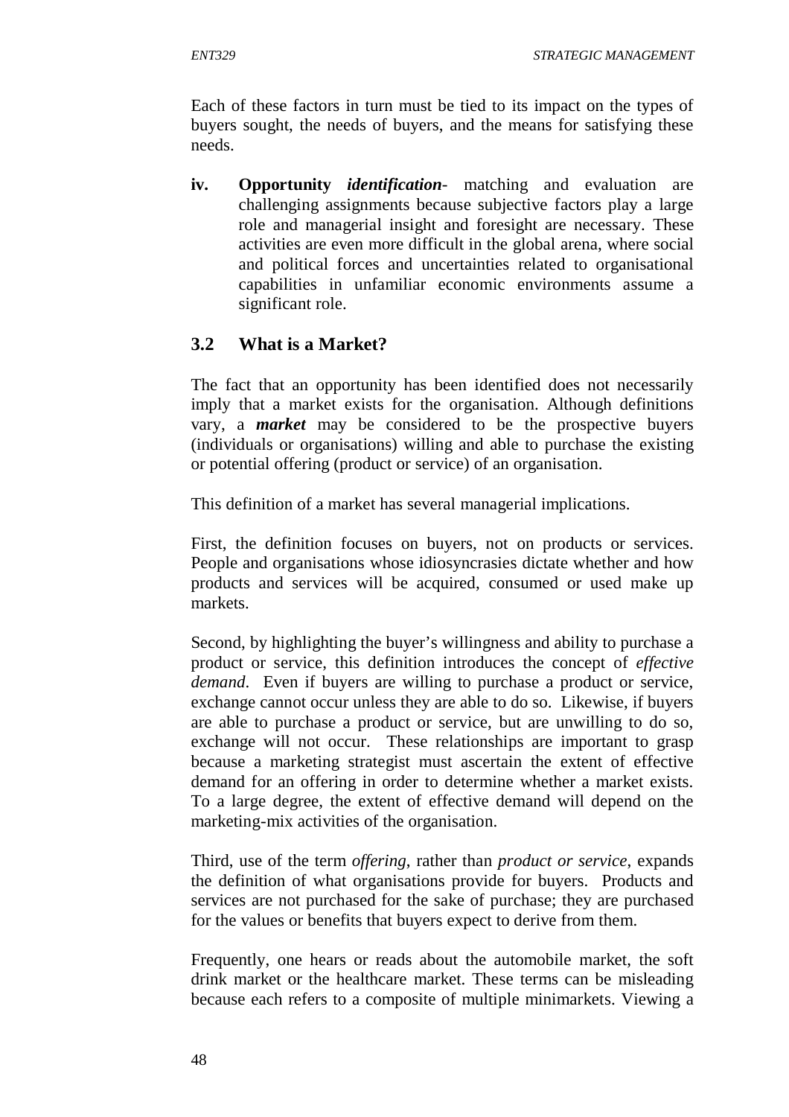Each of these factors in turn must be tied to its impact on the types of buyers sought, the needs of buyers, and the means for satisfying these needs.

**iv. Opportunity** *identification*- matching and evaluation are challenging assignments because subjective factors play a large role and managerial insight and foresight are necessary. These activities are even more difficult in the global arena, where social and political forces and uncertainties related to organisational capabilities in unfamiliar economic environments assume a significant role.

# **3.2 What is a Market?**

The fact that an opportunity has been identified does not necessarily imply that a market exists for the organisation. Although definitions vary, a *market* may be considered to be the prospective buyers (individuals or organisations) willing and able to purchase the existing or potential offering (product or service) of an organisation.

This definition of a market has several managerial implications.

First, the definition focuses on buyers, not on products or services. People and organisations whose idiosyncrasies dictate whether and how products and services will be acquired, consumed or used make up markets.

Second, by highlighting the buyer's willingness and ability to purchase a product or service, this definition introduces the concept of *effective demand*. Even if buyers are willing to purchase a product or service, exchange cannot occur unless they are able to do so. Likewise, if buyers are able to purchase a product or service, but are unwilling to do so, exchange will not occur. These relationships are important to grasp because a marketing strategist must ascertain the extent of effective demand for an offering in order to determine whether a market exists. To a large degree, the extent of effective demand will depend on the marketing-mix activities of the organisation.

Third, use of the term *offering*, rather than *product or service*, expands the definition of what organisations provide for buyers. Products and services are not purchased for the sake of purchase; they are purchased for the values or benefits that buyers expect to derive from them.

Frequently, one hears or reads about the automobile market, the soft drink market or the healthcare market. These terms can be misleading because each refers to a composite of multiple minimarkets. Viewing a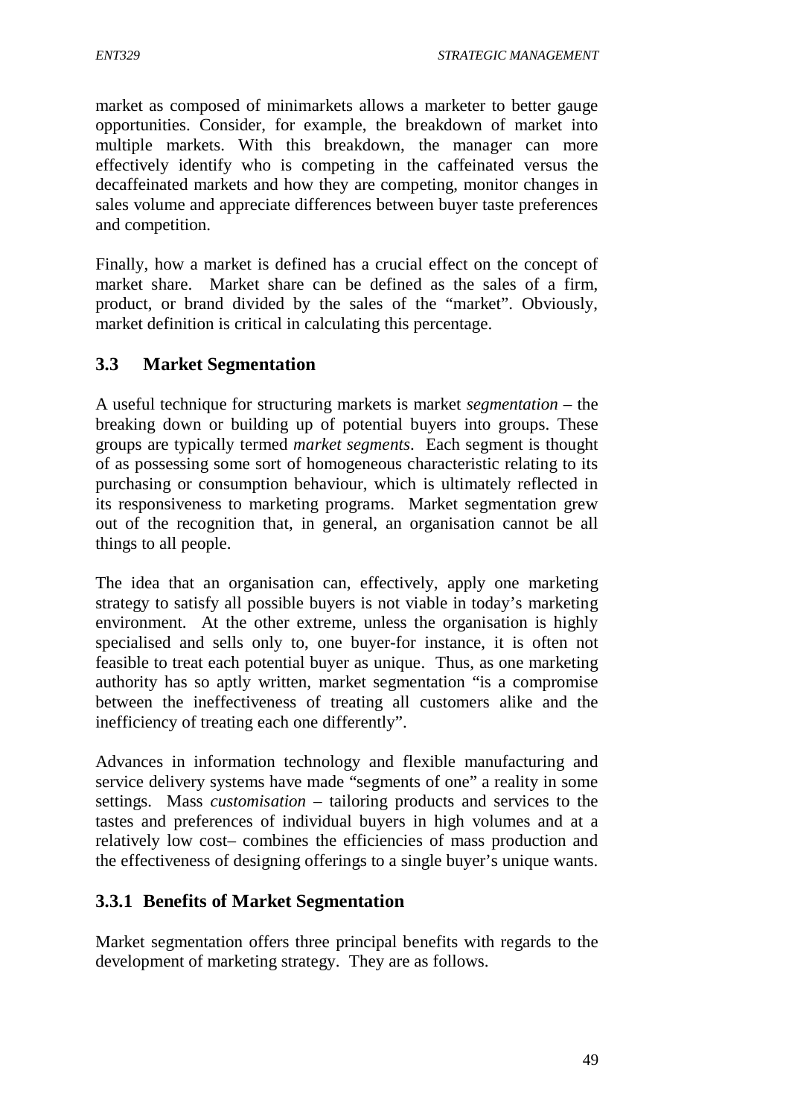market as composed of minimarkets allows a marketer to better gauge opportunities. Consider, for example, the breakdown of market into multiple markets. With this breakdown, the manager can more effectively identify who is competing in the caffeinated versus the decaffeinated markets and how they are competing, monitor changes in sales volume and appreciate differences between buyer taste preferences and competition.

Finally, how a market is defined has a crucial effect on the concept of market share. Market share can be defined as the sales of a firm, product, or brand divided by the sales of the "market". Obviously, market definition is critical in calculating this percentage.

## **3.3 Market Segmentation**

A useful technique for structuring markets is market *segmentation* – the breaking down or building up of potential buyers into groups. These groups are typically termed *market segments*. Each segment is thought of as possessing some sort of homogeneous characteristic relating to its purchasing or consumption behaviour, which is ultimately reflected in its responsiveness to marketing programs. Market segmentation grew out of the recognition that, in general, an organisation cannot be all things to all people.

The idea that an organisation can, effectively, apply one marketing strategy to satisfy all possible buyers is not viable in today's marketing environment. At the other extreme, unless the organisation is highly specialised and sells only to, one buyer-for instance, it is often not feasible to treat each potential buyer as unique. Thus, as one marketing authority has so aptly written, market segmentation "is a compromise between the ineffectiveness of treating all customers alike and the inefficiency of treating each one differently".

Advances in information technology and flexible manufacturing and service delivery systems have made "segments of one" a reality in some settings. Mass *customisation* – tailoring products and services to the tastes and preferences of individual buyers in high volumes and at a relatively low cost– combines the efficiencies of mass production and the effectiveness of designing offerings to a single buyer's unique wants.

## **3.3.1 Benefits of Market Segmentation**

Market segmentation offers three principal benefits with regards to the development of marketing strategy. They are as follows.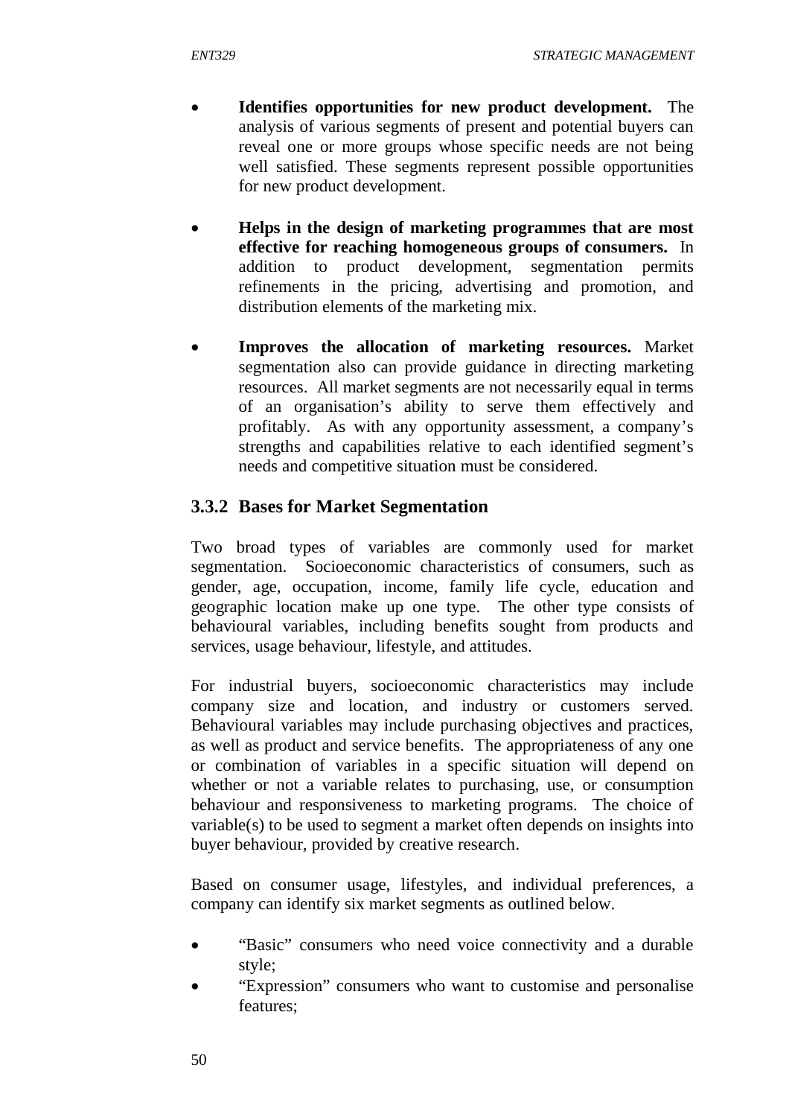- **Identifies opportunities for new product development.** The analysis of various segments of present and potential buyers can reveal one or more groups whose specific needs are not being well satisfied. These segments represent possible opportunities for new product development.
- **Helps in the design of marketing programmes that are most effective for reaching homogeneous groups of consumers.** In addition to product development, segmentation permits refinements in the pricing, advertising and promotion, and distribution elements of the marketing mix.
- **Improves the allocation of marketing resources.** Market segmentation also can provide guidance in directing marketing resources. All market segments are not necessarily equal in terms of an organisation's ability to serve them effectively and profitably. As with any opportunity assessment, a company's strengths and capabilities relative to each identified segment's needs and competitive situation must be considered.

## **3.3.2 Bases for Market Segmentation**

Two broad types of variables are commonly used for market segmentation. Socioeconomic characteristics of consumers, such as gender, age, occupation, income, family life cycle, education and geographic location make up one type. The other type consists of behavioural variables, including benefits sought from products and services, usage behaviour, lifestyle, and attitudes.

For industrial buyers, socioeconomic characteristics may include company size and location, and industry or customers served. Behavioural variables may include purchasing objectives and practices, as well as product and service benefits. The appropriateness of any one or combination of variables in a specific situation will depend on whether or not a variable relates to purchasing, use, or consumption behaviour and responsiveness to marketing programs. The choice of variable(s) to be used to segment a market often depends on insights into buyer behaviour, provided by creative research.

Based on consumer usage, lifestyles, and individual preferences, a company can identify six market segments as outlined below.

- "Basic" consumers who need voice connectivity and a durable style;
- "Expression" consumers who want to customise and personalise features;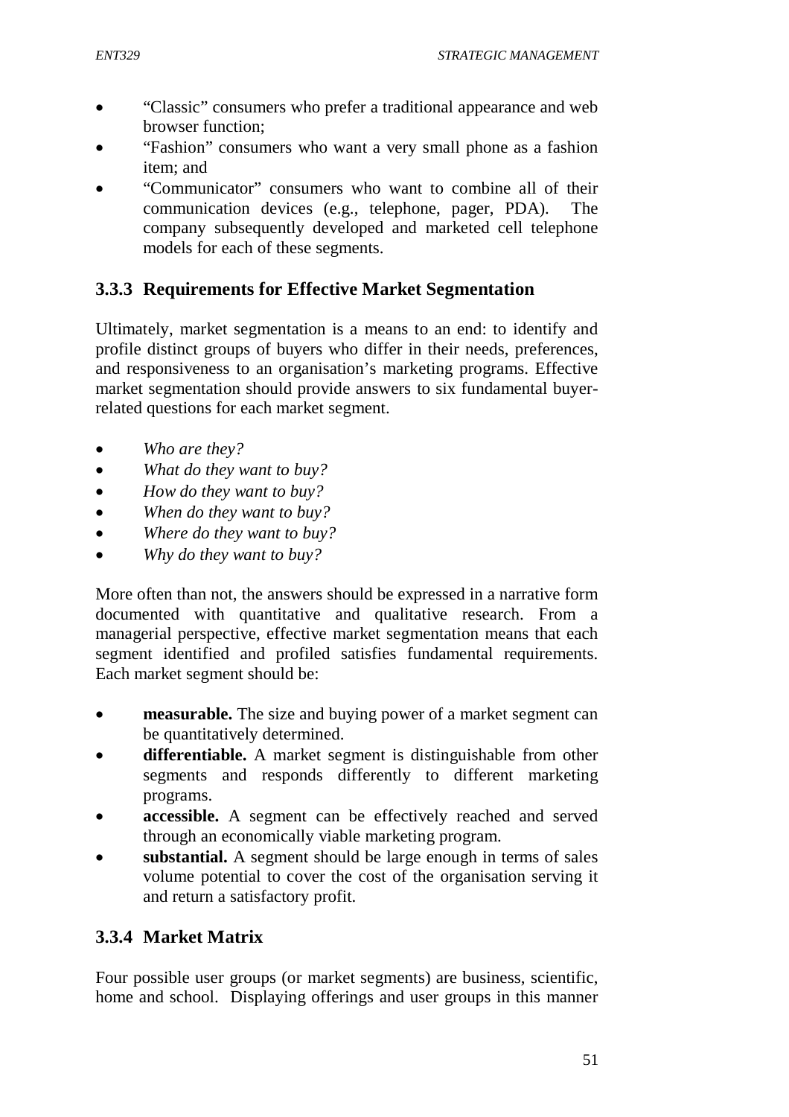- "Classic" consumers who prefer a traditional appearance and web browser function;
- "Fashion" consumers who want a very small phone as a fashion item; and
- "Communicator" consumers who want to combine all of their communication devices (e.g., telephone, pager, PDA). The company subsequently developed and marketed cell telephone models for each of these segments.

## **3.3.3 Requirements for Effective Market Segmentation**

Ultimately, market segmentation is a means to an end: to identify and profile distinct groups of buyers who differ in their needs, preferences, and responsiveness to an organisation's marketing programs. Effective market segmentation should provide answers to six fundamental buyerrelated questions for each market segment.

- *Who are they?*
- *What do they want to buy?*
- *How do they want to buy?*
- *When do they want to buy?*
- *Where do they want to buy?*
- *Why do they want to buy?*

More often than not, the answers should be expressed in a narrative form documented with quantitative and qualitative research. From a managerial perspective, effective market segmentation means that each segment identified and profiled satisfies fundamental requirements. Each market segment should be:

- **measurable.** The size and buying power of a market segment can be quantitatively determined.
- **differentiable.** A market segment is distinguishable from other segments and responds differently to different marketing programs.
- **accessible.** A segment can be effectively reached and served through an economically viable marketing program.
- **substantial.** A segment should be large enough in terms of sales volume potential to cover the cost of the organisation serving it and return a satisfactory profit.

# **3.3.4 Market Matrix**

Four possible user groups (or market segments) are business, scientific, home and school. Displaying offerings and user groups in this manner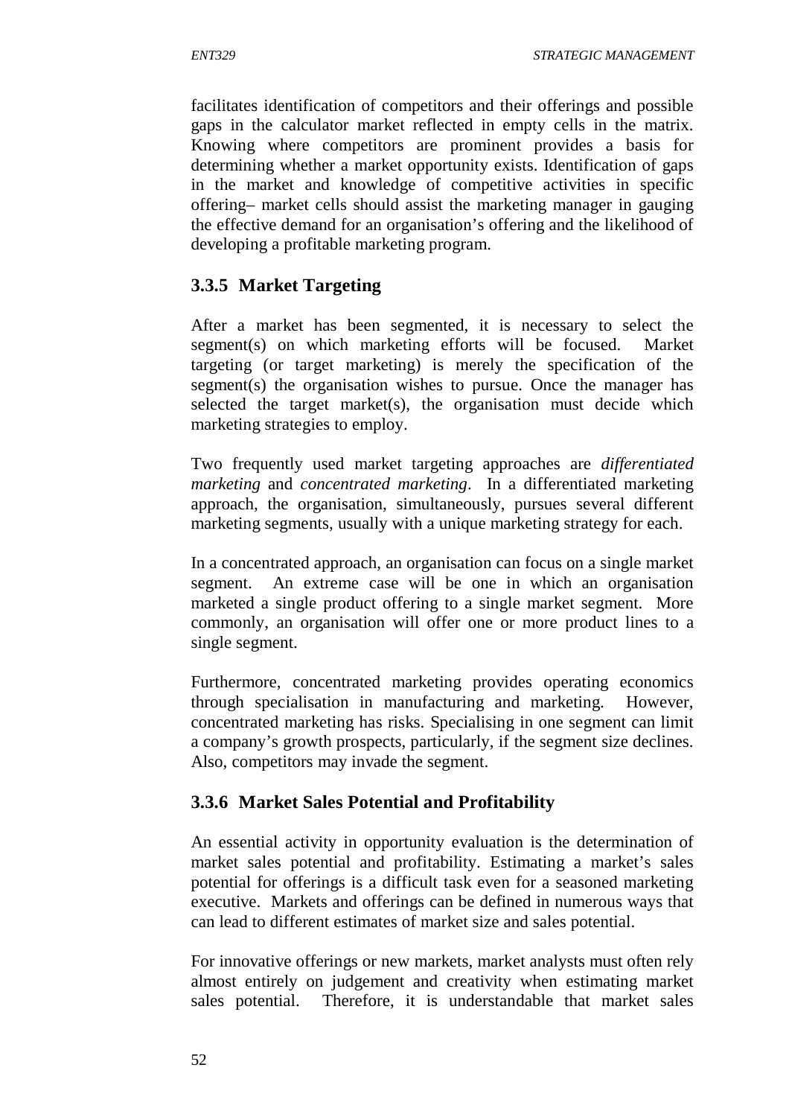facilitates identification of competitors and their offerings and possible gaps in the calculator market reflected in empty cells in the matrix. Knowing where competitors are prominent provides a basis for determining whether a market opportunity exists. Identification of gaps in the market and knowledge of competitive activities in specific offering– market cells should assist the marketing manager in gauging the effective demand for an organisation's offering and the likelihood of developing a profitable marketing program.

# **3.3.5 Market Targeting**

After a market has been segmented, it is necessary to select the segment(s) on which marketing efforts will be focused. Market targeting (or target marketing) is merely the specification of the segment(s) the organisation wishes to pursue. Once the manager has selected the target market(s), the organisation must decide which marketing strategies to employ.

Two frequently used market targeting approaches are *differentiated marketing* and *concentrated marketing*. In a differentiated marketing approach, the organisation, simultaneously, pursues several different marketing segments, usually with a unique marketing strategy for each.

In a concentrated approach, an organisation can focus on a single market segment. An extreme case will be one in which an organisation marketed a single product offering to a single market segment. More commonly, an organisation will offer one or more product lines to a single segment.

Furthermore, concentrated marketing provides operating economics through specialisation in manufacturing and marketing. However, concentrated marketing has risks. Specialising in one segment can limit a company's growth prospects, particularly, if the segment size declines. Also, competitors may invade the segment.

## **3.3.6 Market Sales Potential and Profitability**

An essential activity in opportunity evaluation is the determination of market sales potential and profitability. Estimating a market's sales potential for offerings is a difficult task even for a seasoned marketing executive. Markets and offerings can be defined in numerous ways that can lead to different estimates of market size and sales potential.

For innovative offerings or new markets, market analysts must often rely almost entirely on judgement and creativity when estimating market sales potential. Therefore, it is understandable that market sales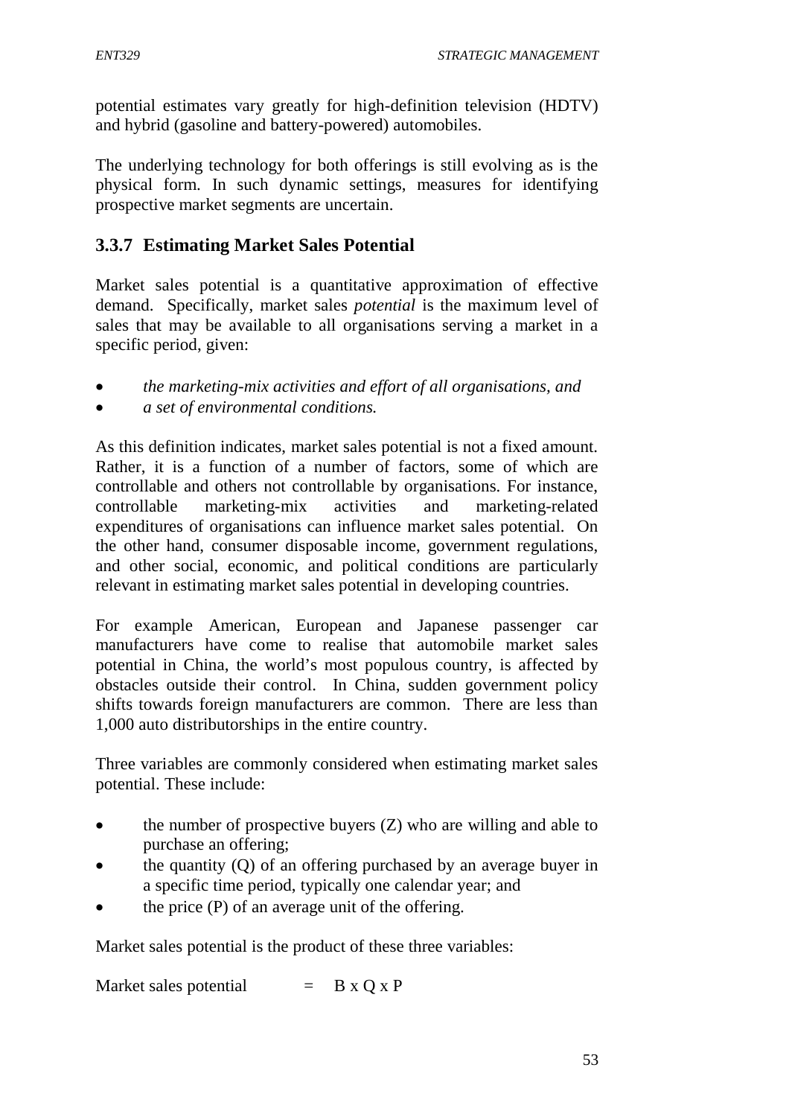potential estimates vary greatly for high-definition television (HDTV) and hybrid (gasoline and battery-powered) automobiles.

The underlying technology for both offerings is still evolving as is the physical form. In such dynamic settings, measures for identifying prospective market segments are uncertain.

### **3.3.7 Estimating Market Sales Potential**

Market sales potential is a quantitative approximation of effective demand. Specifically, market sales *potential* is the maximum level of sales that may be available to all organisations serving a market in a specific period, given:

- *the marketing-mix activities and effort of all organisations, and*
- *a set of environmental conditions.*

As this definition indicates, market sales potential is not a fixed amount. Rather, it is a function of a number of factors, some of which are controllable and others not controllable by organisations. For instance, controllable marketing-mix activities and marketing-related expenditures of organisations can influence market sales potential. On the other hand, consumer disposable income, government regulations, and other social, economic, and political conditions are particularly relevant in estimating market sales potential in developing countries.

For example American, European and Japanese passenger car manufacturers have come to realise that automobile market sales potential in China, the world's most populous country, is affected by obstacles outside their control. In China, sudden government policy shifts towards foreign manufacturers are common. There are less than 1,000 auto distributorships in the entire country.

Three variables are commonly considered when estimating market sales potential. These include:

- the number of prospective buyers (Z) who are willing and able to purchase an offering;
- the quantity (Q) of an offering purchased by an average buyer in a specific time period, typically one calendar year; and
- the price (P) of an average unit of the offering.

Market sales potential is the product of these three variables:

Market sales potential  $=$  B x O x P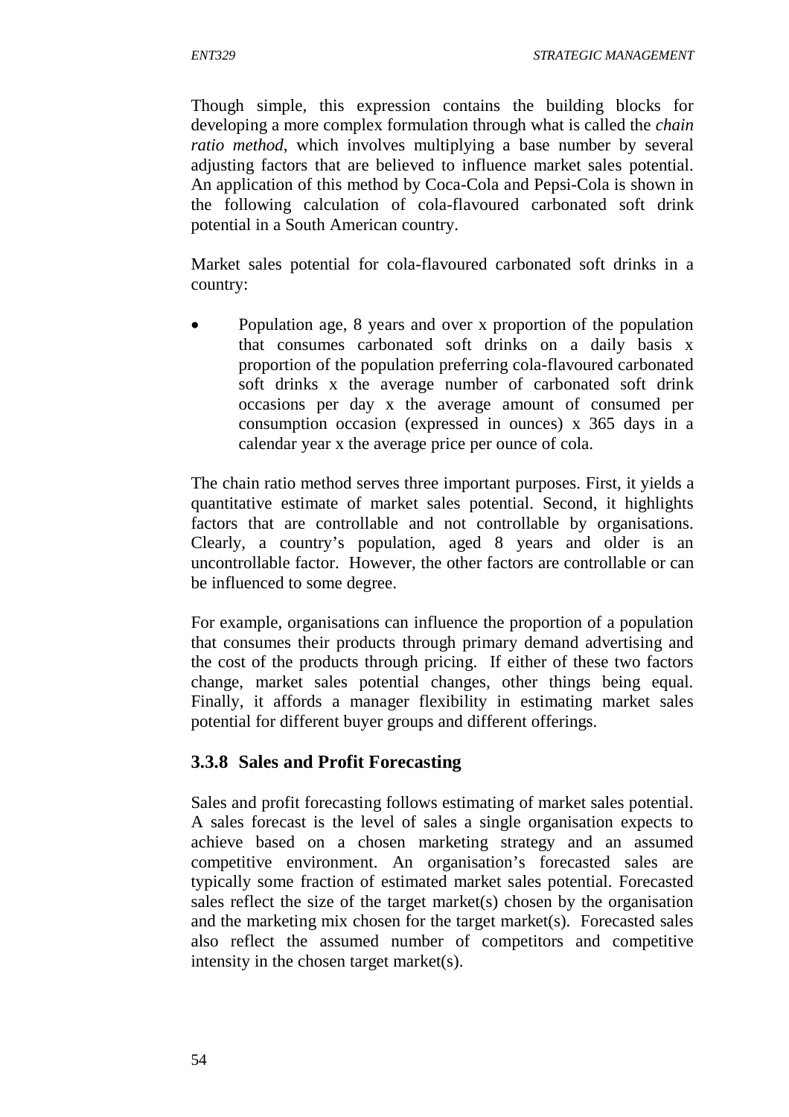Though simple, this expression contains the building blocks for developing a more complex formulation through what is called the *chain ratio method*, which involves multiplying a base number by several adjusting factors that are believed to influence market sales potential. An application of this method by Coca-Cola and Pepsi-Cola is shown in the following calculation of cola-flavoured carbonated soft drink potential in a South American country.

Market sales potential for cola-flavoured carbonated soft drinks in a country:

 Population age, 8 years and over x proportion of the population that consumes carbonated soft drinks on a daily basis x proportion of the population preferring cola-flavoured carbonated soft drinks x the average number of carbonated soft drink occasions per day x the average amount of consumed per consumption occasion (expressed in ounces) x 365 days in a calendar year x the average price per ounce of cola.

The chain ratio method serves three important purposes. First, it yields a quantitative estimate of market sales potential. Second, it highlights factors that are controllable and not controllable by organisations. Clearly, a country's population, aged 8 years and older is an uncontrollable factor. However, the other factors are controllable or can be influenced to some degree.

For example, organisations can influence the proportion of a population that consumes their products through primary demand advertising and the cost of the products through pricing. If either of these two factors change, market sales potential changes, other things being equal. Finally, it affords a manager flexibility in estimating market sales potential for different buyer groups and different offerings.

## **3.3.8 Sales and Profit Forecasting**

Sales and profit forecasting follows estimating of market sales potential. A sales forecast is the level of sales a single organisation expects to achieve based on a chosen marketing strategy and an assumed competitive environment. An organisation's forecasted sales are typically some fraction of estimated market sales potential. Forecasted sales reflect the size of the target market(s) chosen by the organisation and the marketing mix chosen for the target market(s). Forecasted sales also reflect the assumed number of competitors and competitive intensity in the chosen target market(s).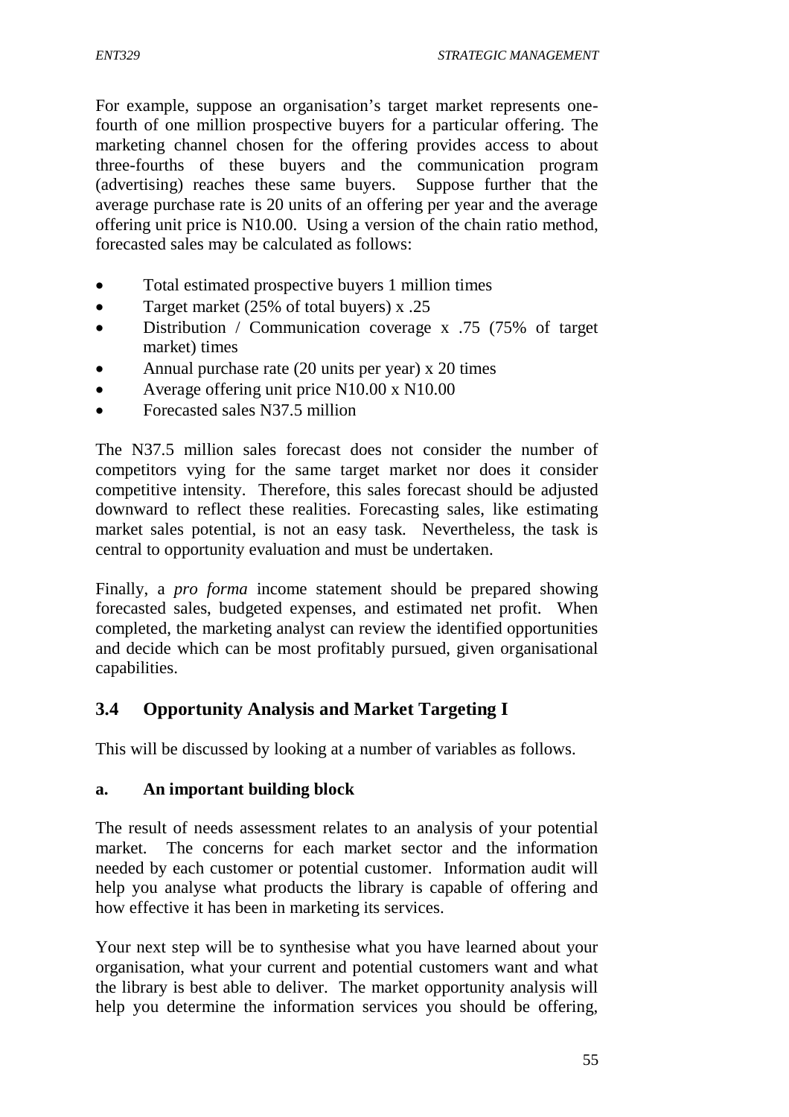For example, suppose an organisation's target market represents onefourth of one million prospective buyers for a particular offering. The marketing channel chosen for the offering provides access to about three-fourths of these buyers and the communication program (advertising) reaches these same buyers. Suppose further that the average purchase rate is 20 units of an offering per year and the average offering unit price is N10.00. Using a version of the chain ratio method, forecasted sales may be calculated as follows:

- Total estimated prospective buyers 1 million times
- Target market (25% of total buyers) x .25
- Distribution / Communication coverage x .75 (75% of target market) times
- Annual purchase rate (20 units per year) x 20 times
- Average offering unit price N10.00 x N10.00
- Forecasted sales N37.5 million

The N37.5 million sales forecast does not consider the number of competitors vying for the same target market nor does it consider competitive intensity. Therefore, this sales forecast should be adjusted downward to reflect these realities. Forecasting sales, like estimating market sales potential, is not an easy task. Nevertheless, the task is central to opportunity evaluation and must be undertaken.

Finally, a *pro forma* income statement should be prepared showing forecasted sales, budgeted expenses, and estimated net profit. When completed, the marketing analyst can review the identified opportunities and decide which can be most profitably pursued, given organisational capabilities.

## **3.4 Opportunity Analysis and Market Targeting I**

This will be discussed by looking at a number of variables as follows.

#### **a. An important building block**

The result of needs assessment relates to an analysis of your potential market. The concerns for each market sector and the information needed by each customer or potential customer. Information audit will help you analyse what products the library is capable of offering and how effective it has been in marketing its services.

Your next step will be to synthesise what you have learned about your organisation, what your current and potential customers want and what the library is best able to deliver. The market opportunity analysis will help you determine the information services you should be offering,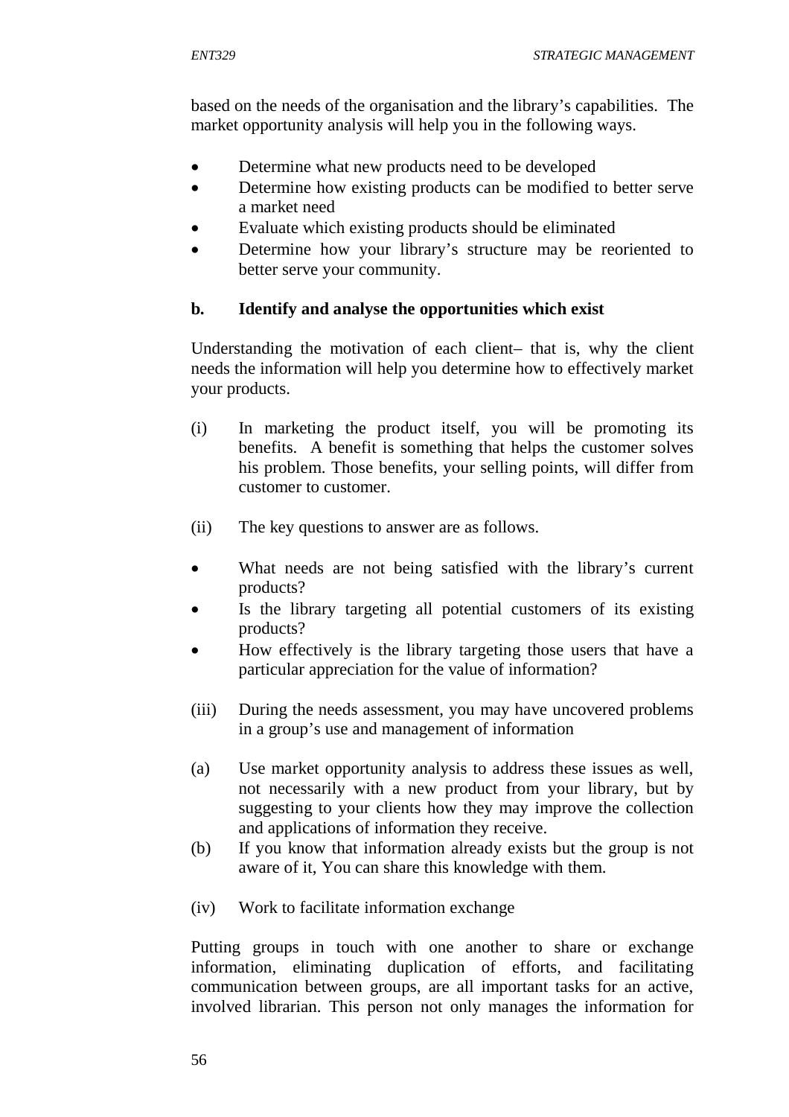based on the needs of the organisation and the library's capabilities. The market opportunity analysis will help you in the following ways.

- Determine what new products need to be developed
- Determine how existing products can be modified to better serve a market need
- Evaluate which existing products should be eliminated
- Determine how your library's structure may be reoriented to better serve your community.

#### **b. Identify and analyse the opportunities which exist**

Understanding the motivation of each client– that is, why the client needs the information will help you determine how to effectively market your products.

- (i) In marketing the product itself, you will be promoting its benefits. A benefit is something that helps the customer solves his problem. Those benefits, your selling points, will differ from customer to customer.
- (ii) The key questions to answer are as follows.
- What needs are not being satisfied with the library's current products?
- Is the library targeting all potential customers of its existing products?
- How effectively is the library targeting those users that have a particular appreciation for the value of information?
- (iii) During the needs assessment, you may have uncovered problems in a group's use and management of information
- (a) Use market opportunity analysis to address these issues as well, not necessarily with a new product from your library, but by suggesting to your clients how they may improve the collection and applications of information they receive.
- (b) If you know that information already exists but the group is not aware of it, You can share this knowledge with them.
- (iv) Work to facilitate information exchange

Putting groups in touch with one another to share or exchange information, eliminating duplication of efforts, and facilitating communication between groups, are all important tasks for an active, involved librarian. This person not only manages the information for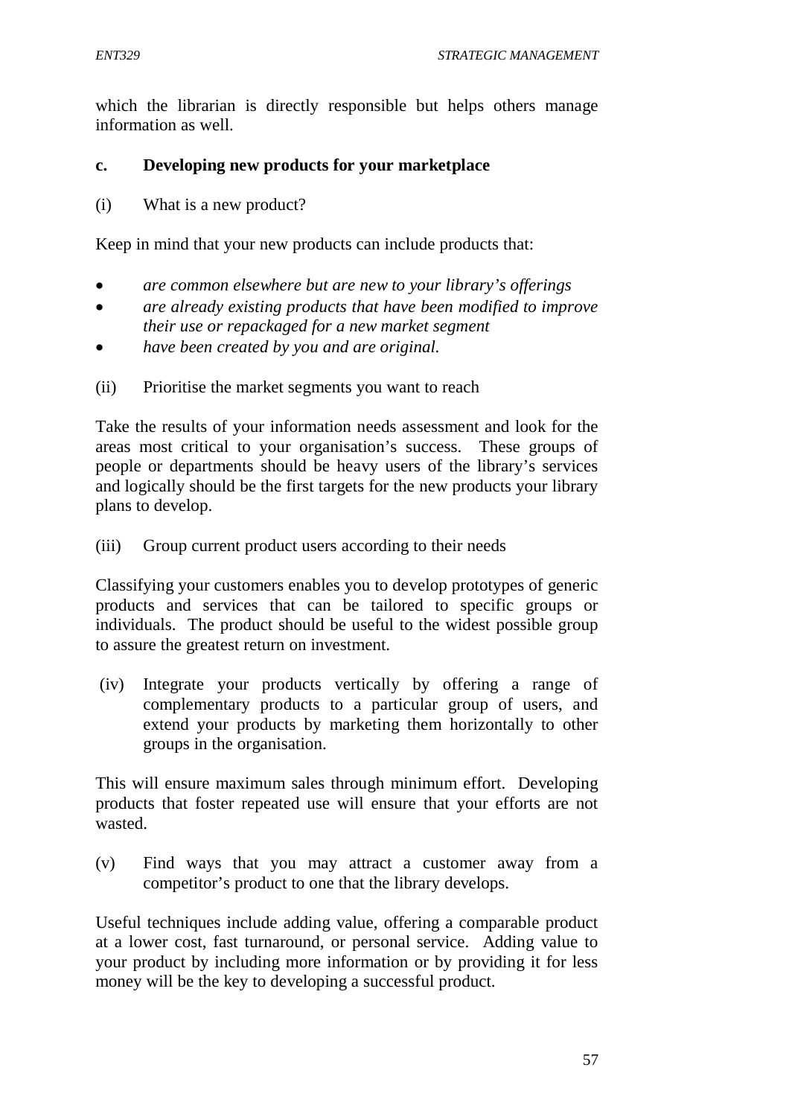which the librarian is directly responsible but helps others manage information as well.

#### **c. Developing new products for your marketplace**

(i) What is a new product?

Keep in mind that your new products can include products that:

- *are common elsewhere but are new to your library's offerings*
- *are already existing products that have been modified to improve their use or repackaged for a new market segment*
- *have been created by you and are original.*
- (ii) Prioritise the market segments you want to reach

Take the results of your information needs assessment and look for the areas most critical to your organisation's success. These groups of people or departments should be heavy users of the library's services and logically should be the first targets for the new products your library plans to develop.

(iii) Group current product users according to their needs

Classifying your customers enables you to develop prototypes of generic products and services that can be tailored to specific groups or individuals. The product should be useful to the widest possible group to assure the greatest return on investment.

(iv) Integrate your products vertically by offering a range of complementary products to a particular group of users, and extend your products by marketing them horizontally to other groups in the organisation.

This will ensure maximum sales through minimum effort. Developing products that foster repeated use will ensure that your efforts are not wasted.

(v) Find ways that you may attract a customer away from a competitor's product to one that the library develops.

Useful techniques include adding value, offering a comparable product at a lower cost, fast turnaround, or personal service. Adding value to your product by including more information or by providing it for less money will be the key to developing a successful product.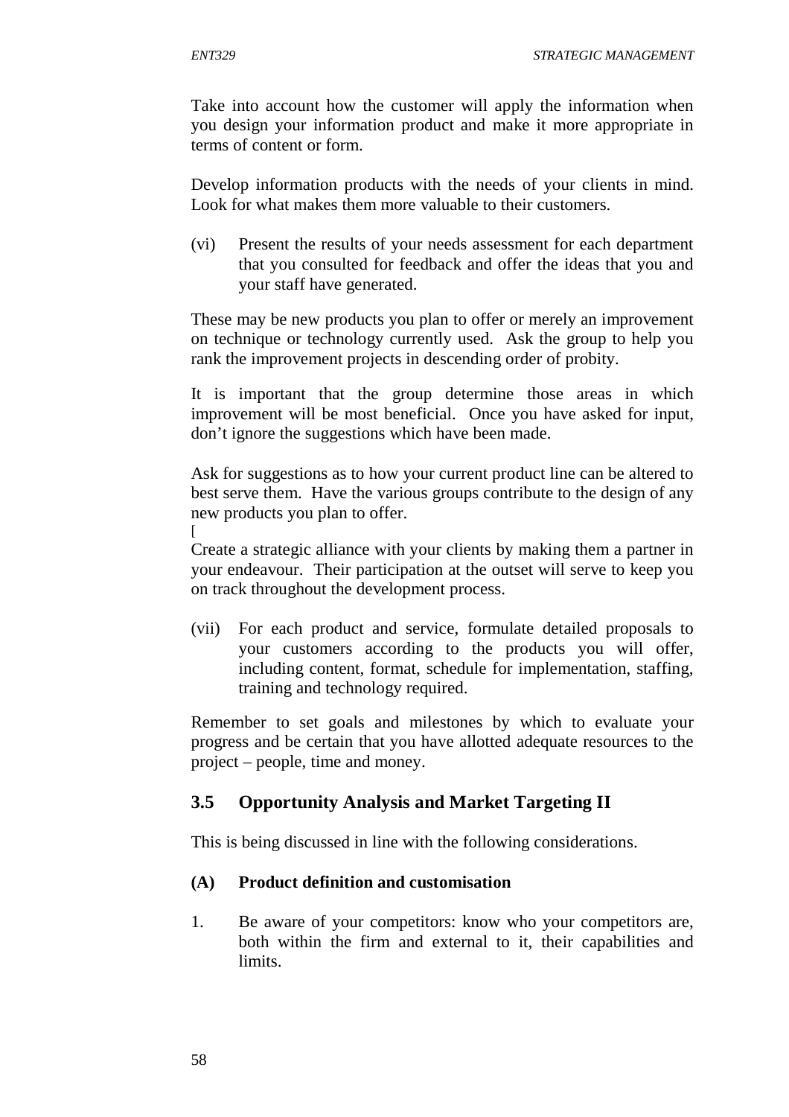Take into account how the customer will apply the information when you design your information product and make it more appropriate in terms of content or form.

Develop information products with the needs of your clients in mind. Look for what makes them more valuable to their customers.

(vi) Present the results of your needs assessment for each department that you consulted for feedback and offer the ideas that you and your staff have generated.

These may be new products you plan to offer or merely an improvement on technique or technology currently used. Ask the group to help you rank the improvement projects in descending order of probity.

It is important that the group determine those areas in which improvement will be most beneficial. Once you have asked for input, don't ignore the suggestions which have been made.

Ask for suggestions as to how your current product line can be altered to best serve them. Have the various groups contribute to the design of any new products you plan to offer.

Create a strategic alliance with your clients by making them a partner in your endeavour. Their participation at the outset will serve to keep you on track throughout the development process.

(vii) For each product and service, formulate detailed proposals to your customers according to the products you will offer, including content, format, schedule for implementation, staffing, training and technology required.

Remember to set goals and milestones by which to evaluate your progress and be certain that you have allotted adequate resources to the project – people, time and money.

# **3.5 Opportunity Analysis and Market Targeting II**

This is being discussed in line with the following considerations.

#### **(A) Product definition and customisation**

1. Be aware of your competitors: know who your competitors are, both within the firm and external to it, their capabilities and limits.

 $\lceil$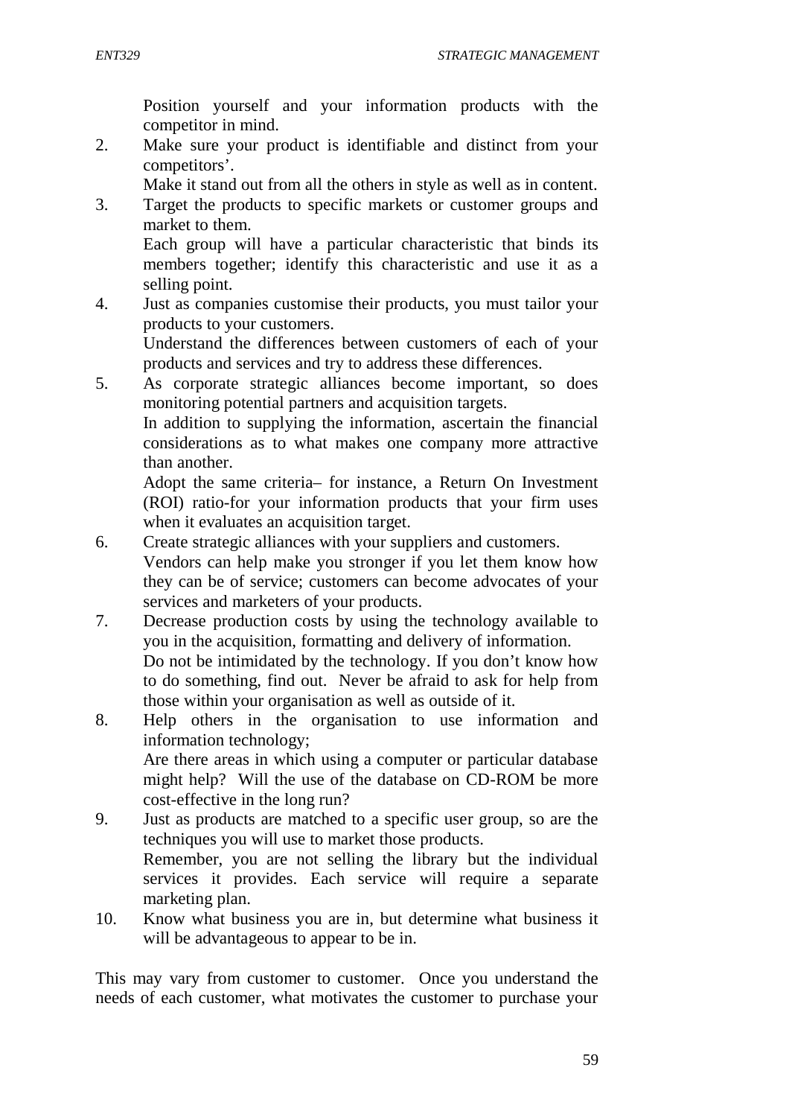Position yourself and your information products with the competitor in mind.

2. Make sure your product is identifiable and distinct from your competitors'.

Make it stand out from all the others in style as well as in content.

3. Target the products to specific markets or customer groups and market to them.

Each group will have a particular characteristic that binds its members together; identify this characteristic and use it as a selling point.

4. Just as companies customise their products, you must tailor your products to your customers.

Understand the differences between customers of each of your products and services and try to address these differences.

5. As corporate strategic alliances become important, so does monitoring potential partners and acquisition targets.

In addition to supplying the information, ascertain the financial considerations as to what makes one company more attractive than another.

Adopt the same criteria– for instance, a Return On Investment (ROI) ratio-for your information products that your firm uses when it evaluates an acquisition target.

- 6. Create strategic alliances with your suppliers and customers. Vendors can help make you stronger if you let them know how they can be of service; customers can become advocates of your services and marketers of your products.
- 7. Decrease production costs by using the technology available to you in the acquisition, formatting and delivery of information. Do not be intimidated by the technology. If you don't know how to do something, find out. Never be afraid to ask for help from those within your organisation as well as outside of it.
- 8. Help others in the organisation to use information and information technology; Are there areas in which using a computer or particular database might help? Will the use of the database on CD-ROM be more cost-effective in the long run?
- 9. Just as products are matched to a specific user group, so are the techniques you will use to market those products. Remember, you are not selling the library but the individual services it provides. Each service will require a separate marketing plan.
- 10. Know what business you are in, but determine what business it will be advantageous to appear to be in.

This may vary from customer to customer. Once you understand the needs of each customer, what motivates the customer to purchase your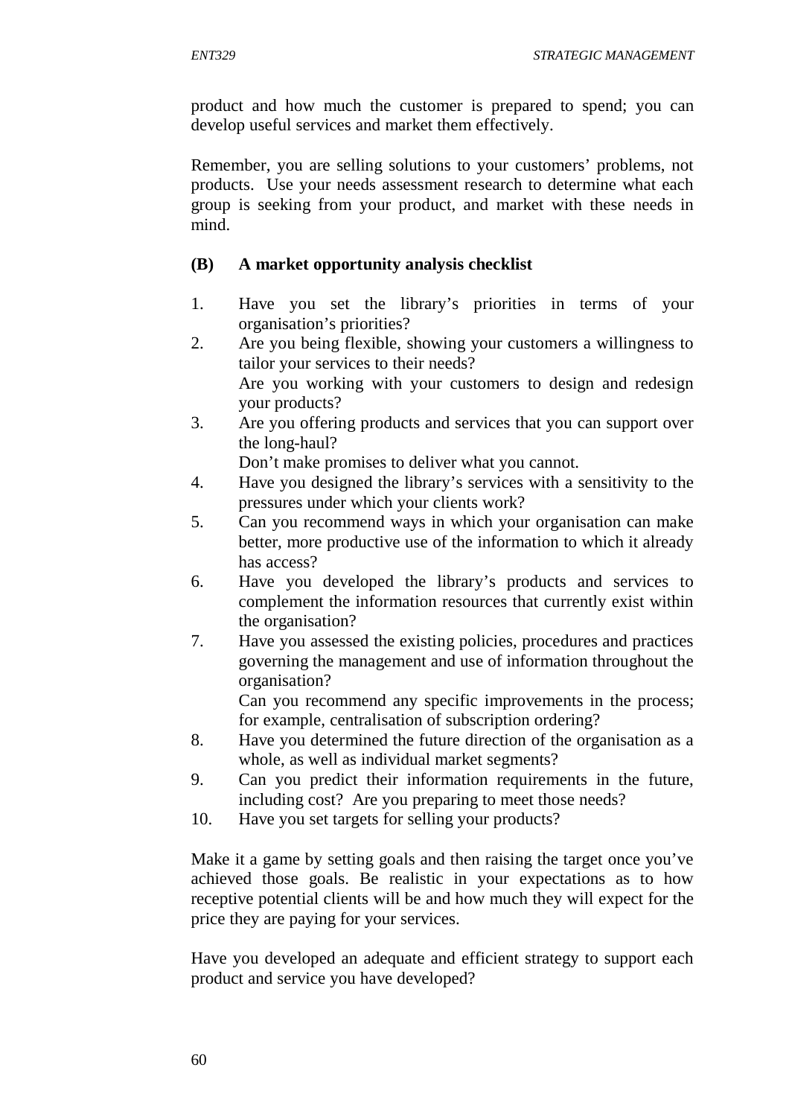product and how much the customer is prepared to spend; you can develop useful services and market them effectively.

Remember, you are selling solutions to your customers' problems, not products. Use your needs assessment research to determine what each group is seeking from your product, and market with these needs in mind.

#### **(B) A market opportunity analysis checklist**

- 1. Have you set the library's priorities in terms of your organisation's priorities?
- 2. Are you being flexible, showing your customers a willingness to tailor your services to their needs? Are you working with your customers to design and redesign your products?
- 3. Are you offering products and services that you can support over the long-haul?

Don't make promises to deliver what you cannot.

- 4. Have you designed the library's services with a sensitivity to the pressures under which your clients work?
- 5. Can you recommend ways in which your organisation can make better, more productive use of the information to which it already has access?
- 6. Have you developed the library's products and services to complement the information resources that currently exist within the organisation?
- 7. Have you assessed the existing policies, procedures and practices governing the management and use of information throughout the organisation?

Can you recommend any specific improvements in the process; for example, centralisation of subscription ordering?

- 8. Have you determined the future direction of the organisation as a whole, as well as individual market segments?
- 9. Can you predict their information requirements in the future, including cost? Are you preparing to meet those needs?
- 10. Have you set targets for selling your products?

Make it a game by setting goals and then raising the target once you've achieved those goals. Be realistic in your expectations as to how receptive potential clients will be and how much they will expect for the price they are paying for your services.

Have you developed an adequate and efficient strategy to support each product and service you have developed?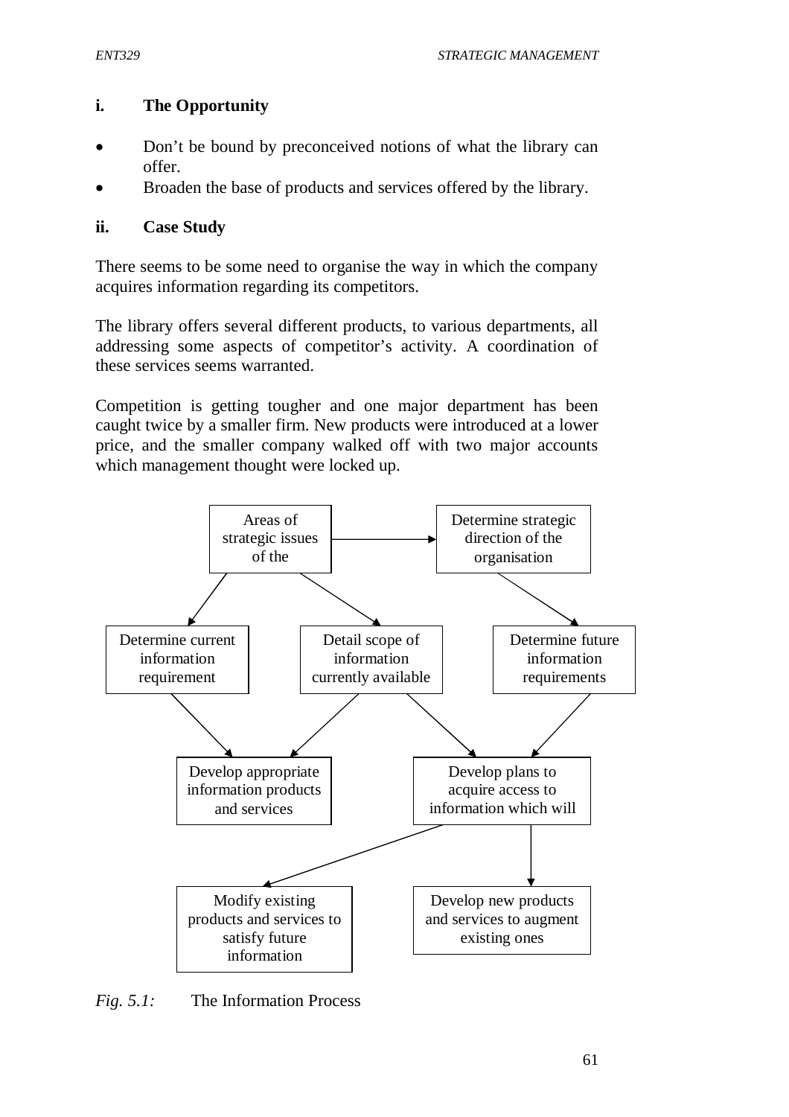### **i. The Opportunity**

- Don't be bound by preconceived notions of what the library can offer.
- Broaden the base of products and services offered by the library.

#### **ii. Case Study**

There seems to be some need to organise the way in which the company acquires information regarding its competitors.

The library offers several different products, to various departments, all addressing some aspects of competitor's activity. A coordination of these services seems warranted.

Competition is getting tougher and one major department has been caught twice by a smaller firm. New products were introduced at a lower price, and the smaller company walked off with two major accounts which management thought were locked up.



*Fig. 5.1:* The Information Process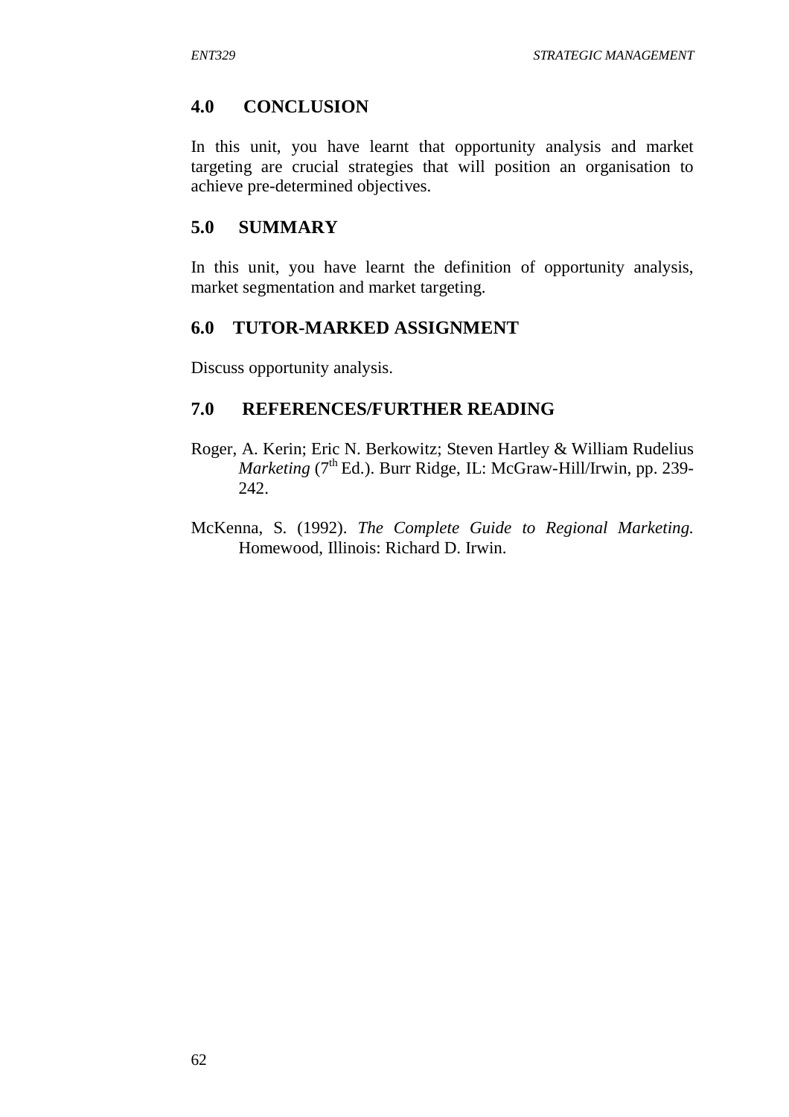### **4.0 CONCLUSION**

In this unit, you have learnt that opportunity analysis and market targeting are crucial strategies that will position an organisation to achieve pre-determined objectives.

### **5.0 SUMMARY**

In this unit, you have learnt the definition of opportunity analysis, market segmentation and market targeting.

### **6.0 TUTOR-MARKED ASSIGNMENT**

Discuss opportunity analysis.

### **7.0 REFERENCES/FURTHER READING**

- Roger, A. Kerin; Eric N. Berkowitz; Steven Hartley & William Rudelius *Marketing* (7<sup>th</sup> Ed.). Burr Ridge, IL: McGraw-Hill/Irwin, pp. 239-242.
- McKenna, S. (1992). *The Complete Guide to Regional Marketing.* Homewood, Illinois: Richard D. Irwin.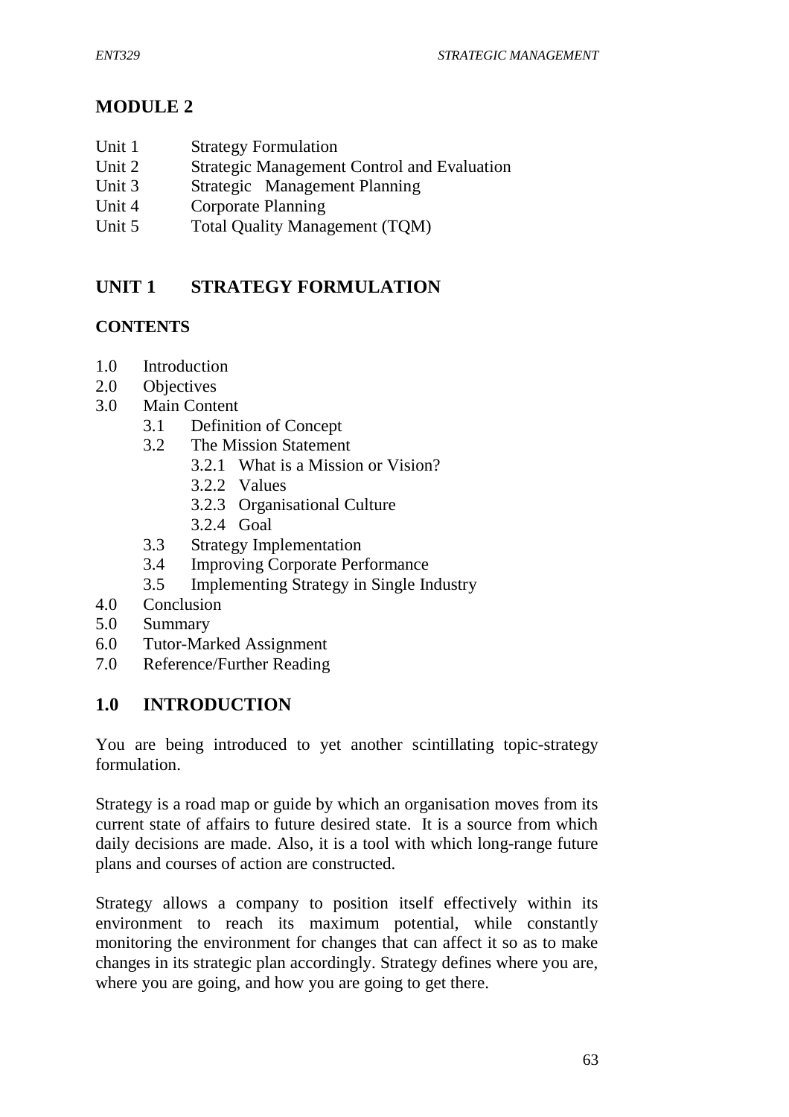# **MODULE 2**

- Unit 1 Strategy Formulation
- Unit 2 Strategic Management Control and Evaluation
- Unit 3 Strategic Management Planning
- Unit 4 Corporate Planning
- Unit 5 Total Quality Management (TOM)

# **UNIT 1 STRATEGY FORMULATION**

## **CONTENTS**

- 1.0 Introduction
- 2.0 Objectives
- 3.0 Main Content
	- 3.1 Definition of Concept
	- 3.2 The Mission Statement
		- 3.2.1 What is a Mission or Vision?
		- 3.2.2 Values
		- 3.2.3 Organisational Culture
		- 3.2.4 Goal
	- 3.3 Strategy Implementation
	- 3.4 Improving Corporate Performance
	- 3.5 Implementing Strategy in Single Industry
- 4.0 Conclusion
- 5.0 Summary
- 6.0 Tutor-Marked Assignment
- 7.0 Reference/Further Reading

## **1.0 INTRODUCTION**

You are being introduced to yet another scintillating topic-strategy formulation.

Strategy is a road map or guide by which an organisation moves from its current state of affairs to future desired state. It is a source from which daily decisions are made. Also, it is a tool with which long-range future plans and courses of action are constructed.

Strategy allows a company to position itself effectively within its environment to reach its maximum potential, while constantly monitoring the environment for changes that can affect it so as to make changes in its strategic plan accordingly. Strategy defines where you are, where you are going, and how you are going to get there.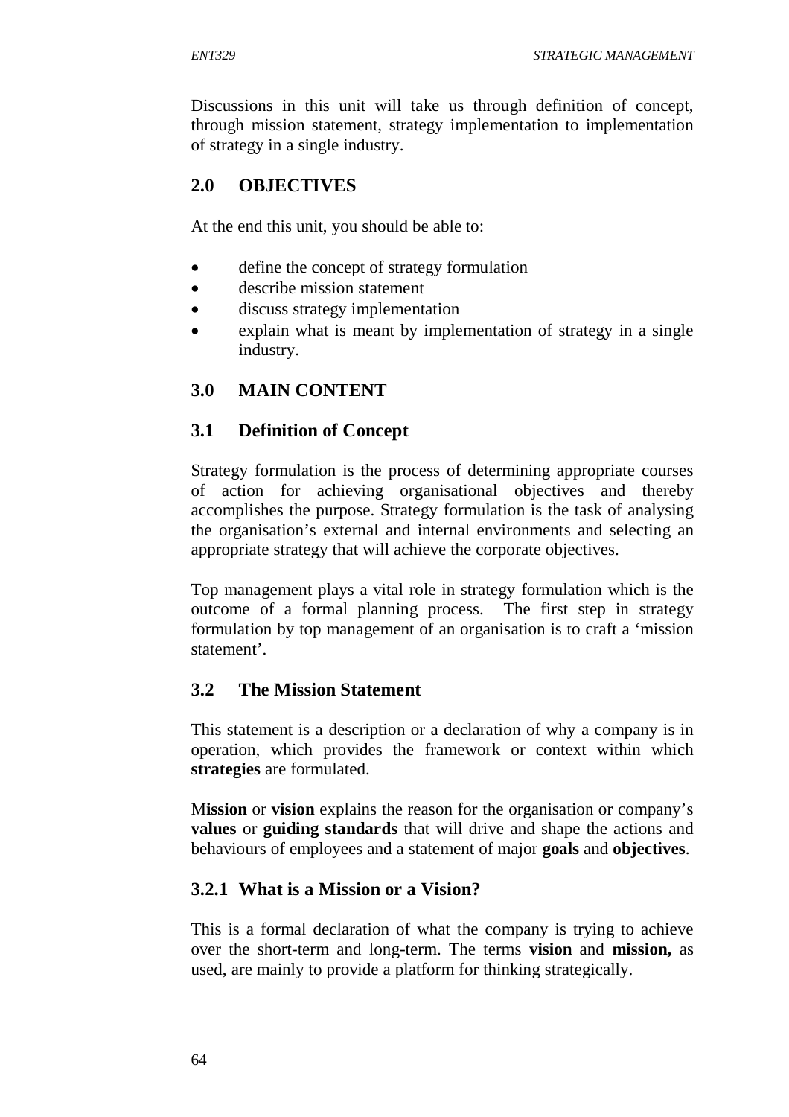Discussions in this unit will take us through definition of concept, through mission statement, strategy implementation to implementation of strategy in a single industry.

# **2.0 OBJECTIVES**

At the end this unit, you should be able to:

- define the concept of strategy formulation
- describe mission statement
- discuss strategy implementation
- explain what is meant by implementation of strategy in a single industry.

# **3.0 MAIN CONTENT**

# **3.1 Definition of Concept**

Strategy formulation is the process of determining appropriate courses of action for achieving organisational objectives and thereby accomplishes the purpose. Strategy formulation is the task of analysing the organisation's external and internal environments and selecting an appropriate strategy that will achieve the corporate objectives.

Top management plays a vital role in strategy formulation which is the outcome of a formal planning process. The first step in strategy formulation by top management of an organisation is to craft a 'mission statement'.

## **3.2 The Mission Statement**

This statement is a description or a declaration of why a company is in operation, which provides the framework or context within which **strategies** are formulated.

M**ission** or **vision** explains the reason for the organisation or company's **values** or **guiding standards** that will drive and shape the actions and behaviours of employees and a statement of major **goals** and **objectives**.

## **3.2.1 What is a Mission or a Vision?**

This is a formal declaration of what the company is trying to achieve over the short-term and long-term. The terms **vision** and **mission,** as used, are mainly to provide a platform for thinking strategically.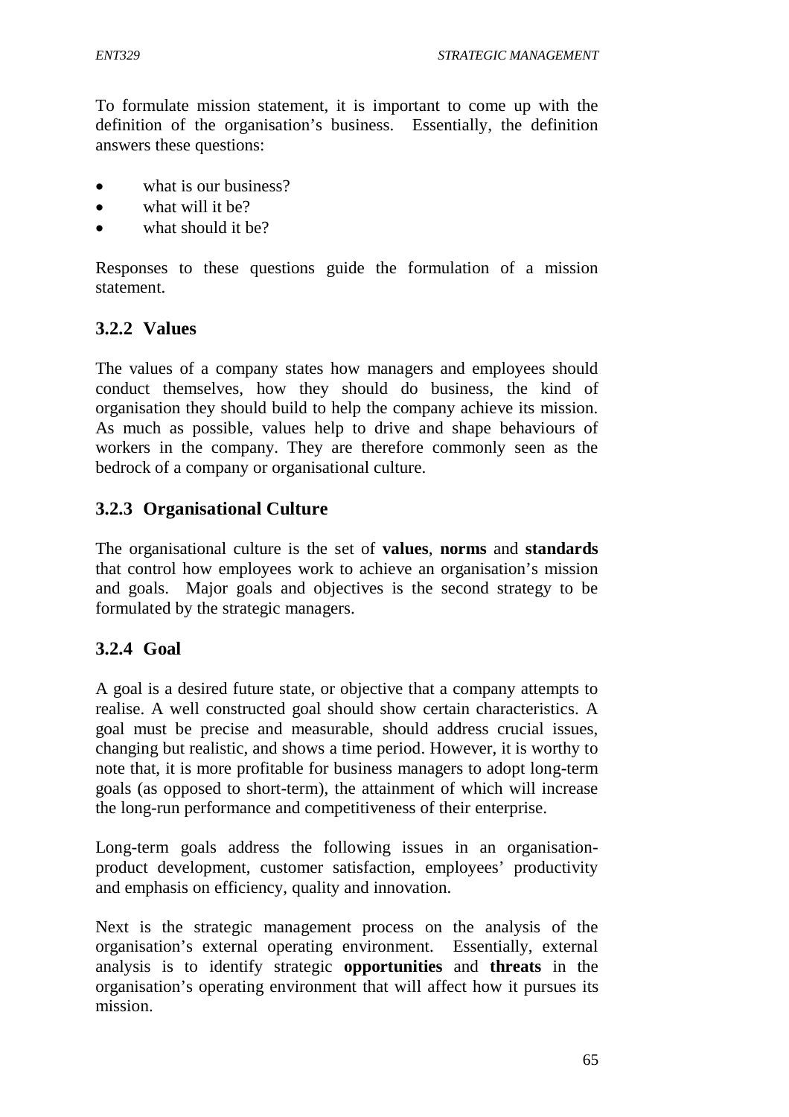To formulate mission statement, it is important to come up with the definition of the organisation's business. Essentially, the definition answers these questions:

- what is our business?
- $\bullet$  what will it be?
- what should it be?

Responses to these questions guide the formulation of a mission statement.

# **3.2.2 Values**

The values of a company states how managers and employees should conduct themselves, how they should do business, the kind of organisation they should build to help the company achieve its mission. As much as possible, values help to drive and shape behaviours of workers in the company. They are therefore commonly seen as the bedrock of a company or organisational culture.

# **3.2.3 Organisational Culture**

The organisational culture is the set of **values**, **norms** and **standards** that control how employees work to achieve an organisation's mission and goals. Major goals and objectives is the second strategy to be formulated by the strategic managers.

# **3.2.4 Goal**

A goal is a desired future state, or objective that a company attempts to realise. A well constructed goal should show certain characteristics. A goal must be precise and measurable, should address crucial issues, changing but realistic, and shows a time period. However, it is worthy to note that, it is more profitable for business managers to adopt long-term goals (as opposed to short-term), the attainment of which will increase the long-run performance and competitiveness of their enterprise.

Long-term goals address the following issues in an organisationproduct development, customer satisfaction, employees' productivity and emphasis on efficiency, quality and innovation.

Next is the strategic management process on the analysis of the organisation's external operating environment. Essentially, external analysis is to identify strategic **opportunities** and **threats** in the organisation's operating environment that will affect how it pursues its mission.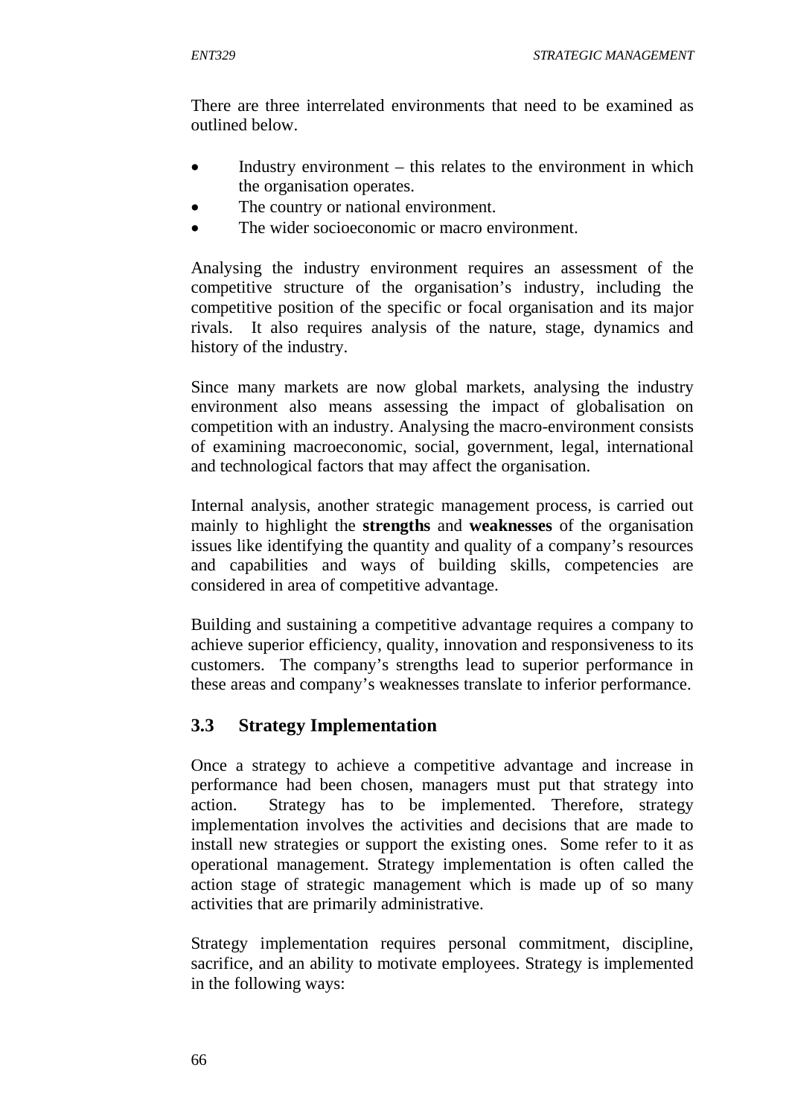There are three interrelated environments that need to be examined as outlined below.

- Industry environment this relates to the environment in which the organisation operates.
- The country or national environment.
- The wider socioeconomic or macro environment.

Analysing the industry environment requires an assessment of the competitive structure of the organisation's industry, including the competitive position of the specific or focal organisation and its major rivals. It also requires analysis of the nature, stage, dynamics and history of the industry.

Since many markets are now global markets, analysing the industry environment also means assessing the impact of globalisation on competition with an industry. Analysing the macro-environment consists of examining macroeconomic, social, government, legal, international and technological factors that may affect the organisation.

Internal analysis, another strategic management process, is carried out mainly to highlight the **strengths** and **weaknesses** of the organisation issues like identifying the quantity and quality of a company's resources and capabilities and ways of building skills, competencies are considered in area of competitive advantage.

Building and sustaining a competitive advantage requires a company to achieve superior efficiency, quality, innovation and responsiveness to its customers. The company's strengths lead to superior performance in these areas and company's weaknesses translate to inferior performance.

## **3.3 Strategy Implementation**

Once a strategy to achieve a competitive advantage and increase in performance had been chosen, managers must put that strategy into action. Strategy has to be implemented. Therefore, strategy implementation involves the activities and decisions that are made to install new strategies or support the existing ones. Some refer to it as operational management. Strategy implementation is often called the action stage of strategic management which is made up of so many activities that are primarily administrative.

Strategy implementation requires personal commitment, discipline, sacrifice, and an ability to motivate employees. Strategy is implemented in the following ways: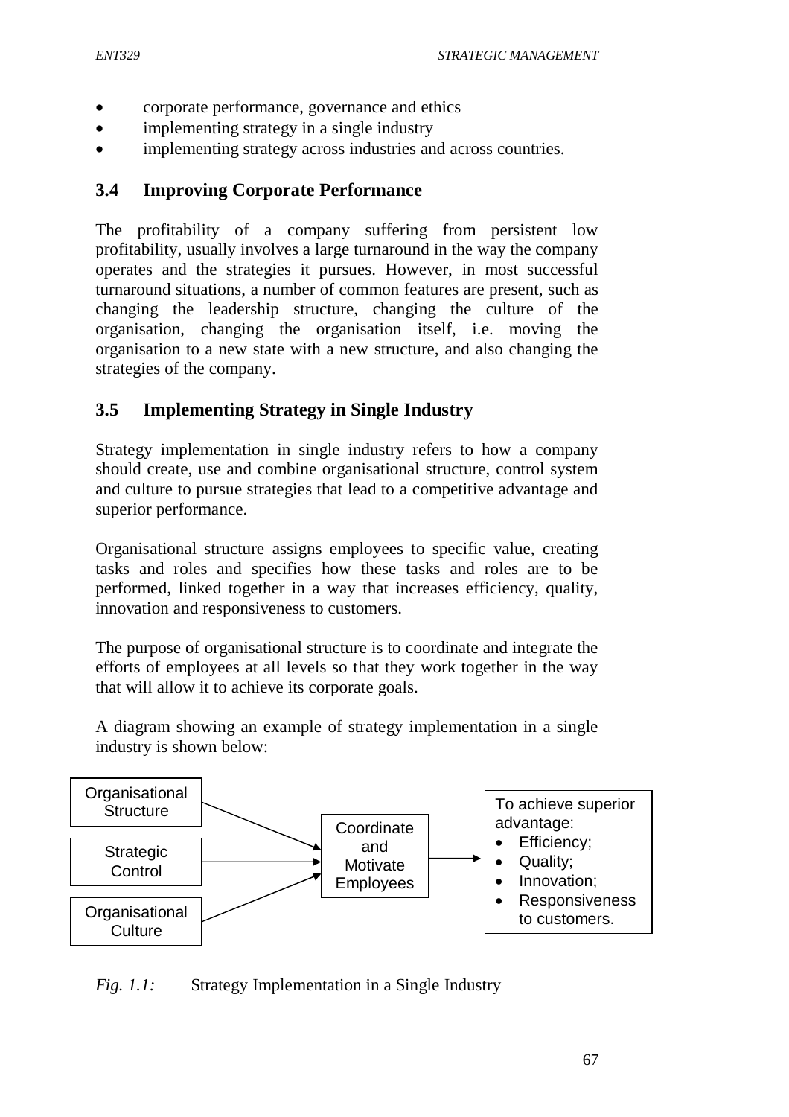- corporate performance, governance and ethics
- implementing strategy in a single industry
- implementing strategy across industries and across countries.

### **3.4 Improving Corporate Performance**

The profitability of a company suffering from persistent low profitability, usually involves a large turnaround in the way the company operates and the strategies it pursues. However, in most successful turnaround situations, a number of common features are present, such as changing the leadership structure, changing the culture of the organisation, changing the organisation itself, i.e. moving the organisation to a new state with a new structure, and also changing the strategies of the company.

## **3.5 Implementing Strategy in Single Industry**

Strategy implementation in single industry refers to how a company should create, use and combine organisational structure, control system and culture to pursue strategies that lead to a competitive advantage and superior performance.

Organisational structure assigns employees to specific value, creating tasks and roles and specifies how these tasks and roles are to be performed, linked together in a way that increases efficiency, quality, innovation and responsiveness to customers.

The purpose of organisational structure is to coordinate and integrate the efforts of employees at all levels so that they work together in the way that will allow it to achieve its corporate goals.

A diagram showing an example of strategy implementation in a single industry is shown below:



*Fig. 1.1:* Strategy Implementation in a Single Industry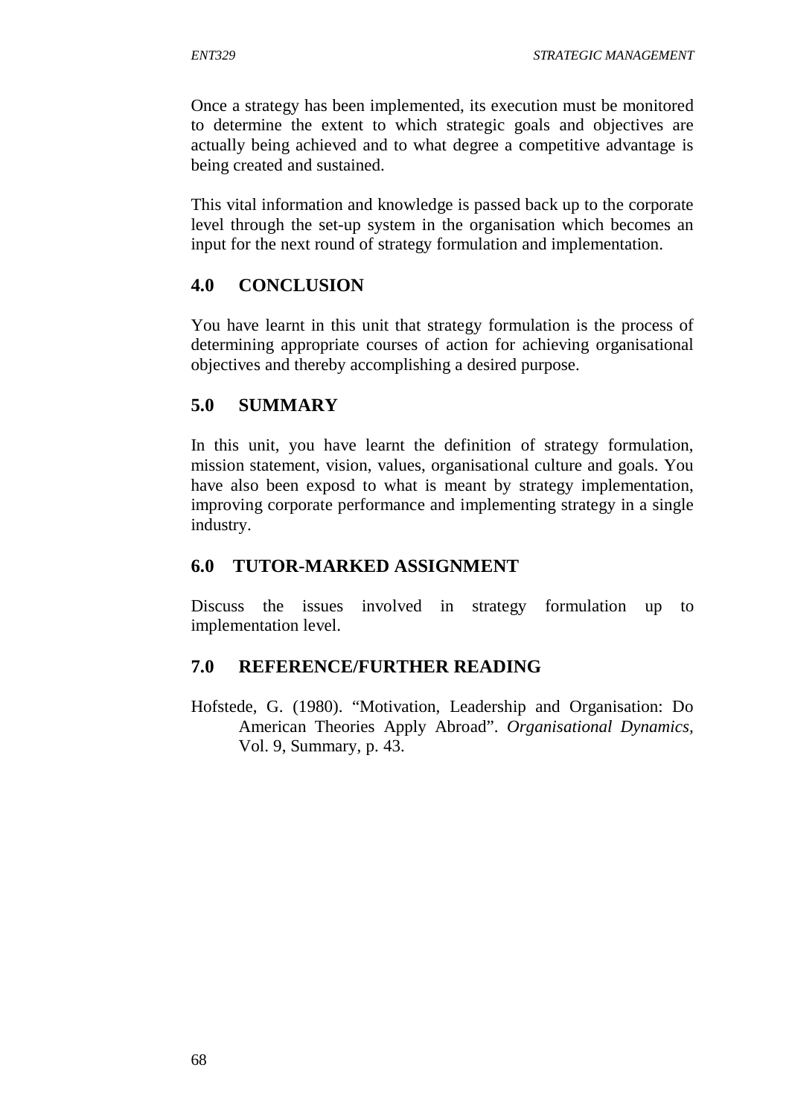Once a strategy has been implemented, its execution must be monitored to determine the extent to which strategic goals and objectives are actually being achieved and to what degree a competitive advantage is being created and sustained.

This vital information and knowledge is passed back up to the corporate level through the set-up system in the organisation which becomes an input for the next round of strategy formulation and implementation.

## **4.0 CONCLUSION**

You have learnt in this unit that strategy formulation is the process of determining appropriate courses of action for achieving organisational objectives and thereby accomplishing a desired purpose.

## **5.0 SUMMARY**

In this unit, you have learnt the definition of strategy formulation, mission statement, vision, values, organisational culture and goals. You have also been exposd to what is meant by strategy implementation, improving corporate performance and implementing strategy in a single industry.

## **6.0 TUTOR-MARKED ASSIGNMENT**

Discuss the issues involved in strategy formulation up to implementation level.

## **7.0 REFERENCE/FURTHER READING**

Hofstede, G. (1980). "Motivation, Leadership and Organisation: Do American Theories Apply Abroad". *Organisational Dynamics,* Vol. 9, Summary, p. 43.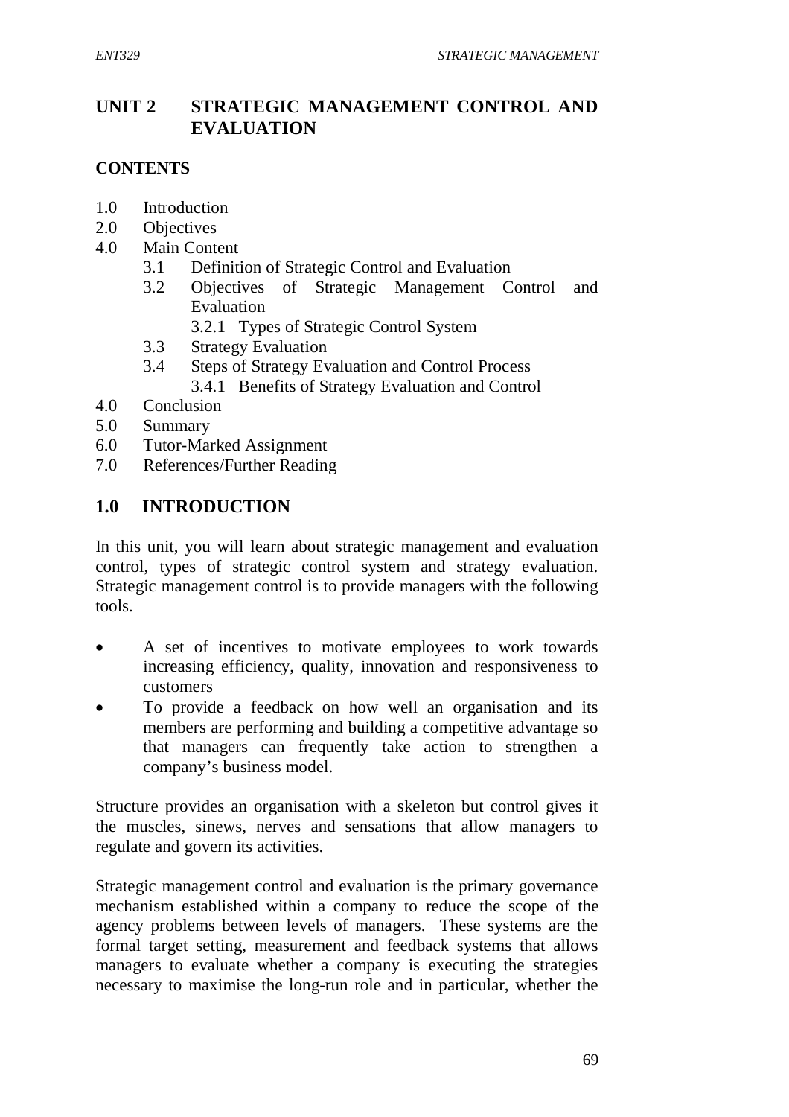# **UNIT 2 STRATEGIC MANAGEMENT CONTROL AND EVALUATION**

## **CONTENTS**

- 1.0 Introduction
- 2.0 Objectives
- 4.0 Main Content
	- 3.1 Definition of Strategic Control and Evaluation
	- 3.2 Objectives of Strategic Management Control and Evaluation
		- 3.2.1 Types of Strategic Control System
	- 3.3 Strategy Evaluation
	- 3.4 Steps of Strategy Evaluation and Control Process 3.4.1 Benefits of Strategy Evaluation and Control
- 4.0 Conclusion
- 5.0 Summary
- 6.0 Tutor-Marked Assignment
- 7.0 References/Further Reading

## **1.0 INTRODUCTION**

In this unit, you will learn about strategic management and evaluation control, types of strategic control system and strategy evaluation. Strategic management control is to provide managers with the following tools.

- A set of incentives to motivate employees to work towards increasing efficiency, quality, innovation and responsiveness to customers
- To provide a feedback on how well an organisation and its members are performing and building a competitive advantage so that managers can frequently take action to strengthen a company's business model.

Structure provides an organisation with a skeleton but control gives it the muscles, sinews, nerves and sensations that allow managers to regulate and govern its activities.

Strategic management control and evaluation is the primary governance mechanism established within a company to reduce the scope of the agency problems between levels of managers. These systems are the formal target setting, measurement and feedback systems that allows managers to evaluate whether a company is executing the strategies necessary to maximise the long-run role and in particular, whether the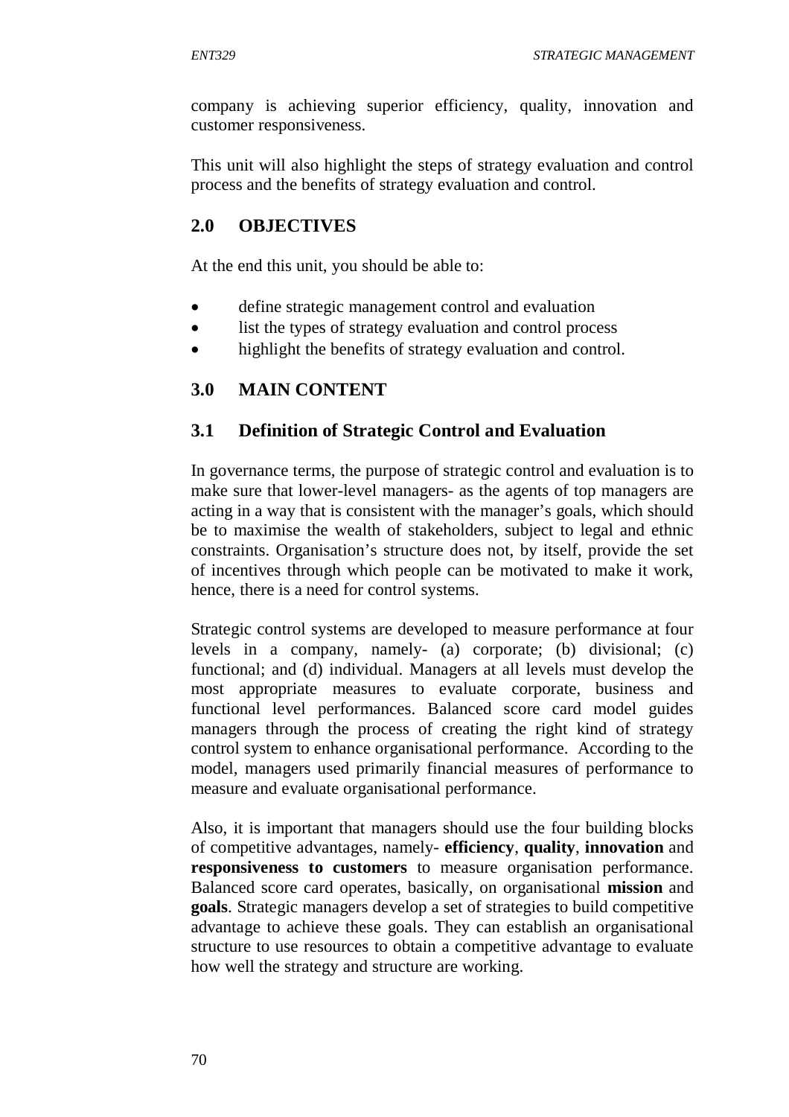company is achieving superior efficiency, quality, innovation and customer responsiveness.

This unit will also highlight the steps of strategy evaluation and control process and the benefits of strategy evaluation and control.

### **2.0 OBJECTIVES**

At the end this unit, you should be able to:

- define strategic management control and evaluation
- list the types of strategy evaluation and control process
- highlight the benefits of strategy evaluation and control.

### **3.0 MAIN CONTENT**

### **3.1 Definition of Strategic Control and Evaluation**

In governance terms, the purpose of strategic control and evaluation is to make sure that lower-level managers- as the agents of top managers are acting in a way that is consistent with the manager's goals, which should be to maximise the wealth of stakeholders, subject to legal and ethnic constraints. Organisation's structure does not, by itself, provide the set of incentives through which people can be motivated to make it work, hence, there is a need for control systems.

Strategic control systems are developed to measure performance at four levels in a company, namely- (a) corporate; (b) divisional; (c) functional; and (d) individual. Managers at all levels must develop the most appropriate measures to evaluate corporate, business and functional level performances. Balanced score card model guides managers through the process of creating the right kind of strategy control system to enhance organisational performance. According to the model, managers used primarily financial measures of performance to measure and evaluate organisational performance.

Also, it is important that managers should use the four building blocks of competitive advantages, namely- **efficiency**, **quality**, **innovation** and **responsiveness to customers** to measure organisation performance. Balanced score card operates, basically, on organisational **mission** and **goals**. Strategic managers develop a set of strategies to build competitive advantage to achieve these goals. They can establish an organisational structure to use resources to obtain a competitive advantage to evaluate how well the strategy and structure are working.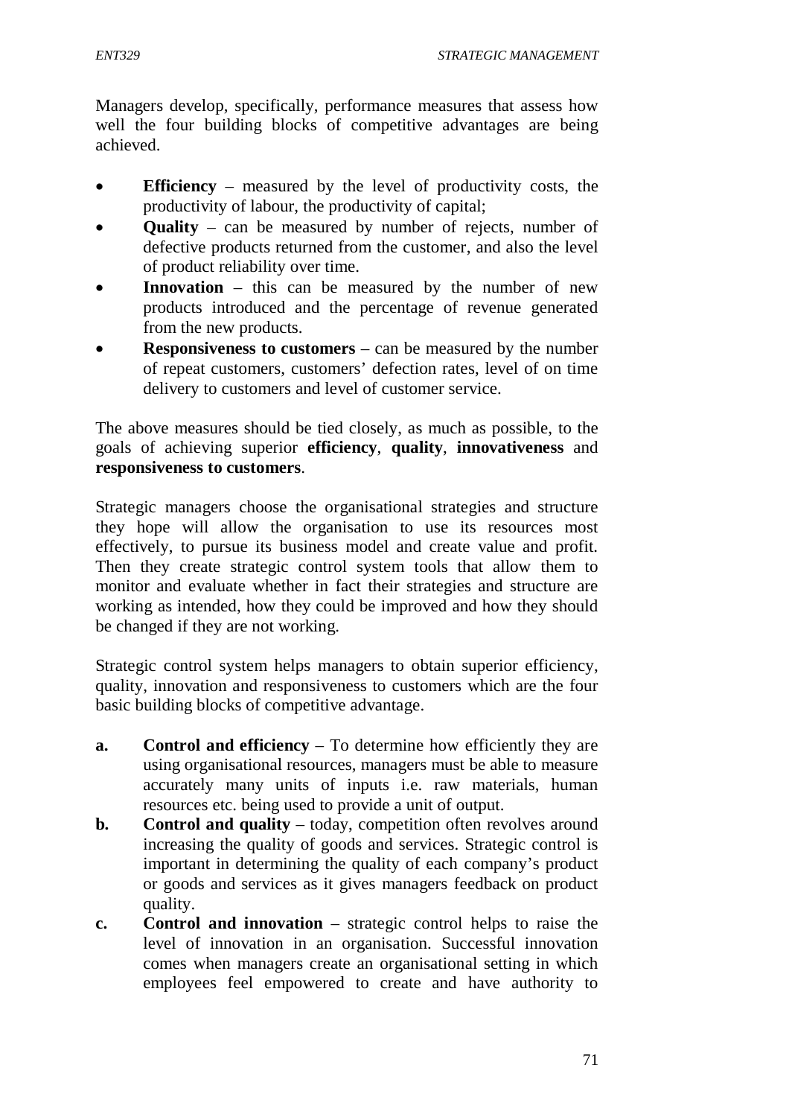*ENT329 STRATEGIC MANAGEMENT*

Managers develop, specifically, performance measures that assess how well the four building blocks of competitive advantages are being achieved.

- **Efficiency**  measured by the level of productivity costs, the productivity of labour, the productivity of capital;
- **Quality** can be measured by number of rejects, number of defective products returned from the customer, and also the level of product reliability over time.
- **Innovation** this can be measured by the number of new products introduced and the percentage of revenue generated from the new products.
- **Responsiveness to customers**  can be measured by the number of repeat customers, customers' defection rates, level of on time delivery to customers and level of customer service.

The above measures should be tied closely, as much as possible, to the goals of achieving superior **efficiency**, **quality**, **innovativeness** and **responsiveness to customers**.

Strategic managers choose the organisational strategies and structure they hope will allow the organisation to use its resources most effectively, to pursue its business model and create value and profit. Then they create strategic control system tools that allow them to monitor and evaluate whether in fact their strategies and structure are working as intended, how they could be improved and how they should be changed if they are not working.

Strategic control system helps managers to obtain superior efficiency, quality, innovation and responsiveness to customers which are the four basic building blocks of competitive advantage.

- **a. Control and efficiency** To determine how efficiently they are using organisational resources, managers must be able to measure accurately many units of inputs i.e. raw materials, human resources etc. being used to provide a unit of output.
- **b. Control and quality** today, competition often revolves around increasing the quality of goods and services. Strategic control is important in determining the quality of each company's product or goods and services as it gives managers feedback on product quality.
- **c. Control and innovation** strategic control helps to raise the level of innovation in an organisation. Successful innovation comes when managers create an organisational setting in which employees feel empowered to create and have authority to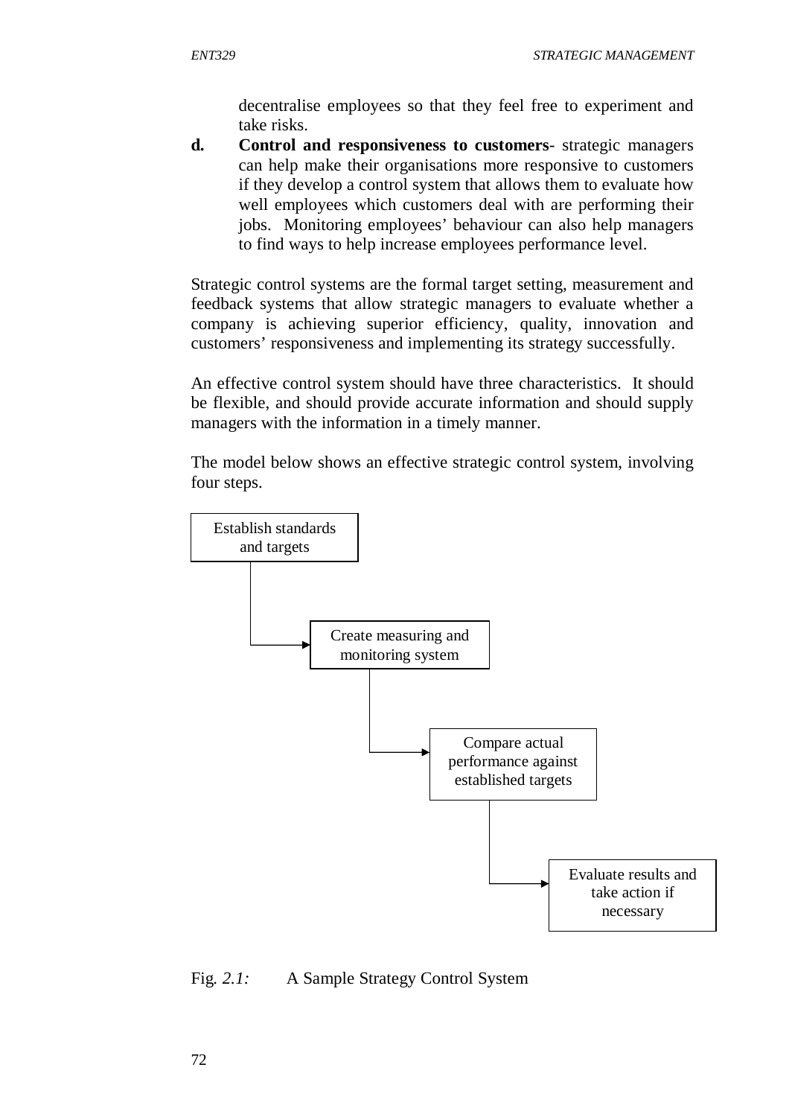decentralise employees so that they feel free to experiment and take risks.

**d. Control and responsiveness to customers**- strategic managers can help make their organisations more responsive to customers if they develop a control system that allows them to evaluate how well employees which customers deal with are performing their jobs. Monitoring employees' behaviour can also help managers to find ways to help increase employees performance level.

Strategic control systems are the formal target setting, measurement and feedback systems that allow strategic managers to evaluate whether a company is achieving superior efficiency, quality, innovation and customers' responsiveness and implementing its strategy successfully.

An effective control system should have three characteristics. It should be flexible, and should provide accurate information and should supply managers with the information in a timely manner.

The model below shows an effective strategic control system, involving four steps.



### Fig*. 2.1:* A Sample Strategy Control System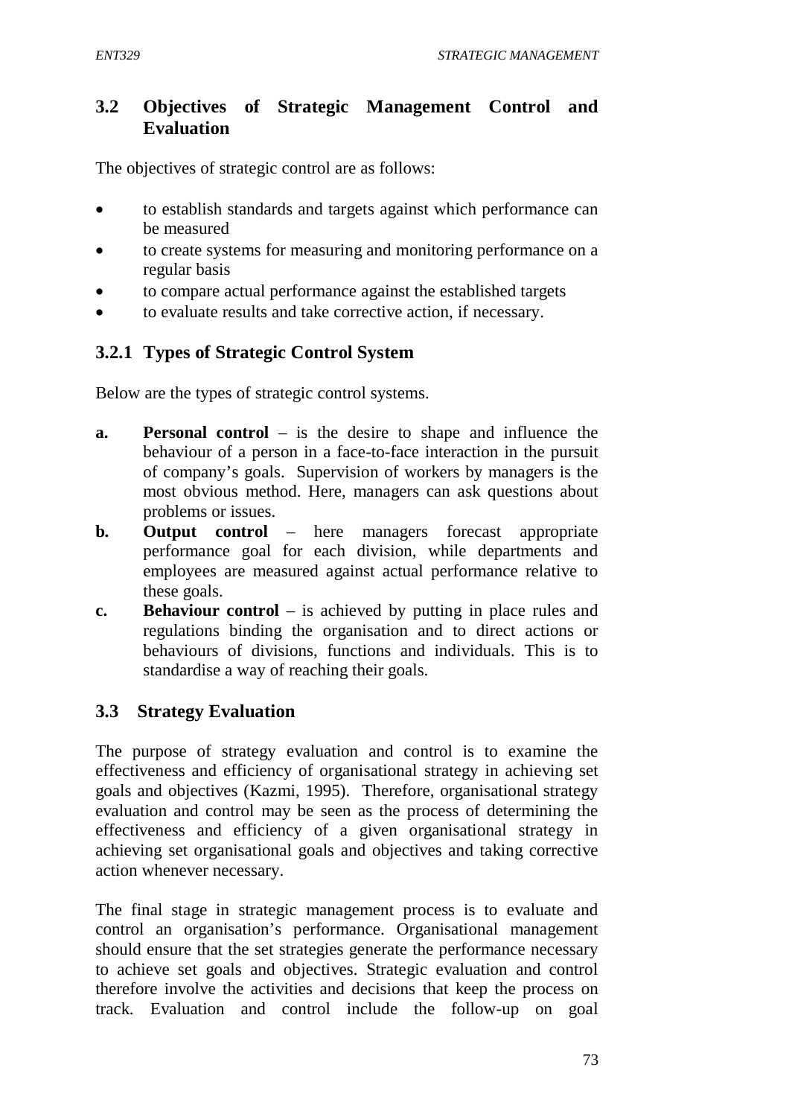# **3.2 Objectives of Strategic Management Control and Evaluation**

The objectives of strategic control are as follows:

- to establish standards and targets against which performance can be measured
- to create systems for measuring and monitoring performance on a regular basis
- to compare actual performance against the established targets
- to evaluate results and take corrective action, if necessary.

# **3.2.1 Types of Strategic Control System**

Below are the types of strategic control systems.

- **a. Personal control** is the desire to shape and influence the behaviour of a person in a face-to-face interaction in the pursuit of company's goals. Supervision of workers by managers is the most obvious method. Here, managers can ask questions about problems or issues.
- **b. Output control** here managers forecast appropriate performance goal for each division, while departments and employees are measured against actual performance relative to these goals.
- **c. Behaviour control** is achieved by putting in place rules and regulations binding the organisation and to direct actions or behaviours of divisions, functions and individuals. This is to standardise a way of reaching their goals.

# **3.3 Strategy Evaluation**

The purpose of strategy evaluation and control is to examine the effectiveness and efficiency of organisational strategy in achieving set goals and objectives (Kazmi, 1995). Therefore, organisational strategy evaluation and control may be seen as the process of determining the effectiveness and efficiency of a given organisational strategy in achieving set organisational goals and objectives and taking corrective action whenever necessary.

The final stage in strategic management process is to evaluate and control an organisation's performance. Organisational management should ensure that the set strategies generate the performance necessary to achieve set goals and objectives. Strategic evaluation and control therefore involve the activities and decisions that keep the process on track. Evaluation and control include the follow-up on goal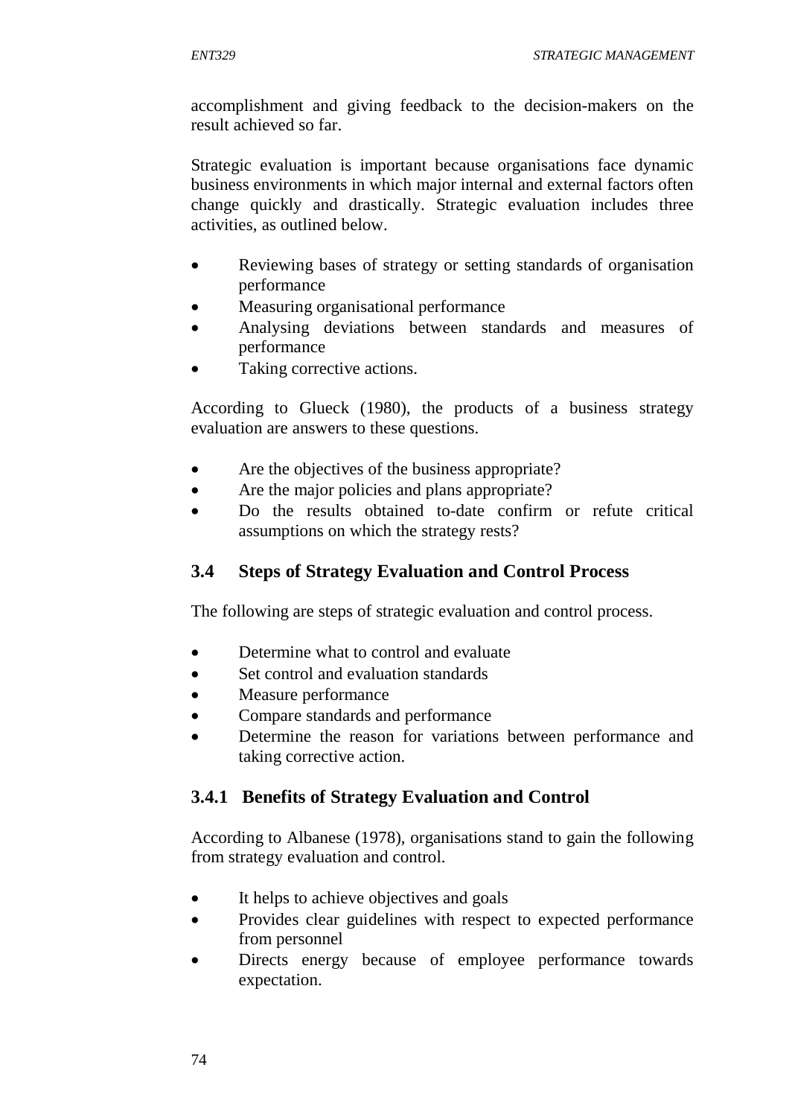accomplishment and giving feedback to the decision-makers on the result achieved so far.

Strategic evaluation is important because organisations face dynamic business environments in which major internal and external factors often change quickly and drastically. Strategic evaluation includes three activities, as outlined below.

- Reviewing bases of strategy or setting standards of organisation performance
- Measuring organisational performance
- Analysing deviations between standards and measures of performance
- Taking corrective actions.

According to Glueck (1980), the products of a business strategy evaluation are answers to these questions.

- Are the objectives of the business appropriate?
- Are the major policies and plans appropriate?
- Do the results obtained to-date confirm or refute critical assumptions on which the strategy rests?

# **3.4 Steps of Strategy Evaluation and Control Process**

The following are steps of strategic evaluation and control process.

- Determine what to control and evaluate
- Set control and evaluation standards
- Measure performance
- Compare standards and performance
- Determine the reason for variations between performance and taking corrective action.

# **3.4.1 Benefits of Strategy Evaluation and Control**

According to Albanese (1978), organisations stand to gain the following from strategy evaluation and control.

- It helps to achieve objectives and goals
- Provides clear guidelines with respect to expected performance from personnel
- Directs energy because of employee performance towards expectation.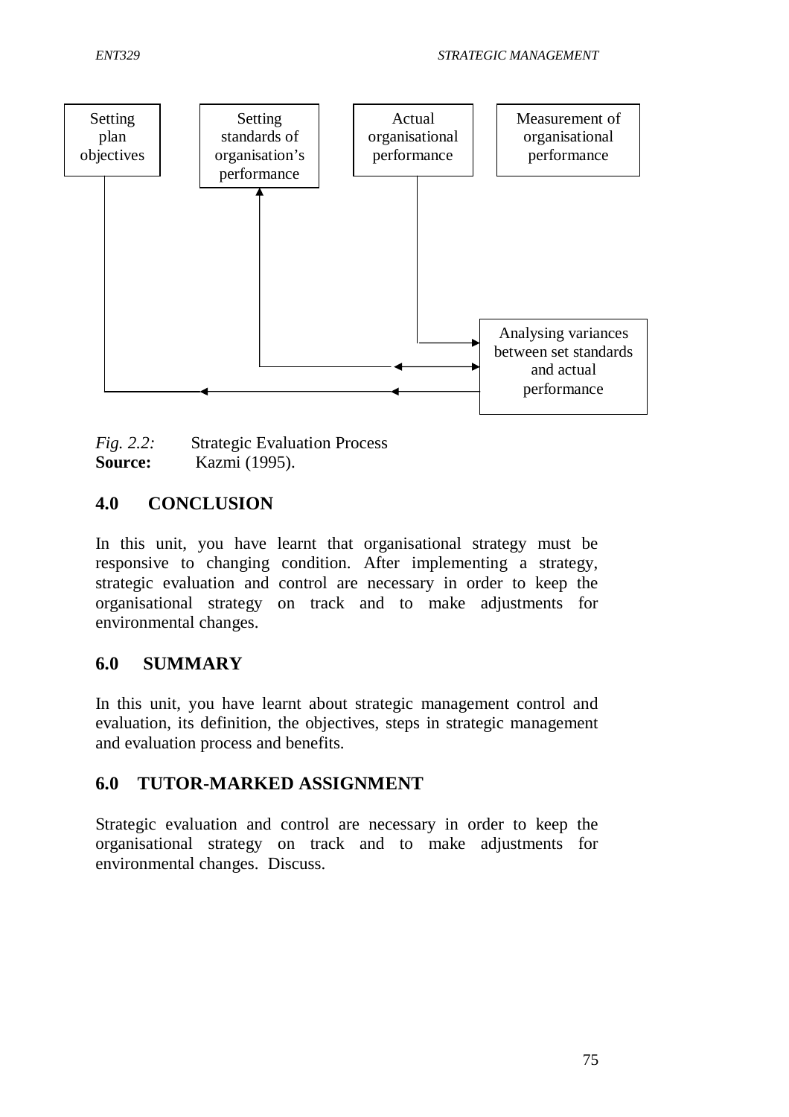

*Fig. 2.2:* Strategic Evaluation Process **Source:** Kazmi (1995).

## **4.0 CONCLUSION**

In this unit, you have learnt that organisational strategy must be responsive to changing condition. After implementing a strategy, strategic evaluation and control are necessary in order to keep the organisational strategy on track and to make adjustments for environmental changes.

### **6.0 SUMMARY**

In this unit, you have learnt about strategic management control and evaluation, its definition, the objectives, steps in strategic management and evaluation process and benefits.

## **6.0 TUTOR-MARKED ASSIGNMENT**

Strategic evaluation and control are necessary in order to keep the organisational strategy on track and to make adjustments for environmental changes. Discuss.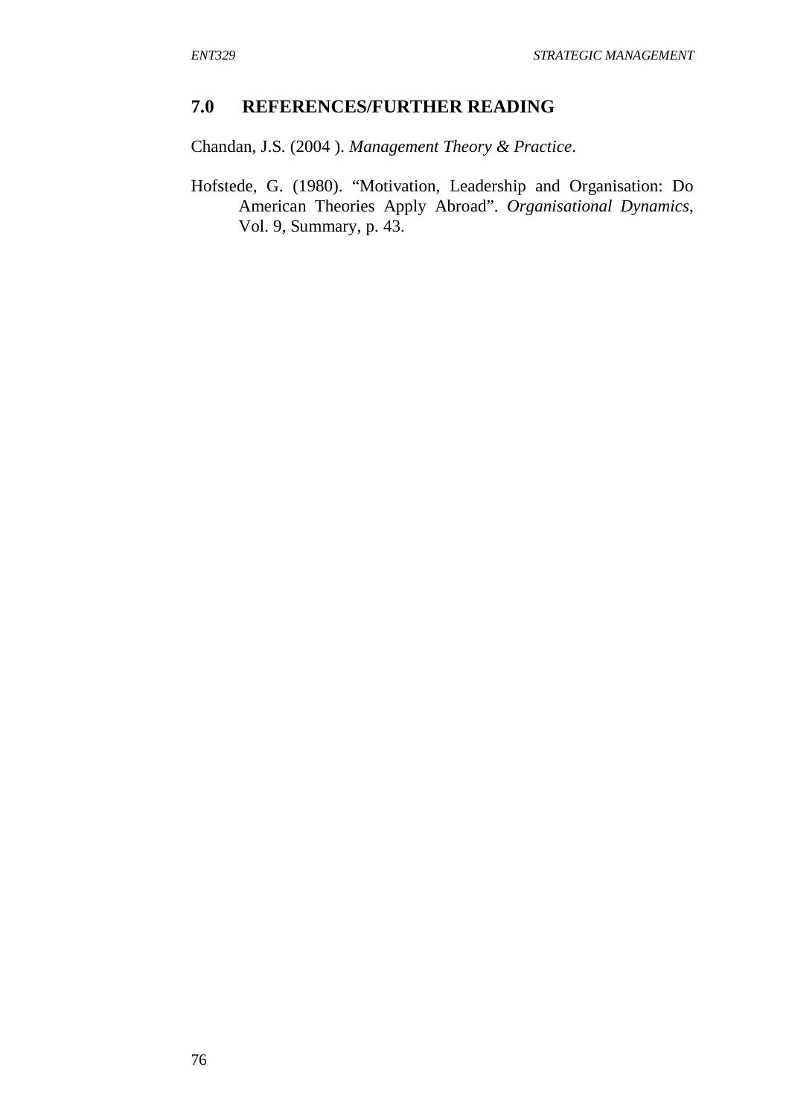### **7.0 REFERENCES/FURTHER READING**

Chandan, J.S. (2004 ). *Management Theory & Practice*.

Hofstede, G. (1980). "Motivation, Leadership and Organisation: Do American Theories Apply Abroad". *Organisational Dynamics*, Vol. 9, Summary, p. 43.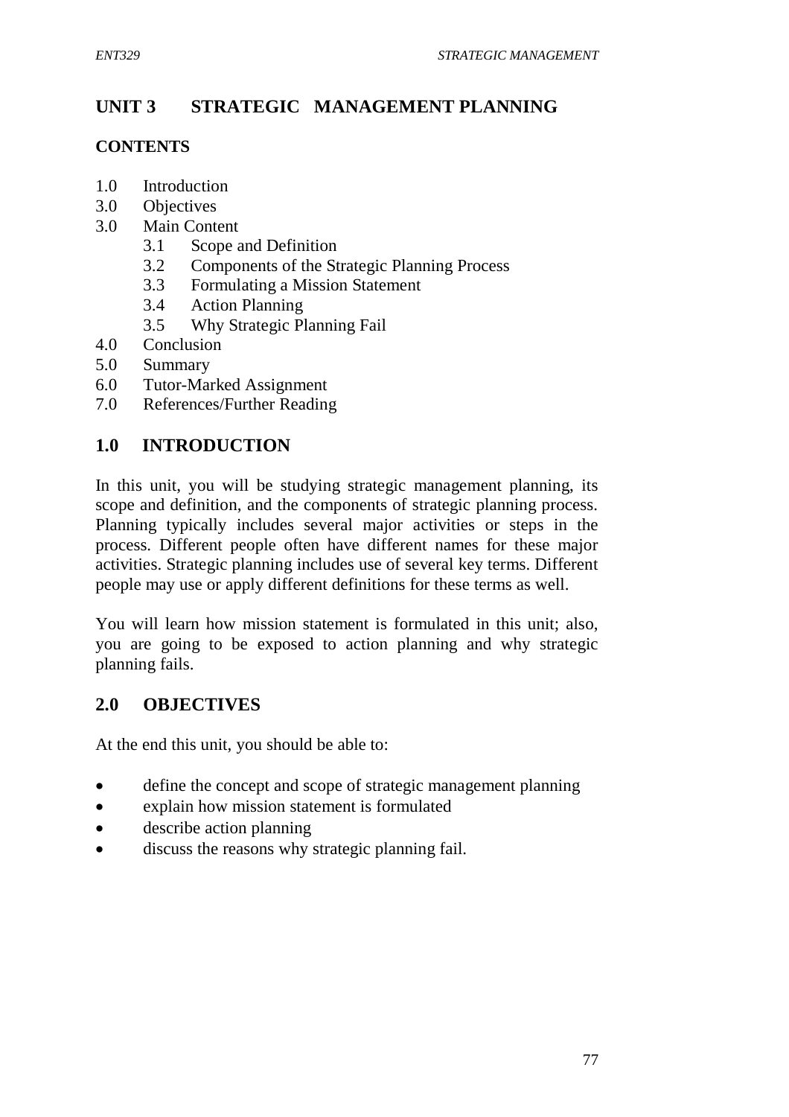# **UNIT 3 STRATEGIC MANAGEMENT PLANNING**

### **CONTENTS**

- 1.0 Introduction
- 3.0 Objectives
- 3.0 Main Content
	- 3.1 Scope and Definition
	- 3.2 Components of the Strategic Planning Process
	- 3.3 Formulating a Mission Statement
	- 3.4 Action Planning
	- 3.5 Why Strategic Planning Fail
- 4.0 Conclusion
- 5.0 Summary
- 6.0 Tutor-Marked Assignment
- 7.0 References/Further Reading

# **1.0 INTRODUCTION**

In this unit, you will be studying strategic management planning, its scope and definition, and the components of strategic planning process. Planning typically includes several major activities or steps in the process. Different people often have different names for these major activities. Strategic planning includes use of several key terms. Different people may use or apply different definitions for these terms as well.

You will learn how mission statement is formulated in this unit; also, you are going to be exposed to action planning and why strategic planning fails.

## **2.0 OBJECTIVES**

At the end this unit, you should be able to:

- define the concept and scope of strategic management planning
- explain how mission statement is formulated
- describe action planning
- discuss the reasons why strategic planning fail.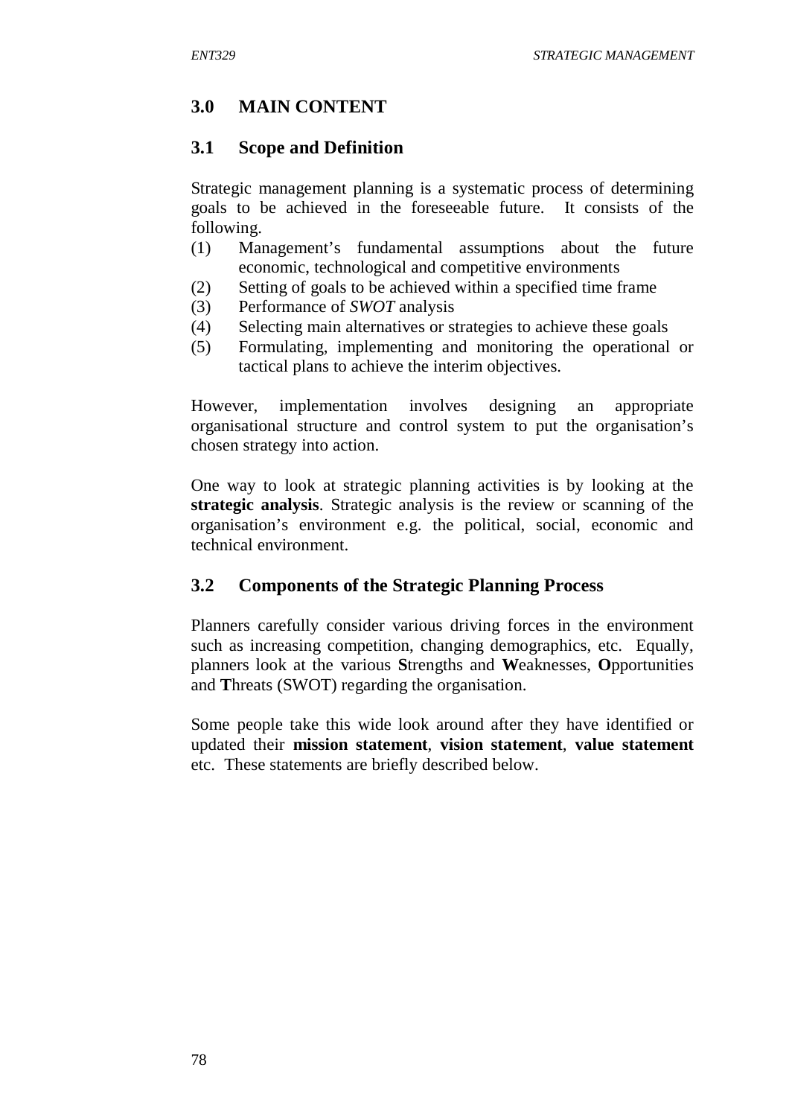# **3.0 MAIN CONTENT**

## **3.1 Scope and Definition**

Strategic management planning is a systematic process of determining goals to be achieved in the foreseeable future. It consists of the following.

- (1) Management's fundamental assumptions about the future economic, technological and competitive environments
- (2) Setting of goals to be achieved within a specified time frame
- (3) Performance of *SWOT* analysis
- (4) Selecting main alternatives or strategies to achieve these goals
- (5) Formulating, implementing and monitoring the operational or tactical plans to achieve the interim objectives.

However, implementation involves designing an appropriate organisational structure and control system to put the organisation's chosen strategy into action.

One way to look at strategic planning activities is by looking at the **strategic analysis**. Strategic analysis is the review or scanning of the organisation's environment e.g. the political, social, economic and technical environment.

# **3.2 Components of the Strategic Planning Process**

Planners carefully consider various driving forces in the environment such as increasing competition, changing demographics, etc. Equally, planners look at the various **S**trengths and **W**eaknesses, **O**pportunities and **T**hreats (SWOT) regarding the organisation.

Some people take this wide look around after they have identified or updated their **mission statement**, **vision statement**, **value statement** etc. These statements are briefly described below.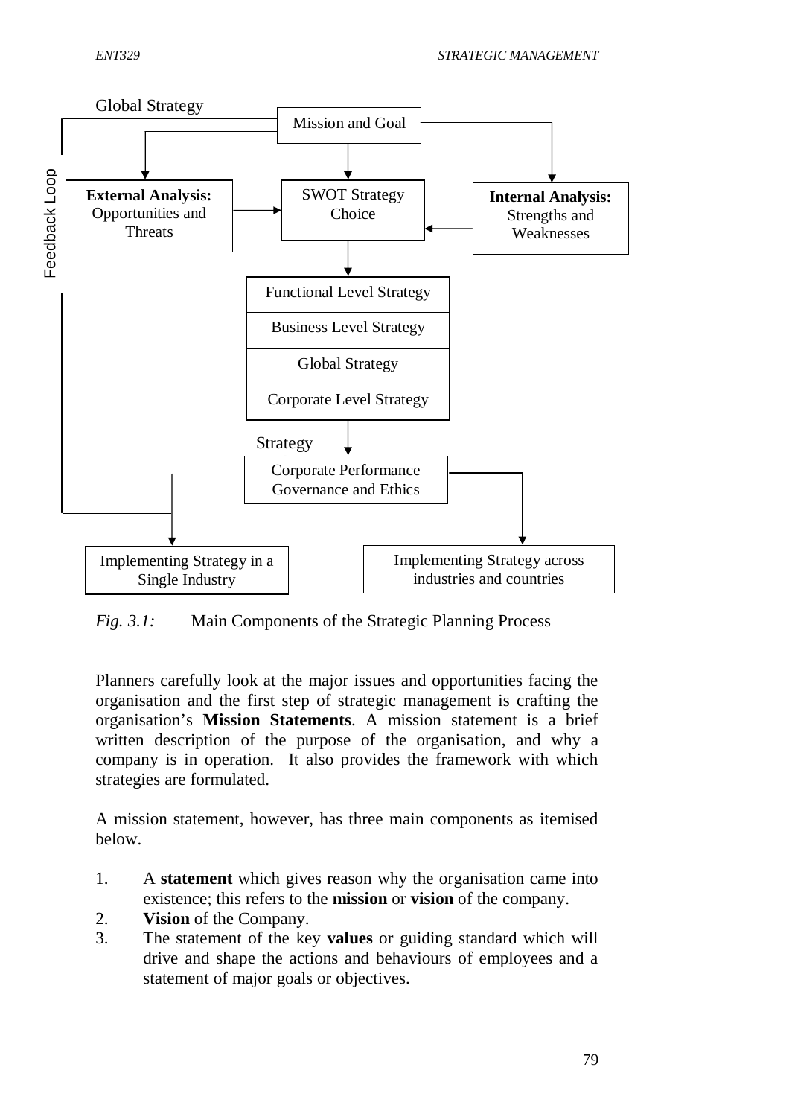

*Fig. 3.1:* Main Components of the Strategic Planning Process

Planners carefully look at the major issues and opportunities facing the organisation and the first step of strategic management is crafting the organisation's **Mission Statements**. A mission statement is a brief written description of the purpose of the organisation, and why a company is in operation. It also provides the framework with which strategies are formulated.

A mission statement, however, has three main components as itemised below.

- 1. A **statement** which gives reason why the organisation came into existence; this refers to the **mission** or **vision** of the company.
- 2. **Vision** of the Company.
- 3. The statement of the key **values** or guiding standard which will drive and shape the actions and behaviours of employees and a statement of major goals or objectives.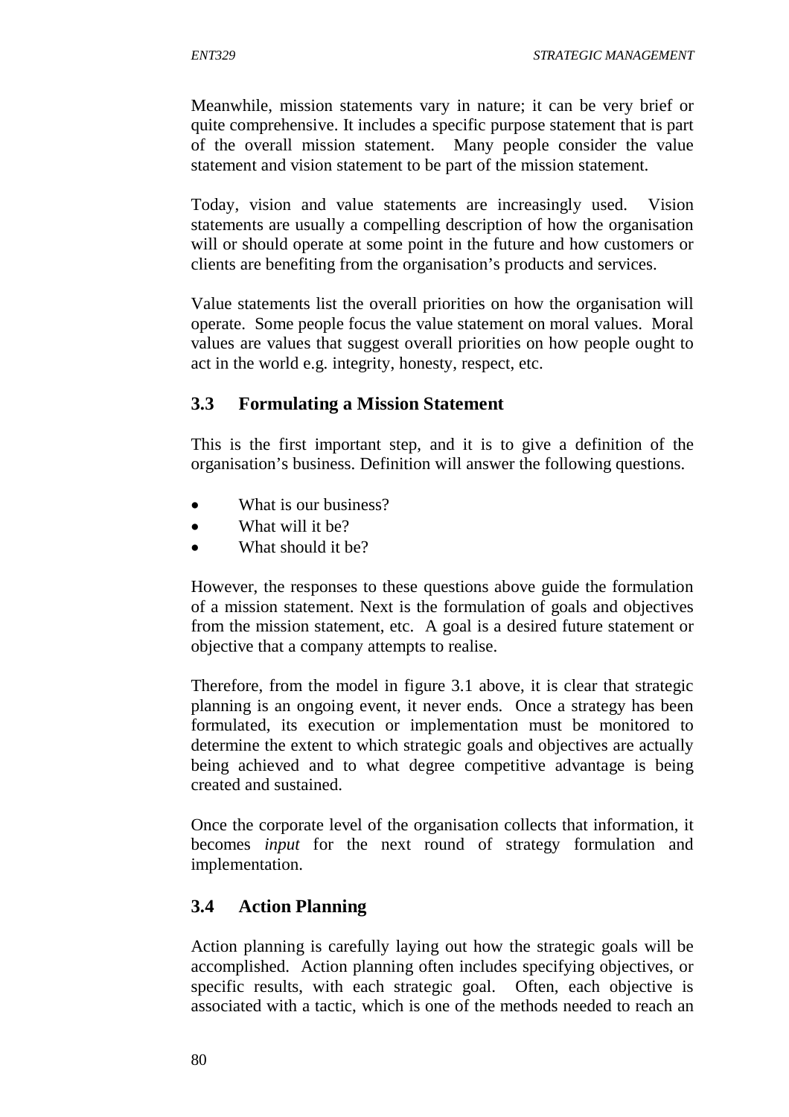Meanwhile, mission statements vary in nature; it can be very brief or quite comprehensive. It includes a specific purpose statement that is part of the overall mission statement. Many people consider the value statement and vision statement to be part of the mission statement.

Today, vision and value statements are increasingly used. Vision statements are usually a compelling description of how the organisation will or should operate at some point in the future and how customers or clients are benefiting from the organisation's products and services.

Value statements list the overall priorities on how the organisation will operate. Some people focus the value statement on moral values. Moral values are values that suggest overall priorities on how people ought to act in the world e.g. integrity, honesty, respect, etc.

## **3.3 Formulating a Mission Statement**

This is the first important step, and it is to give a definition of the organisation's business. Definition will answer the following questions.

- What is our business?
- What will it be?
- What should it be?

However, the responses to these questions above guide the formulation of a mission statement. Next is the formulation of goals and objectives from the mission statement, etc. A goal is a desired future statement or objective that a company attempts to realise.

Therefore, from the model in figure 3.1 above, it is clear that strategic planning is an ongoing event, it never ends. Once a strategy has been formulated, its execution or implementation must be monitored to determine the extent to which strategic goals and objectives are actually being achieved and to what degree competitive advantage is being created and sustained.

Once the corporate level of the organisation collects that information, it becomes *input* for the next round of strategy formulation and implementation.

## **3.4 Action Planning**

Action planning is carefully laying out how the strategic goals will be accomplished. Action planning often includes specifying objectives, or specific results, with each strategic goal. Often, each objective is associated with a tactic, which is one of the methods needed to reach an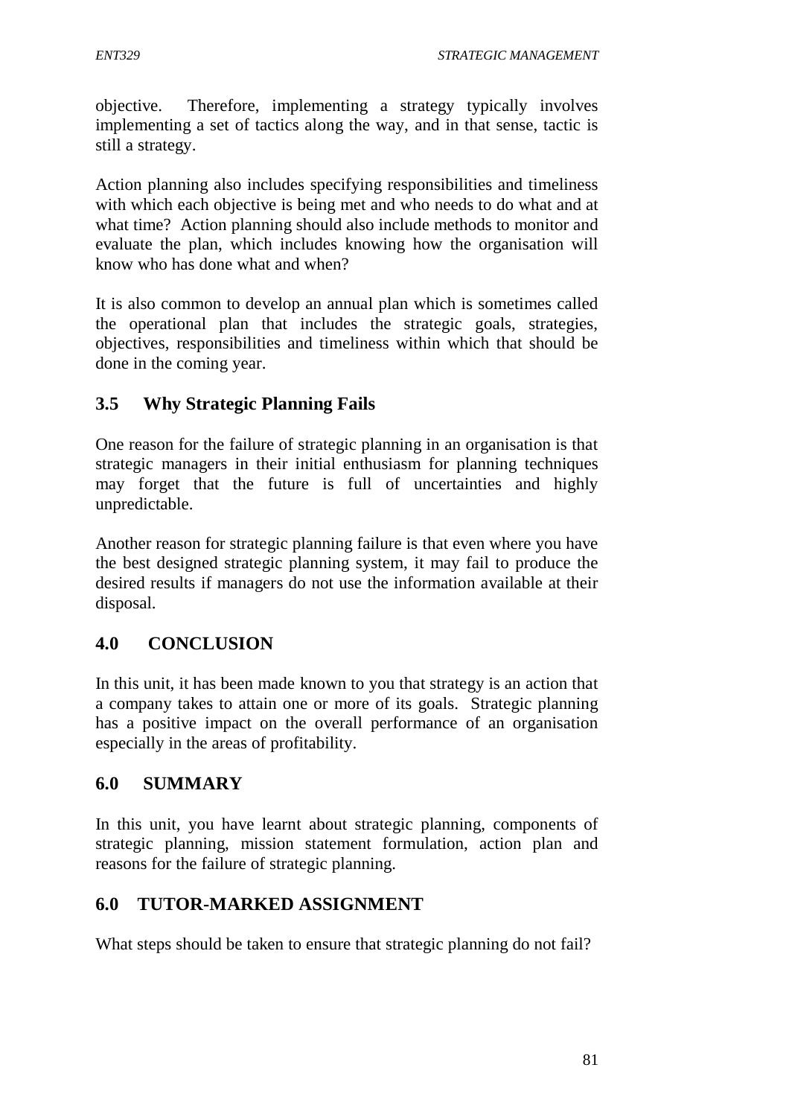objective. Therefore, implementing a strategy typically involves implementing a set of tactics along the way, and in that sense, tactic is still a strategy.

Action planning also includes specifying responsibilities and timeliness with which each objective is being met and who needs to do what and at what time? Action planning should also include methods to monitor and evaluate the plan, which includes knowing how the organisation will know who has done what and when?

It is also common to develop an annual plan which is sometimes called the operational plan that includes the strategic goals, strategies, objectives, responsibilities and timeliness within which that should be done in the coming year.

# **3.5 Why Strategic Planning Fails**

One reason for the failure of strategic planning in an organisation is that strategic managers in their initial enthusiasm for planning techniques may forget that the future is full of uncertainties and highly unpredictable.

Another reason for strategic planning failure is that even where you have the best designed strategic planning system, it may fail to produce the desired results if managers do not use the information available at their disposal.

# **4.0 CONCLUSION**

In this unit, it has been made known to you that strategy is an action that a company takes to attain one or more of its goals. Strategic planning has a positive impact on the overall performance of an organisation especially in the areas of profitability.

# **6.0 SUMMARY**

In this unit, you have learnt about strategic planning, components of strategic planning, mission statement formulation, action plan and reasons for the failure of strategic planning.

# **6.0 TUTOR-MARKED ASSIGNMENT**

What steps should be taken to ensure that strategic planning do not fail?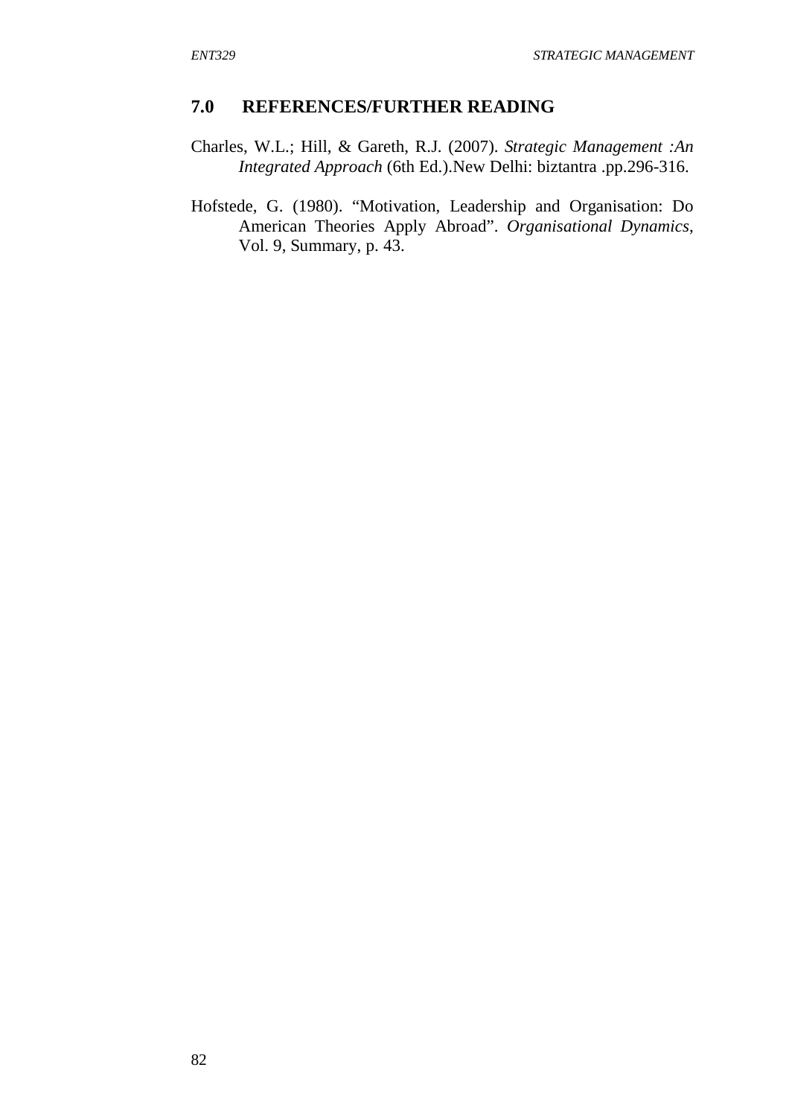### **7.0 REFERENCES/FURTHER READING**

- Charles, W.L.; Hill, & Gareth, R.J. (2007). *Strategic Management :An Integrated Approach* (6th Ed.).New Delhi: biztantra .pp.296-316.
- Hofstede, G. (1980). "Motivation, Leadership and Organisation: Do American Theories Apply Abroad". *Organisational Dynamics*, Vol. 9, Summary, p. 43.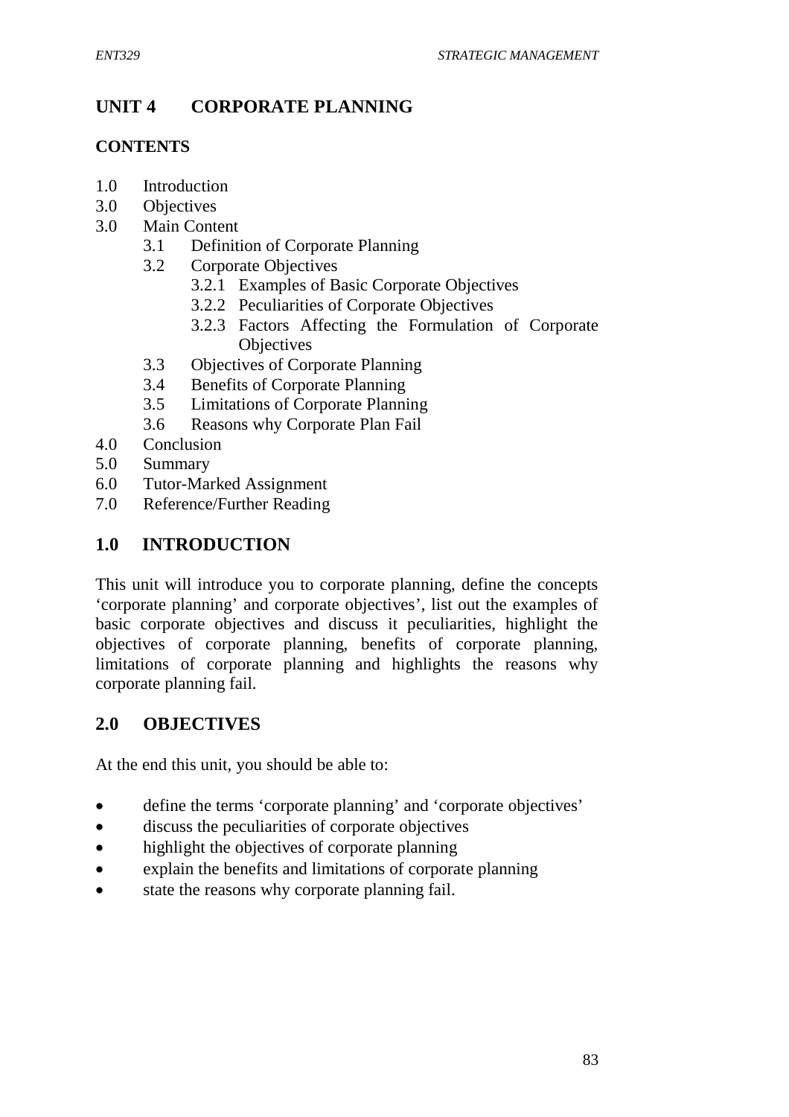# **UNIT 4 CORPORATE PLANNING**

### **CONTENTS**

- 1.0 Introduction
- 3.0 Objectives
- 3.0 Main Content
	- 3.1 Definition of Corporate Planning
	- 3.2 Corporate Objectives
		- 3.2.1 Examples of Basic Corporate Objectives
		- 3.2.2 Peculiarities of Corporate Objectives
		- 3.2.3 Factors Affecting the Formulation of Corporate **Objectives**
	- 3.3 Objectives of Corporate Planning
	- 3.4 Benefits of Corporate Planning
	- 3.5 Limitations of Corporate Planning
	- 3.6 Reasons why Corporate Plan Fail
- 4.0 Conclusion
- 5.0 Summary
- 6.0 Tutor-Marked Assignment
- 7.0 Reference/Further Reading

# **1.0 INTRODUCTION**

This unit will introduce you to corporate planning, define the concepts 'corporate planning' and corporate objectives', list out the examples of basic corporate objectives and discuss it peculiarities, highlight the objectives of corporate planning, benefits of corporate planning, limitations of corporate planning and highlights the reasons why corporate planning fail.

## **2.0 OBJECTIVES**

At the end this unit, you should be able to:

- define the terms 'corporate planning' and 'corporate objectives'
- discuss the peculiarities of corporate objectives
- highlight the objectives of corporate planning
- explain the benefits and limitations of corporate planning
- state the reasons why corporate planning fail.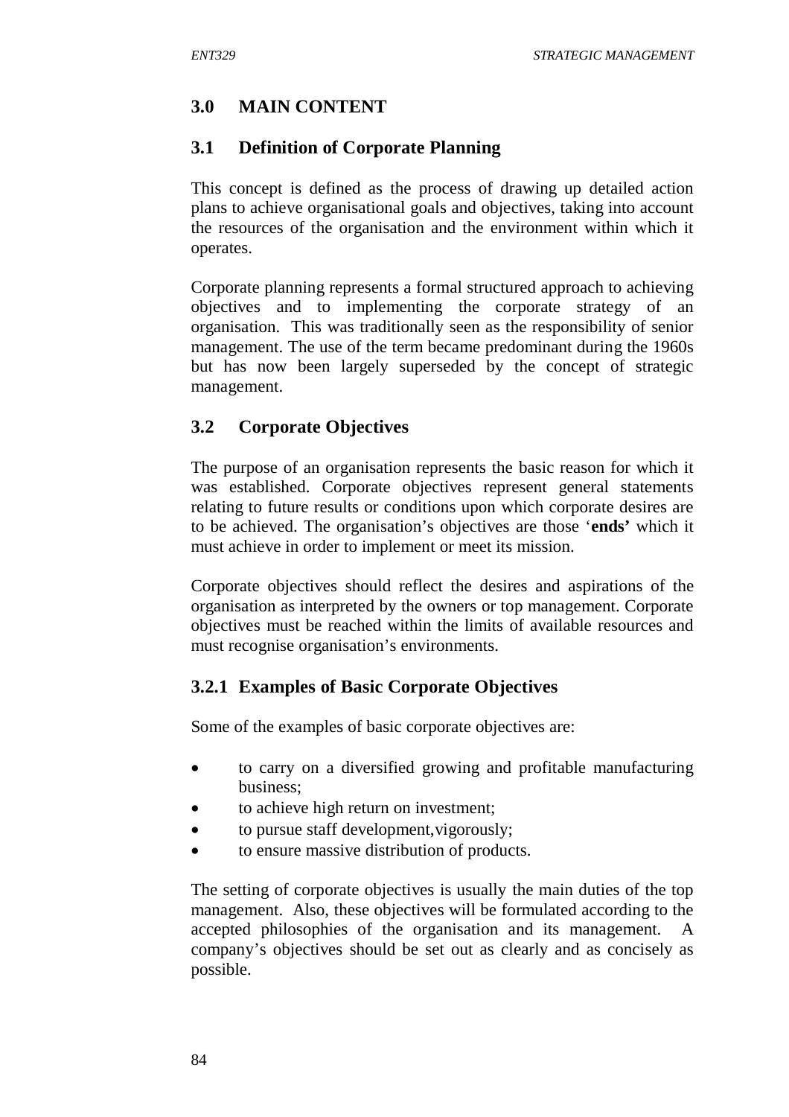# **3.0 MAIN CONTENT**

## **3.1 Definition of Corporate Planning**

This concept is defined as the process of drawing up detailed action plans to achieve organisational goals and objectives, taking into account the resources of the organisation and the environment within which it operates.

Corporate planning represents a formal structured approach to achieving objectives and to implementing the corporate strategy of an organisation. This was traditionally seen as the responsibility of senior management. The use of the term became predominant during the 1960s but has now been largely superseded by the concept of strategic management.

# **3.2 Corporate Objectives**

The purpose of an organisation represents the basic reason for which it was established. Corporate objectives represent general statements relating to future results or conditions upon which corporate desires are to be achieved. The organisation's objectives are those '**ends'** which it must achieve in order to implement or meet its mission.

Corporate objectives should reflect the desires and aspirations of the organisation as interpreted by the owners or top management. Corporate objectives must be reached within the limits of available resources and must recognise organisation's environments.

# **3.2.1 Examples of Basic Corporate Objectives**

Some of the examples of basic corporate objectives are:

- to carry on a diversified growing and profitable manufacturing business;
- to achieve high return on investment;
- to pursue staff development, vigorously;
- to ensure massive distribution of products.

The setting of corporate objectives is usually the main duties of the top management. Also, these objectives will be formulated according to the accepted philosophies of the organisation and its management. company's objectives should be set out as clearly and as concisely as possible.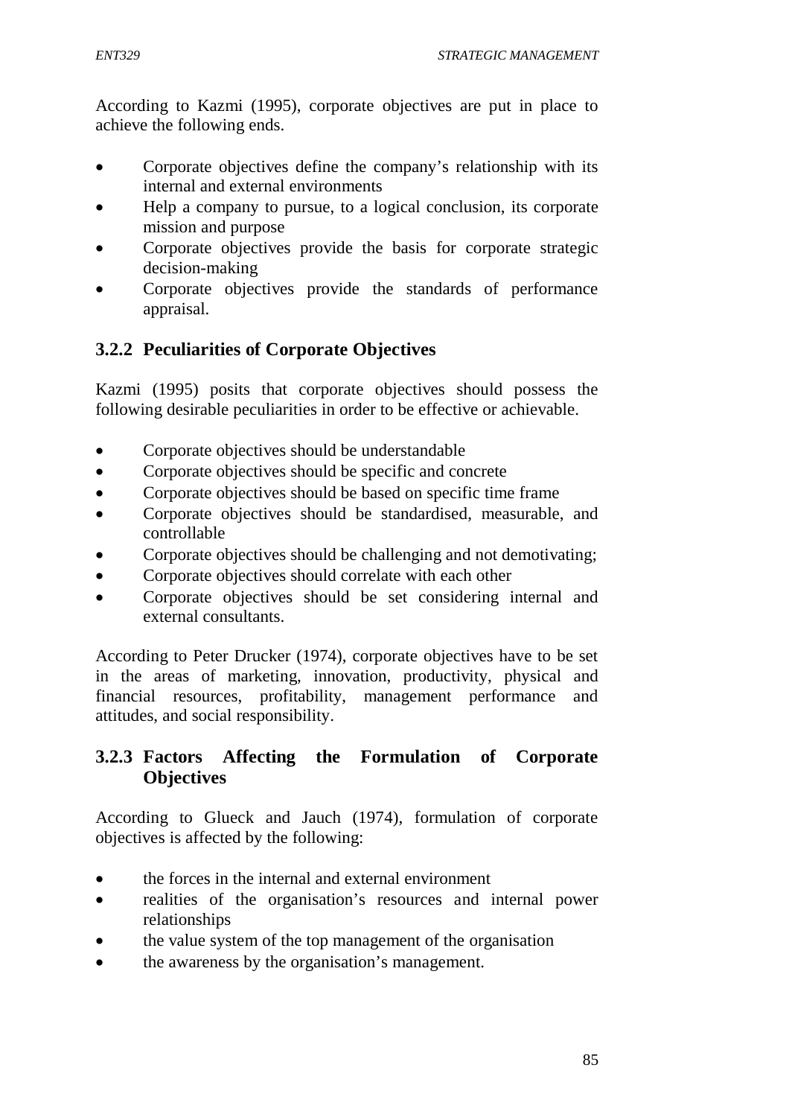According to Kazmi (1995), corporate objectives are put in place to achieve the following ends.

- Corporate objectives define the company's relationship with its internal and external environments
- Help a company to pursue, to a logical conclusion, its corporate mission and purpose
- Corporate objectives provide the basis for corporate strategic decision-making
- Corporate objectives provide the standards of performance appraisal.

# **3.2.2 Peculiarities of Corporate Objectives**

Kazmi (1995) posits that corporate objectives should possess the following desirable peculiarities in order to be effective or achievable.

- Corporate objectives should be understandable
- Corporate objectives should be specific and concrete
- Corporate objectives should be based on specific time frame
- Corporate objectives should be standardised, measurable, and controllable
- Corporate objectives should be challenging and not demotivating;
- Corporate objectives should correlate with each other
- Corporate objectives should be set considering internal and external consultants.

According to Peter Drucker (1974), corporate objectives have to be set in the areas of marketing, innovation, productivity, physical and financial resources, profitability, management performance and attitudes, and social responsibility.

## **3.2.3 Factors Affecting the Formulation of Corporate Objectives**

According to Glueck and Jauch (1974), formulation of corporate objectives is affected by the following:

- the forces in the internal and external environment
- realities of the organisation's resources and internal power relationships
- the value system of the top management of the organisation
- the awareness by the organisation's management.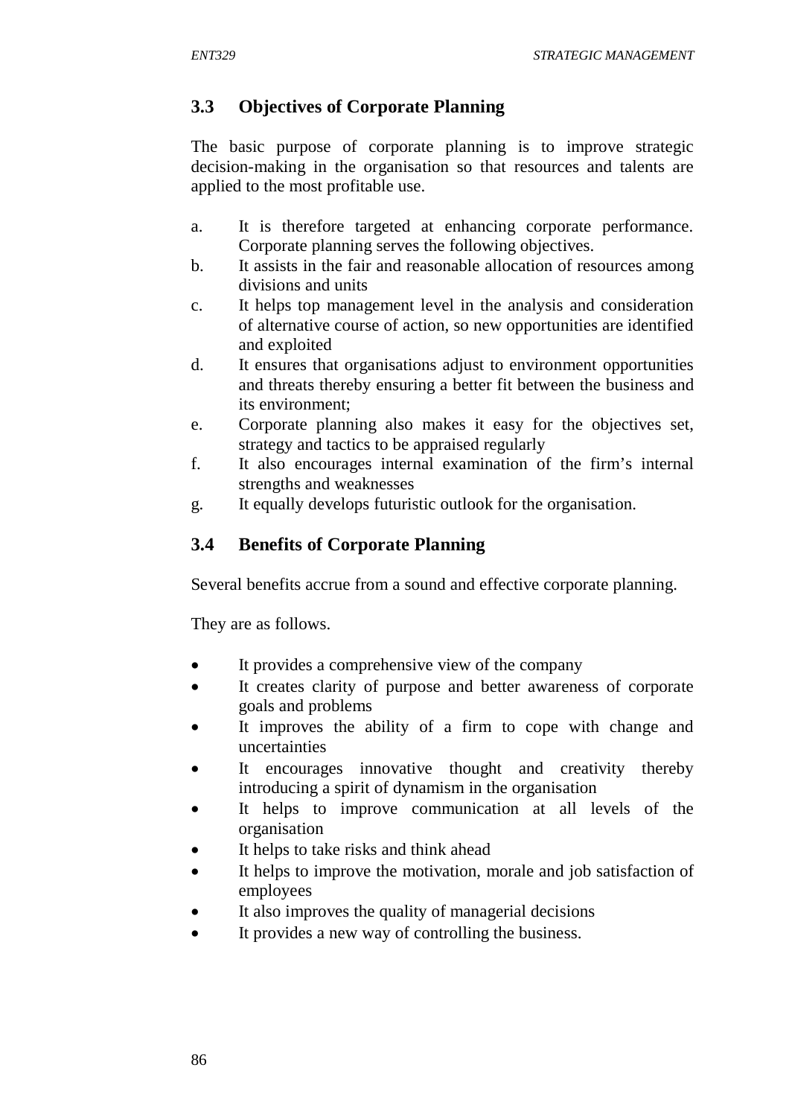# **3.3 Objectives of Corporate Planning**

The basic purpose of corporate planning is to improve strategic decision-making in the organisation so that resources and talents are applied to the most profitable use.

- a. It is therefore targeted at enhancing corporate performance. Corporate planning serves the following objectives.
- b. It assists in the fair and reasonable allocation of resources among divisions and units
- c. It helps top management level in the analysis and consideration of alternative course of action, so new opportunities are identified and exploited
- d. It ensures that organisations adjust to environment opportunities and threats thereby ensuring a better fit between the business and its environment;
- e. Corporate planning also makes it easy for the objectives set, strategy and tactics to be appraised regularly
- f. It also encourages internal examination of the firm's internal strengths and weaknesses
- g. It equally develops futuristic outlook for the organisation.

# **3.4 Benefits of Corporate Planning**

Several benefits accrue from a sound and effective corporate planning.

They are as follows.

- It provides a comprehensive view of the company
- It creates clarity of purpose and better awareness of corporate goals and problems
- It improves the ability of a firm to cope with change and uncertainties
- It encourages innovative thought and creativity thereby introducing a spirit of dynamism in the organisation
- It helps to improve communication at all levels of the organisation
- It helps to take risks and think ahead
- It helps to improve the motivation, morale and job satisfaction of employees
- It also improves the quality of managerial decisions
- It provides a new way of controlling the business.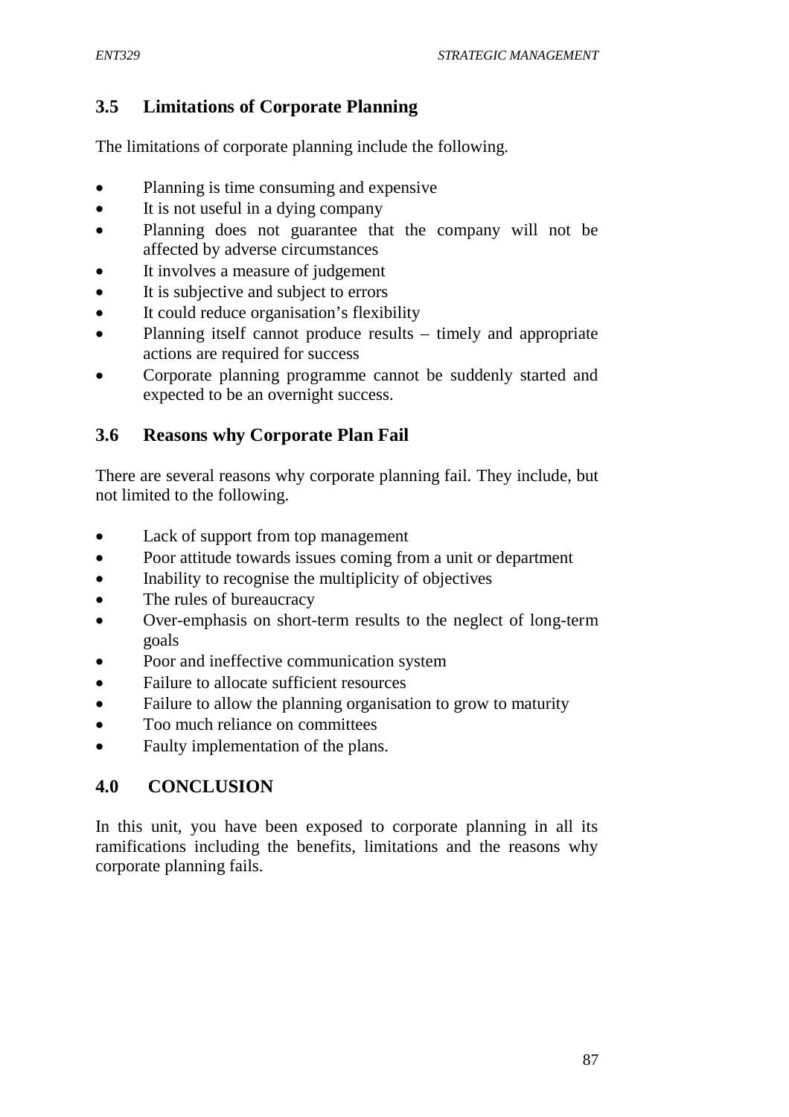# **3.5 Limitations of Corporate Planning**

The limitations of corporate planning include the following.

- Planning is time consuming and expensive
- It is not useful in a dying company
- Planning does not guarantee that the company will not be affected by adverse circumstances
- It involves a measure of judgement
- It is subjective and subject to errors
- It could reduce organisation's flexibility
- Planning itself cannot produce results timely and appropriate actions are required for success
- Corporate planning programme cannot be suddenly started and expected to be an overnight success.

# **3.6 Reasons why Corporate Plan Fail**

There are several reasons why corporate planning fail. They include, but not limited to the following.

- Lack of support from top management
- Poor attitude towards issues coming from a unit or department
- Inability to recognise the multiplicity of objectives
- The rules of bureaucracy
- Over-emphasis on short-term results to the neglect of long-term goals
- Poor and ineffective communication system
- Failure to allocate sufficient resources
- Failure to allow the planning organisation to grow to maturity
- Too much reliance on committees
- Faulty implementation of the plans.

## **4.0 CONCLUSION**

In this unit, you have been exposed to corporate planning in all its ramifications including the benefits, limitations and the reasons why corporate planning fails.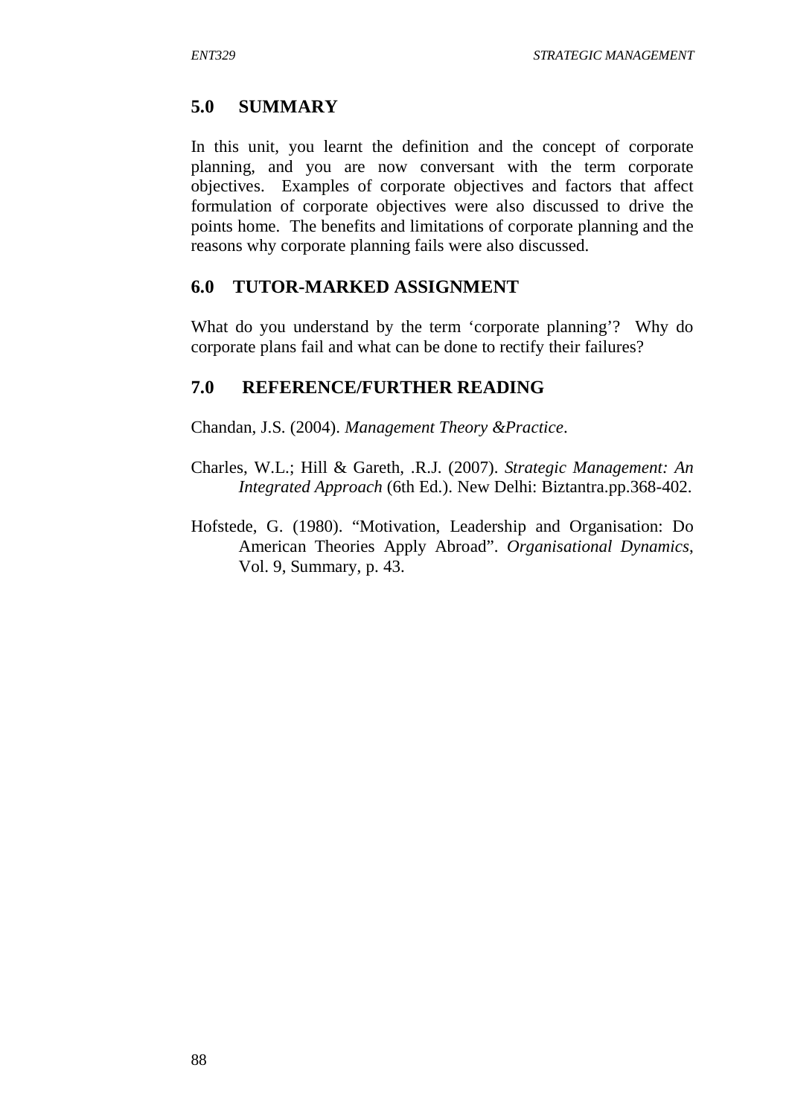# **5.0 SUMMARY**

In this unit, you learnt the definition and the concept of corporate planning, and you are now conversant with the term corporate objectives. Examples of corporate objectives and factors that affect formulation of corporate objectives were also discussed to drive the points home. The benefits and limitations of corporate planning and the reasons why corporate planning fails were also discussed.

## **6.0 TUTOR-MARKED ASSIGNMENT**

What do you understand by the term 'corporate planning'? Why do corporate plans fail and what can be done to rectify their failures?

## **7.0 REFERENCE/FURTHER READING**

Chandan, J.S. (2004). *Management Theory &Practice*.

- Charles, W.L.; Hill & Gareth, .R.J. (2007). *Strategic Management: An Integrated Approach* (6th Ed.). New Delhi: Biztantra.pp.368-402.
- Hofstede, G. (1980). "Motivation, Leadership and Organisation: Do American Theories Apply Abroad". *Organisational Dynamics*, Vol. 9, Summary, p. 43.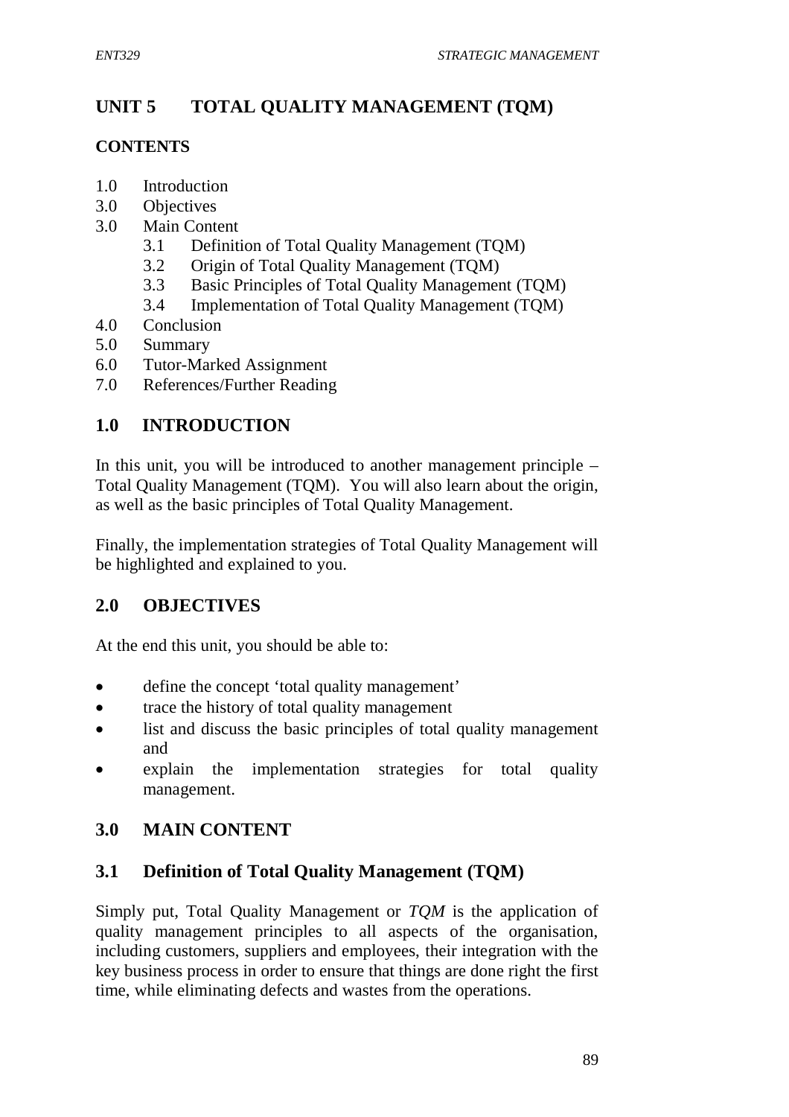# **UNIT 5 TOTAL QUALITY MANAGEMENT (TQM)**

## **CONTENTS**

- 1.0 Introduction
- 3.0 Objectives
- 3.0 Main Content
	- 3.1 Definition of Total Quality Management (TQM)
	- 3.2 Origin of Total Quality Management (TQM)
	- 3.3 Basic Principles of Total Quality Management (TQM)
	- 3.4 Implementation of Total Quality Management (TQM)
- 4.0 Conclusion
- 5.0 Summary
- 6.0 Tutor-Marked Assignment
- 7.0 References/Further Reading

# **1.0 INTRODUCTION**

In this unit, you will be introduced to another management principle – Total Quality Management (TQM). You will also learn about the origin, as well as the basic principles of Total Quality Management.

Finally, the implementation strategies of Total Quality Management will be highlighted and explained to you.

## **2.0 OBJECTIVES**

At the end this unit, you should be able to:

- define the concept 'total quality management'
- trace the history of total quality management
- list and discuss the basic principles of total quality management and
- explain the implementation strategies for total quality management.

## **3.0 MAIN CONTENT**

## **3.1 Definition of Total Quality Management (TQM)**

Simply put, Total Quality Management or *TQM* is the application of quality management principles to all aspects of the organisation, including customers, suppliers and employees, their integration with the key business process in order to ensure that things are done right the first time, while eliminating defects and wastes from the operations.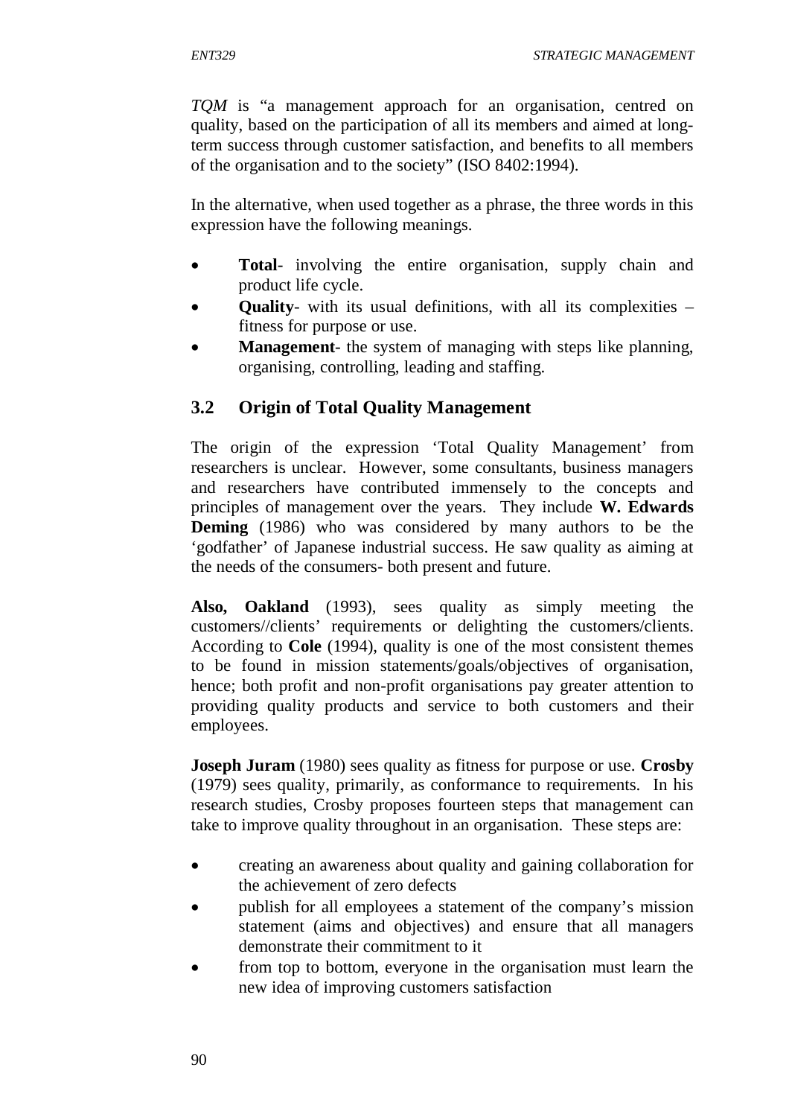*TQM* is "a management approach for an organisation, centred on quality, based on the participation of all its members and aimed at longterm success through customer satisfaction, and benefits to all members of the organisation and to the society" (ISO 8402:1994).

In the alternative, when used together as a phrase, the three words in this expression have the following meanings.

- **Total** involving the entire organisation, supply chain and product life cycle.
- **Quality** with its usual definitions, with all its complexities fitness for purpose or use.
- **Management** the system of managing with steps like planning, organising, controlling, leading and staffing.

# **3.2 Origin of Total Quality Management**

The origin of the expression 'Total Quality Management' from researchers is unclear. However, some consultants, business managers and researchers have contributed immensely to the concepts and principles of management over the years. They include **W. Edwards Deming** (1986) who was considered by many authors to be the 'godfather' of Japanese industrial success. He saw quality as aiming at the needs of the consumers- both present and future.

**Also, Oakland** (1993), sees quality as simply meeting the customers//clients' requirements or delighting the customers/clients. According to **Cole** (1994), quality is one of the most consistent themes to be found in mission statements/goals/objectives of organisation, hence; both profit and non-profit organisations pay greater attention to providing quality products and service to both customers and their employees.

**Joseph Juram** (1980) sees quality as fitness for purpose or use. **Crosby** (1979) sees quality, primarily, as conformance to requirements. In his research studies, Crosby proposes fourteen steps that management can take to improve quality throughout in an organisation. These steps are:

- creating an awareness about quality and gaining collaboration for the achievement of zero defects
- publish for all employees a statement of the company's mission statement (aims and objectives) and ensure that all managers demonstrate their commitment to it
- from top to bottom, everyone in the organisation must learn the new idea of improving customers satisfaction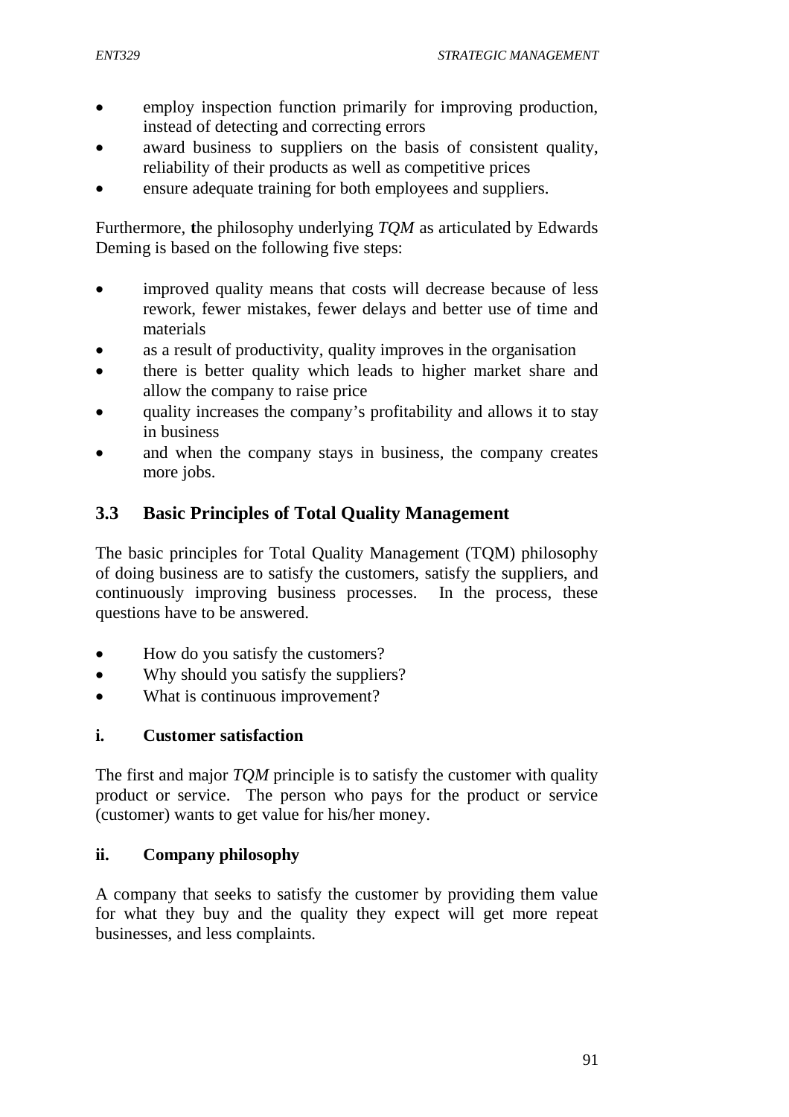- employ inspection function primarily for improving production, instead of detecting and correcting errors
- award business to suppliers on the basis of consistent quality, reliability of their products as well as competitive prices
- ensure adequate training for both employees and suppliers.

Furthermore, **t**he philosophy underlying *TQM* as articulated by Edwards Deming is based on the following five steps:

- improved quality means that costs will decrease because of less rework, fewer mistakes, fewer delays and better use of time and materials
- as a result of productivity, quality improves in the organisation
- there is better quality which leads to higher market share and allow the company to raise price
- quality increases the company's profitability and allows it to stay in business
- and when the company stays in business, the company creates more jobs.

## **3.3 Basic Principles of Total Quality Management**

The basic principles for Total Quality Management (TQM) philosophy of doing business are to satisfy the customers, satisfy the suppliers, and continuously improving business processes. In the process, these questions have to be answered.

- How do you satisfy the customers?
- Why should you satisfy the suppliers?
- What is continuous improvement?

### **i. Customer satisfaction**

The first and major *TQM* principle is to satisfy the customer with quality product or service. The person who pays for the product or service (customer) wants to get value for his/her money.

### **ii. Company philosophy**

A company that seeks to satisfy the customer by providing them value for what they buy and the quality they expect will get more repeat businesses, and less complaints.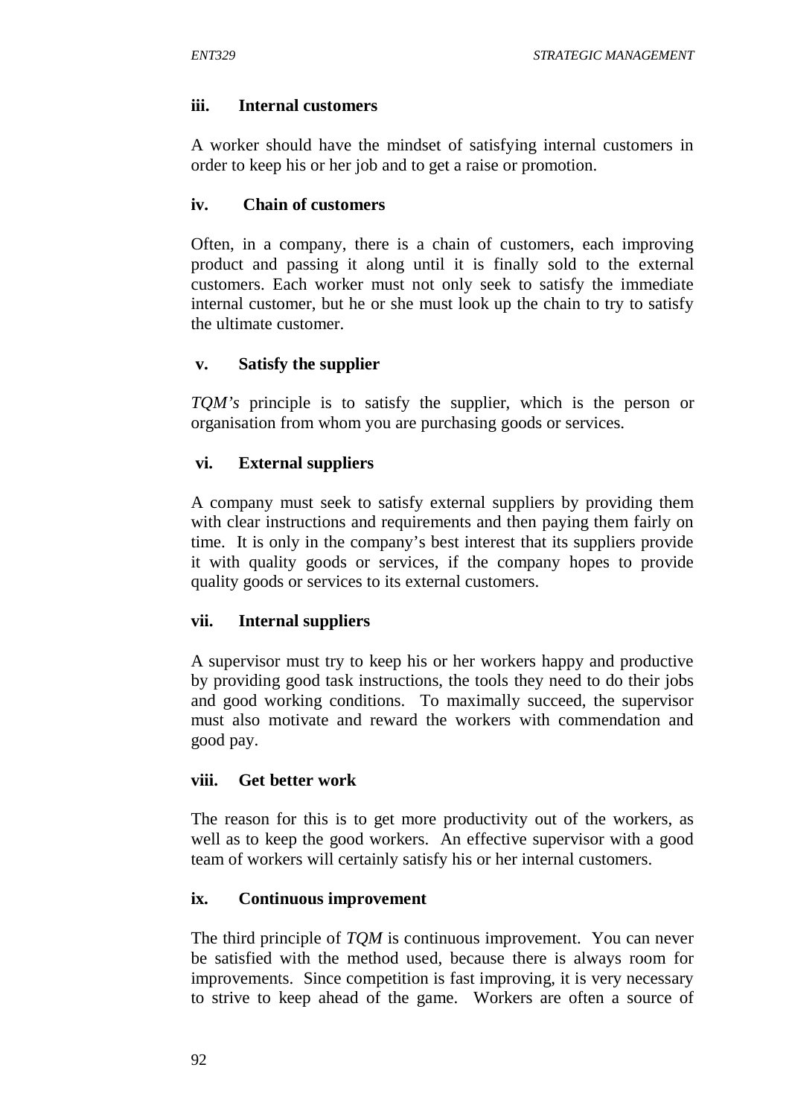### **iii. Internal customers**

A worker should have the mindset of satisfying internal customers in order to keep his or her job and to get a raise or promotion.

### **iv. Chain of customers**

Often, in a company, there is a chain of customers, each improving product and passing it along until it is finally sold to the external customers. Each worker must not only seek to satisfy the immediate internal customer, but he or she must look up the chain to try to satisfy the ultimate customer.

### **v. Satisfy the supplier**

*TQM's* principle is to satisfy the supplier, which is the person or organisation from whom you are purchasing goods or services.

### **vi. External suppliers**

A company must seek to satisfy external suppliers by providing them with clear instructions and requirements and then paying them fairly on time. It is only in the company's best interest that its suppliers provide it with quality goods or services, if the company hopes to provide quality goods or services to its external customers.

### **vii. Internal suppliers**

A supervisor must try to keep his or her workers happy and productive by providing good task instructions, the tools they need to do their jobs and good working conditions. To maximally succeed, the supervisor must also motivate and reward the workers with commendation and good pay.

### **viii. Get better work**

The reason for this is to get more productivity out of the workers, as well as to keep the good workers. An effective supervisor with a good team of workers will certainly satisfy his or her internal customers.

### **ix. Continuous improvement**

The third principle of *TQM* is continuous improvement. You can never be satisfied with the method used, because there is always room for improvements. Since competition is fast improving, it is very necessary to strive to keep ahead of the game. Workers are often a source of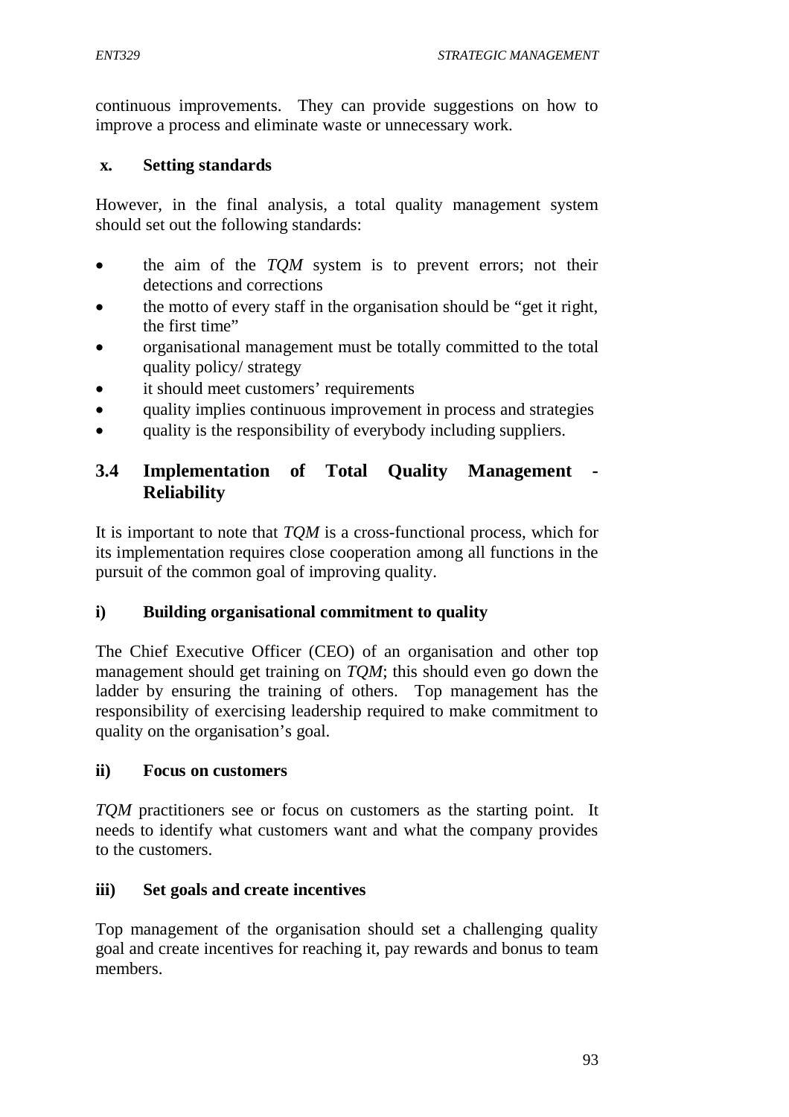continuous improvements. They can provide suggestions on how to improve a process and eliminate waste or unnecessary work.

#### **x. Setting standards**

However, in the final analysis, a total quality management system should set out the following standards:

- the aim of the *TQM* system is to prevent errors; not their detections and corrections
- the motto of every staff in the organisation should be "get it right, the first time"
- organisational management must be totally committed to the total quality policy/ strategy
- it should meet customers' requirements
- quality implies continuous improvement in process and strategies
- quality is the responsibility of everybody including suppliers.

## **3.4 Implementation of Total Quality Management - Reliability**

It is important to note that *TQM* is a cross-functional process, which for its implementation requires close cooperation among all functions in the pursuit of the common goal of improving quality.

### **i) Building organisational commitment to quality**

The Chief Executive Officer (CEO) of an organisation and other top management should get training on *TQM*; this should even go down the ladder by ensuring the training of others. Top management has the responsibility of exercising leadership required to make commitment to quality on the organisation's goal.

### **ii) Focus on customers**

*TQM* practitioners see or focus on customers as the starting point. It needs to identify what customers want and what the company provides to the customers.

### **iii) Set goals and create incentives**

Top management of the organisation should set a challenging quality goal and create incentives for reaching it, pay rewards and bonus to team members.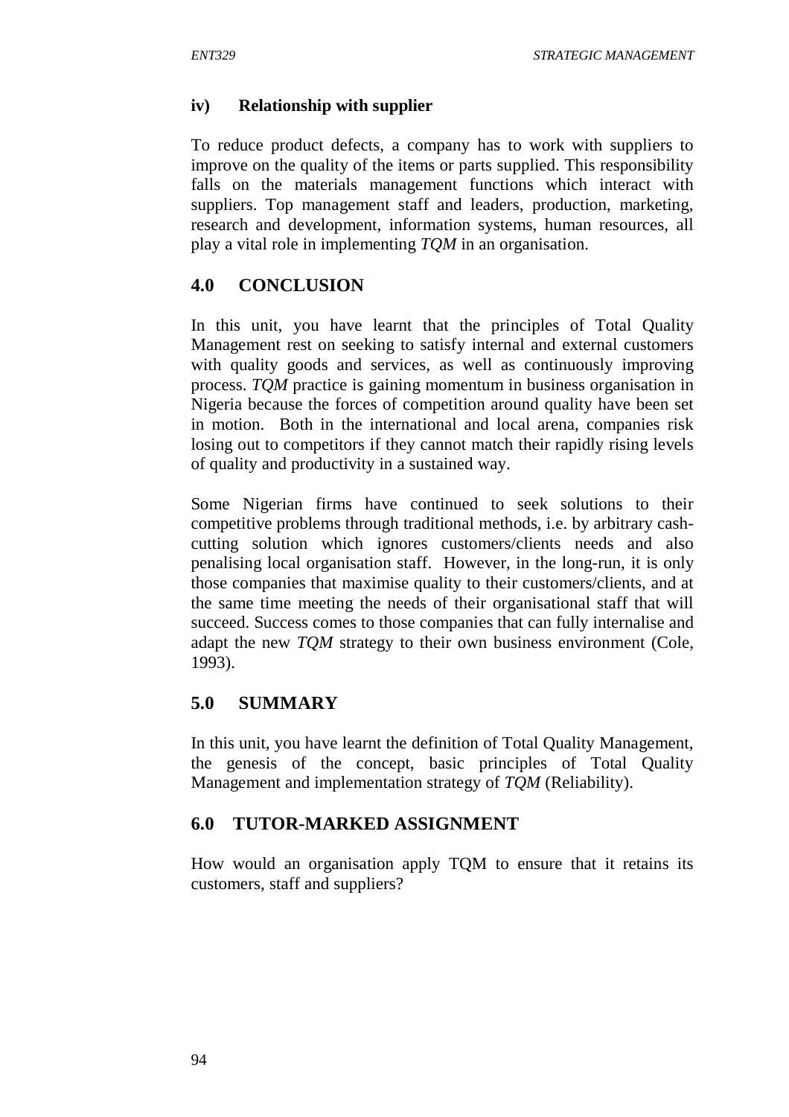### **iv) Relationship with supplier**

To reduce product defects, a company has to work with suppliers to improve on the quality of the items or parts supplied. This responsibility falls on the materials management functions which interact with suppliers. Top management staff and leaders, production, marketing, research and development, information systems, human resources, all play a vital role in implementing *TQM* in an organisation.

## **4.0 CONCLUSION**

In this unit, you have learnt that the principles of Total Quality Management rest on seeking to satisfy internal and external customers with quality goods and services, as well as continuously improving process. *TQM* practice is gaining momentum in business organisation in Nigeria because the forces of competition around quality have been set in motion. Both in the international and local arena, companies risk losing out to competitors if they cannot match their rapidly rising levels of quality and productivity in a sustained way.

Some Nigerian firms have continued to seek solutions to their competitive problems through traditional methods, i.e. by arbitrary cashcutting solution which ignores customers/clients needs and also penalising local organisation staff. However, in the long-run, it is only those companies that maximise quality to their customers/clients, and at the same time meeting the needs of their organisational staff that will succeed. Success comes to those companies that can fully internalise and adapt the new *TQM* strategy to their own business environment (Cole, 1993).

## **5.0 SUMMARY**

In this unit, you have learnt the definition of Total Quality Management, the genesis of the concept, basic principles of Total Quality Management and implementation strategy of *TQM* (Reliability).

# **6.0 TUTOR-MARKED ASSIGNMENT**

How would an organisation apply TQM to ensure that it retains its customers, staff and suppliers?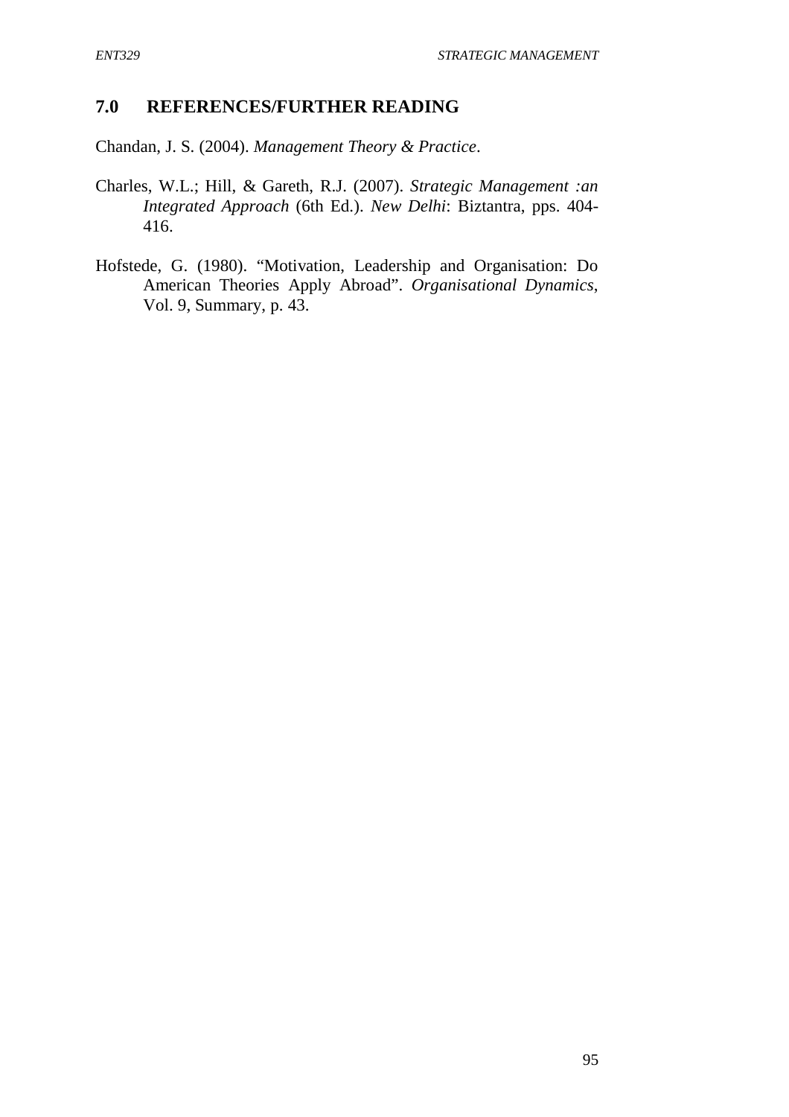### **7.0 REFERENCES/FURTHER READING**

Chandan, J. S. (2004). *Management Theory & Practice*.

- Charles, W.L.; Hill, & Gareth, R.J. (2007). *Strategic Management :an Integrated Approach* (6th Ed.). *New Delhi*: Biztantra, pps. 404- 416.
- Hofstede, G. (1980). "Motivation, Leadership and Organisation: Do American Theories Apply Abroad". *Organisational Dynamics*, Vol. 9, Summary, p. 43.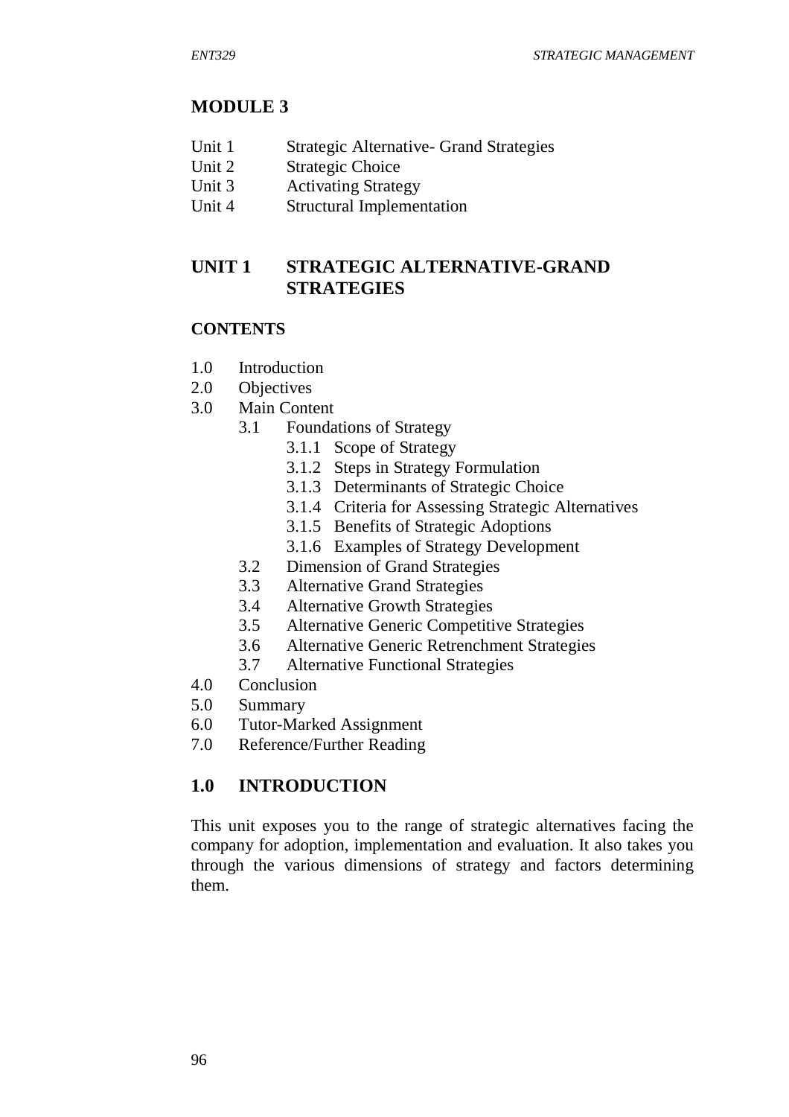### **MODULE 3**

- Unit 1 Strategic Alternative- Grand Strategies
- Unit 2 Strategic Choice
- Unit 3 Activating Strategy
- Unit 4 Structural Implementation

## **UNIT 1 STRATEGIC ALTERNATIVE-GRAND STRATEGIES**

#### **CONTENTS**

- 1.0 Introduction
- 2.0 Objectives
- 3.0 Main Content
	- 3.1 Foundations of Strategy
		- 3.1.1 Scope of Strategy
			- 3.1.2 Steps in Strategy Formulation
			- 3.1.3 Determinants of Strategic Choice
			- 3.1.4 Criteria for Assessing Strategic Alternatives
			- 3.1.5 Benefits of Strategic Adoptions
		- 3.1.6 Examples of Strategy Development
	- 3.2 Dimension of Grand Strategies
	- 3.3 Alternative Grand Strategies
	- 3.4 Alternative Growth Strategies
	- 3.5 Alternative Generic Competitive Strategies
	- 3.6 Alternative Generic Retrenchment Strategies
	- 3.7 Alternative Functional Strategies
- 4.0 Conclusion
- 5.0 Summary
- 6.0 Tutor-Marked Assignment
- 7.0 Reference/Further Reading

## **1.0 INTRODUCTION**

This unit exposes you to the range of strategic alternatives facing the company for adoption, implementation and evaluation. It also takes you through the various dimensions of strategy and factors determining them.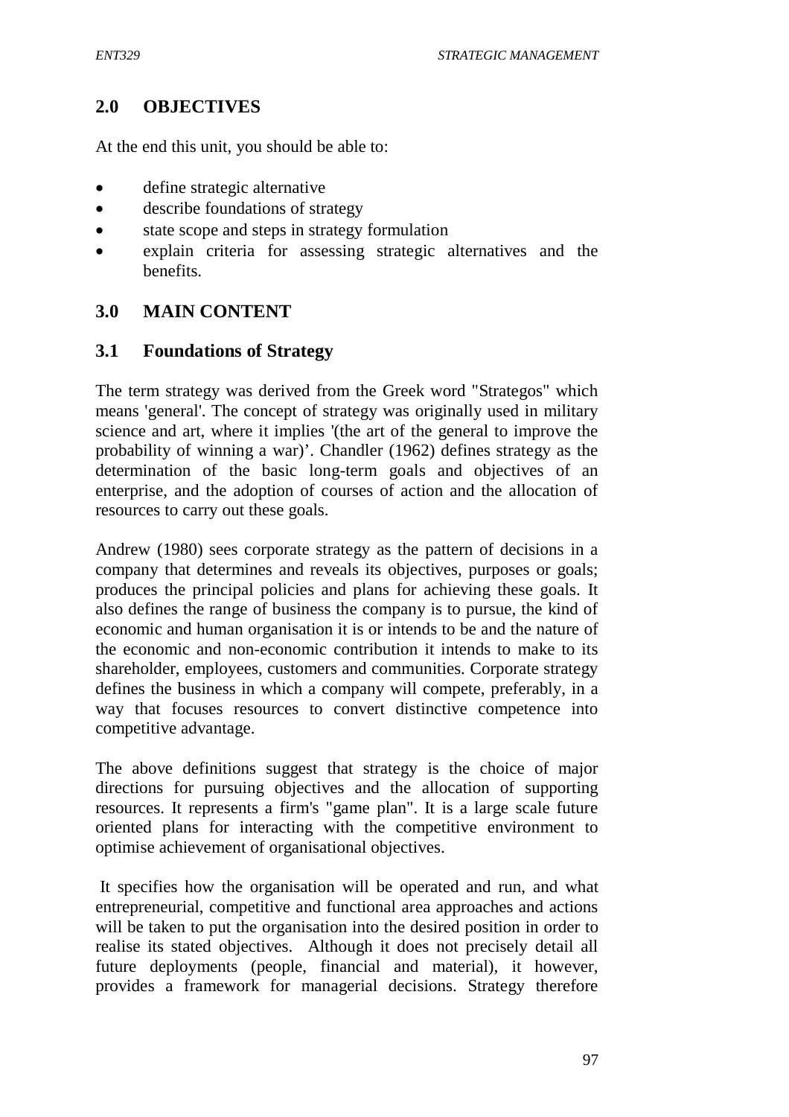## **2.0 OBJECTIVES**

At the end this unit, you should be able to:

- define strategic alternative
- describe foundations of strategy
- state scope and steps in strategy formulation
- explain criteria for assessing strategic alternatives and the benefits.

## **3.0 MAIN CONTENT**

#### **3.1 Foundations of Strategy**

The term strategy was derived from the Greek word "Strategos" which means 'general'. The concept of strategy was originally used in military science and art, where it implies '(the art of the general to improve the probability of winning a war)'. Chandler (1962) defines strategy as the determination of the basic long-term goals and objectives of an enterprise, and the adoption of courses of action and the allocation of resources to carry out these goals.

Andrew (1980) sees corporate strategy as the pattern of decisions in a company that determines and reveals its objectives, purposes or goals; produces the principal policies and plans for achieving these goals. It also defines the range of business the company is to pursue, the kind of economic and human organisation it is or intends to be and the nature of the economic and non-economic contribution it intends to make to its shareholder, employees, customers and communities. Corporate strategy defines the business in which a company will compete, preferably, in a way that focuses resources to convert distinctive competence into competitive advantage.

The above definitions suggest that strategy is the choice of major directions for pursuing objectives and the allocation of supporting resources. It represents a firm's "game plan". It is a large scale future oriented plans for interacting with the competitive environment to optimise achievement of organisational objectives.

It specifies how the organisation will be operated and run, and what entrepreneurial, competitive and functional area approaches and actions will be taken to put the organisation into the desired position in order to realise its stated objectives. Although it does not precisely detail all future deployments (people, financial and material), it however, provides a framework for managerial decisions. Strategy therefore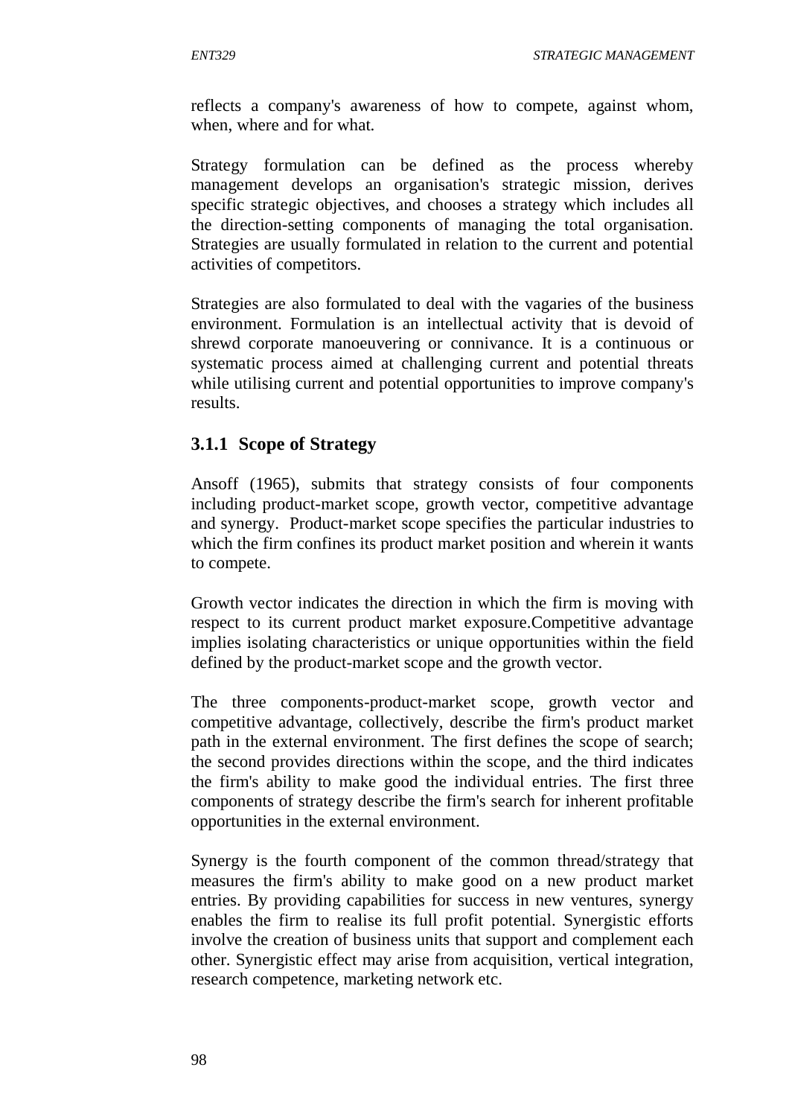reflects a company's awareness of how to compete, against whom, when, where and for what.

Strategy formulation can be defined as the process whereby management develops an organisation's strategic mission, derives specific strategic objectives, and chooses a strategy which includes all the direction-setting components of managing the total organisation. Strategies are usually formulated in relation to the current and potential activities of competitors.

Strategies are also formulated to deal with the vagaries of the business environment. Formulation is an intellectual activity that is devoid of shrewd corporate manoeuvering or connivance. It is a continuous or systematic process aimed at challenging current and potential threats while utilising current and potential opportunities to improve company's results.

#### **3.1.1 Scope of Strategy**

Ansoff (1965), submits that strategy consists of four components including product-market scope, growth vector, competitive advantage and synergy. Product-market scope specifies the particular industries to which the firm confines its product market position and wherein it wants to compete.

Growth vector indicates the direction in which the firm is moving with respect to its current product market exposure.Competitive advantage implies isolating characteristics or unique opportunities within the field defined by the product-market scope and the growth vector.

The three components-product-market scope, growth vector and competitive advantage, collectively, describe the firm's product market path in the external environment. The first defines the scope of search; the second provides directions within the scope, and the third indicates the firm's ability to make good the individual entries. The first three components of strategy describe the firm's search for inherent profitable opportunities in the external environment.

Synergy is the fourth component of the common thread/strategy that measures the firm's ability to make good on a new product market entries. By providing capabilities for success in new ventures, synergy enables the firm to realise its full profit potential. Synergistic efforts involve the creation of business units that support and complement each other. Synergistic effect may arise from acquisition, vertical integration, research competence, marketing network etc.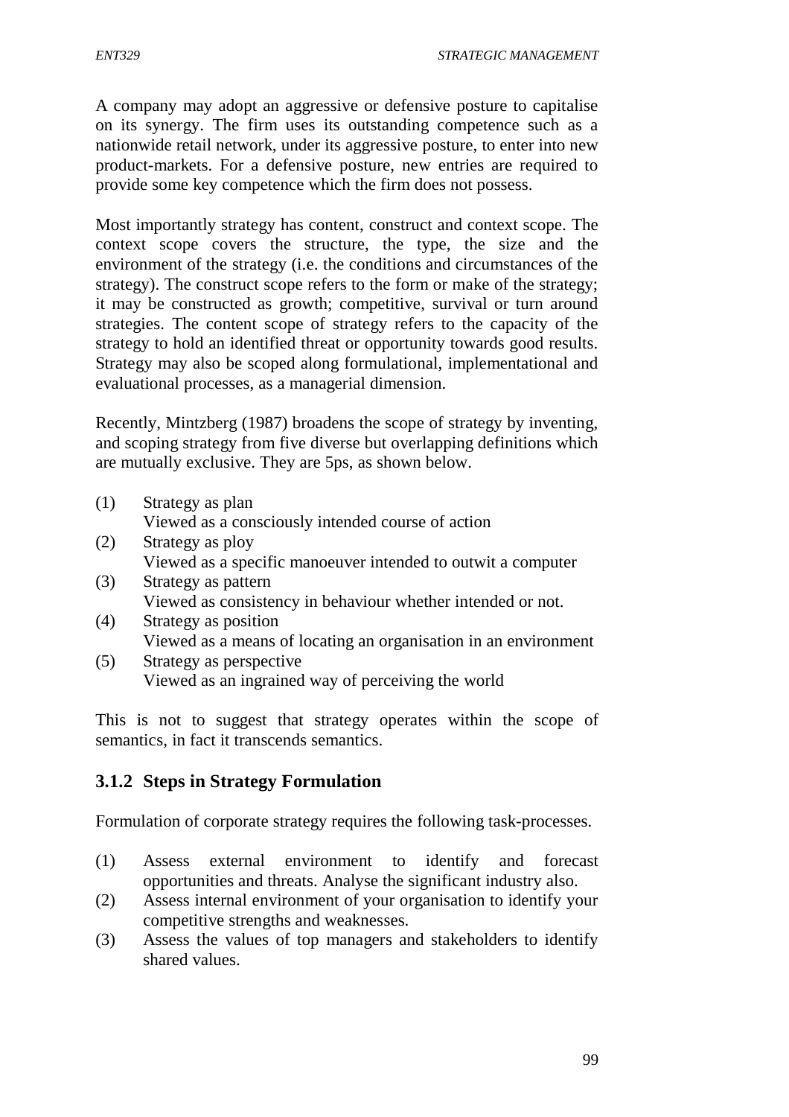A company may adopt an aggressive or defensive posture to capitalise on its synergy. The firm uses its outstanding competence such as a nationwide retail network, under its aggressive posture, to enter into new product-markets. For a defensive posture, new entries are required to provide some key competence which the firm does not possess.

Most importantly strategy has content, construct and context scope. The context scope covers the structure, the type, the size and the environment of the strategy (i.e. the conditions and circumstances of the strategy). The construct scope refers to the form or make of the strategy; it may be constructed as growth; competitive, survival or turn around strategies. The content scope of strategy refers to the capacity of the strategy to hold an identified threat or opportunity towards good results. Strategy may also be scoped along formulational, implementational and evaluational processes, as a managerial dimension.

Recently, Mintzberg (1987) broadens the scope of strategy by inventing, and scoping strategy from five diverse but overlapping definitions which are mutually exclusive. They are 5ps, as shown below.

- (1) Strategy as plan Viewed as a consciously intended course of action
- (2) Strategy as ploy Viewed as a specific manoeuver intended to outwit a computer
- (3) Strategy as pattern Viewed as consistency in behaviour whether intended or not.
- (4) Strategy as position Viewed as a means of locating an organisation in an environment
- (5) Strategy as perspective Viewed as an ingrained way of perceiving the world

This is not to suggest that strategy operates within the scope of semantics, in fact it transcends semantics.

## **3.1.2 Steps in Strategy Formulation**

Formulation of corporate strategy requires the following task-processes.

- (1) Assess external environment to identify and forecast opportunities and threats. Analyse the significant industry also.
- (2) Assess internal environment of your organisation to identify your competitive strengths and weaknesses.
- (3) Assess the values of top managers and stakeholders to identify shared values.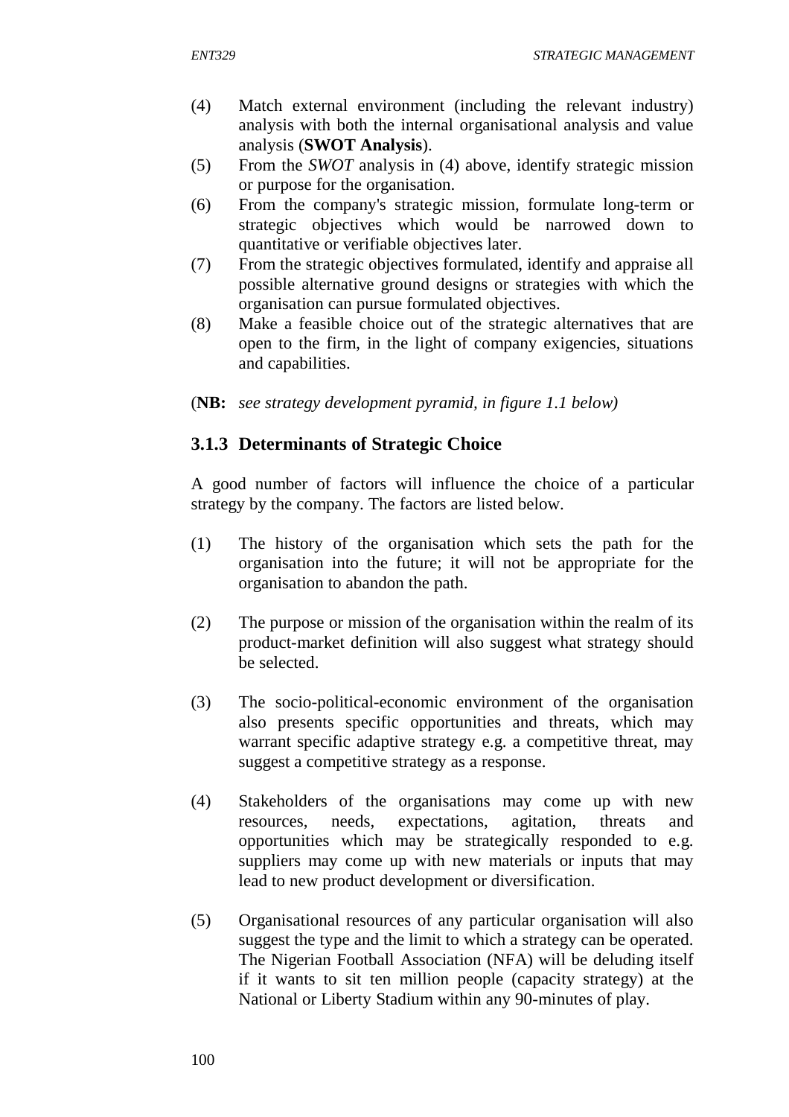- (4) Match external environment (including the relevant industry) analysis with both the internal organisational analysis and value analysis (**SWOT Analysis**).
- (5) From the *SWOT* analysis in (4) above, identify strategic mission or purpose for the organisation.
- (6) From the company's strategic mission, formulate long-term or strategic objectives which would be narrowed down to quantitative or verifiable objectives later.
- (7) From the strategic objectives formulated, identify and appraise all possible alternative ground designs or strategies with which the organisation can pursue formulated objectives.
- (8) Make a feasible choice out of the strategic alternatives that are open to the firm, in the light of company exigencies, situations and capabilities.
- (**NB:** *see strategy development pyramid, in figure 1.1 below)*

## **3.1.3 Determinants of Strategic Choice**

A good number of factors will influence the choice of a particular strategy by the company. The factors are listed below.

- (1) The history of the organisation which sets the path for the organisation into the future; it will not be appropriate for the organisation to abandon the path.
- (2) The purpose or mission of the organisation within the realm of its product-market definition will also suggest what strategy should be selected.
- (3) The socio-political-economic environment of the organisation also presents specific opportunities and threats, which may warrant specific adaptive strategy e.g. a competitive threat, may suggest a competitive strategy as a response.
- (4) Stakeholders of the organisations may come up with new resources, needs, expectations, agitation, threats and opportunities which may be strategically responded to e.g. suppliers may come up with new materials or inputs that may lead to new product development or diversification.
- (5) Organisational resources of any particular organisation will also suggest the type and the limit to which a strategy can be operated. The Nigerian Football Association (NFA) will be deluding itself if it wants to sit ten million people (capacity strategy) at the National or Liberty Stadium within any 90-minutes of play.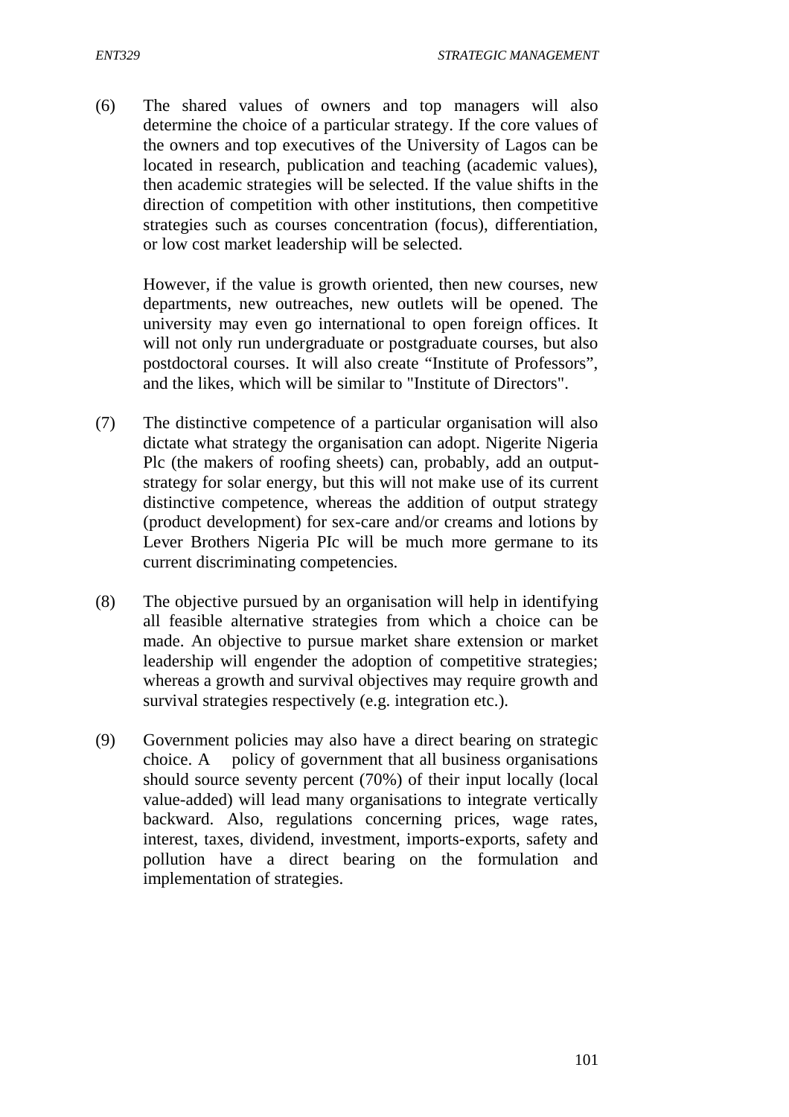(6) The shared values of owners and top managers will also determine the choice of a particular strategy. If the core values of the owners and top executives of the University of Lagos can be located in research, publication and teaching (academic values), then academic strategies will be selected. If the value shifts in the direction of competition with other institutions, then competitive strategies such as courses concentration (focus), differentiation, or low cost market leadership will be selected.

However, if the value is growth oriented, then new courses, new departments, new outreaches, new outlets will be opened. The university may even go international to open foreign offices. It will not only run undergraduate or postgraduate courses, but also postdoctoral courses. It will also create "Institute of Professors", and the likes, which will be similar to "Institute of Directors".

- (7) The distinctive competence of a particular organisation will also dictate what strategy the organisation can adopt. Nigerite Nigeria Plc (the makers of roofing sheets) can, probably, add an outputstrategy for solar energy, but this will not make use of its current distinctive competence, whereas the addition of output strategy (product development) for sex-care and/or creams and lotions by Lever Brothers Nigeria PIc will be much more germane to its current discriminating competencies.
- (8) The objective pursued by an organisation will help in identifying all feasible alternative strategies from which a choice can be made. An objective to pursue market share extension or market leadership will engender the adoption of competitive strategies; whereas a growth and survival objectives may require growth and survival strategies respectively (e.g. integration etc.).
- (9) Government policies may also have a direct bearing on strategic choice. A policy of government that all business organisations should source seventy percent (70%) of their input locally (local value-added) will lead many organisations to integrate vertically backward. Also, regulations concerning prices, wage rates, interest, taxes, dividend, investment, imports-exports, safety and pollution have a direct bearing on the formulation and implementation of strategies.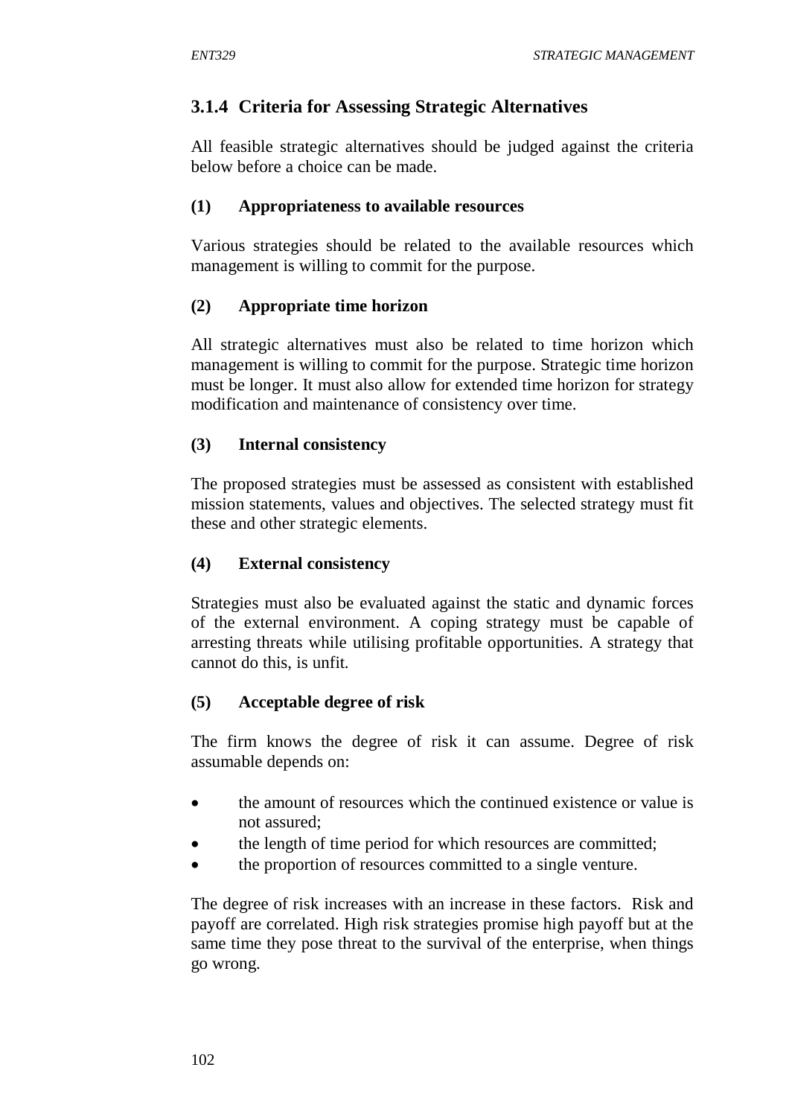## **3.1.4 Criteria for Assessing Strategic Alternatives**

All feasible strategic alternatives should be judged against the criteria below before a choice can be made.

#### **(1) Appropriateness to available resources**

Various strategies should be related to the available resources which management is willing to commit for the purpose.

### **(2) Appropriate time horizon**

All strategic alternatives must also be related to time horizon which management is willing to commit for the purpose. Strategic time horizon must be longer. It must also allow for extended time horizon for strategy modification and maintenance of consistency over time.

#### **(3) Internal consistency**

The proposed strategies must be assessed as consistent with established mission statements, values and objectives. The selected strategy must fit these and other strategic elements.

### **(4) External consistency**

Strategies must also be evaluated against the static and dynamic forces of the external environment. A coping strategy must be capable of arresting threats while utilising profitable opportunities. A strategy that cannot do this, is unfit.

#### **(5) Acceptable degree of risk**

The firm knows the degree of risk it can assume. Degree of risk assumable depends on:

- the amount of resources which the continued existence or value is not assured;
- the length of time period for which resources are committed;
- the proportion of resources committed to a single venture.

The degree of risk increases with an increase in these factors. Risk and payoff are correlated. High risk strategies promise high payoff but at the same time they pose threat to the survival of the enterprise, when things go wrong.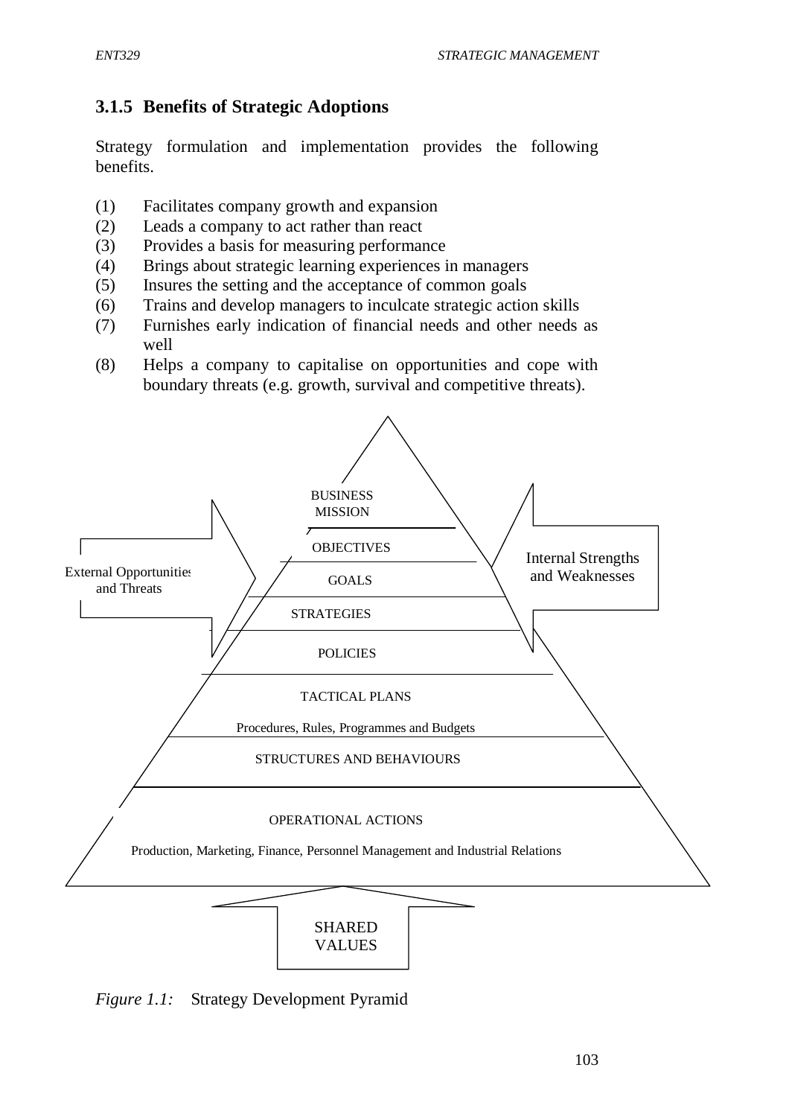# **3.1.5 Benefits of Strategic Adoptions**

Strategy formulation and implementation provides the following benefits.

- (1) Facilitates company growth and expansion
- (2) Leads a company to act rather than react
- (3) Provides a basis for measuring performance
- (4) Brings about strategic learning experiences in managers
- (5) Insures the setting and the acceptance of common goals
- (6) Trains and develop managers to inculcate strategic action skills
- (7) Furnishes early indication of financial needs and other needs as well
- (8) Helps a company to capitalise on opportunities and cope with boundary threats (e.g. growth, survival and competitive threats).



*Figure 1.1:* Strategy Development Pyramid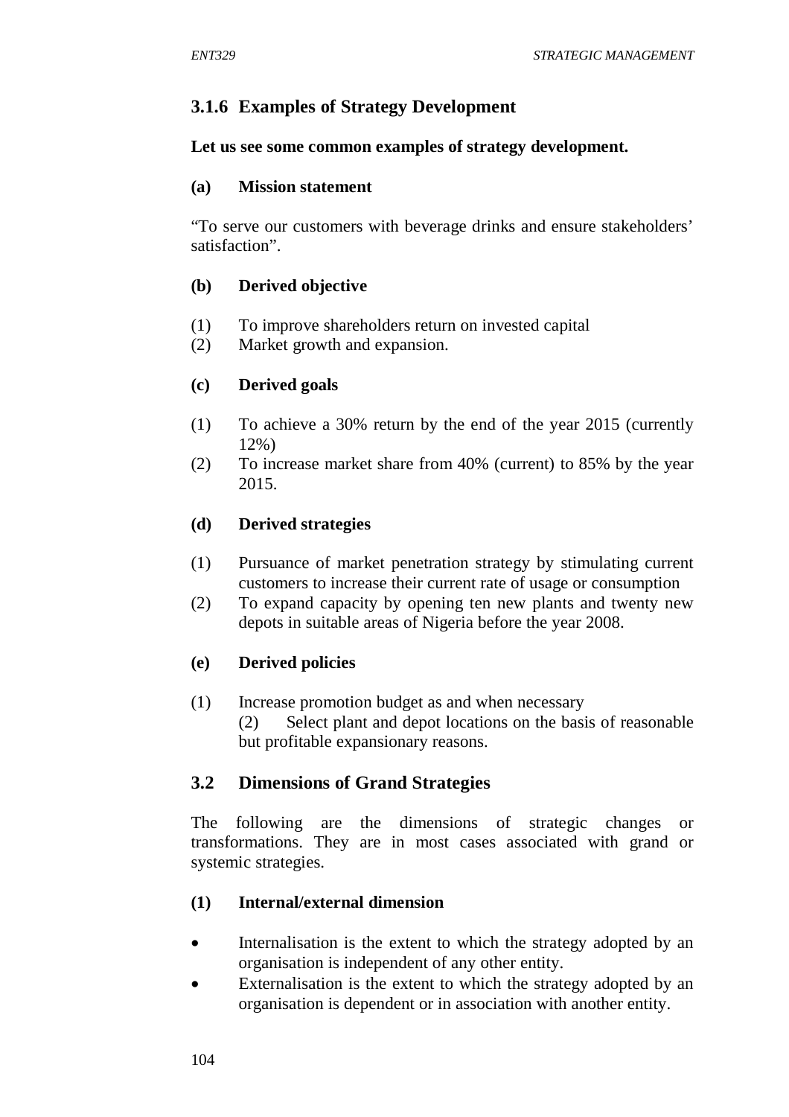# **3.1.6 Examples of Strategy Development**

### **Let us see some common examples of strategy development.**

### **(a) Mission statement**

"To serve our customers with beverage drinks and ensure stakeholders' satisfaction".

### **(b) Derived objective**

- (1) To improve shareholders return on invested capital
- (2) Market growth and expansion.

## **(c) Derived goals**

- (1) To achieve a 30% return by the end of the year 2015 (currently 12%)
- (2) To increase market share from 40% (current) to 85% by the year 2015.

## **(d) Derived strategies**

- (1) Pursuance of market penetration strategy by stimulating current customers to increase their current rate of usage or consumption
- (2) To expand capacity by opening ten new plants and twenty new depots in suitable areas of Nigeria before the year 2008.

## **(e) Derived policies**

(1) Increase promotion budget as and when necessary (2) Select plant and depot locations on the basis of reasonable but profitable expansionary reasons.

## **3.2 Dimensions of Grand Strategies**

The following are the dimensions of strategic changes or transformations. They are in most cases associated with grand or systemic strategies.

## **(1) Internal/external dimension**

- Internalisation is the extent to which the strategy adopted by an organisation is independent of any other entity.
- Externalisation is the extent to which the strategy adopted by an organisation is dependent or in association with another entity.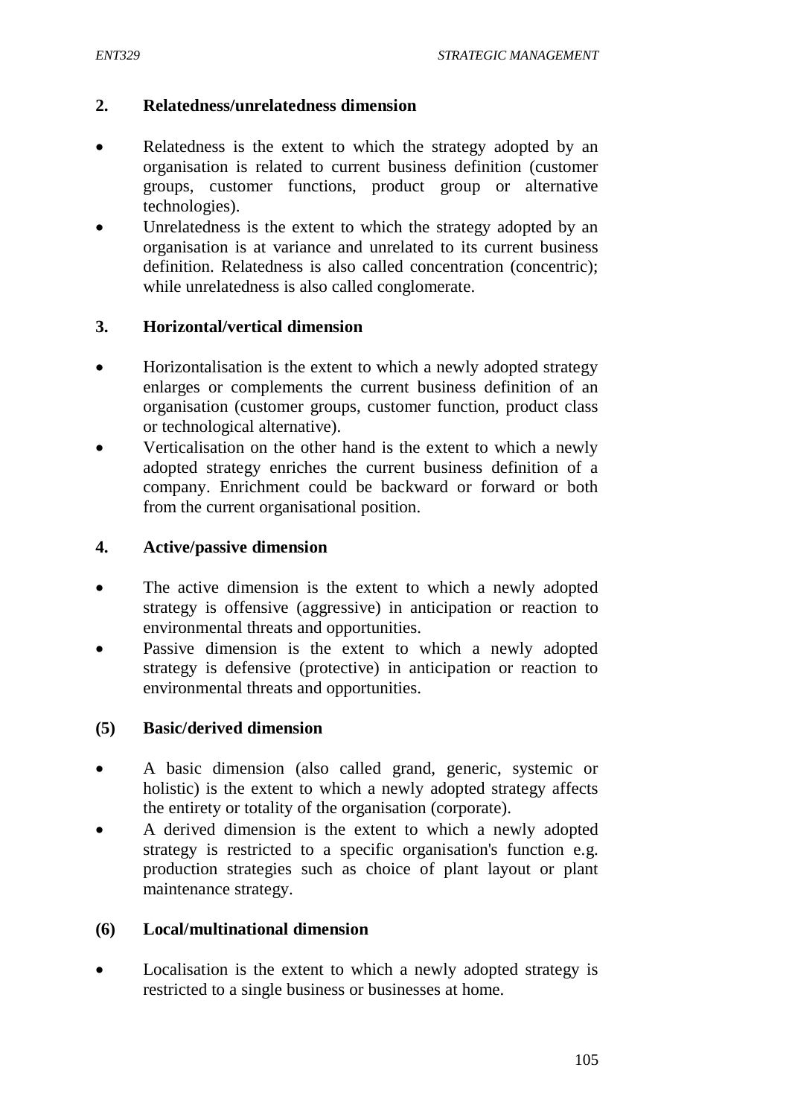#### **2. Relatedness/unrelatedness dimension**

- Relatedness is the extent to which the strategy adopted by an organisation is related to current business definition (customer groups, customer functions, product group or alternative technologies).
- Unrelatedness is the extent to which the strategy adopted by an organisation is at variance and unrelated to its current business definition. Relatedness is also called concentration (concentric); while unrelatedness is also called conglomerate.

#### **3. Horizontal/vertical dimension**

- Horizontalisation is the extent to which a newly adopted strategy enlarges or complements the current business definition of an organisation (customer groups, customer function, product class or technological alternative).
- Verticalisation on the other hand is the extent to which a newly adopted strategy enriches the current business definition of a company. Enrichment could be backward or forward or both from the current organisational position.

#### **4. Active/passive dimension**

- The active dimension is the extent to which a newly adopted strategy is offensive (aggressive) in anticipation or reaction to environmental threats and opportunities.
- Passive dimension is the extent to which a newly adopted strategy is defensive (protective) in anticipation or reaction to environmental threats and opportunities.

#### **(5) Basic/derived dimension**

- A basic dimension (also called grand, generic, systemic or holistic) is the extent to which a newly adopted strategy affects the entirety or totality of the organisation (corporate).
- A derived dimension is the extent to which a newly adopted strategy is restricted to a specific organisation's function e.g. production strategies such as choice of plant layout or plant maintenance strategy.

#### **(6) Local/multinational dimension**

• Localisation is the extent to which a newly adopted strategy is restricted to a single business or businesses at home.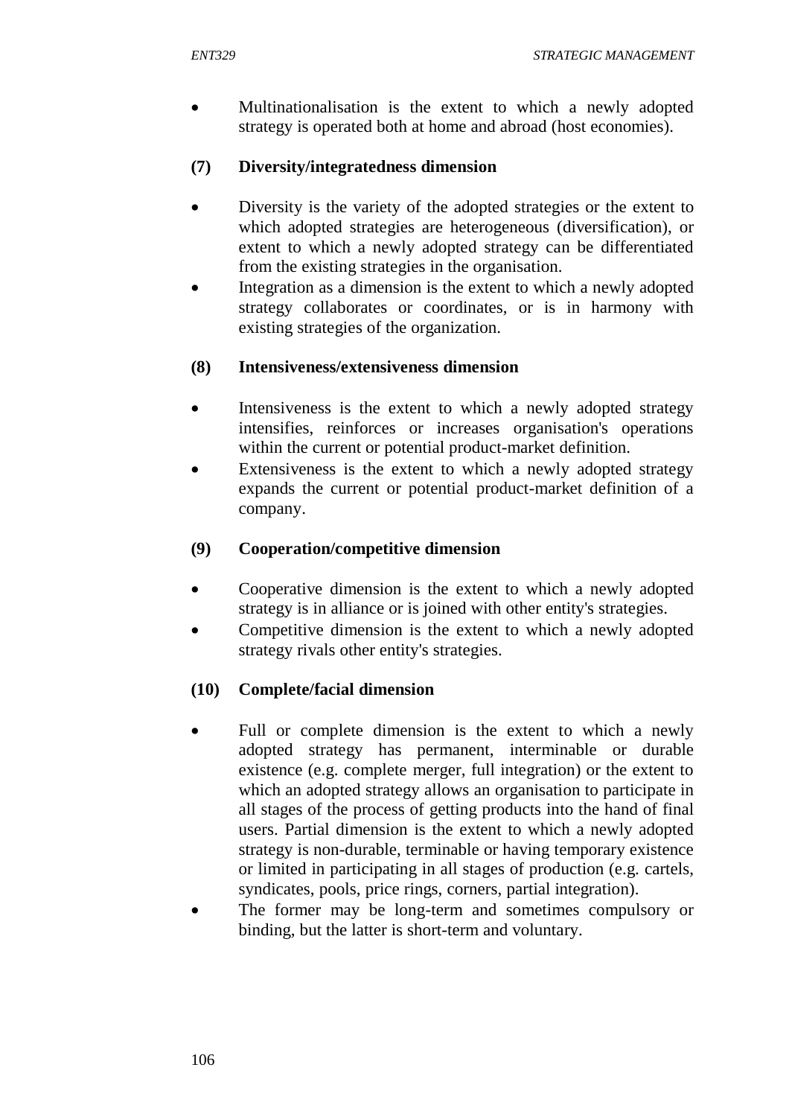Multinationalisation is the extent to which a newly adopted strategy is operated both at home and abroad (host economies).

### **(7) Diversity/integratedness dimension**

- Diversity is the variety of the adopted strategies or the extent to which adopted strategies are heterogeneous (diversification), or extent to which a newly adopted strategy can be differentiated from the existing strategies in the organisation.
- Integration as a dimension is the extent to which a newly adopted strategy collaborates or coordinates, or is in harmony with existing strategies of the organization.

## **(8) Intensiveness/extensiveness dimension**

- Intensiveness is the extent to which a newly adopted strategy intensifies, reinforces or increases organisation's operations within the current or potential product-market definition.
- Extensiveness is the extent to which a newly adopted strategy expands the current or potential product-market definition of a company.

### **(9) Cooperation/competitive dimension**

- Cooperative dimension is the extent to which a newly adopted strategy is in alliance or is joined with other entity's strategies.
- Competitive dimension is the extent to which a newly adopted strategy rivals other entity's strategies.

## **(10) Complete/facial dimension**

- Full or complete dimension is the extent to which a newly adopted strategy has permanent, interminable or durable existence (e.g. complete merger, full integration) or the extent to which an adopted strategy allows an organisation to participate in all stages of the process of getting products into the hand of final users. Partial dimension is the extent to which a newly adopted strategy is non-durable, terminable or having temporary existence or limited in participating in all stages of production (e.g. cartels, syndicates, pools, price rings, corners, partial integration).
- The former may be long-term and sometimes compulsory or binding, but the latter is short-term and voluntary.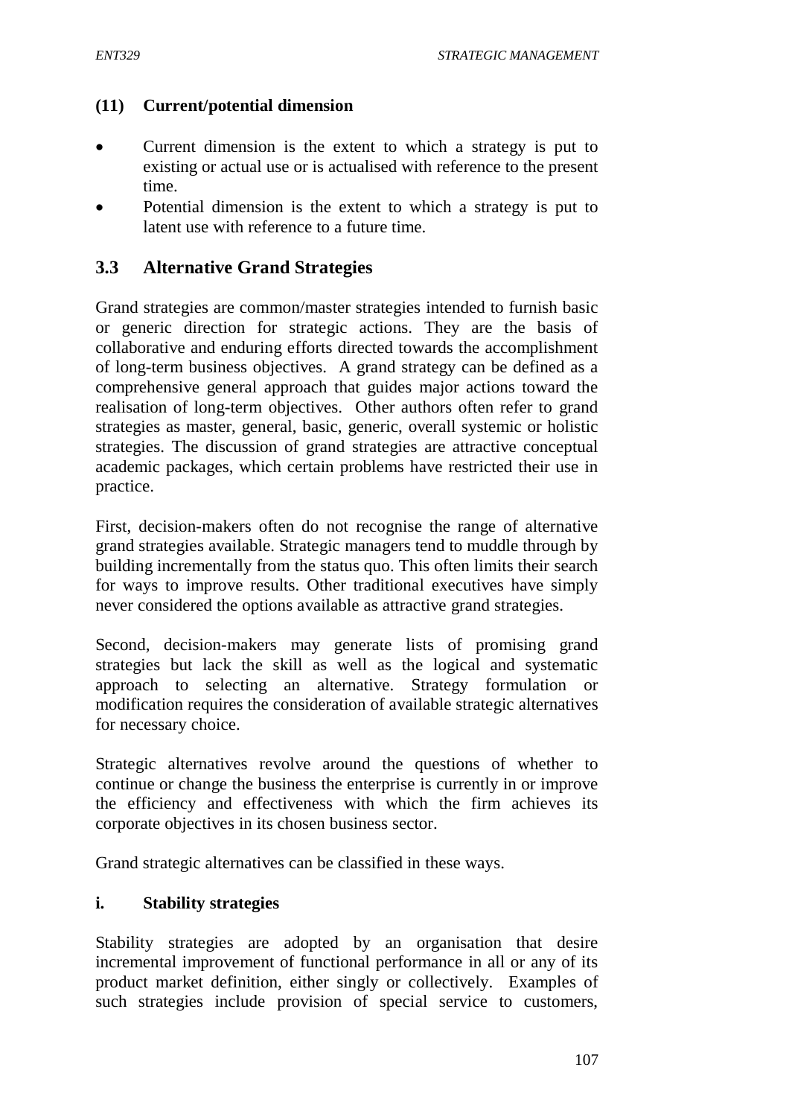#### **(11) Current/potential dimension**

- Current dimension is the extent to which a strategy is put to existing or actual use or is actualised with reference to the present time.
- Potential dimension is the extent to which a strategy is put to latent use with reference to a future time.

### **3.3 Alternative Grand Strategies**

Grand strategies are common/master strategies intended to furnish basic or generic direction for strategic actions. They are the basis of collaborative and enduring efforts directed towards the accomplishment of long-term business objectives. A grand strategy can be defined as a comprehensive general approach that guides major actions toward the realisation of long-term objectives. Other authors often refer to grand strategies as master, general, basic, generic, overall systemic or holistic strategies. The discussion of grand strategies are attractive conceptual academic packages, which certain problems have restricted their use in practice.

First, decision-makers often do not recognise the range of alternative grand strategies available. Strategic managers tend to muddle through by building incrementally from the status quo. This often limits their search for ways to improve results. Other traditional executives have simply never considered the options available as attractive grand strategies.

Second, decision-makers may generate lists of promising grand strategies but lack the skill as well as the logical and systematic approach to selecting an alternative. Strategy formulation or modification requires the consideration of available strategic alternatives for necessary choice.

Strategic alternatives revolve around the questions of whether to continue or change the business the enterprise is currently in or improve the efficiency and effectiveness with which the firm achieves its corporate objectives in its chosen business sector.

Grand strategic alternatives can be classified in these ways.

#### **i. Stability strategies**

Stability strategies are adopted by an organisation that desire incremental improvement of functional performance in all or any of its product market definition, either singly or collectively. Examples of such strategies include provision of special service to customers,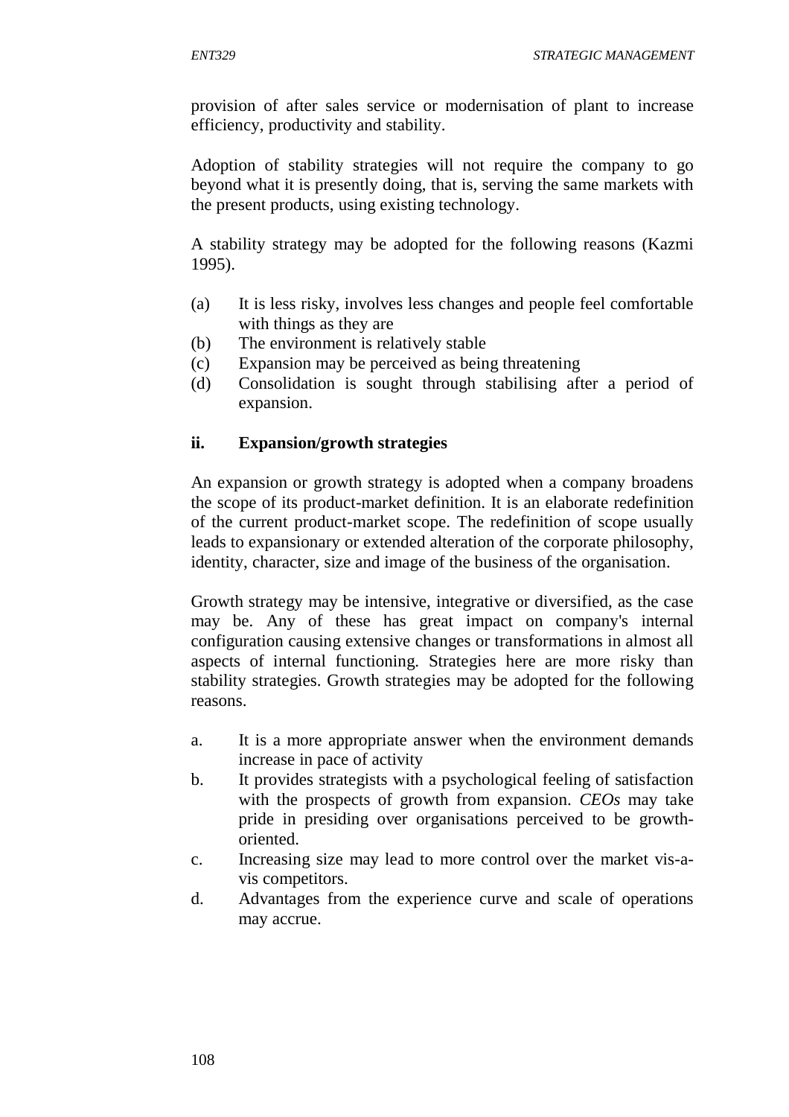provision of after sales service or modernisation of plant to increase efficiency, productivity and stability.

Adoption of stability strategies will not require the company to go beyond what it is presently doing, that is, serving the same markets with the present products, using existing technology.

A stability strategy may be adopted for the following reasons (Kazmi 1995).

- (a) It is less risky, involves less changes and people feel comfortable with things as they are
- (b) The environment is relatively stable
- (c) Expansion may be perceived as being threatening
- (d) Consolidation is sought through stabilising after a period of expansion.

## **ii. Expansion/growth strategies**

An expansion or growth strategy is adopted when a company broadens the scope of its product-market definition. It is an elaborate redefinition of the current product-market scope. The redefinition of scope usually leads to expansionary or extended alteration of the corporate philosophy, identity, character, size and image of the business of the organisation.

Growth strategy may be intensive, integrative or diversified, as the case may be. Any of these has great impact on company's internal configuration causing extensive changes or transformations in almost all aspects of internal functioning. Strategies here are more risky than stability strategies. Growth strategies may be adopted for the following reasons.

- a. It is a more appropriate answer when the environment demands increase in pace of activity
- b. It provides strategists with a psychological feeling of satisfaction with the prospects of growth from expansion. *CEOs* may take pride in presiding over organisations perceived to be growthoriented.
- c. Increasing size may lead to more control over the market vis-avis competitors.
- d. Advantages from the experience curve and scale of operations may accrue.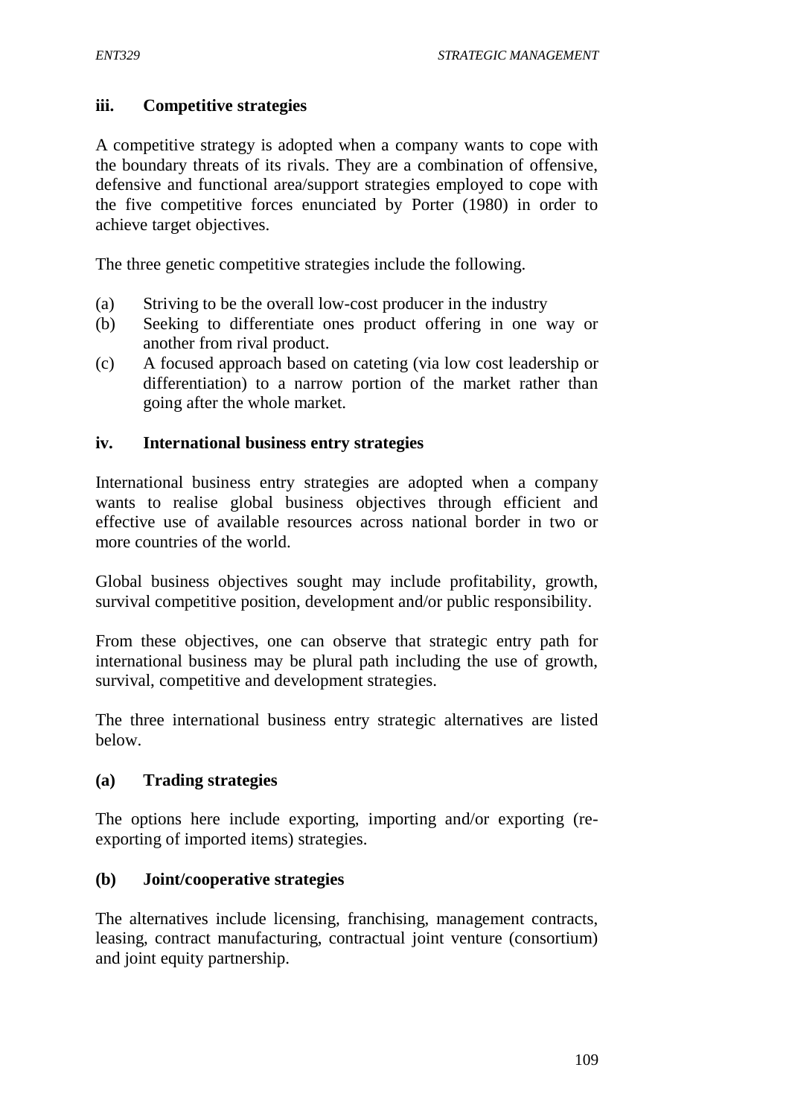#### **iii. Competitive strategies**

A competitive strategy is adopted when a company wants to cope with the boundary threats of its rivals. They are a combination of offensive, defensive and functional area/support strategies employed to cope with the five competitive forces enunciated by Porter (1980) in order to achieve target objectives.

The three genetic competitive strategies include the following.

- (a) Striving to be the overall low-cost producer in the industry
- (b) Seeking to differentiate ones product offering in one way or another from rival product.
- (c) A focused approach based on cateting (via low cost leadership or differentiation) to a narrow portion of the market rather than going after the whole market.

#### **iv. International business entry strategies**

International business entry strategies are adopted when a company wants to realise global business objectives through efficient and effective use of available resources across national border in two or more countries of the world.

Global business objectives sought may include profitability, growth, survival competitive position, development and/or public responsibility.

From these objectives, one can observe that strategic entry path for international business may be plural path including the use of growth, survival, competitive and development strategies.

The three international business entry strategic alternatives are listed below.

#### **(a) Trading strategies**

The options here include exporting, importing and/or exporting (reexporting of imported items) strategies.

#### **(b) Joint/cooperative strategies**

The alternatives include licensing, franchising, management contracts, leasing, contract manufacturing, contractual joint venture (consortium) and joint equity partnership.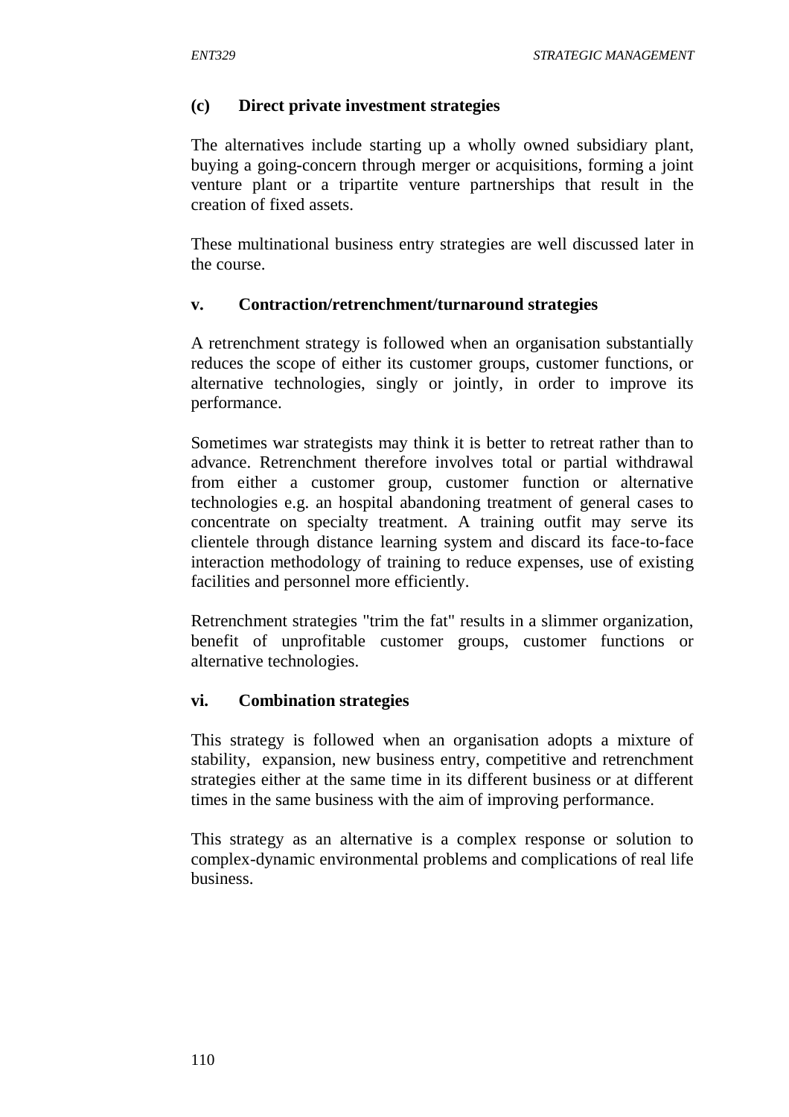### **(c) Direct private investment strategies**

The alternatives include starting up a wholly owned subsidiary plant, buying a going-concern through merger or acquisitions, forming a joint venture plant or a tripartite venture partnerships that result in the creation of fixed assets.

These multinational business entry strategies are well discussed later in the course.

#### **v. Contraction/retrenchment/turnaround strategies**

A retrenchment strategy is followed when an organisation substantially reduces the scope of either its customer groups, customer functions, or alternative technologies, singly or jointly, in order to improve its performance.

Sometimes war strategists may think it is better to retreat rather than to advance. Retrenchment therefore involves total or partial withdrawal from either a customer group, customer function or alternative technologies e.g. an hospital abandoning treatment of general cases to concentrate on specialty treatment. A training outfit may serve its clientele through distance learning system and discard its face-to-face interaction methodology of training to reduce expenses, use of existing facilities and personnel more efficiently.

Retrenchment strategies "trim the fat" results in a slimmer organization, benefit of unprofitable customer groups, customer functions or alternative technologies.

#### **vi. Combination strategies**

This strategy is followed when an organisation adopts a mixture of stability, expansion, new business entry, competitive and retrenchment strategies either at the same time in its different business or at different times in the same business with the aim of improving performance.

This strategy as an alternative is a complex response or solution to complex-dynamic environmental problems and complications of real life business.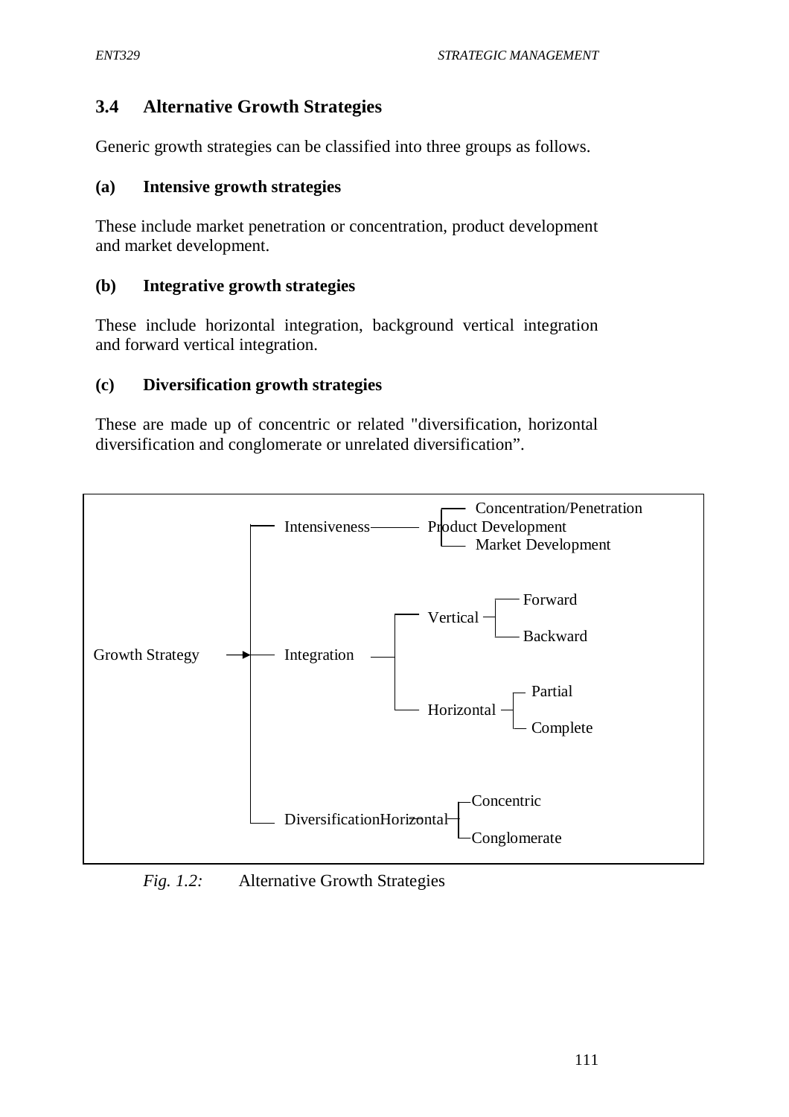## **3.4 Alternative Growth Strategies**

Generic growth strategies can be classified into three groups as follows.

#### **(a) Intensive growth strategies**

These include market penetration or concentration, product development and market development.

#### **(b) Integrative growth strategies**

These include horizontal integration, background vertical integration and forward vertical integration.

#### **(c) Diversification growth strategies**

These are made up of concentric or related "diversification, horizontal diversification and conglomerate or unrelated diversification".



*Fig. 1.2:* Alternative Growth Strategies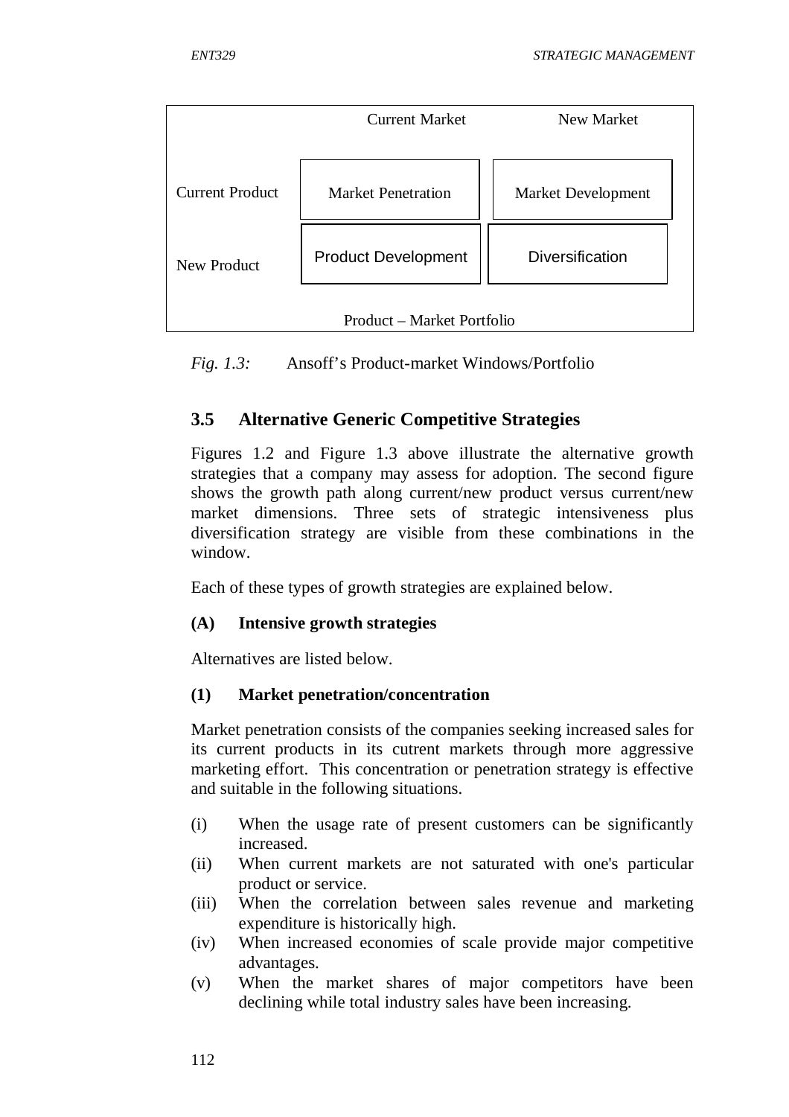

*Fig. 1.3:* Ansoff's Product-market Windows/Portfolio

# **3.5 Alternative Generic Competitive Strategies**

Figures 1.2 and Figure 1.3 above illustrate the alternative growth strategies that a company may assess for adoption. The second figure shows the growth path along current/new product versus current/new market dimensions. Three sets of strategic intensiveness plus diversification strategy are visible from these combinations in the window.

Each of these types of growth strategies are explained below.

## **(A) Intensive growth strategies**

Alternatives are listed below.

## **(1) Market penetration/concentration**

Market penetration consists of the companies seeking increased sales for its current products in its cutrent markets through more aggressive marketing effort. This concentration or penetration strategy is effective and suitable in the following situations.

- (i) When the usage rate of present customers can be significantly increased.
- (ii) When current markets are not saturated with one's particular product or service.
- (iii) When the correlation between sales revenue and marketing expenditure is historically high.
- (iv) When increased economies of scale provide major competitive advantages.
- (v) When the market shares of major competitors have been declining while total industry sales have been increasing.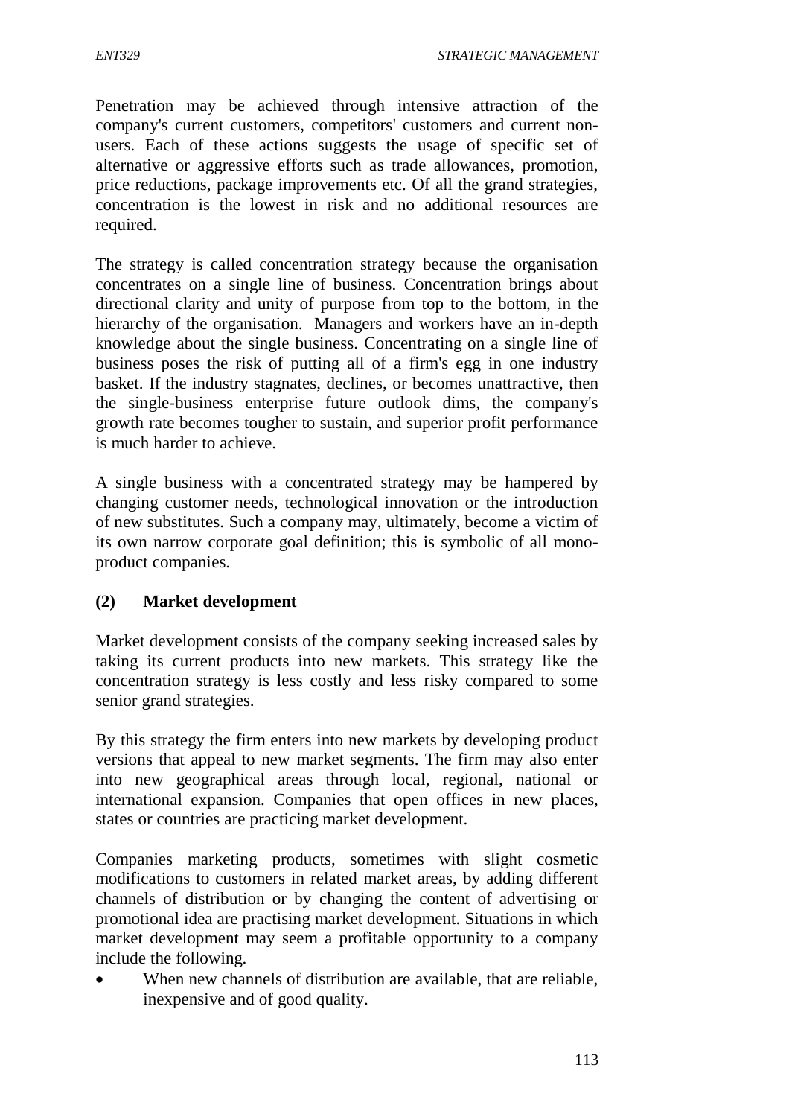*ENT329 STRATEGIC MANAGEMENT*

Penetration may be achieved through intensive attraction of the company's current customers, competitors' customers and current nonusers. Each of these actions suggests the usage of specific set of alternative or aggressive efforts such as trade allowances, promotion, price reductions, package improvements etc. Of all the grand strategies, concentration is the lowest in risk and no additional resources are required.

The strategy is called concentration strategy because the organisation concentrates on a single line of business. Concentration brings about directional clarity and unity of purpose from top to the bottom, in the hierarchy of the organisation. Managers and workers have an in-depth knowledge about the single business. Concentrating on a single line of business poses the risk of putting all of a firm's egg in one industry basket. If the industry stagnates, declines, or becomes unattractive, then the single-business enterprise future outlook dims, the company's growth rate becomes tougher to sustain, and superior profit performance is much harder to achieve.

A single business with a concentrated strategy may be hampered by changing customer needs, technological innovation or the introduction of new substitutes. Such a company may, ultimately, become a victim of its own narrow corporate goal definition; this is symbolic of all monoproduct companies.

## **(2) Market development**

Market development consists of the company seeking increased sales by taking its current products into new markets. This strategy like the concentration strategy is less costly and less risky compared to some senior grand strategies.

By this strategy the firm enters into new markets by developing product versions that appeal to new market segments. The firm may also enter into new geographical areas through local, regional, national or international expansion. Companies that open offices in new places, states or countries are practicing market development.

Companies marketing products, sometimes with slight cosmetic modifications to customers in related market areas, by adding different channels of distribution or by changing the content of advertising or promotional idea are practising market development. Situations in which market development may seem a profitable opportunity to a company include the following.

 When new channels of distribution are available, that are reliable, inexpensive and of good quality.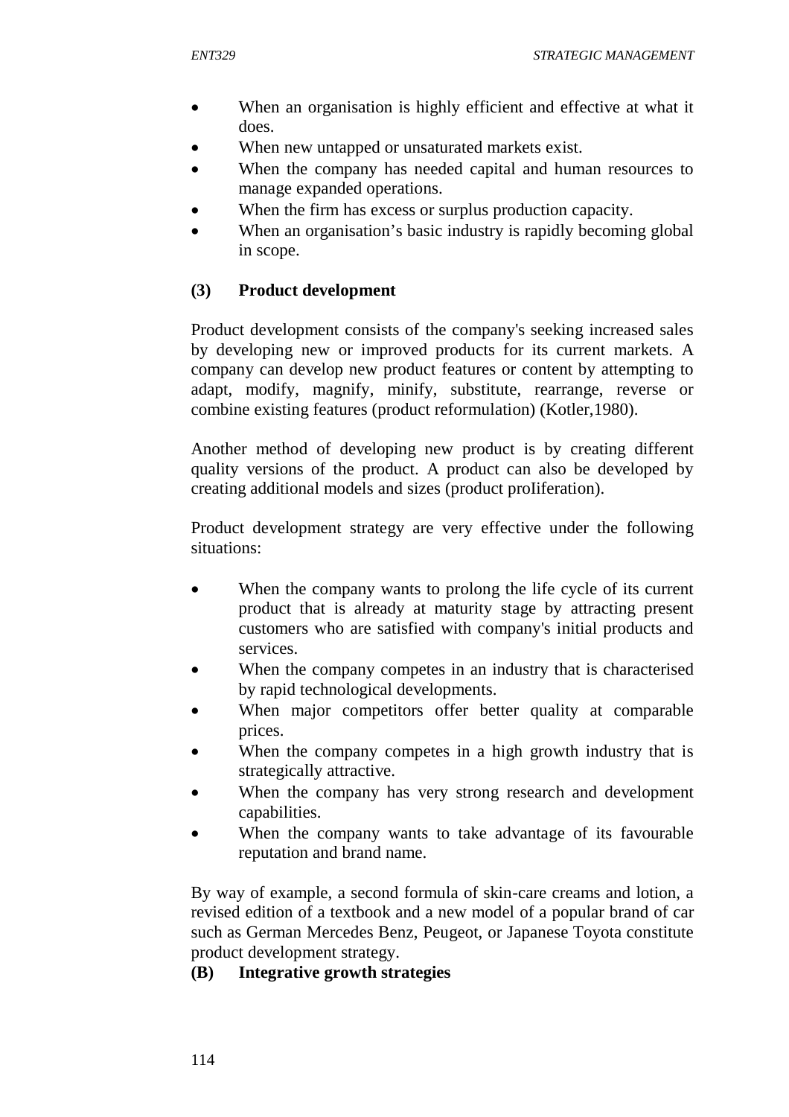- When an organisation is highly efficient and effective at what it does.
- When new untapped or unsaturated markets exist.
- When the company has needed capital and human resources to manage expanded operations.
- When the firm has excess or surplus production capacity.
- When an organisation's basic industry is rapidly becoming global in scope.

### **(3) Product development**

Product development consists of the company's seeking increased sales by developing new or improved products for its current markets. A company can develop new product features or content by attempting to adapt, modify, magnify, minify, substitute, rearrange, reverse or combine existing features (product reformulation) (Kotler,1980).

Another method of developing new product is by creating different quality versions of the product. A product can also be developed by creating additional models and sizes (product proIiferation).

Product development strategy are very effective under the following situations:

- When the company wants to prolong the life cycle of its current product that is already at maturity stage by attracting present customers who are satisfied with company's initial products and services.
- When the company competes in an industry that is characterised by rapid technological developments.
- When major competitors offer better quality at comparable prices.
- When the company competes in a high growth industry that is strategically attractive.
- When the company has very strong research and development capabilities.
- When the company wants to take advantage of its favourable reputation and brand name.

By way of example, a second formula of skin-care creams and lotion, a revised edition of a textbook and a new model of a popular brand of car such as German Mercedes Benz, Peugeot, or Japanese Toyota constitute product development strategy.

#### **(B) Integrative growth strategies**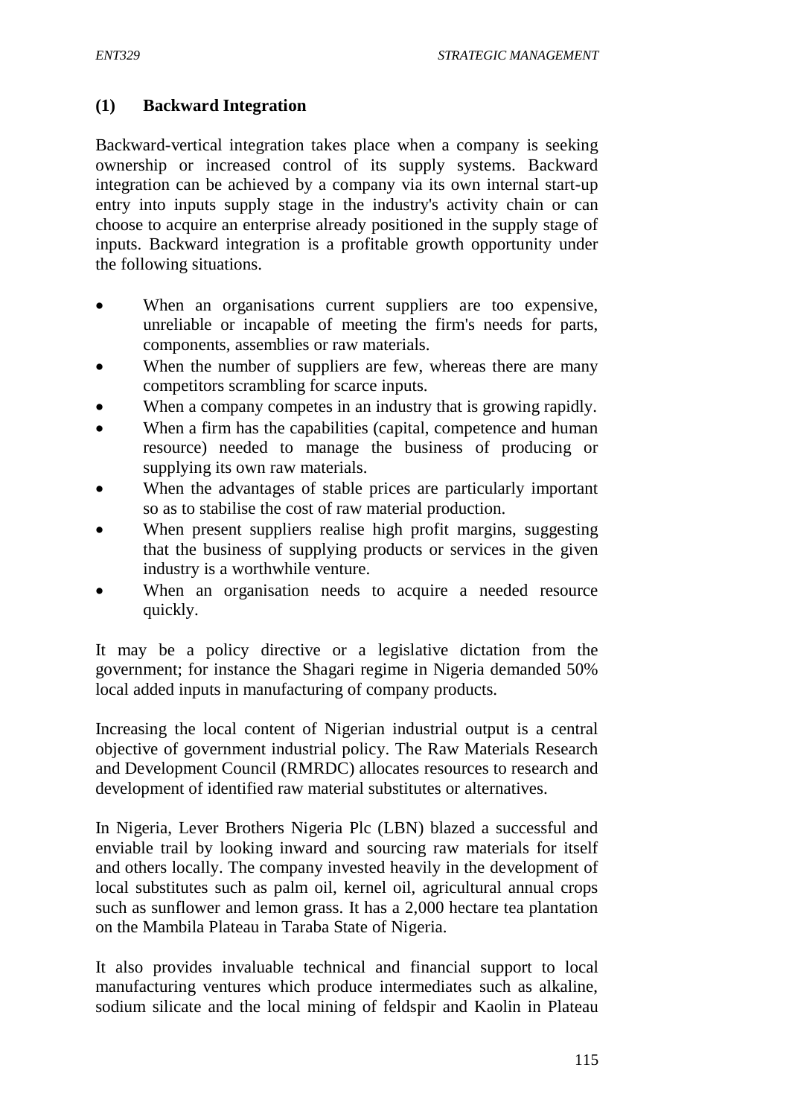### **(1) Backward Integration**

Backward-vertical integration takes place when a company is seeking ownership or increased control of its supply systems. Backward integration can be achieved by a company via its own internal start-up entry into inputs supply stage in the industry's activity chain or can choose to acquire an enterprise already positioned in the supply stage of inputs. Backward integration is a profitable growth opportunity under the following situations.

- When an organisations current suppliers are too expensive, unreliable or incapable of meeting the firm's needs for parts, components, assemblies or raw materials.
- When the number of suppliers are few, whereas there are many competitors scrambling for scarce inputs.
- When a company competes in an industry that is growing rapidly.
- When a firm has the capabilities (capital, competence and human resource) needed to manage the business of producing or supplying its own raw materials.
- When the advantages of stable prices are particularly important so as to stabilise the cost of raw material production.
- When present suppliers realise high profit margins, suggesting that the business of supplying products or services in the given industry is a worthwhile venture.
- When an organisation needs to acquire a needed resource quickly.

It may be a policy directive or a legislative dictation from the government; for instance the Shagari regime in Nigeria demanded 50% local added inputs in manufacturing of company products.

Increasing the local content of Nigerian industrial output is a central objective of government industrial policy. The Raw Materials Research and Development Council (RMRDC) allocates resources to research and development of identified raw material substitutes or alternatives.

In Nigeria, Lever Brothers Nigeria Plc (LBN) blazed a successful and enviable trail by looking inward and sourcing raw materials for itself and others locally. The company invested heavily in the development of local substitutes such as palm oil, kernel oil, agricultural annual crops such as sunflower and lemon grass. It has a 2,000 hectare tea plantation on the Mambila Plateau in Taraba State of Nigeria.

It also provides invaluable technical and financial support to local manufacturing ventures which produce intermediates such as alkaline, sodium silicate and the local mining of feldspir and Kaolin in Plateau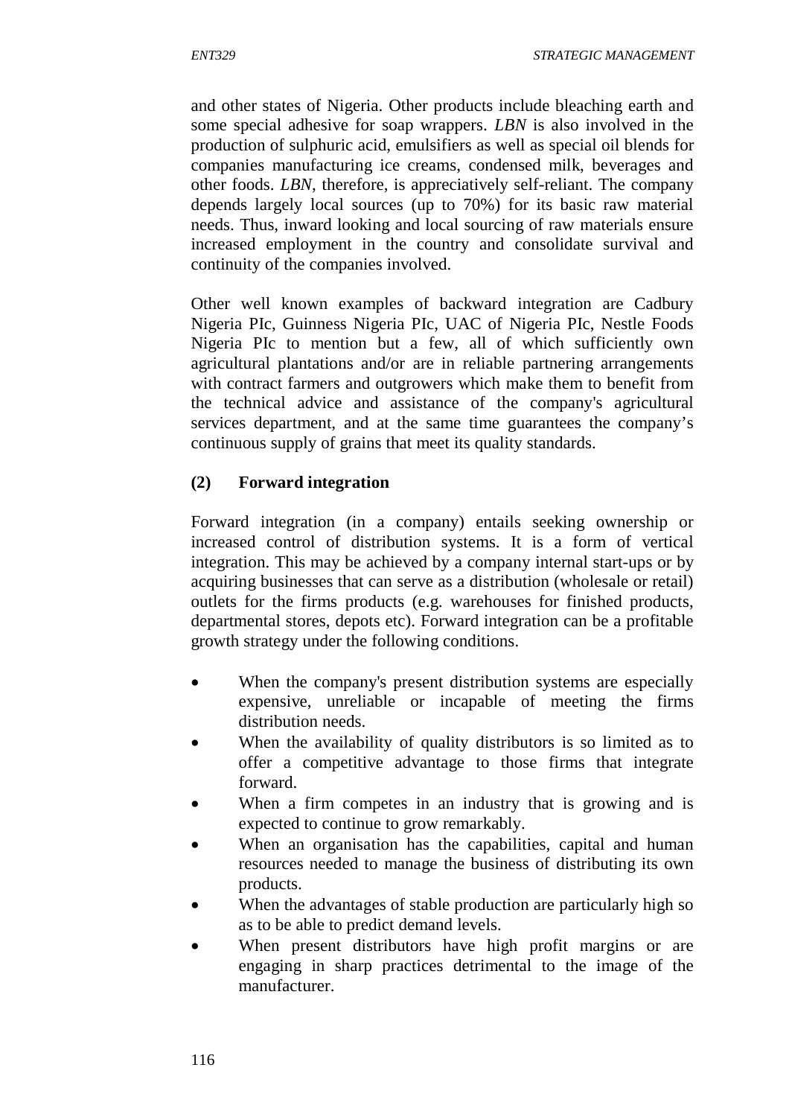and other states of Nigeria. Other products include bleaching earth and some special adhesive for soap wrappers. *LBN* is also involved in the production of sulphuric acid, emulsifiers as well as special oil blends for companies manufacturing ice creams, condensed milk, beverages and other foods. *LBN*, therefore, is appreciatively self-reliant. The company depends largely local sources (up to 70%) for its basic raw material needs. Thus, inward looking and local sourcing of raw materials ensure increased employment in the country and consolidate survival and continuity of the companies involved.

Other well known examples of backward integration are Cadbury Nigeria PIc, Guinness Nigeria PIc, UAC of Nigeria PIc, Nestle Foods Nigeria PIc to mention but a few, all of which sufficiently own agricultural plantations and/or are in reliable partnering arrangements with contract farmers and outgrowers which make them to benefit from the technical advice and assistance of the company's agricultural services department, and at the same time guarantees the company's continuous supply of grains that meet its quality standards.

## **(2) Forward integration**

Forward integration (in a company) entails seeking ownership or increased control of distribution systems. It is a form of vertical integration. This may be achieved by a company internal start-ups or by acquiring businesses that can serve as a distribution (wholesale or retail) outlets for the firms products (e.g. warehouses for finished products, departmental stores, depots etc). Forward integration can be a profitable growth strategy under the following conditions.

- When the company's present distribution systems are especially expensive, unreliable or incapable of meeting the firms distribution needs.
- When the availability of quality distributors is so limited as to offer a competitive advantage to those firms that integrate forward.
- When a firm competes in an industry that is growing and is expected to continue to grow remarkably.
- When an organisation has the capabilities, capital and human resources needed to manage the business of distributing its own products.
- When the advantages of stable production are particularly high so as to be able to predict demand levels.
- When present distributors have high profit margins or are engaging in sharp practices detrimental to the image of the manufacturer.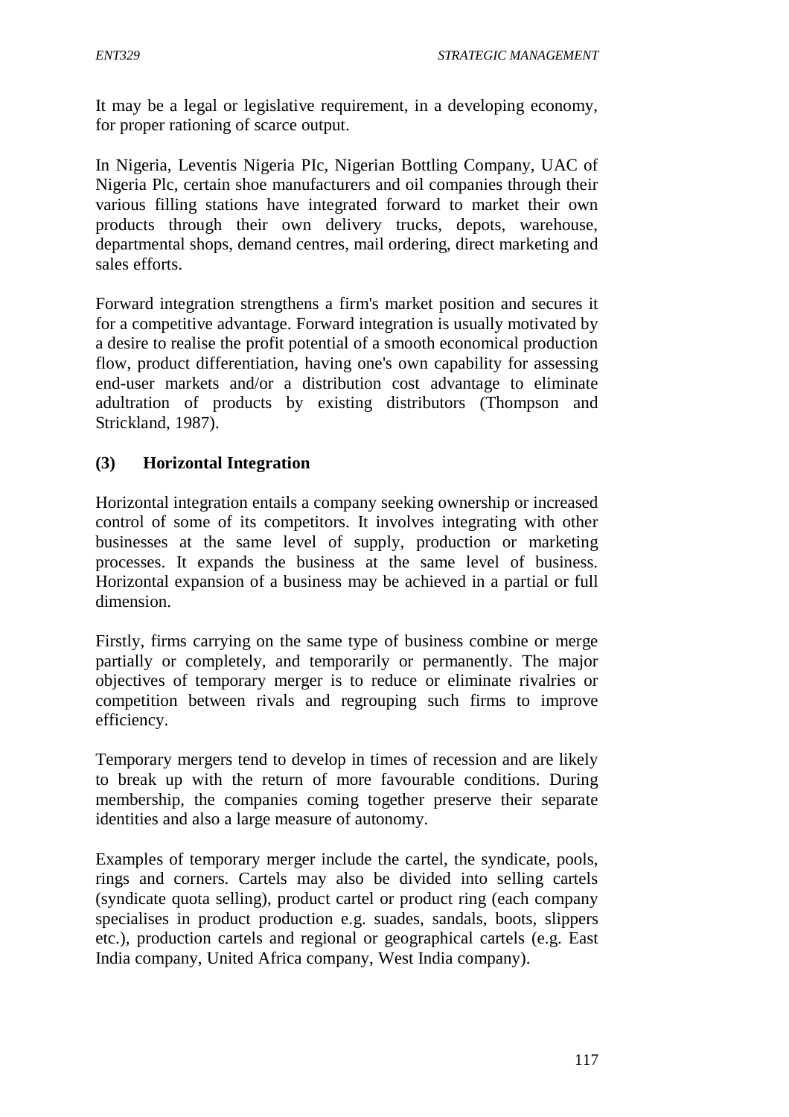It may be a legal or legislative requirement, in a developing economy, for proper rationing of scarce output.

In Nigeria, Leventis Nigeria PIc, Nigerian Bottling Company, UAC of Nigeria Plc, certain shoe manufacturers and oil companies through their various filling stations have integrated forward to market their own products through their own delivery trucks, depots, warehouse, departmental shops, demand centres, mail ordering, direct marketing and sales efforts.

Forward integration strengthens a firm's market position and secures it for a competitive advantage. Forward integration is usually motivated by a desire to realise the profit potential of a smooth economical production flow, product differentiation, having one's own capability for assessing end-user markets and/or a distribution cost advantage to eliminate adultration of products by existing distributors (Thompson and Strickland, 1987).

### **(3) Horizontal Integration**

Horizontal integration entails a company seeking ownership or increased control of some of its competitors. It involves integrating with other businesses at the same level of supply, production or marketing processes. It expands the business at the same level of business. Horizontal expansion of a business may be achieved in a partial or full dimension.

Firstly, firms carrying on the same type of business combine or merge partially or completely, and temporarily or permanently. The major objectives of temporary merger is to reduce or eliminate rivalries or competition between rivals and regrouping such firms to improve efficiency.

Temporary mergers tend to develop in times of recession and are likely to break up with the return of more favourable conditions. During membership, the companies coming together preserve their separate identities and also a large measure of autonomy.

Examples of temporary merger include the cartel, the syndicate, pools, rings and corners. Cartels may also be divided into selling cartels (syndicate quota selling), product cartel or product ring (each company specialises in product production e.g. suades, sandals, boots, slippers etc.), production cartels and regional or geographical cartels (e.g. East India company, United Africa company, West India company).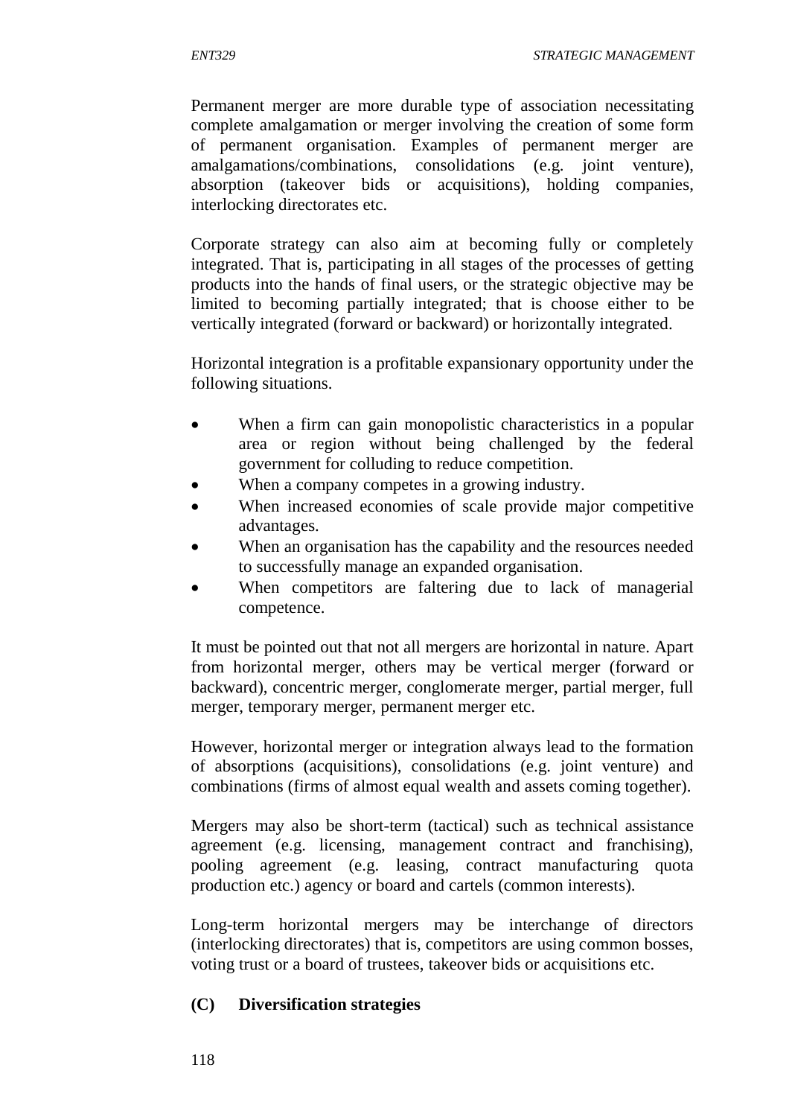Permanent merger are more durable type of association necessitating complete amalgamation or merger involving the creation of some form of permanent organisation. Examples of permanent merger are amalgamations/combinations, consolidations (e.g. joint venture), absorption (takeover bids or acquisitions), holding companies, interlocking directorates etc.

Corporate strategy can also aim at becoming fully or completely integrated. That is, participating in all stages of the processes of getting products into the hands of final users, or the strategic objective may be limited to becoming partially integrated; that is choose either to be vertically integrated (forward or backward) or horizontally integrated.

Horizontal integration is a profitable expansionary opportunity under the following situations.

- When a firm can gain monopolistic characteristics in a popular area or region without being challenged by the federal government for colluding to reduce competition.
- When a company competes in a growing industry.
- When increased economies of scale provide major competitive advantages.
- When an organisation has the capability and the resources needed to successfully manage an expanded organisation.
- When competitors are faltering due to lack of managerial competence.

It must be pointed out that not all mergers are horizontal in nature. Apart from horizontal merger, others may be vertical merger (forward or backward), concentric merger, conglomerate merger, partial merger, full merger, temporary merger, permanent merger etc.

However, horizontal merger or integration always lead to the formation of absorptions (acquisitions), consolidations (e.g. joint venture) and combinations (firms of almost equal wealth and assets coming together).

Mergers may also be short-term (tactical) such as technical assistance agreement (e.g. licensing, management contract and franchising), pooling agreement (e.g. leasing, contract manufacturing quota production etc.) agency or board and cartels (common interests).

Long-term horizontal mergers may be interchange of directors (interlocking directorates) that is, competitors are using common bosses, voting trust or a board of trustees, takeover bids or acquisitions etc.

#### **(C) Diversification strategies**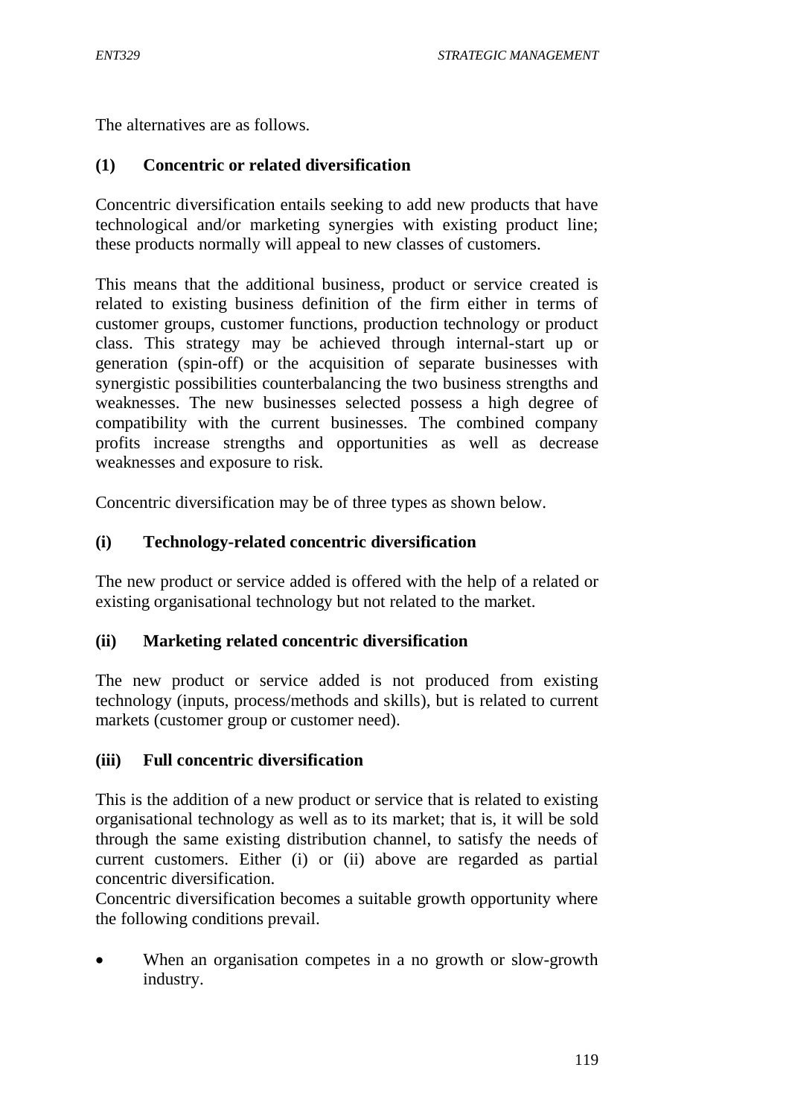The alternatives are as follows.

### **(1) Concentric or related diversification**

Concentric diversification entails seeking to add new products that have technological and/or marketing synergies with existing product line; these products normally will appeal to new classes of customers.

This means that the additional business, product or service created is related to existing business definition of the firm either in terms of customer groups, customer functions, production technology or product class. This strategy may be achieved through internal-start up or generation (spin-off) or the acquisition of separate businesses with synergistic possibilities counterbalancing the two business strengths and weaknesses. The new businesses selected possess a high degree of compatibility with the current businesses. The combined company profits increase strengths and opportunities as well as decrease weaknesses and exposure to risk.

Concentric diversification may be of three types as shown below.

#### **(i) Technology-related concentric diversification**

The new product or service added is offered with the help of a related or existing organisational technology but not related to the market.

#### **(ii) Marketing related concentric diversification**

The new product or service added is not produced from existing technology (inputs, process/methods and skills), but is related to current markets (customer group or customer need).

#### **(iii) Full concentric diversification**

This is the addition of a new product or service that is related to existing organisational technology as well as to its market; that is, it will be sold through the same existing distribution channel, to satisfy the needs of current customers. Either (i) or (ii) above are regarded as partial concentric diversification.

Concentric diversification becomes a suitable growth opportunity where the following conditions prevail.

 When an organisation competes in a no growth or slow-growth industry.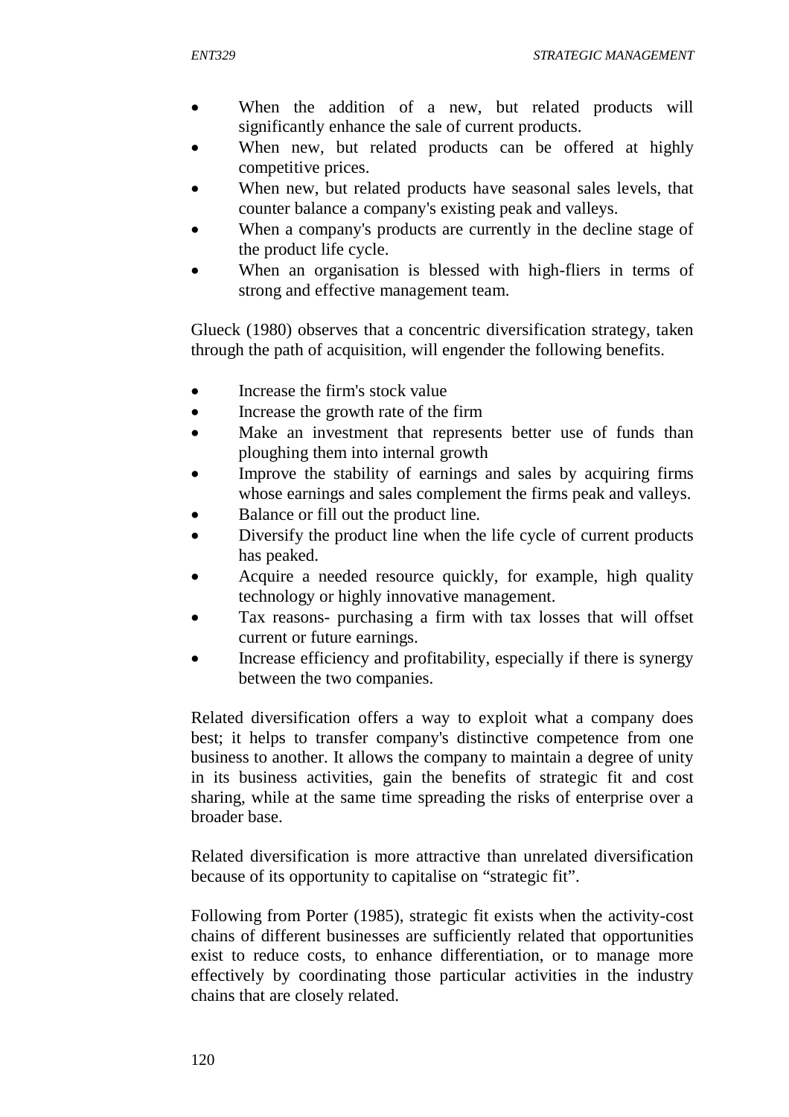- When the addition of a new, but related products will significantly enhance the sale of current products.
- When new, but related products can be offered at highly competitive prices.
- When new, but related products have seasonal sales levels, that counter balance a company's existing peak and valleys.
- When a company's products are currently in the decline stage of the product life cycle.
- When an organisation is blessed with high-fliers in terms of strong and effective management team.

Glueck (1980) observes that a concentric diversification strategy, taken through the path of acquisition, will engender the following benefits.

- Increase the firm's stock value
- Increase the growth rate of the firm
- Make an investment that represents better use of funds than ploughing them into internal growth
- Improve the stability of earnings and sales by acquiring firms whose earnings and sales complement the firms peak and valleys.
- Balance or fill out the product line.
- Diversify the product line when the life cycle of current products has peaked.
- Acquire a needed resource quickly, for example, high quality technology or highly innovative management.
- Tax reasons- purchasing a firm with tax losses that will offset current or future earnings.
- Increase efficiency and profitability, especially if there is synergy between the two companies.

Related diversification offers a way to exploit what a company does best; it helps to transfer company's distinctive competence from one business to another. It allows the company to maintain a degree of unity in its business activities, gain the benefits of strategic fit and cost sharing, while at the same time spreading the risks of enterprise over a broader base.

Related diversification is more attractive than unrelated diversification because of its opportunity to capitalise on "strategic fit".

Following from Porter (1985), strategic fit exists when the activity-cost chains of different businesses are sufficiently related that opportunities exist to reduce costs, to enhance differentiation, or to manage more effectively by coordinating those particular activities in the industry chains that are closely related.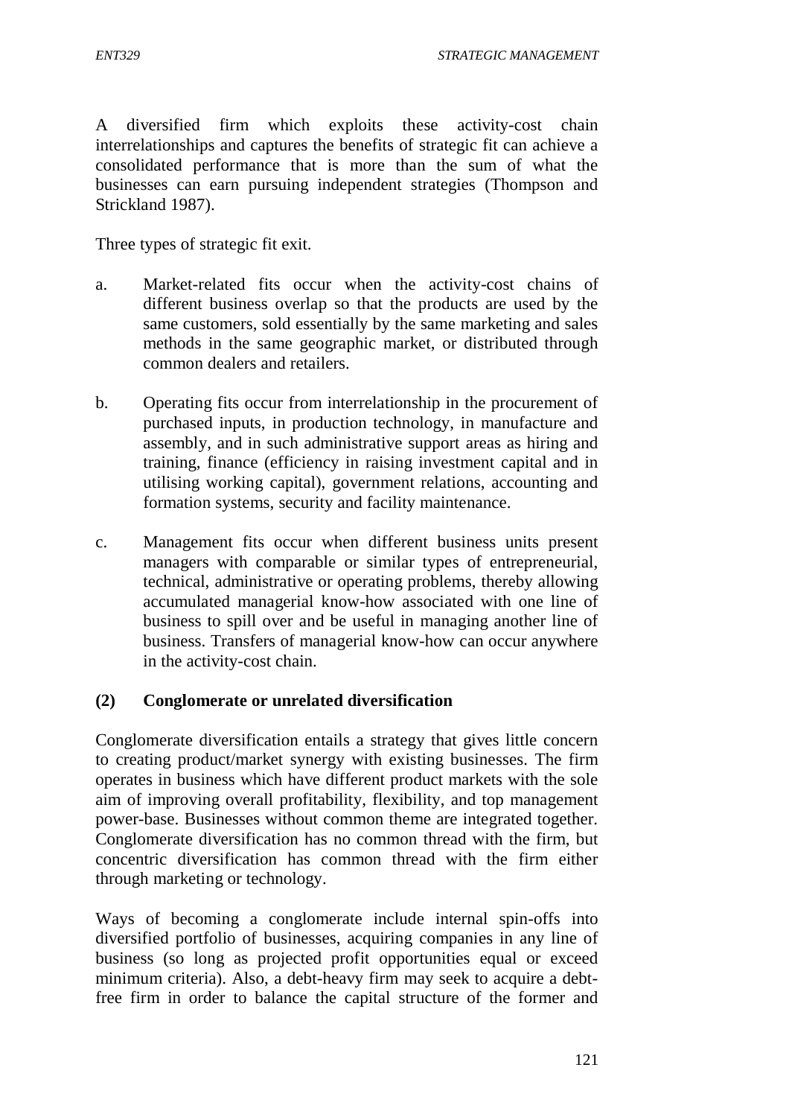A diversified firm which exploits these activity-cost chain interrelationships and captures the benefits of strategic fit can achieve a consolidated performance that is more than the sum of what the businesses can earn pursuing independent strategies (Thompson and Strickland 1987).

Three types of strategic fit exit.

- a. Market-related fits occur when the activity-cost chains of different business overlap so that the products are used by the same customers, sold essentially by the same marketing and sales methods in the same geographic market, or distributed through common dealers and retailers.
- b. Operating fits occur from interrelationship in the procurement of purchased inputs, in production technology, in manufacture and assembly, and in such administrative support areas as hiring and training, finance (efficiency in raising investment capital and in utilising working capital), government relations, accounting and formation systems, security and facility maintenance.
- c. Management fits occur when different business units present managers with comparable or similar types of entrepreneurial, technical, administrative or operating problems, thereby allowing accumulated managerial know-how associated with one line of business to spill over and be useful in managing another line of business. Transfers of managerial know-how can occur anywhere in the activity-cost chain.

#### **(2) Conglomerate or unrelated diversification**

Conglomerate diversification entails a strategy that gives little concern to creating product/market synergy with existing businesses. The firm operates in business which have different product markets with the sole aim of improving overall profitability, flexibility, and top management power-base. Businesses without common theme are integrated together. Conglomerate diversification has no common thread with the firm, but concentric diversification has common thread with the firm either through marketing or technology.

Ways of becoming a conglomerate include internal spin-offs into diversified portfolio of businesses, acquiring companies in any line of business (so long as projected profit opportunities equal or exceed minimum criteria). Also, a debt-heavy firm may seek to acquire a debtfree firm in order to balance the capital structure of the former and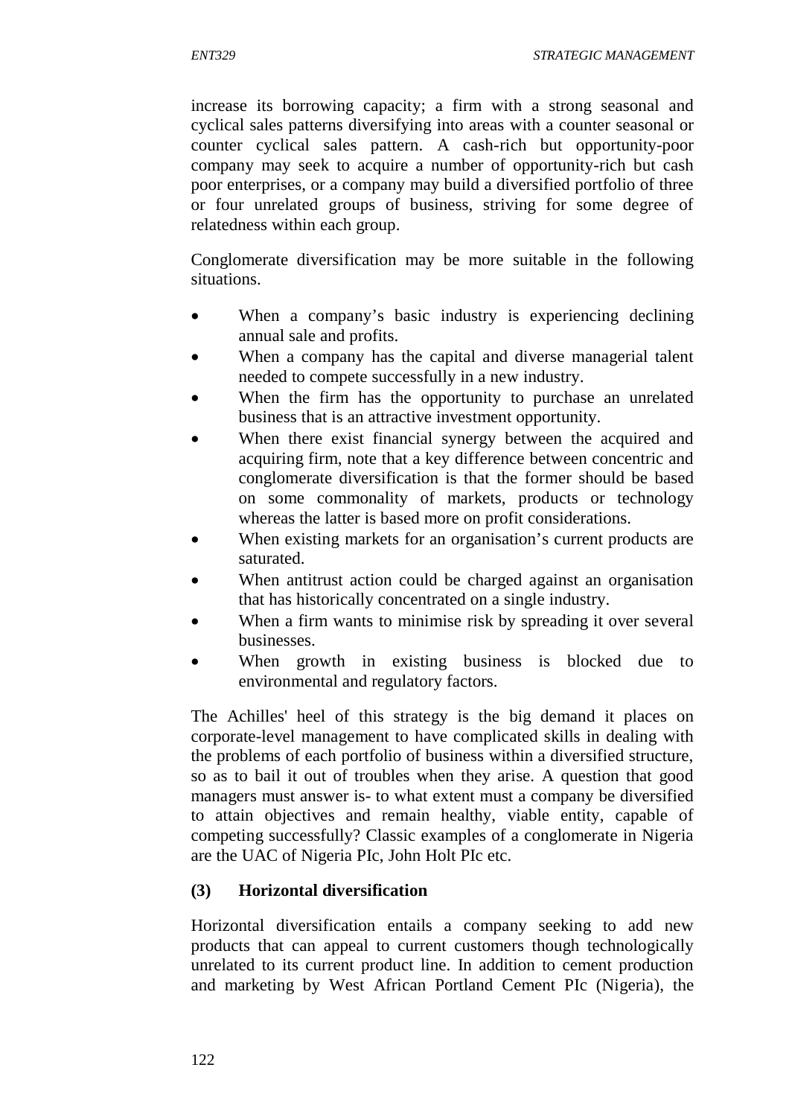increase its borrowing capacity; a firm with a strong seasonal and cyclical sales patterns diversifying into areas with a counter seasonal or counter cyclical sales pattern. A cash-rich but opportunity-poor company may seek to acquire a number of opportunity-rich but cash poor enterprises, or a company may build a diversified portfolio of three or four unrelated groups of business, striving for some degree of relatedness within each group.

Conglomerate diversification may be more suitable in the following situations.

- When a company's basic industry is experiencing declining annual sale and profits.
- When a company has the capital and diverse managerial talent needed to compete successfully in a new industry.
- When the firm has the opportunity to purchase an unrelated business that is an attractive investment opportunity.
- When there exist financial synergy between the acquired and acquiring firm, note that a key difference between concentric and conglomerate diversification is that the former should be based on some commonality of markets, products or technology whereas the latter is based more on profit considerations.
- When existing markets for an organisation's current products are saturated.
- When antitrust action could be charged against an organisation that has historically concentrated on a single industry.
- When a firm wants to minimise risk by spreading it over several businesses.
- When growth in existing business is blocked due to environmental and regulatory factors.

The Achilles' heel of this strategy is the big demand it places on corporate-level management to have complicated skills in dealing with the problems of each portfolio of business within a diversified structure, so as to bail it out of troubles when they arise. A question that good managers must answer is- to what extent must a company be diversified to attain objectives and remain healthy, viable entity, capable of competing successfully? Classic examples of a conglomerate in Nigeria are the UAC of Nigeria PIc, John Holt PIc etc.

## **(3) Horizontal diversification**

Horizontal diversification entails a company seeking to add new products that can appeal to current customers though technologically unrelated to its current product line. In addition to cement production and marketing by West African Portland Cement PIc (Nigeria), the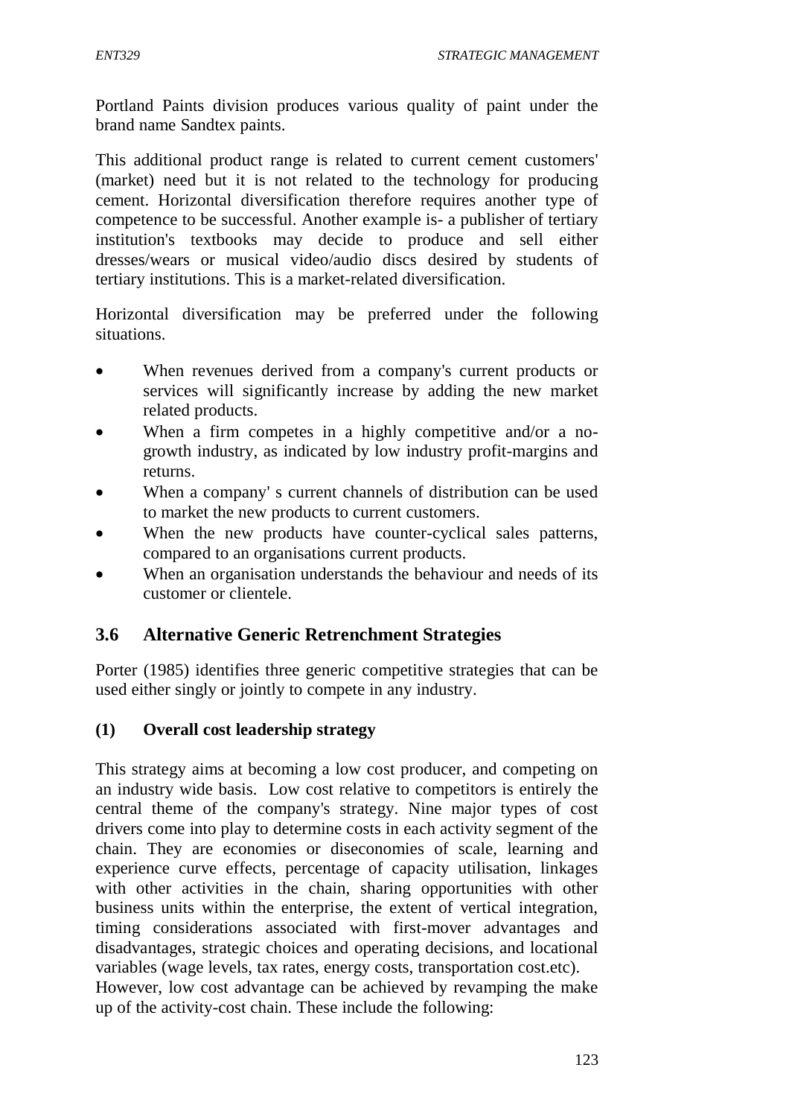Portland Paints division produces various quality of paint under the brand name Sandtex paints.

This additional product range is related to current cement customers' (market) need but it is not related to the technology for producing cement. Horizontal diversification therefore requires another type of competence to be successful. Another example is- a publisher of tertiary institution's textbooks may decide to produce and sell either dresses/wears or musical video/audio discs desired by students of tertiary institutions. This is a market-related diversification.

Horizontal diversification may be preferred under the following situations.

- When revenues derived from a company's current products or services will significantly increase by adding the new market related products.
- When a firm competes in a highly competitive and/or a nogrowth industry, as indicated by low industry profit-margins and returns.
- When a company' s current channels of distribution can be used to market the new products to current customers.
- When the new products have counter-cyclical sales patterns, compared to an organisations current products.
- When an organisation understands the behaviour and needs of its customer or clientele.

## **3.6 Alternative Generic Retrenchment Strategies**

Porter (1985) identifies three generic competitive strategies that can be used either singly or jointly to compete in any industry.

#### **(1) Overall cost leadership strategy**

This strategy aims at becoming a low cost producer, and competing on an industry wide basis. Low cost relative to competitors is entirely the central theme of the company's strategy. Nine major types of cost drivers come into play to determine costs in each activity segment of the chain. They are economies or diseconomies of scale, learning and experience curve effects, percentage of capacity utilisation, linkages with other activities in the chain, sharing opportunities with other business units within the enterprise, the extent of vertical integration, timing considerations associated with first-mover advantages and disadvantages, strategic choices and operating decisions, and locational variables (wage levels, tax rates, energy costs, transportation cost.etc).

However, low cost advantage can be achieved by revamping the make up of the activity-cost chain. These include the following: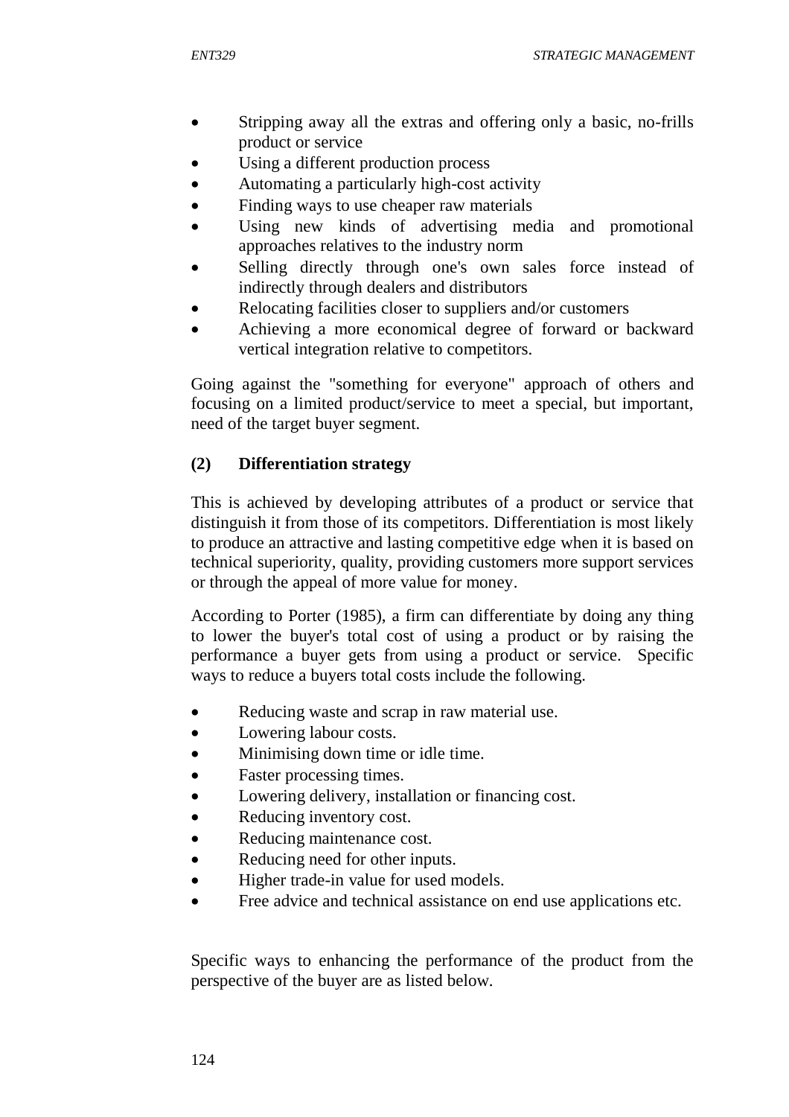- Stripping away all the extras and offering only a basic, no-frills product or service
- Using a different production process
- Automating a particularly high-cost activity
- Finding ways to use cheaper raw materials
- Using new kinds of advertising media and promotional approaches relatives to the industry norm
- Selling directly through one's own sales force instead of indirectly through dealers and distributors
- Relocating facilities closer to suppliers and/or customers
- Achieving a more economical degree of forward or backward vertical integration relative to competitors.

Going against the "something for everyone" approach of others and focusing on a limited product/service to meet a special, but important, need of the target buyer segment.

### **(2) Differentiation strategy**

This is achieved by developing attributes of a product or service that distinguish it from those of its competitors. Differentiation is most likely to produce an attractive and lasting competitive edge when it is based on technical superiority, quality, providing customers more support services or through the appeal of more value for money.

According to Porter (1985), a firm can differentiate by doing any thing to lower the buyer's total cost of using a product or by raising the performance a buyer gets from using a product or service. Specific ways to reduce a buyers total costs include the following.

- Reducing waste and scrap in raw material use.
- Lowering labour costs.
- Minimising down time or idle time.
- Faster processing times.
- Lowering delivery, installation or financing cost.
- Reducing inventory cost.
- Reducing maintenance cost.
- Reducing need for other inputs.
- Higher trade-in value for used models.
- Free advice and technical assistance on end use applications etc.

Specific ways to enhancing the performance of the product from the perspective of the buyer are as listed below.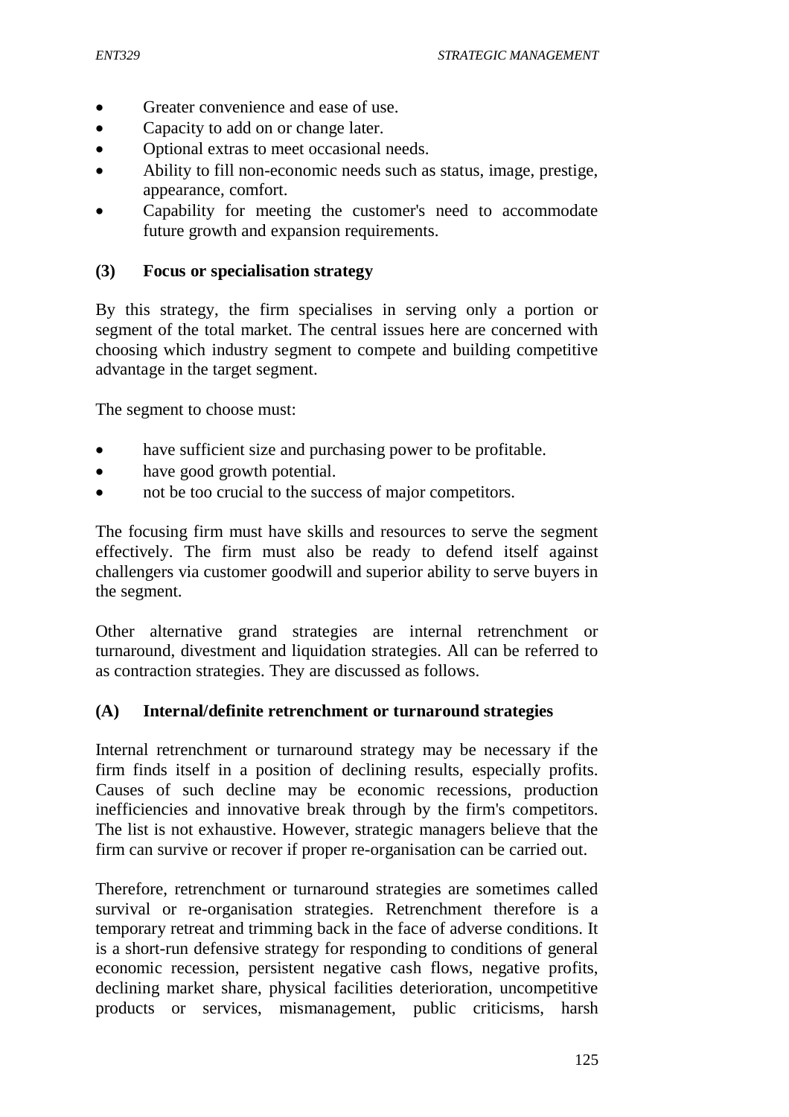- Greater convenience and ease of use.
- Capacity to add on or change later.
- Optional extras to meet occasional needs.
- Ability to fill non-economic needs such as status, image, prestige, appearance, comfort.
- Capability for meeting the customer's need to accommodate future growth and expansion requirements.

#### **(3) Focus or specialisation strategy**

By this strategy, the firm specialises in serving only a portion or segment of the total market. The central issues here are concerned with choosing which industry segment to compete and building competitive advantage in the target segment.

The segment to choose must:

- have sufficient size and purchasing power to be profitable.
- have good growth potential.
- not be too crucial to the success of major competitors.

The focusing firm must have skills and resources to serve the segment effectively. The firm must also be ready to defend itself against challengers via customer goodwill and superior ability to serve buyers in the segment.

Other alternative grand strategies are internal retrenchment or turnaround, divestment and liquidation strategies. All can be referred to as contraction strategies. They are discussed as follows.

#### **(A) Internal/definite retrenchment or turnaround strategies**

Internal retrenchment or turnaround strategy may be necessary if the firm finds itself in a position of declining results, especially profits. Causes of such decline may be economic recessions, production inefficiencies and innovative break through by the firm's competitors. The list is not exhaustive. However, strategic managers believe that the firm can survive or recover if proper re-organisation can be carried out.

Therefore, retrenchment or turnaround strategies are sometimes called survival or re-organisation strategies. Retrenchment therefore is a temporary retreat and trimming back in the face of adverse conditions. It is a short-run defensive strategy for responding to conditions of general economic recession, persistent negative cash flows, negative profits, declining market share, physical facilities deterioration, uncompetitive products or services, mismanagement, public criticisms, harsh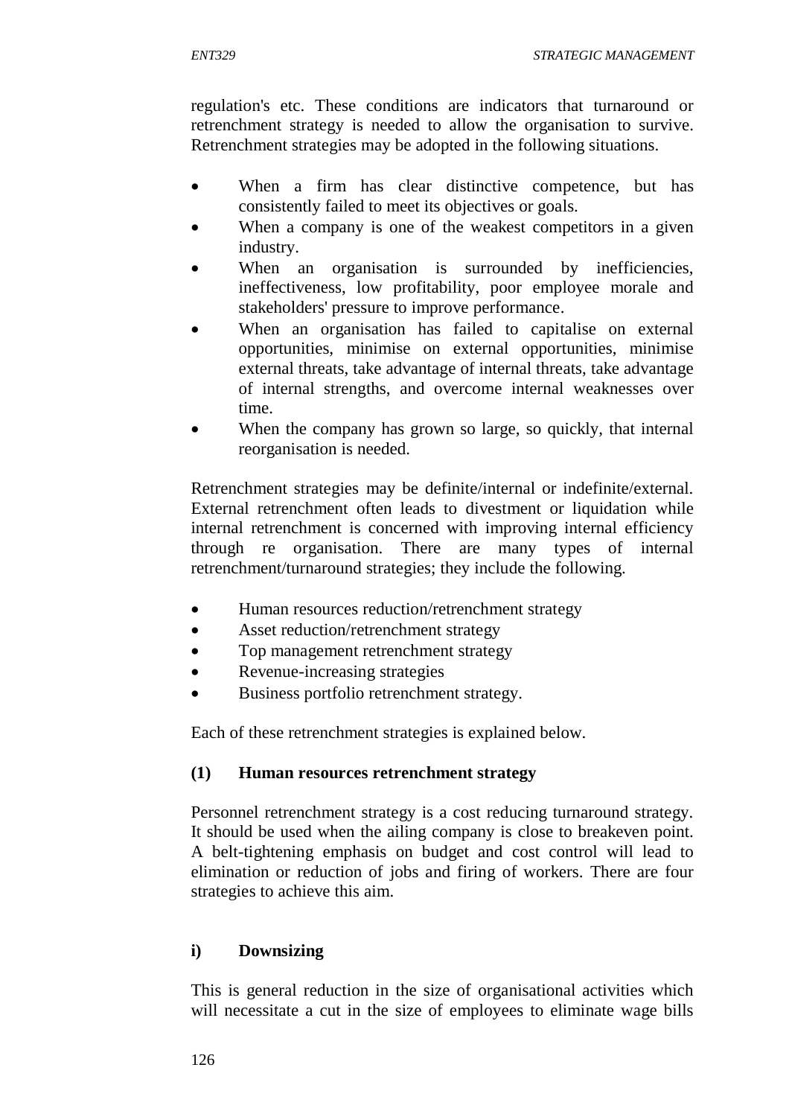regulation's etc. These conditions are indicators that turnaround or retrenchment strategy is needed to allow the organisation to survive. Retrenchment strategies may be adopted in the following situations.

- When a firm has clear distinctive competence, but has consistently failed to meet its objectives or goals.
- When a company is one of the weakest competitors in a given industry.
- When an organisation is surrounded by inefficiencies, ineffectiveness, low profitability, poor employee morale and stakeholders' pressure to improve performance.
- When an organisation has failed to capitalise on external opportunities, minimise on external opportunities, minimise external threats, take advantage of internal threats, take advantage of internal strengths, and overcome internal weaknesses over time.
- When the company has grown so large, so quickly, that internal reorganisation is needed.

Retrenchment strategies may be definite/internal or indefinite/external. External retrenchment often leads to divestment or liquidation while internal retrenchment is concerned with improving internal efficiency through re organisation. There are many types of internal retrenchment/turnaround strategies; they include the following.

- Human resources reduction/retrenchment strategy
- Asset reduction/retrenchment strategy
- Top management retrenchment strategy
- Revenue-increasing strategies
- Business portfolio retrenchment strategy.

Each of these retrenchment strategies is explained below.

#### **(1) Human resources retrenchment strategy**

Personnel retrenchment strategy is a cost reducing turnaround strategy. It should be used when the ailing company is close to breakeven point. A belt-tightening emphasis on budget and cost control will lead to elimination or reduction of jobs and firing of workers. There are four strategies to achieve this aim.

## **i) Downsizing**

This is general reduction in the size of organisational activities which will necessitate a cut in the size of employees to eliminate wage bills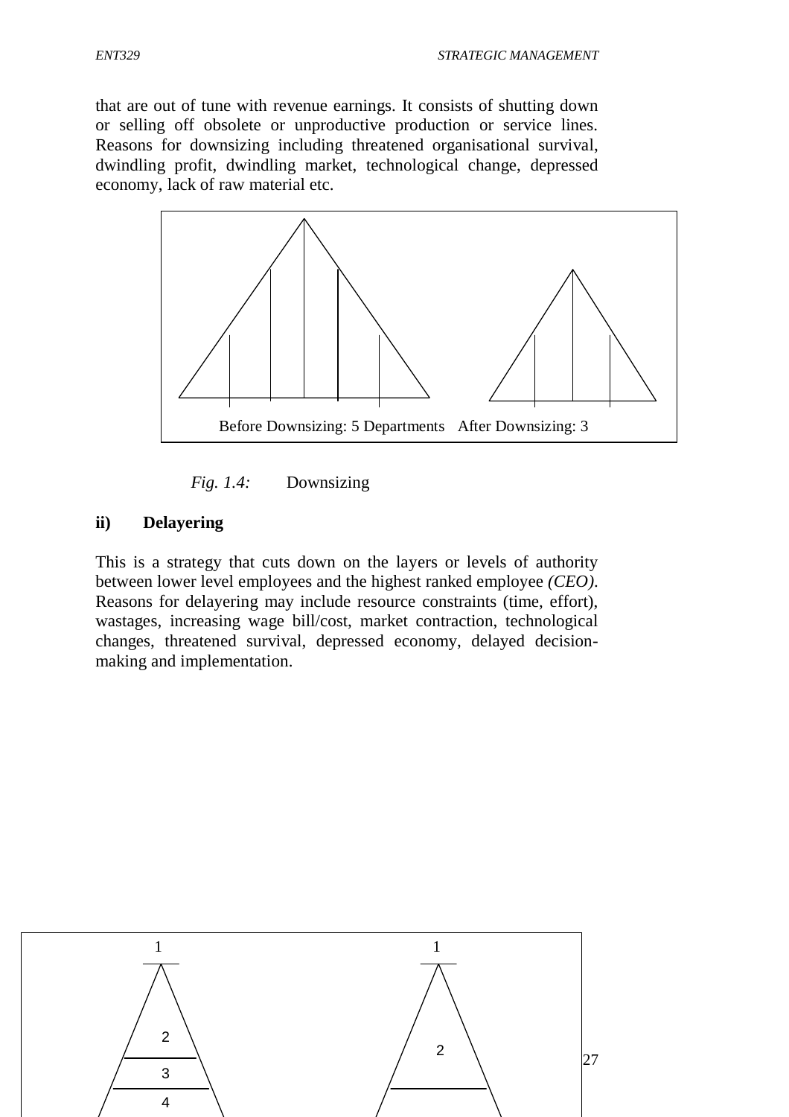that are out of tune with revenue earnings. It consists of shutting down or selling off obsolete or unproductive production or service lines. Reasons for downsizing including threatened organisational survival, dwindling profit, dwindling market, technological change, depressed economy, lack of raw material etc.





#### **ii) Delayering**

This is a strategy that cuts down on the layers or levels of authority between lower level employees and the highest ranked employee *(CEO)*. Reasons for delayering may include resource constraints (time, effort), wastages, increasing wage bill/cost, market contraction, technological changes, threatened survival, depressed economy, delayed decisionmaking and implementation.

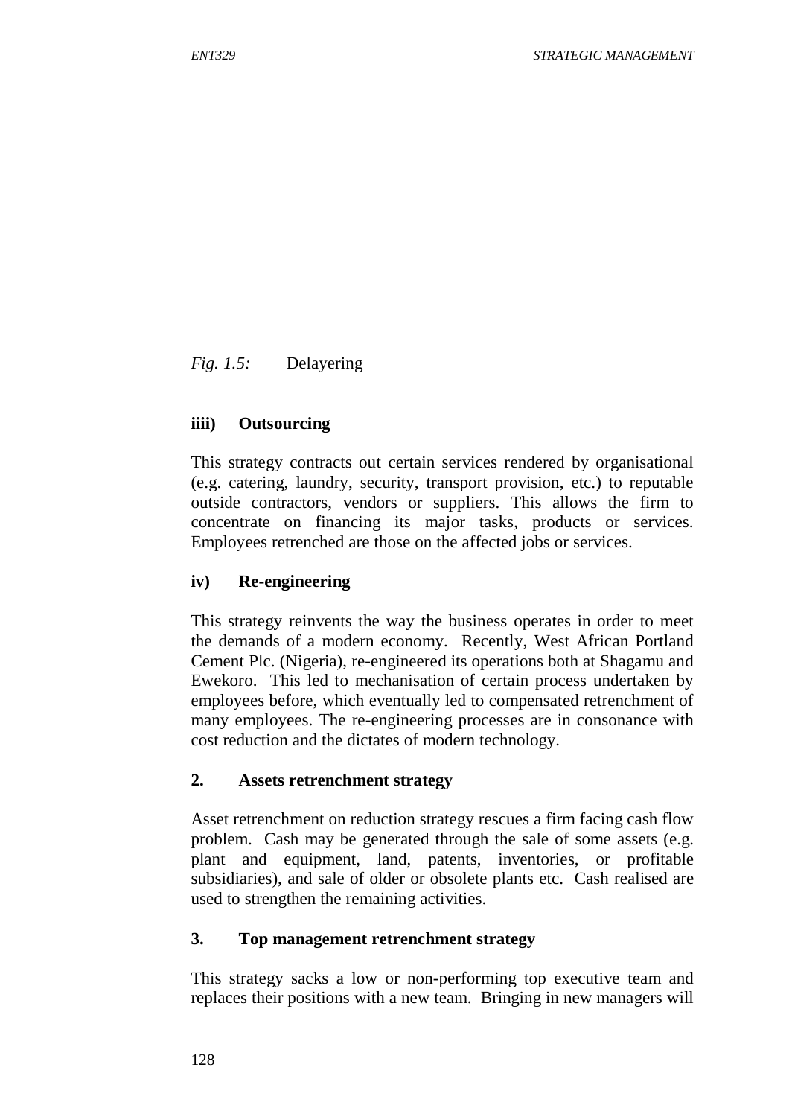*Fig. 1.5:* Delayering

### **iiii) Outsourcing**

This strategy contracts out certain services rendered by organisational (e.g. catering, laundry, security, transport provision, etc.) to reputable outside contractors, vendors or suppliers. This allows the firm to concentrate on financing its major tasks, products or services. Employees retrenched are those on the affected jobs or services.

#### **iv) Re-engineering**

This strategy reinvents the way the business operates in order to meet the demands of a modern economy. Recently, West African Portland Cement Plc. (Nigeria), re-engineered its operations both at Shagamu and Ewekoro. This led to mechanisation of certain process undertaken by employees before, which eventually led to compensated retrenchment of many employees. The re-engineering processes are in consonance with cost reduction and the dictates of modern technology.

#### **2. Assets retrenchment strategy**

Asset retrenchment on reduction strategy rescues a firm facing cash flow problem. Cash may be generated through the sale of some assets (e.g. plant and equipment, land, patents, inventories, or profitable subsidiaries), and sale of older or obsolete plants etc. Cash realised are used to strengthen the remaining activities.

#### **3. Top management retrenchment strategy**

This strategy sacks a low or non-performing top executive team and replaces their positions with a new team. Bringing in new managers will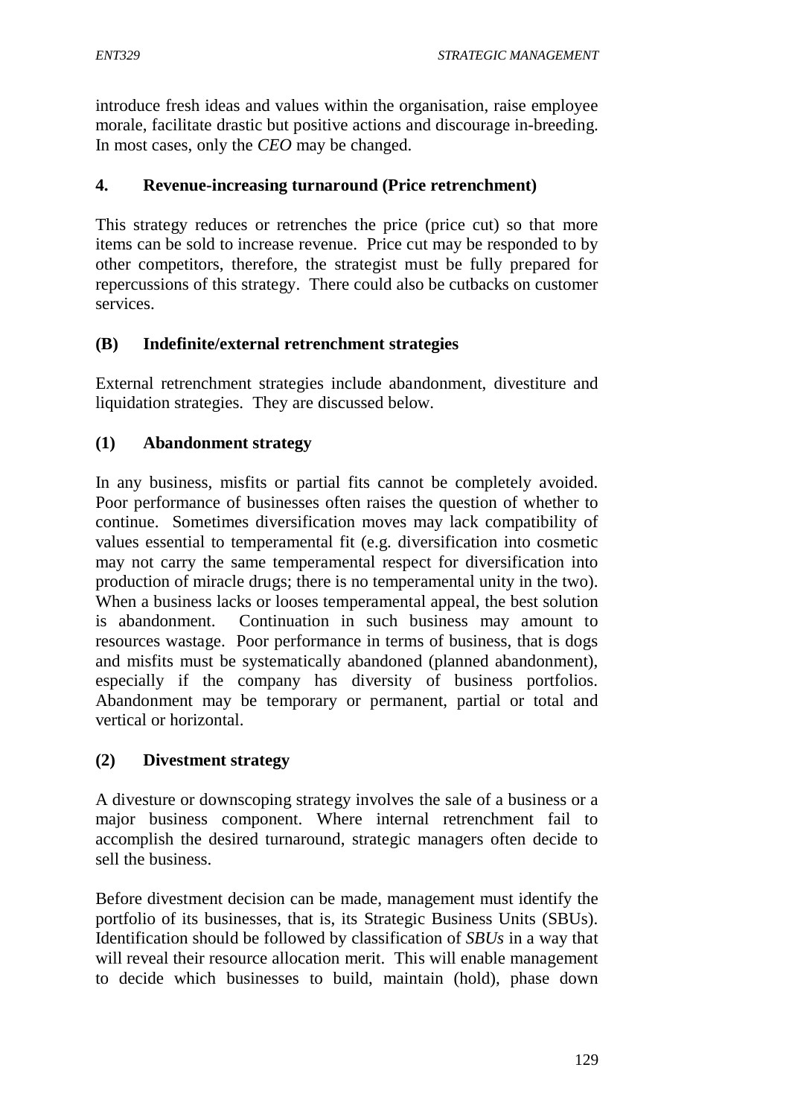introduce fresh ideas and values within the organisation, raise employee morale, facilitate drastic but positive actions and discourage in-breeding. In most cases, only the *CEO* may be changed.

### **4. Revenue-increasing turnaround (Price retrenchment)**

This strategy reduces or retrenches the price (price cut) so that more items can be sold to increase revenue. Price cut may be responded to by other competitors, therefore, the strategist must be fully prepared for repercussions of this strategy. There could also be cutbacks on customer services.

### **(B) Indefinite/external retrenchment strategies**

External retrenchment strategies include abandonment, divestiture and liquidation strategies. They are discussed below.

## **(1) Abandonment strategy**

In any business, misfits or partial fits cannot be completely avoided. Poor performance of businesses often raises the question of whether to continue. Sometimes diversification moves may lack compatibility of values essential to temperamental fit (e.g. diversification into cosmetic may not carry the same temperamental respect for diversification into production of miracle drugs; there is no temperamental unity in the two). When a business lacks or looses temperamental appeal, the best solution is abandonment. Continuation in such business may amount to resources wastage. Poor performance in terms of business, that is dogs and misfits must be systematically abandoned (planned abandonment), especially if the company has diversity of business portfolios. Abandonment may be temporary or permanent, partial or total and vertical or horizontal.

## **(2) Divestment strategy**

A divesture or downscoping strategy involves the sale of a business or a major business component. Where internal retrenchment fail to accomplish the desired turnaround, strategic managers often decide to sell the business.

Before divestment decision can be made, management must identify the portfolio of its businesses, that is, its Strategic Business Units (SBUs). Identification should be followed by classification of *SBUs* in a way that will reveal their resource allocation merit. This will enable management to decide which businesses to build, maintain (hold), phase down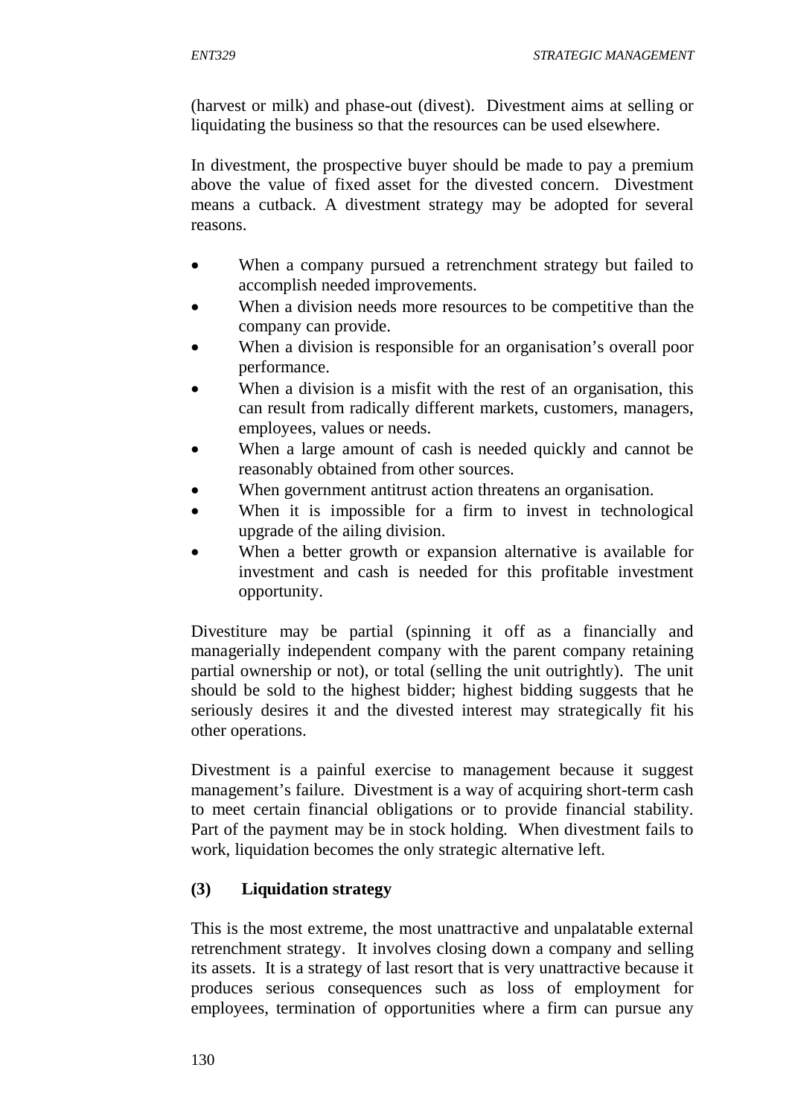(harvest or milk) and phase-out (divest). Divestment aims at selling or liquidating the business so that the resources can be used elsewhere.

In divestment, the prospective buyer should be made to pay a premium above the value of fixed asset for the divested concern. Divestment means a cutback. A divestment strategy may be adopted for several reasons.

- When a company pursued a retrenchment strategy but failed to accomplish needed improvements.
- When a division needs more resources to be competitive than the company can provide.
- When a division is responsible for an organisation's overall poor performance.
- When a division is a misfit with the rest of an organisation, this can result from radically different markets, customers, managers, employees, values or needs.
- When a large amount of cash is needed quickly and cannot be reasonably obtained from other sources.
- When government antitrust action threatens an organisation.
- When it is impossible for a firm to invest in technological upgrade of the ailing division.
- When a better growth or expansion alternative is available for investment and cash is needed for this profitable investment opportunity.

Divestiture may be partial (spinning it off as a financially and managerially independent company with the parent company retaining partial ownership or not), or total (selling the unit outrightly). The unit should be sold to the highest bidder; highest bidding suggests that he seriously desires it and the divested interest may strategically fit his other operations.

Divestment is a painful exercise to management because it suggest management's failure. Divestment is a way of acquiring short-term cash to meet certain financial obligations or to provide financial stability. Part of the payment may be in stock holding. When divestment fails to work, liquidation becomes the only strategic alternative left.

## **(3) Liquidation strategy**

This is the most extreme, the most unattractive and unpalatable external retrenchment strategy. It involves closing down a company and selling its assets. It is a strategy of last resort that is very unattractive because it produces serious consequences such as loss of employment for employees, termination of opportunities where a firm can pursue any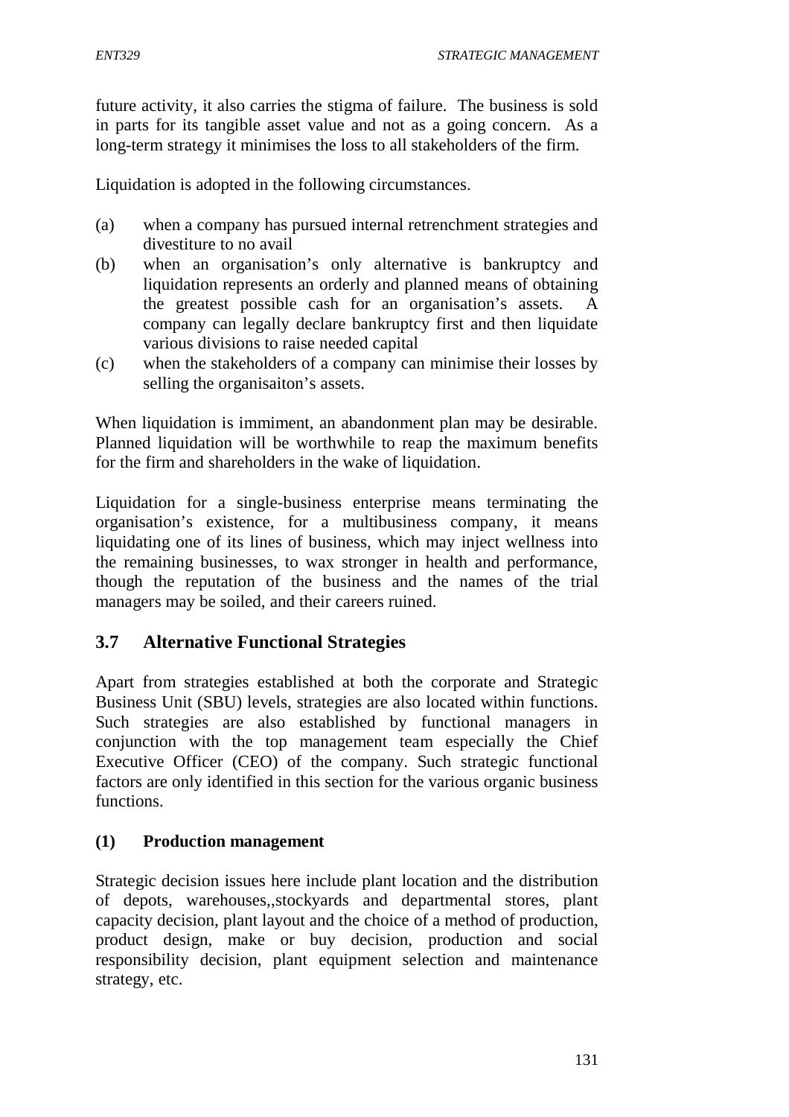future activity, it also carries the stigma of failure. The business is sold in parts for its tangible asset value and not as a going concern. As a long-term strategy it minimises the loss to all stakeholders of the firm.

Liquidation is adopted in the following circumstances.

- (a) when a company has pursued internal retrenchment strategies and divestiture to no avail
- (b) when an organisation's only alternative is bankruptcy and liquidation represents an orderly and planned means of obtaining the greatest possible cash for an organisation's assets. A company can legally declare bankruptcy first and then liquidate various divisions to raise needed capital
- (c) when the stakeholders of a company can minimise their losses by selling the organisaiton's assets.

When liquidation is immiment, an abandonment plan may be desirable. Planned liquidation will be worthwhile to reap the maximum benefits for the firm and shareholders in the wake of liquidation.

Liquidation for a single-business enterprise means terminating the organisation's existence, for a multibusiness company, it means liquidating one of its lines of business, which may inject wellness into the remaining businesses, to wax stronger in health and performance, though the reputation of the business and the names of the trial managers may be soiled, and their careers ruined.

# **3.7 Alternative Functional Strategies**

Apart from strategies established at both the corporate and Strategic Business Unit (SBU) levels, strategies are also located within functions. Such strategies are also established by functional managers in conjunction with the top management team especially the Chief Executive Officer (CEO) of the company. Such strategic functional factors are only identified in this section for the various organic business functions.

## **(1) Production management**

Strategic decision issues here include plant location and the distribution of depots, warehouses,,stockyards and departmental stores, plant capacity decision, plant layout and the choice of a method of production, product design, make or buy decision, production and social responsibility decision, plant equipment selection and maintenance strategy, etc.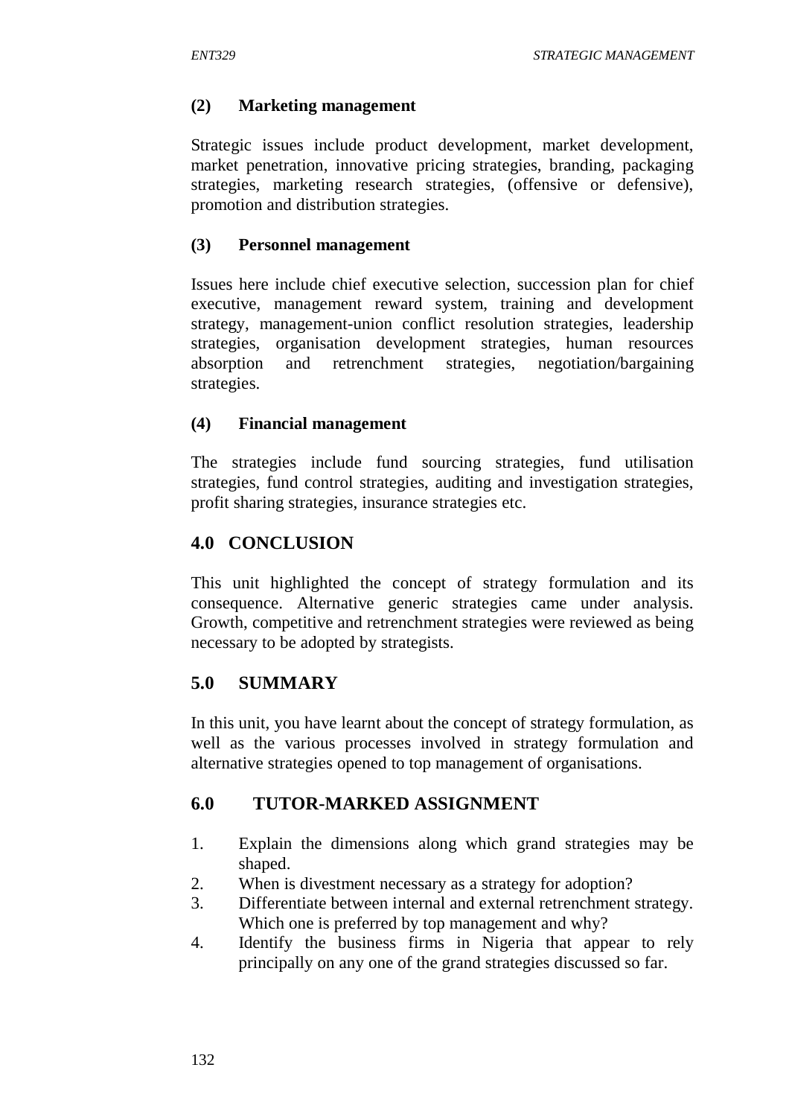#### **(2) Marketing management**

Strategic issues include product development, market development, market penetration, innovative pricing strategies, branding, packaging strategies, marketing research strategies, (offensive or defensive), promotion and distribution strategies.

#### **(3) Personnel management**

Issues here include chief executive selection, succession plan for chief executive, management reward system, training and development strategy, management-union conflict resolution strategies, leadership strategies, organisation development strategies, human resources absorption and retrenchment strategies, negotiation/bargaining strategies.

#### **(4) Financial management**

The strategies include fund sourcing strategies, fund utilisation strategies, fund control strategies, auditing and investigation strategies, profit sharing strategies, insurance strategies etc.

### **4.0 CONCLUSION**

This unit highlighted the concept of strategy formulation and its consequence. Alternative generic strategies came under analysis. Growth, competitive and retrenchment strategies were reviewed as being necessary to be adopted by strategists.

## **5.0 SUMMARY**

In this unit, you have learnt about the concept of strategy formulation, as well as the various processes involved in strategy formulation and alternative strategies opened to top management of organisations.

## **6.0 TUTOR-MARKED ASSIGNMENT**

- 1. Explain the dimensions along which grand strategies may be shaped.
- 2. When is divestment necessary as a strategy for adoption?
- 3. Differentiate between internal and external retrenchment strategy. Which one is preferred by top management and why?
- 4. Identify the business firms in Nigeria that appear to rely principally on any one of the grand strategies discussed so far.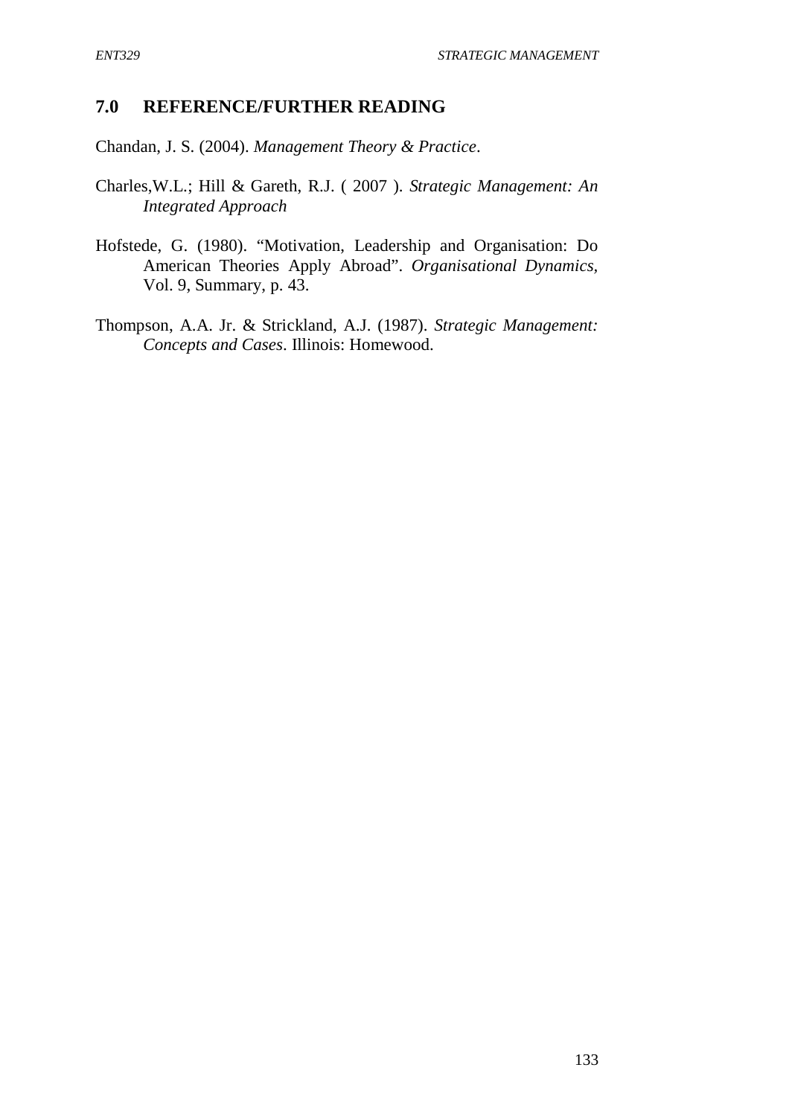### **7.0 REFERENCE/FURTHER READING**

Chandan, J. S. (2004). *Management Theory & Practice*.

- Charles,W.L.; Hill & Gareth, R.J. ( 2007 ). *Strategic Management: An Integrated Approach*
- Hofstede, G. (1980). "Motivation, Leadership and Organisation: Do American Theories Apply Abroad". *Organisational Dynamics,* Vol. 9, Summary, p. 43.
- Thompson, A.A. Jr. & Strickland, A.J. (1987). *Strategic Management: Concepts and Cases*. Illinois: Homewood.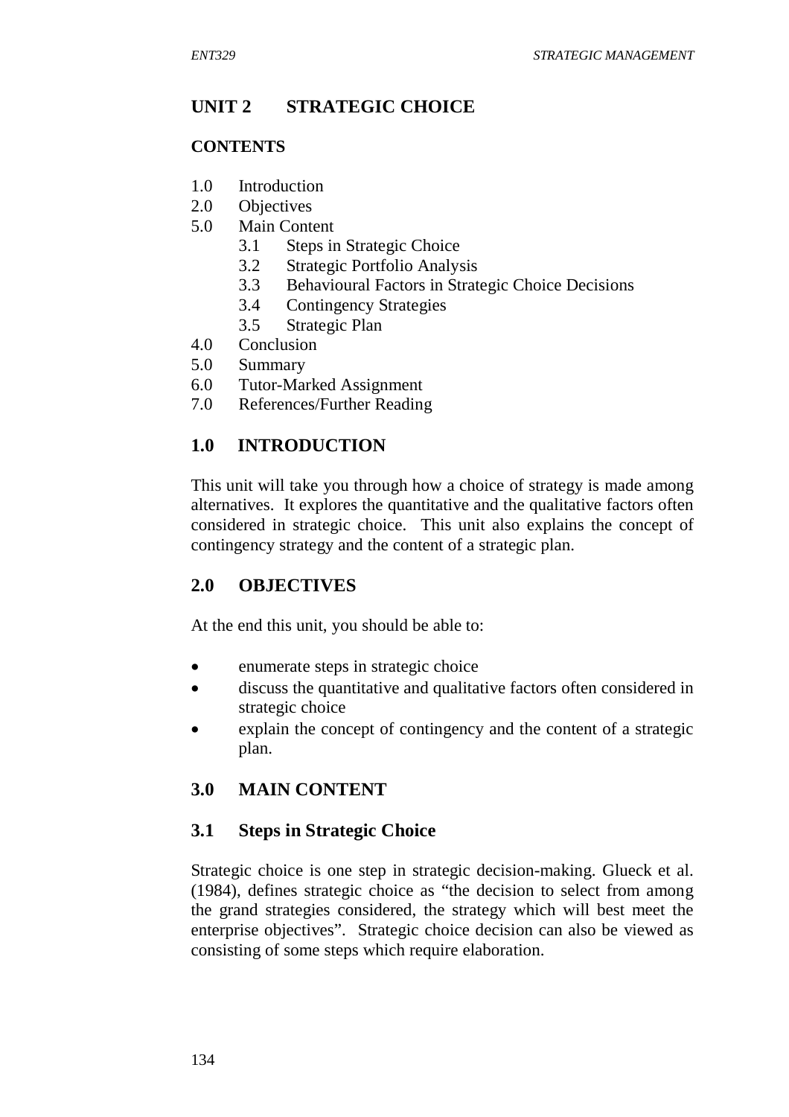# **UNIT 2 STRATEGIC CHOICE**

## **CONTENTS**

- 1.0 Introduction
- 2.0 Objectives
- 5.0 Main Content
	- 3.1 Steps in Strategic Choice
	- 3.2 Strategic Portfolio Analysis
	- 3.3 Behavioural Factors in Strategic Choice Decisions
	- 3.4 Contingency Strategies
	- 3.5 Strategic Plan
- 4.0 Conclusion
- 5.0 Summary
- 6.0 Tutor-Marked Assignment
- 7.0 References/Further Reading

# **1.0 INTRODUCTION**

This unit will take you through how a choice of strategy is made among alternatives. It explores the quantitative and the qualitative factors often considered in strategic choice. This unit also explains the concept of contingency strategy and the content of a strategic plan.

# **2.0 OBJECTIVES**

At the end this unit, you should be able to:

- enumerate steps in strategic choice
- discuss the quantitative and qualitative factors often considered in strategic choice
- explain the concept of contingency and the content of a strategic plan.

# **3.0 MAIN CONTENT**

# **3.1 Steps in Strategic Choice**

Strategic choice is one step in strategic decision-making. Glueck et al. (1984), defines strategic choice as "the decision to select from among the grand strategies considered, the strategy which will best meet the enterprise objectives". Strategic choice decision can also be viewed as consisting of some steps which require elaboration.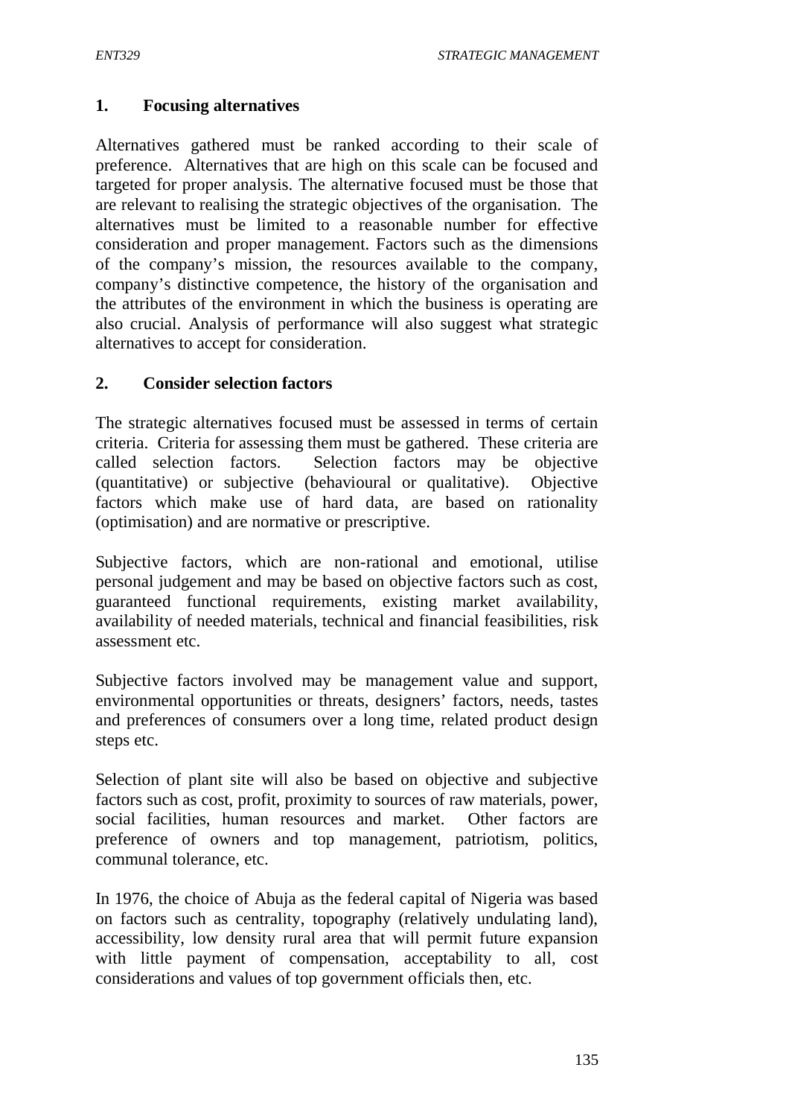### **1. Focusing alternatives**

Alternatives gathered must be ranked according to their scale of preference. Alternatives that are high on this scale can be focused and targeted for proper analysis. The alternative focused must be those that are relevant to realising the strategic objectives of the organisation. The alternatives must be limited to a reasonable number for effective consideration and proper management. Factors such as the dimensions of the company's mission, the resources available to the company, company's distinctive competence, the history of the organisation and the attributes of the environment in which the business is operating are also crucial. Analysis of performance will also suggest what strategic alternatives to accept for consideration.

### **2. Consider selection factors**

The strategic alternatives focused must be assessed in terms of certain criteria. Criteria for assessing them must be gathered. These criteria are called selection factors. Selection factors may be objective (quantitative) or subjective (behavioural or qualitative). Objective factors which make use of hard data, are based on rationality (optimisation) and are normative or prescriptive.

Subjective factors, which are non-rational and emotional, utilise personal judgement and may be based on objective factors such as cost, guaranteed functional requirements, existing market availability, availability of needed materials, technical and financial feasibilities, risk assessment etc.

Subjective factors involved may be management value and support, environmental opportunities or threats, designers' factors, needs, tastes and preferences of consumers over a long time, related product design steps etc.

Selection of plant site will also be based on objective and subjective factors such as cost, profit, proximity to sources of raw materials, power, social facilities, human resources and market. Other factors are preference of owners and top management, patriotism, politics, communal tolerance, etc.

In 1976, the choice of Abuja as the federal capital of Nigeria was based on factors such as centrality, topography (relatively undulating land), accessibility, low density rural area that will permit future expansion with little payment of compensation, acceptability to all, cost considerations and values of top government officials then, etc.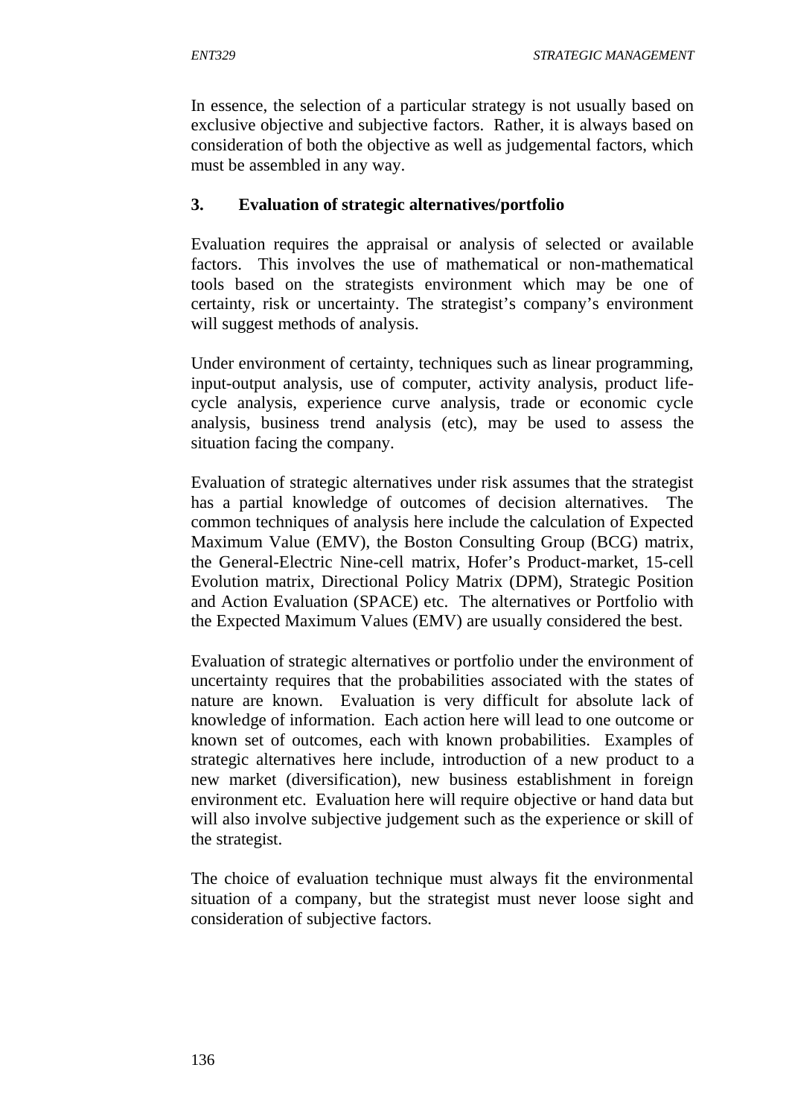In essence, the selection of a particular strategy is not usually based on exclusive objective and subjective factors. Rather, it is always based on consideration of both the objective as well as judgemental factors, which must be assembled in any way.

### **3. Evaluation of strategic alternatives/portfolio**

Evaluation requires the appraisal or analysis of selected or available factors. This involves the use of mathematical or non-mathematical tools based on the strategists environment which may be one of certainty, risk or uncertainty. The strategist's company's environment will suggest methods of analysis.

Under environment of certainty, techniques such as linear programming, input-output analysis, use of computer, activity analysis, product lifecycle analysis, experience curve analysis, trade or economic cycle analysis, business trend analysis (etc), may be used to assess the situation facing the company.

Evaluation of strategic alternatives under risk assumes that the strategist has a partial knowledge of outcomes of decision alternatives. The common techniques of analysis here include the calculation of Expected Maximum Value (EMV), the Boston Consulting Group (BCG) matrix, the General-Electric Nine-cell matrix, Hofer's Product-market, 15-cell Evolution matrix, Directional Policy Matrix (DPM), Strategic Position and Action Evaluation (SPACE) etc. The alternatives or Portfolio with the Expected Maximum Values (EMV) are usually considered the best.

Evaluation of strategic alternatives or portfolio under the environment of uncertainty requires that the probabilities associated with the states of nature are known. Evaluation is very difficult for absolute lack of knowledge of information. Each action here will lead to one outcome or known set of outcomes, each with known probabilities. Examples of strategic alternatives here include, introduction of a new product to a new market (diversification), new business establishment in foreign environment etc. Evaluation here will require objective or hand data but will also involve subjective judgement such as the experience or skill of the strategist.

The choice of evaluation technique must always fit the environmental situation of a company, but the strategist must never loose sight and consideration of subjective factors.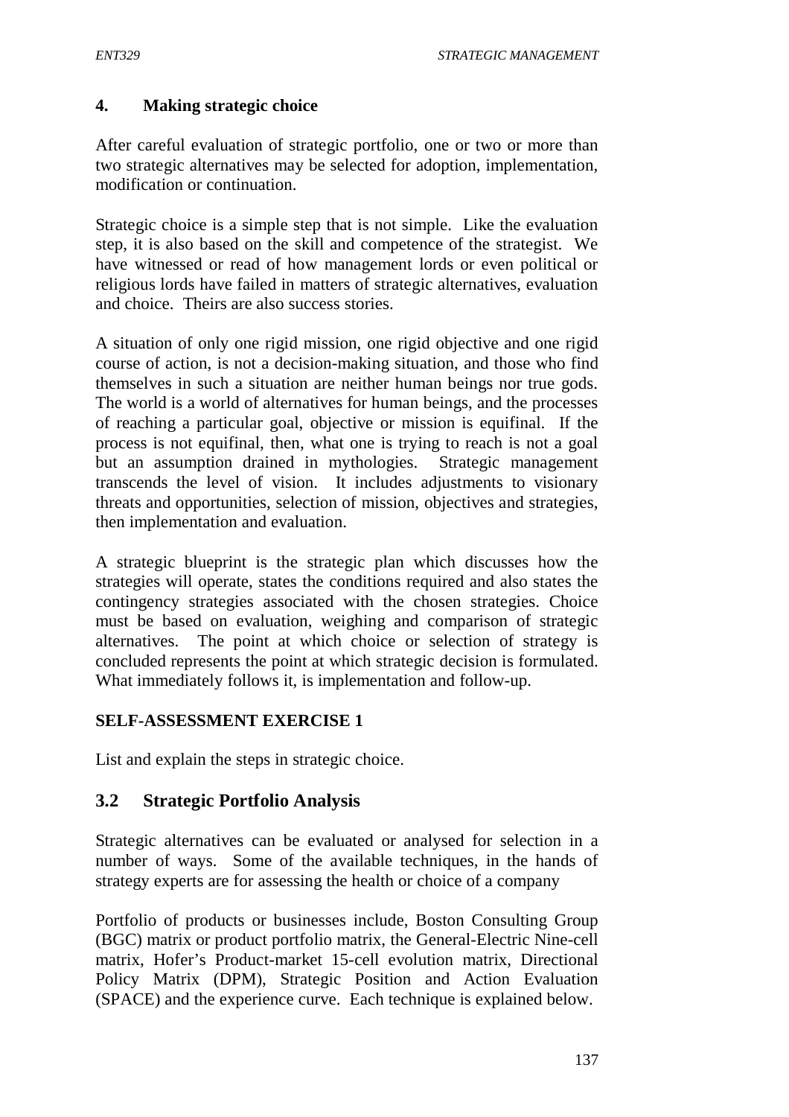### **4. Making strategic choice**

After careful evaluation of strategic portfolio, one or two or more than two strategic alternatives may be selected for adoption, implementation, modification or continuation.

Strategic choice is a simple step that is not simple. Like the evaluation step, it is also based on the skill and competence of the strategist. We have witnessed or read of how management lords or even political or religious lords have failed in matters of strategic alternatives, evaluation and choice. Theirs are also success stories.

A situation of only one rigid mission, one rigid objective and one rigid course of action, is not a decision-making situation, and those who find themselves in such a situation are neither human beings nor true gods. The world is a world of alternatives for human beings, and the processes of reaching a particular goal, objective or mission is equifinal. If the process is not equifinal, then, what one is trying to reach is not a goal but an assumption drained in mythologies. Strategic management transcends the level of vision. It includes adjustments to visionary threats and opportunities, selection of mission, objectives and strategies, then implementation and evaluation.

A strategic blueprint is the strategic plan which discusses how the strategies will operate, states the conditions required and also states the contingency strategies associated with the chosen strategies. Choice must be based on evaluation, weighing and comparison of strategic alternatives. The point at which choice or selection of strategy is concluded represents the point at which strategic decision is formulated. What immediately follows it, is implementation and follow-up.

### **SELF-ASSESSMENT EXERCISE 1**

List and explain the steps in strategic choice.

# **3.2 Strategic Portfolio Analysis**

Strategic alternatives can be evaluated or analysed for selection in a number of ways. Some of the available techniques, in the hands of strategy experts are for assessing the health or choice of a company

Portfolio of products or businesses include, Boston Consulting Group (BGC) matrix or product portfolio matrix, the General-Electric Nine-cell matrix, Hofer's Product-market 15-cell evolution matrix, Directional Policy Matrix (DPM), Strategic Position and Action Evaluation (SPACE) and the experience curve. Each technique is explained below.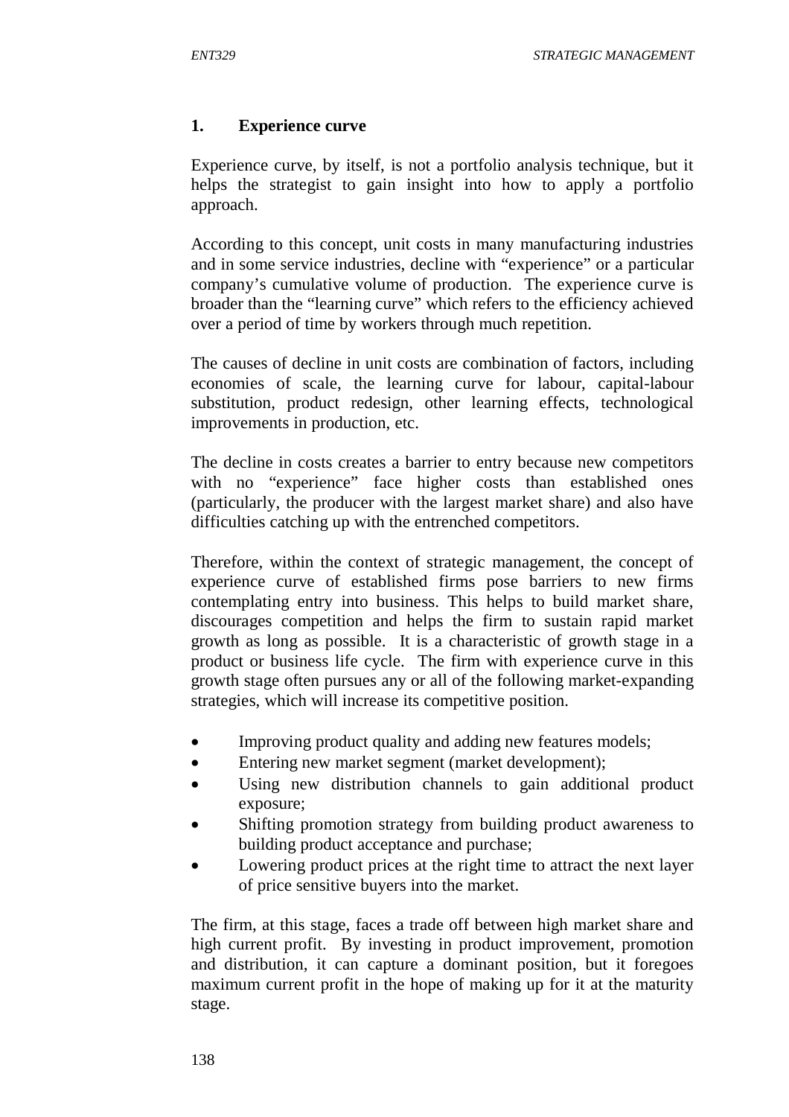### **1. Experience curve**

Experience curve, by itself, is not a portfolio analysis technique, but it helps the strategist to gain insight into how to apply a portfolio approach.

According to this concept, unit costs in many manufacturing industries and in some service industries, decline with "experience" or a particular company's cumulative volume of production. The experience curve is broader than the "learning curve" which refers to the efficiency achieved over a period of time by workers through much repetition.

The causes of decline in unit costs are combination of factors, including economies of scale, the learning curve for labour, capital-labour substitution, product redesign, other learning effects, technological improvements in production, etc.

The decline in costs creates a barrier to entry because new competitors with no "experience" face higher costs than established ones (particularly, the producer with the largest market share) and also have difficulties catching up with the entrenched competitors.

Therefore, within the context of strategic management, the concept of experience curve of established firms pose barriers to new firms contemplating entry into business. This helps to build market share, discourages competition and helps the firm to sustain rapid market growth as long as possible. It is a characteristic of growth stage in a product or business life cycle. The firm with experience curve in this growth stage often pursues any or all of the following market-expanding strategies, which will increase its competitive position.

- Improving product quality and adding new features models;
- Entering new market segment (market development);
- Using new distribution channels to gain additional product exposure;
- Shifting promotion strategy from building product awareness to building product acceptance and purchase;
- Lowering product prices at the right time to attract the next layer of price sensitive buyers into the market.

The firm, at this stage, faces a trade off between high market share and high current profit. By investing in product improvement, promotion and distribution, it can capture a dominant position, but it foregoes maximum current profit in the hope of making up for it at the maturity stage.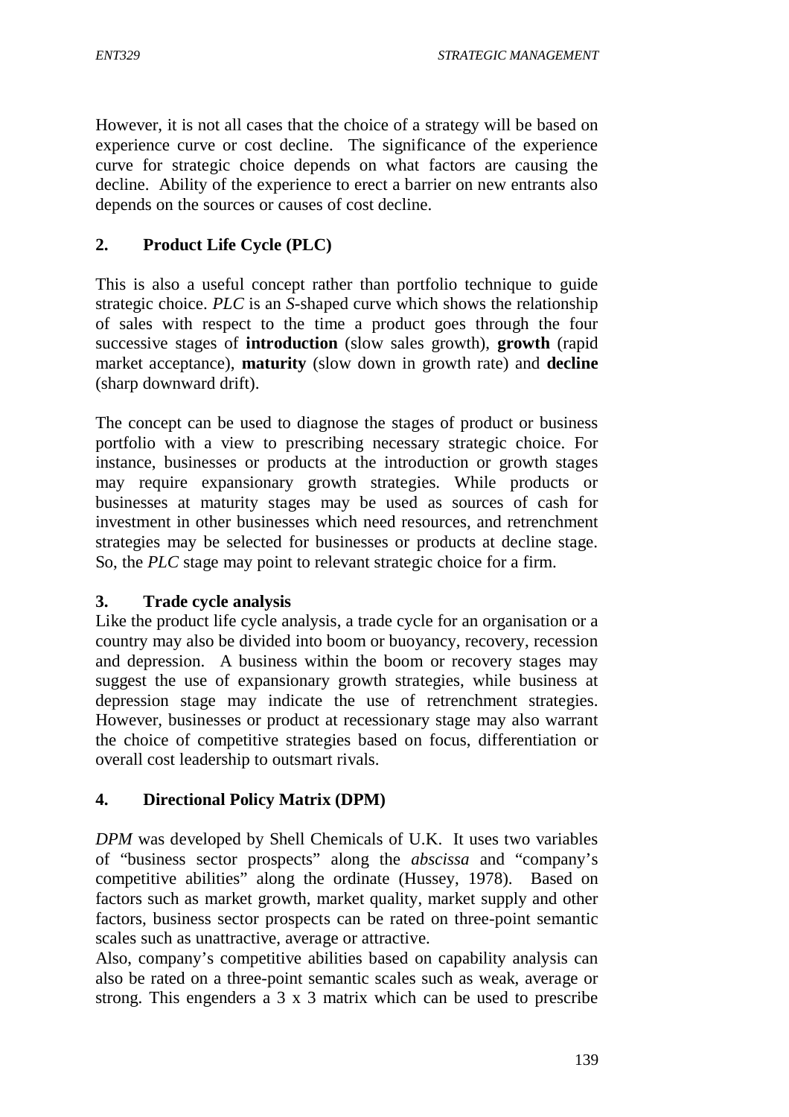However, it is not all cases that the choice of a strategy will be based on experience curve or cost decline. The significance of the experience curve for strategic choice depends on what factors are causing the decline. Ability of the experience to erect a barrier on new entrants also depends on the sources or causes of cost decline.

# **2. Product Life Cycle (PLC)**

This is also a useful concept rather than portfolio technique to guide strategic choice. *PLC* is an *S*-shaped curve which shows the relationship of sales with respect to the time a product goes through the four successive stages of **introduction** (slow sales growth), **growth** (rapid market acceptance), **maturity** (slow down in growth rate) and **decline** (sharp downward drift).

The concept can be used to diagnose the stages of product or business portfolio with a view to prescribing necessary strategic choice. For instance, businesses or products at the introduction or growth stages may require expansionary growth strategies. While products or businesses at maturity stages may be used as sources of cash for investment in other businesses which need resources, and retrenchment strategies may be selected for businesses or products at decline stage. So, the *PLC* stage may point to relevant strategic choice for a firm.

### **3. Trade cycle analysis**

Like the product life cycle analysis, a trade cycle for an organisation or a country may also be divided into boom or buoyancy, recovery, recession and depression. A business within the boom or recovery stages may suggest the use of expansionary growth strategies, while business at depression stage may indicate the use of retrenchment strategies. However, businesses or product at recessionary stage may also warrant the choice of competitive strategies based on focus, differentiation or overall cost leadership to outsmart rivals.

# **4. Directional Policy Matrix (DPM)**

*DPM* was developed by Shell Chemicals of U.K. It uses two variables of "business sector prospects" along the *abscissa* and "company's competitive abilities" along the ordinate (Hussey, 1978). Based on factors such as market growth, market quality, market supply and other factors, business sector prospects can be rated on three-point semantic scales such as unattractive, average or attractive.

Also, company's competitive abilities based on capability analysis can also be rated on a three-point semantic scales such as weak, average or strong. This engenders a 3 x 3 matrix which can be used to prescribe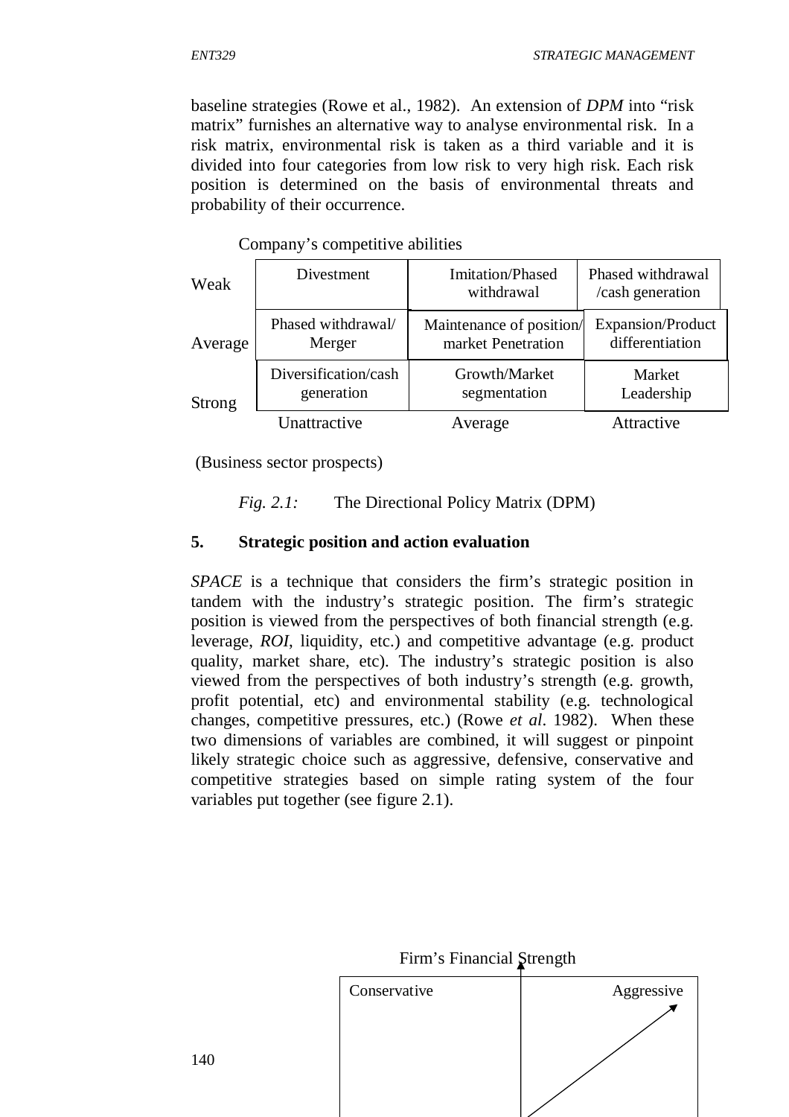baseline strategies (Rowe et al., 1982). An extension of *DPM* into "risk matrix" furnishes an alternative way to analyse environmental risk. In a risk matrix, environmental risk is taken as a third variable and it is divided into four categories from low risk to very high risk. Each risk position is determined on the basis of environmental threats and probability of their occurrence.

| Weak    | Divestment           | <b>Imitation/Phased</b><br>withdrawal | Phased withdrawal<br>/cash generation |
|---------|----------------------|---------------------------------------|---------------------------------------|
| Average | Phased withdrawal/   | Maintenance of position/              | Expansion/Product                     |
|         | Merger               | market Penetration                    | differentiation                       |
| Strong  | Diversification/cash | Growth/Market                         | Market                                |
|         | generation           | segmentation                          | Leadership                            |
|         | Unattractive         | Average                               | Attractive                            |

Company's competitive abilities

(Business sector prospects)

*Fig. 2.1:* The Directional Policy Matrix (DPM)

#### **5. Strategic position and action evaluation**

*SPACE* is a technique that considers the firm's strategic position in tandem with the industry's strategic position. The firm's strategic position is viewed from the perspectives of both financial strength (e.g. leverage, *ROI*, liquidity, etc.) and competitive advantage (e.g. product quality, market share, etc). The industry's strategic position is also viewed from the perspectives of both industry's strength (e.g. growth, profit potential, etc) and environmental stability (e.g. technological changes, competitive pressures, etc.) (Rowe *et al*. 1982). When these two dimensions of variables are combined, it will suggest or pinpoint likely strategic choice such as aggressive, defensive, conservative and competitive strategies based on simple rating system of the four variables put together (see figure 2.1).

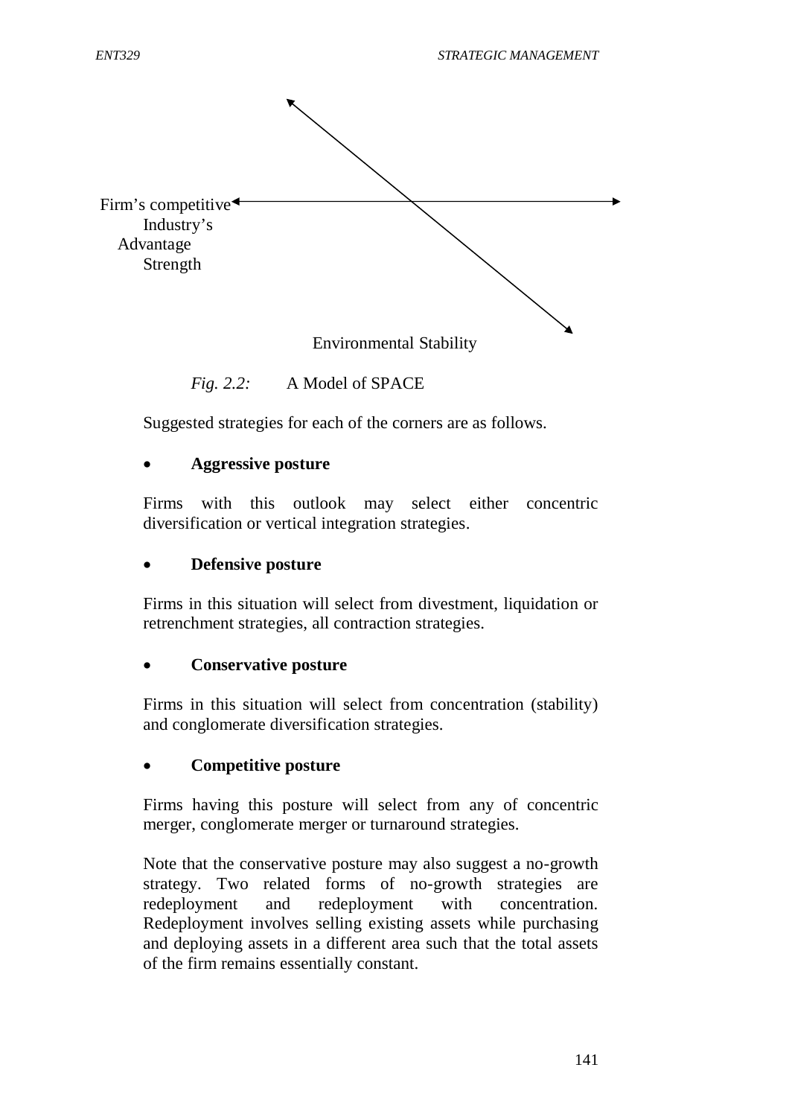

*Fig. 2.2:* A Model of SPACE

Suggested strategies for each of the corners are as follows.

#### **Aggressive posture**

Firms with this outlook may select either concentric diversification or vertical integration strategies.

#### **Defensive posture**

Firms in this situation will select from divestment, liquidation or retrenchment strategies, all contraction strategies.

#### **Conservative posture**

Firms in this situation will select from concentration (stability) and conglomerate diversification strategies.

#### **Competitive posture**

Firms having this posture will select from any of concentric merger, conglomerate merger or turnaround strategies.

Note that the conservative posture may also suggest a no-growth strategy. Two related forms of no-growth strategies are redeployment and redeployment with concentration. Redeployment involves selling existing assets while purchasing and deploying assets in a different area such that the total assets of the firm remains essentially constant.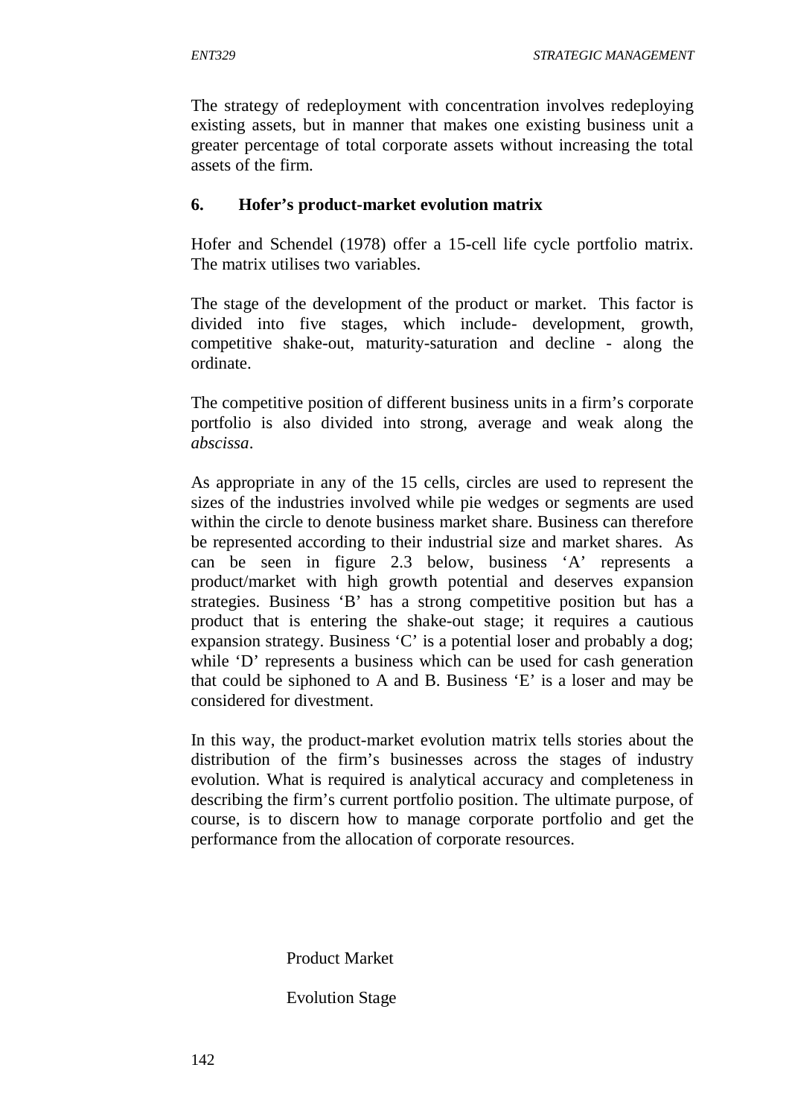The strategy of redeployment with concentration involves redeploying existing assets, but in manner that makes one existing business unit a greater percentage of total corporate assets without increasing the total assets of the firm.

### **6. Hofer's product-market evolution matrix**

Hofer and Schendel (1978) offer a 15-cell life cycle portfolio matrix. The matrix utilises two variables.

The stage of the development of the product or market. This factor is divided into five stages, which include- development, growth, competitive shake-out, maturity-saturation and decline - along the ordinate.

The competitive position of different business units in a firm's corporate portfolio is also divided into strong, average and weak along the *abscissa*.

As appropriate in any of the 15 cells, circles are used to represent the sizes of the industries involved while pie wedges or segments are used within the circle to denote business market share. Business can therefore be represented according to their industrial size and market shares. As can be seen in figure 2.3 below, business 'A' represents a product/market with high growth potential and deserves expansion strategies. Business 'B' has a strong competitive position but has a product that is entering the shake-out stage; it requires a cautious expansion strategy. Business 'C' is a potential loser and probably a dog; while 'D' represents a business which can be used for cash generation that could be siphoned to A and B. Business 'E' is a loser and may be considered for divestment.

In this way, the product-market evolution matrix tells stories about the distribution of the firm's businesses across the stages of industry evolution. What is required is analytical accuracy and completeness in describing the firm's current portfolio position. The ultimate purpose, of course, is to discern how to manage corporate portfolio and get the performance from the allocation of corporate resources.

Product Market

### Evolution Stage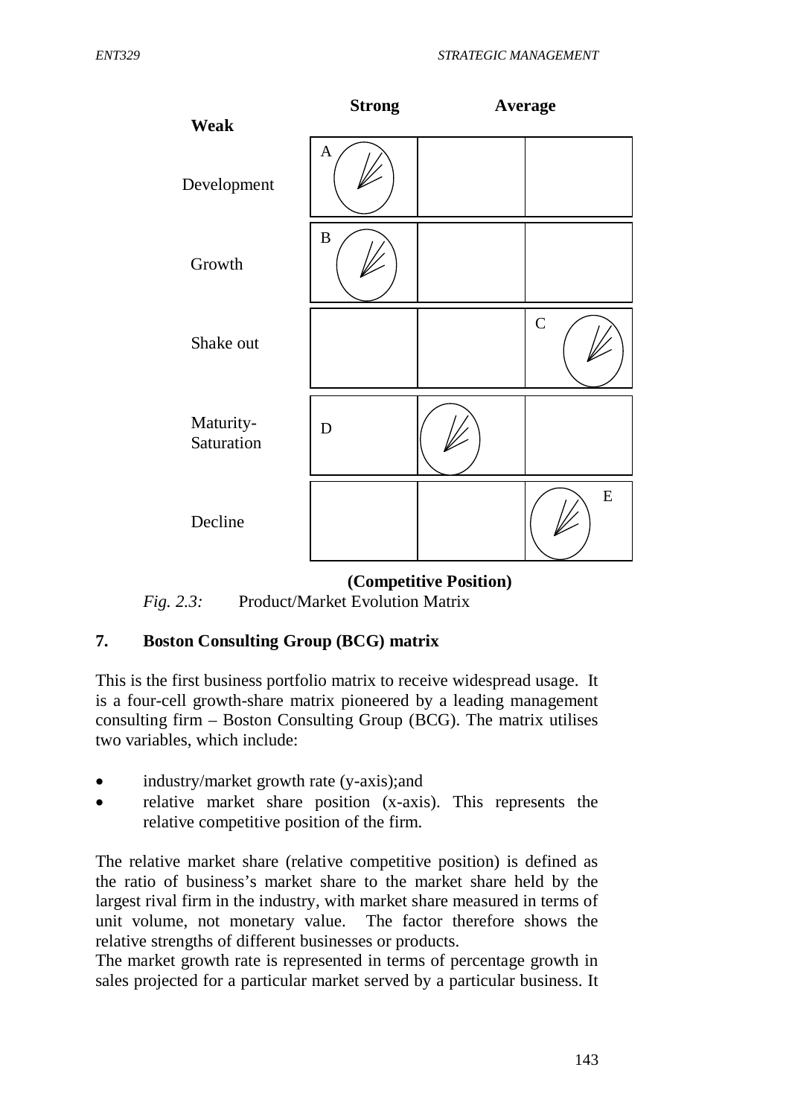

 **(Competitive Position)** *Fig. 2.3:* Product/Market Evolution Matrix

# **7. Boston Consulting Group (BCG) matrix**

This is the first business portfolio matrix to receive widespread usage. It is a four-cell growth-share matrix pioneered by a leading management consulting firm – Boston Consulting Group (BCG). The matrix utilises two variables, which include:

- industry/market growth rate (y-axis);and
- relative market share position (x-axis). This represents the relative competitive position of the firm.

The relative market share (relative competitive position) is defined as the ratio of business's market share to the market share held by the largest rival firm in the industry, with market share measured in terms of unit volume, not monetary value. The factor therefore shows the relative strengths of different businesses or products.

The market growth rate is represented in terms of percentage growth in sales projected for a particular market served by a particular business. It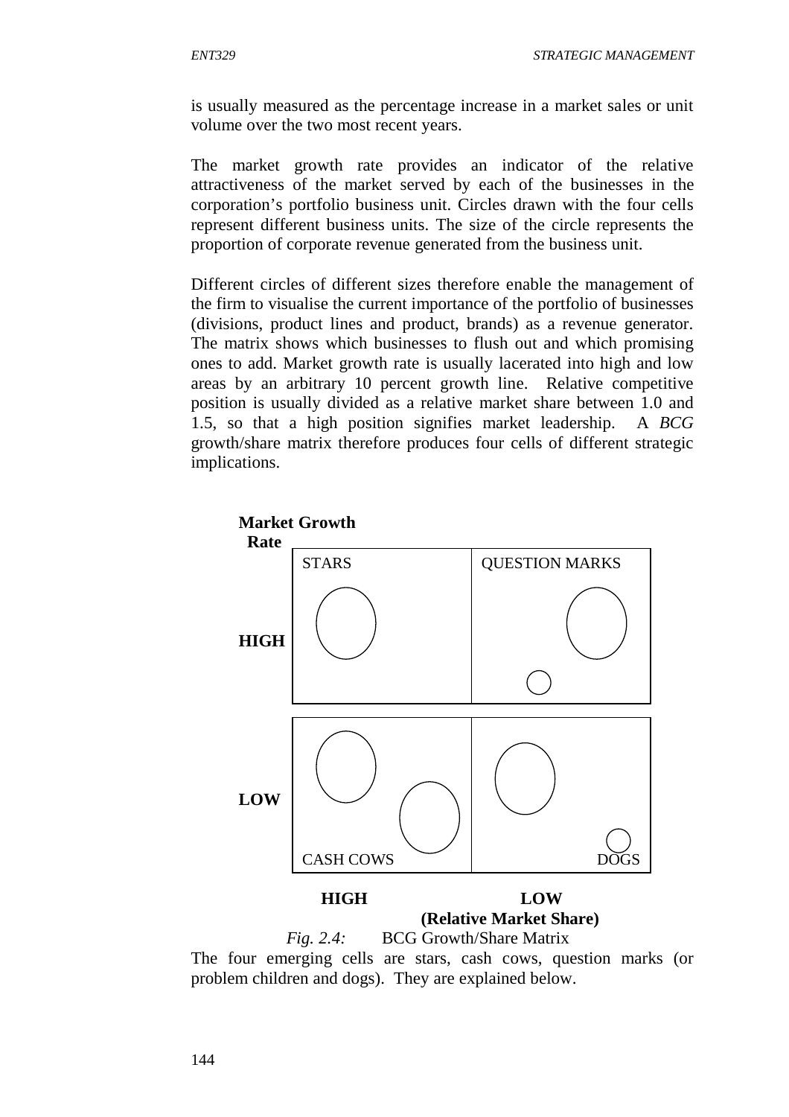is usually measured as the percentage increase in a market sales or unit volume over the two most recent years.

The market growth rate provides an indicator of the relative attractiveness of the market served by each of the businesses in the corporation's portfolio business unit. Circles drawn with the four cells represent different business units. The size of the circle represents the proportion of corporate revenue generated from the business unit.

Different circles of different sizes therefore enable the management of the firm to visualise the current importance of the portfolio of businesses (divisions, product lines and product, brands) as a revenue generator. The matrix shows which businesses to flush out and which promising ones to add. Market growth rate is usually lacerated into high and low areas by an arbitrary 10 percent growth line. Relative competitive position is usually divided as a relative market share between 1.0 and 1.5, so that a high position signifies market leadership. A *BCG* growth/share matrix therefore produces four cells of different strategic implications.



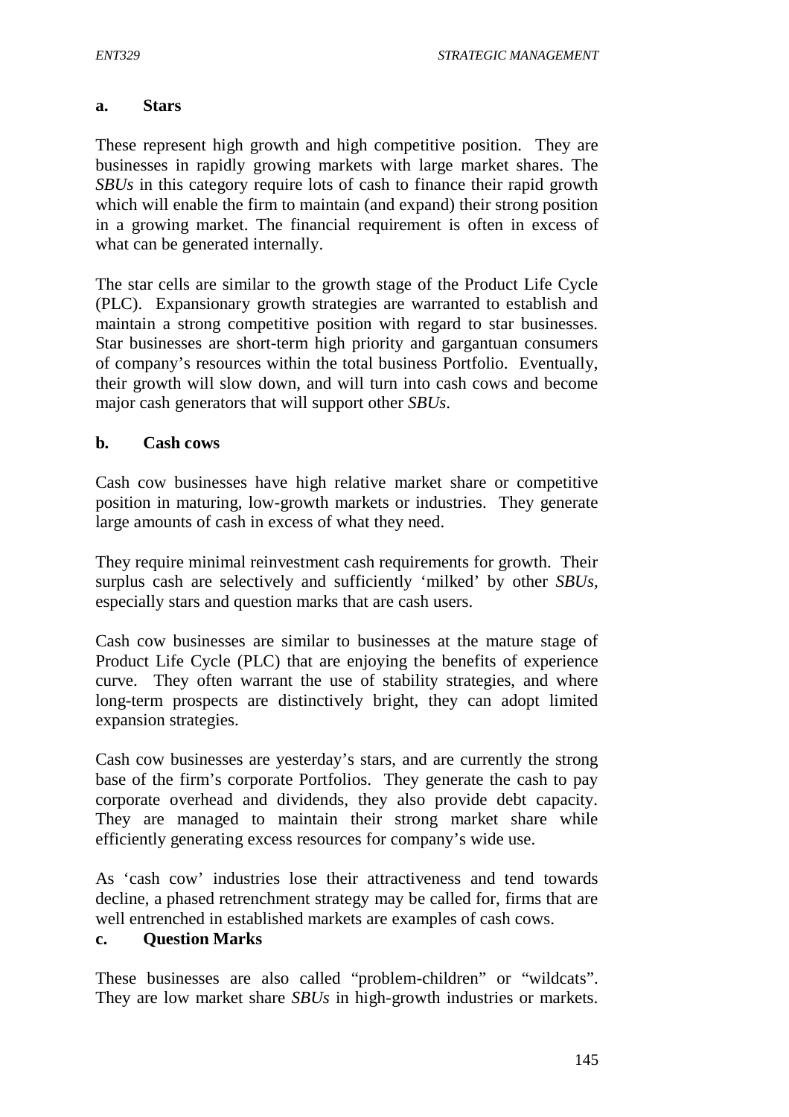#### **a. Stars**

These represent high growth and high competitive position. They are businesses in rapidly growing markets with large market shares. The *SBUs* in this category require lots of cash to finance their rapid growth which will enable the firm to maintain (and expand) their strong position in a growing market. The financial requirement is often in excess of what can be generated internally.

The star cells are similar to the growth stage of the Product Life Cycle (PLC). Expansionary growth strategies are warranted to establish and maintain a strong competitive position with regard to star businesses. Star businesses are short-term high priority and gargantuan consumers of company's resources within the total business Portfolio. Eventually, their growth will slow down, and will turn into cash cows and become major cash generators that will support other *SBUs*.

#### **b. Cash cows**

Cash cow businesses have high relative market share or competitive position in maturing, low-growth markets or industries. They generate large amounts of cash in excess of what they need.

They require minimal reinvestment cash requirements for growth. Their surplus cash are selectively and sufficiently 'milked' by other *SBUs,* especially stars and question marks that are cash users.

Cash cow businesses are similar to businesses at the mature stage of Product Life Cycle (PLC) that are enjoying the benefits of experience curve. They often warrant the use of stability strategies, and where long-term prospects are distinctively bright, they can adopt limited expansion strategies.

Cash cow businesses are yesterday's stars, and are currently the strong base of the firm's corporate Portfolios. They generate the cash to pay corporate overhead and dividends, they also provide debt capacity. They are managed to maintain their strong market share while efficiently generating excess resources for company's wide use.

As 'cash cow' industries lose their attractiveness and tend towards decline, a phased retrenchment strategy may be called for, firms that are well entrenched in established markets are examples of cash cows.

### **c. Question Marks**

These businesses are also called "problem-children" or "wildcats". They are low market share *SBUs* in high-growth industries or markets.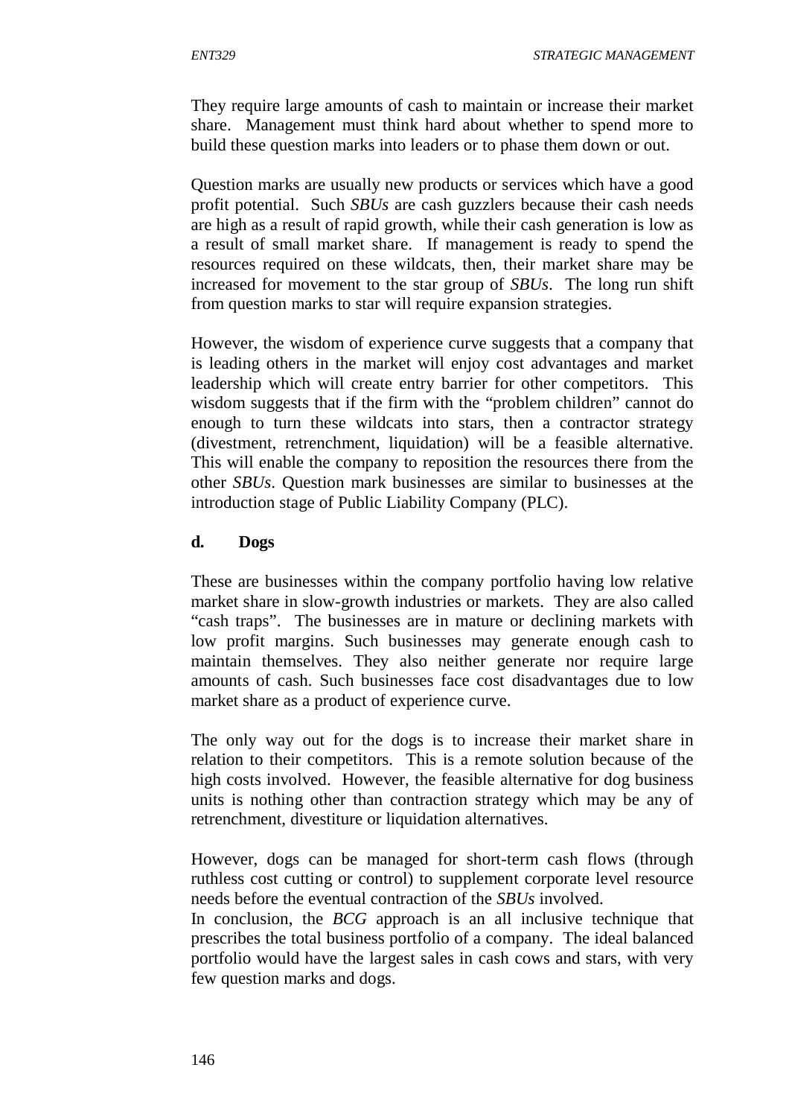They require large amounts of cash to maintain or increase their market share. Management must think hard about whether to spend more to build these question marks into leaders or to phase them down or out.

Question marks are usually new products or services which have a good profit potential. Such *SBUs* are cash guzzlers because their cash needs are high as a result of rapid growth, while their cash generation is low as a result of small market share. If management is ready to spend the resources required on these wildcats, then, their market share may be increased for movement to the star group of *SBUs*. The long run shift from question marks to star will require expansion strategies.

However, the wisdom of experience curve suggests that a company that is leading others in the market will enjoy cost advantages and market leadership which will create entry barrier for other competitors. This wisdom suggests that if the firm with the "problem children" cannot do enough to turn these wildcats into stars, then a contractor strategy (divestment, retrenchment, liquidation) will be a feasible alternative. This will enable the company to reposition the resources there from the other *SBUs*. Question mark businesses are similar to businesses at the introduction stage of Public Liability Company (PLC).

#### **d. Dogs**

These are businesses within the company portfolio having low relative market share in slow-growth industries or markets. They are also called "cash traps". The businesses are in mature or declining markets with low profit margins. Such businesses may generate enough cash to maintain themselves. They also neither generate nor require large amounts of cash. Such businesses face cost disadvantages due to low market share as a product of experience curve.

The only way out for the dogs is to increase their market share in relation to their competitors. This is a remote solution because of the high costs involved. However, the feasible alternative for dog business units is nothing other than contraction strategy which may be any of retrenchment, divestiture or liquidation alternatives.

However, dogs can be managed for short-term cash flows (through ruthless cost cutting or control) to supplement corporate level resource needs before the eventual contraction of the *SBUs* involved.

In conclusion, the *BCG* approach is an all inclusive technique that prescribes the total business portfolio of a company. The ideal balanced portfolio would have the largest sales in cash cows and stars, with very few question marks and dogs.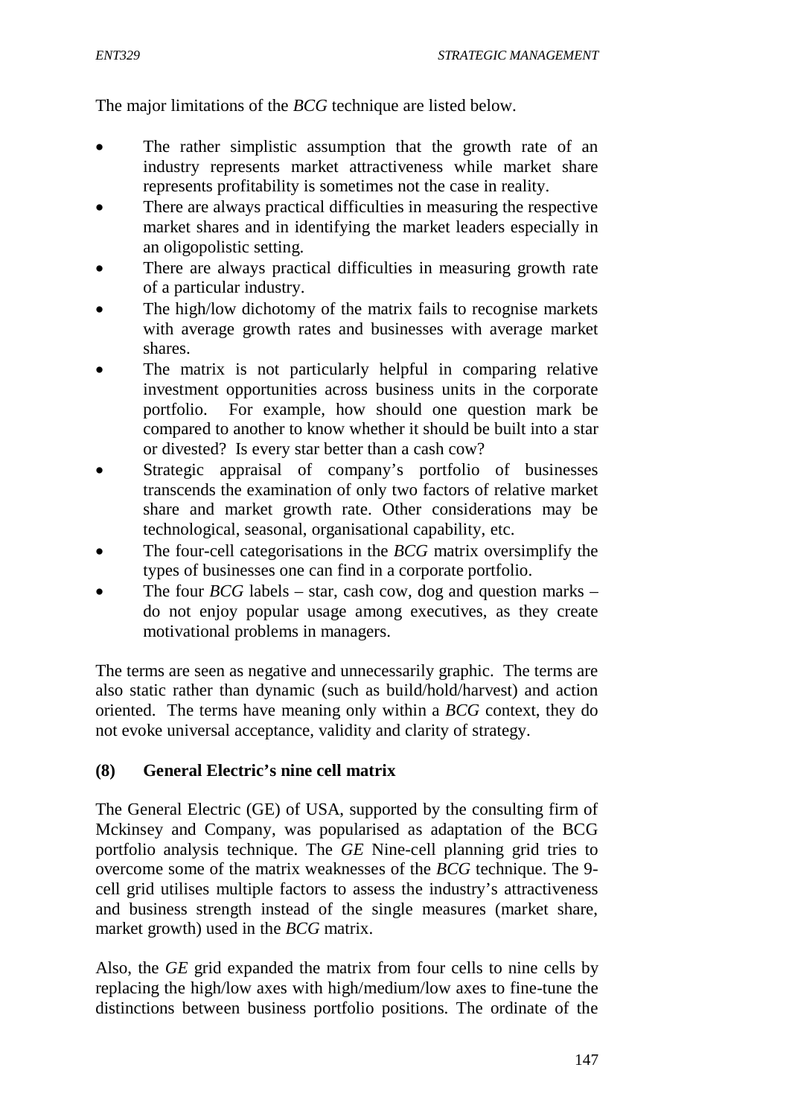The major limitations of the *BCG* technique are listed below.

- The rather simplistic assumption that the growth rate of an industry represents market attractiveness while market share represents profitability is sometimes not the case in reality.
- There are always practical difficulties in measuring the respective market shares and in identifying the market leaders especially in an oligopolistic setting.
- There are always practical difficulties in measuring growth rate of a particular industry.
- The high/low dichotomy of the matrix fails to recognise markets with average growth rates and businesses with average market shares.
- The matrix is not particularly helpful in comparing relative investment opportunities across business units in the corporate portfolio. For example, how should one question mark be compared to another to know whether it should be built into a star or divested? Is every star better than a cash cow?
- Strategic appraisal of company's portfolio of businesses transcends the examination of only two factors of relative market share and market growth rate. Other considerations may be technological, seasonal, organisational capability, etc.
- The four-cell categorisations in the *BCG* matrix oversimplify the types of businesses one can find in a corporate portfolio.
- The four *BCG* labels star, cash cow, dog and question marks do not enjoy popular usage among executives, as they create motivational problems in managers.

The terms are seen as negative and unnecessarily graphic. The terms are also static rather than dynamic (such as build/hold/harvest) and action oriented. The terms have meaning only within a *BCG* context, they do not evoke universal acceptance, validity and clarity of strategy.

### **(8) General Electric's nine cell matrix**

The General Electric (GE) of USA, supported by the consulting firm of Mckinsey and Company, was popularised as adaptation of the BCG portfolio analysis technique. The *GE* Nine-cell planning grid tries to overcome some of the matrix weaknesses of the *BCG* technique. The 9 cell grid utilises multiple factors to assess the industry's attractiveness and business strength instead of the single measures (market share, market growth) used in the *BCG* matrix.

Also, the *GE* grid expanded the matrix from four cells to nine cells by replacing the high/low axes with high/medium/low axes to fine-tune the distinctions between business portfolio positions. The ordinate of the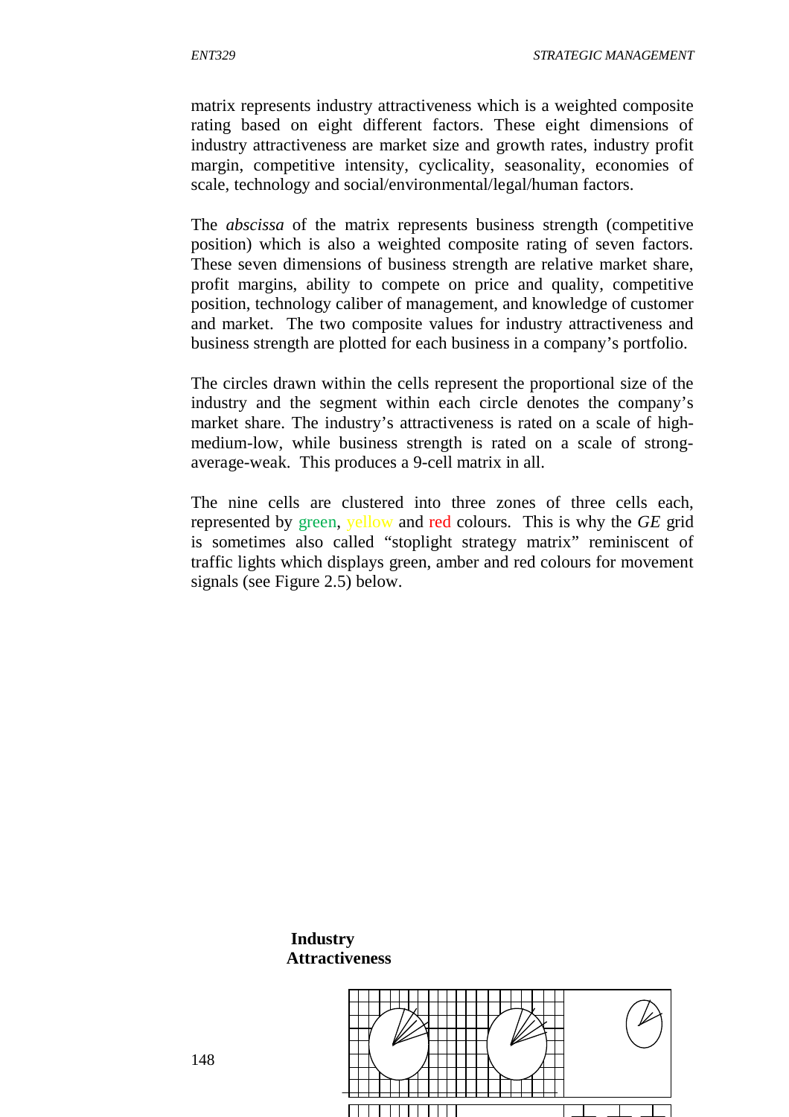matrix represents industry attractiveness which is a weighted composite rating based on eight different factors. These eight dimensions of industry attractiveness are market size and growth rates, industry profit margin, competitive intensity, cyclicality, seasonality, economies of scale, technology and social/environmental/legal/human factors.

The *abscissa* of the matrix represents business strength (competitive position) which is also a weighted composite rating of seven factors. These seven dimensions of business strength are relative market share, profit margins, ability to compete on price and quality, competitive position, technology caliber of management, and knowledge of customer and market. The two composite values for industry attractiveness and business strength are plotted for each business in a company's portfolio.

The circles drawn within the cells represent the proportional size of the industry and the segment within each circle denotes the company's market share. The industry's attractiveness is rated on a scale of highmedium-low, while business strength is rated on a scale of strongaverage-weak. This produces a 9-cell matrix in all.

The nine cells are clustered into three zones of three cells each, represented by green, yellow and red colours. This is why the *GE* grid is sometimes also called "stoplight strategy matrix" reminiscent of traffic lights which displays green, amber and red colours for movement signals (see Figure 2.5) below.





 **Industry Attractiveness**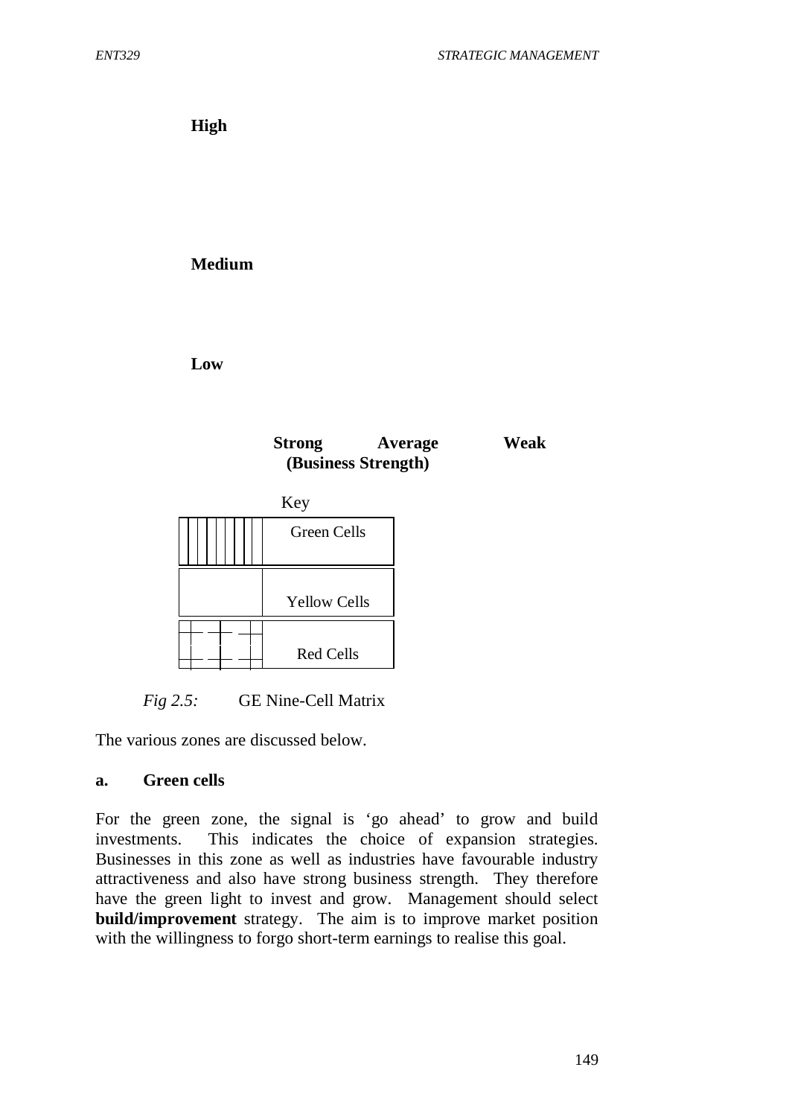**High**

**Medium**

**Low**





*Fig 2.5:* GE Nine-Cell Matrix

The various zones are discussed below.

#### **a. Green cells**

For the green zone, the signal is 'go ahead' to grow and build investments. This indicates the choice of expansion strategies. Businesses in this zone as well as industries have favourable industry attractiveness and also have strong business strength. They therefore have the green light to invest and grow. Management should select **build/improvement** strategy. The aim is to improve market position with the willingness to forgo short-term earnings to realise this goal.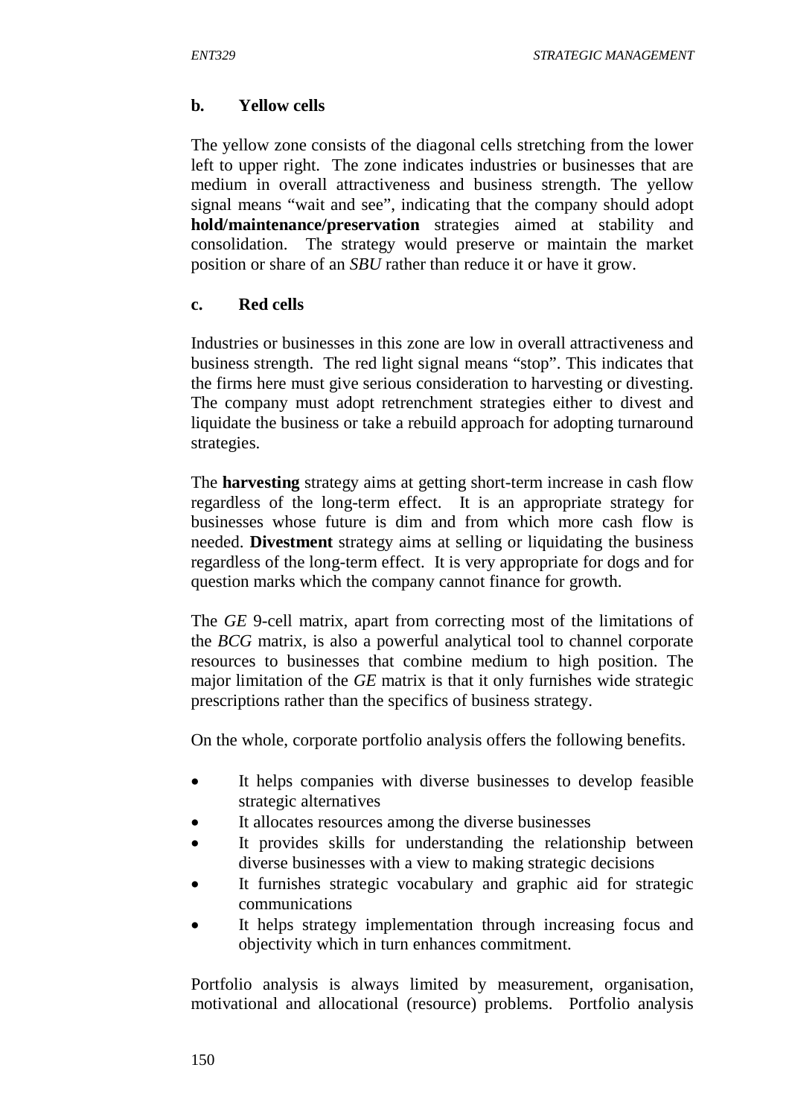## **b. Yellow cells**

The yellow zone consists of the diagonal cells stretching from the lower left to upper right. The zone indicates industries or businesses that are medium in overall attractiveness and business strength. The yellow signal means "wait and see", indicating that the company should adopt **hold/maintenance/preservation** strategies aimed at stability and consolidation. The strategy would preserve or maintain the market position or share of an *SBU* rather than reduce it or have it grow.

### **c. Red cells**

Industries or businesses in this zone are low in overall attractiveness and business strength. The red light signal means "stop". This indicates that the firms here must give serious consideration to harvesting or divesting. The company must adopt retrenchment strategies either to divest and liquidate the business or take a rebuild approach for adopting turnaround strategies.

The **harvesting** strategy aims at getting short-term increase in cash flow regardless of the long-term effect. It is an appropriate strategy for businesses whose future is dim and from which more cash flow is needed. **Divestment** strategy aims at selling or liquidating the business regardless of the long-term effect. It is very appropriate for dogs and for question marks which the company cannot finance for growth.

The *GE* 9-cell matrix, apart from correcting most of the limitations of the *BCG* matrix, is also a powerful analytical tool to channel corporate resources to businesses that combine medium to high position. The major limitation of the *GE* matrix is that it only furnishes wide strategic prescriptions rather than the specifics of business strategy.

On the whole, corporate portfolio analysis offers the following benefits.

- It helps companies with diverse businesses to develop feasible strategic alternatives
- It allocates resources among the diverse businesses
- It provides skills for understanding the relationship between diverse businesses with a view to making strategic decisions
- It furnishes strategic vocabulary and graphic aid for strategic communications
- It helps strategy implementation through increasing focus and objectivity which in turn enhances commitment.

Portfolio analysis is always limited by measurement, organisation, motivational and allocational (resource) problems. Portfolio analysis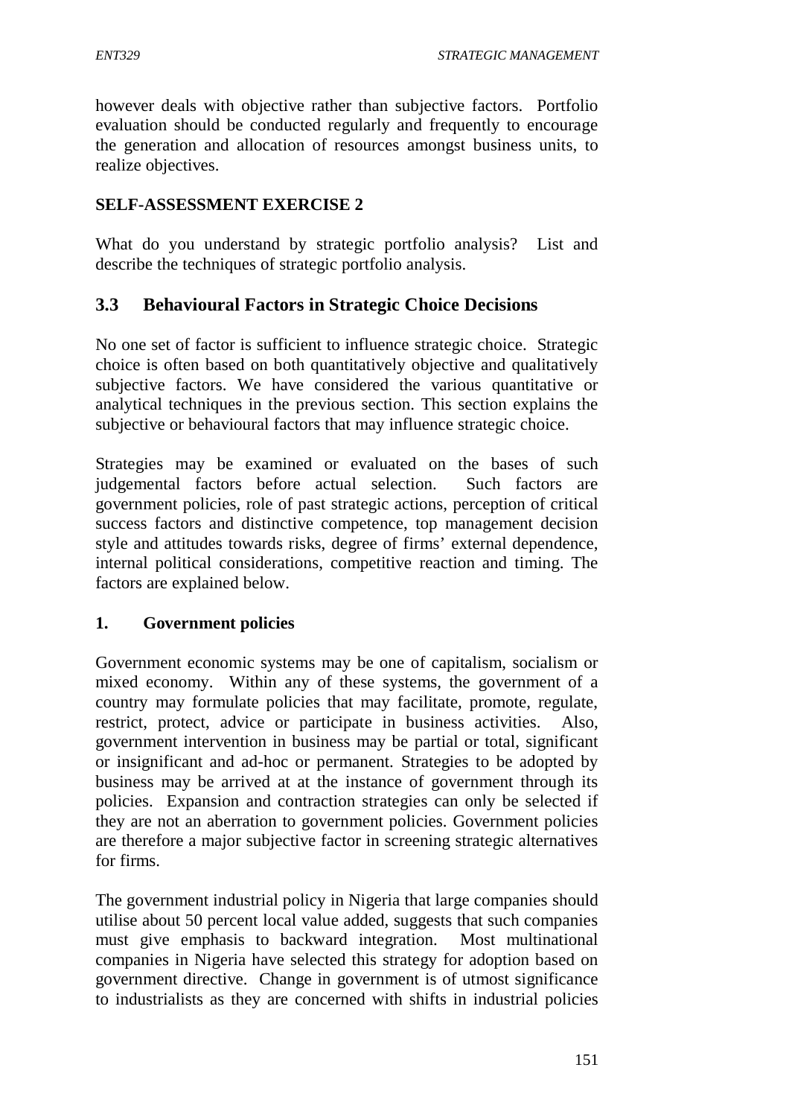however deals with objective rather than subjective factors. Portfolio evaluation should be conducted regularly and frequently to encourage the generation and allocation of resources amongst business units, to realize objectives.

#### **SELF-ASSESSMENT EXERCISE 2**

What do you understand by strategic portfolio analysis? List and describe the techniques of strategic portfolio analysis.

### **3.3 Behavioural Factors in Strategic Choice Decisions**

No one set of factor is sufficient to influence strategic choice. Strategic choice is often based on both quantitatively objective and qualitatively subjective factors. We have considered the various quantitative or analytical techniques in the previous section. This section explains the subjective or behavioural factors that may influence strategic choice.

Strategies may be examined or evaluated on the bases of such judgemental factors before actual selection. Such factors are government policies, role of past strategic actions, perception of critical success factors and distinctive competence, top management decision style and attitudes towards risks, degree of firms' external dependence, internal political considerations, competitive reaction and timing. The factors are explained below.

#### **1. Government policies**

Government economic systems may be one of capitalism, socialism or mixed economy. Within any of these systems, the government of a country may formulate policies that may facilitate, promote, regulate, restrict, protect, advice or participate in business activities. Also, government intervention in business may be partial or total, significant or insignificant and ad-hoc or permanent. Strategies to be adopted by business may be arrived at at the instance of government through its policies. Expansion and contraction strategies can only be selected if they are not an aberration to government policies. Government policies are therefore a major subjective factor in screening strategic alternatives for firms.

The government industrial policy in Nigeria that large companies should utilise about 50 percent local value added, suggests that such companies must give emphasis to backward integration. Most multinational companies in Nigeria have selected this strategy for adoption based on government directive. Change in government is of utmost significance to industrialists as they are concerned with shifts in industrial policies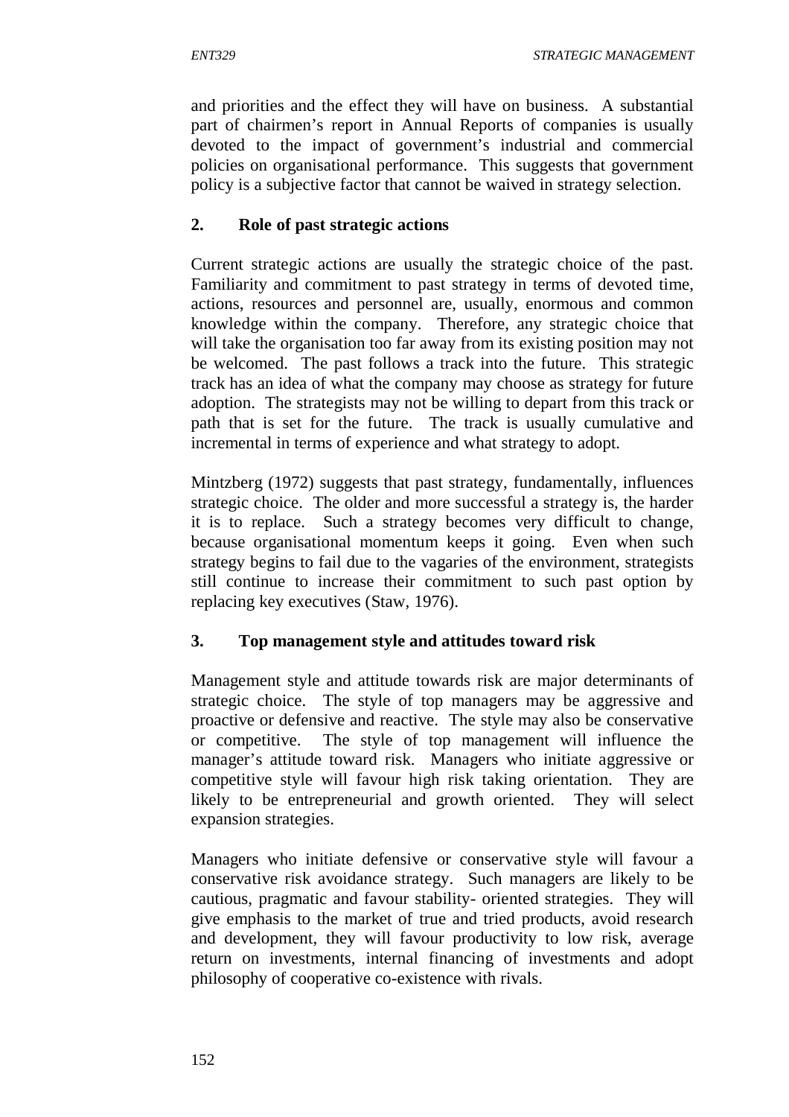and priorities and the effect they will have on business. A substantial part of chairmen's report in Annual Reports of companies is usually devoted to the impact of government's industrial and commercial policies on organisational performance. This suggests that government policy is a subjective factor that cannot be waived in strategy selection.

## **2. Role of past strategic actions**

Current strategic actions are usually the strategic choice of the past. Familiarity and commitment to past strategy in terms of devoted time, actions, resources and personnel are, usually, enormous and common knowledge within the company. Therefore, any strategic choice that will take the organisation too far away from its existing position may not be welcomed. The past follows a track into the future. This strategic track has an idea of what the company may choose as strategy for future adoption. The strategists may not be willing to depart from this track or path that is set for the future. The track is usually cumulative and incremental in terms of experience and what strategy to adopt.

Mintzberg (1972) suggests that past strategy, fundamentally, influences strategic choice. The older and more successful a strategy is, the harder it is to replace. Such a strategy becomes very difficult to change, because organisational momentum keeps it going. Even when such strategy begins to fail due to the vagaries of the environment, strategists still continue to increase their commitment to such past option by replacing key executives (Staw, 1976).

### **3. Top management style and attitudes toward risk**

Management style and attitude towards risk are major determinants of strategic choice. The style of top managers may be aggressive and proactive or defensive and reactive. The style may also be conservative or competitive. The style of top management will influence the manager's attitude toward risk. Managers who initiate aggressive or competitive style will favour high risk taking orientation. They are likely to be entrepreneurial and growth oriented. They will select expansion strategies.

Managers who initiate defensive or conservative style will favour a conservative risk avoidance strategy. Such managers are likely to be cautious, pragmatic and favour stability- oriented strategies. They will give emphasis to the market of true and tried products, avoid research and development, they will favour productivity to low risk, average return on investments, internal financing of investments and adopt philosophy of cooperative co-existence with rivals.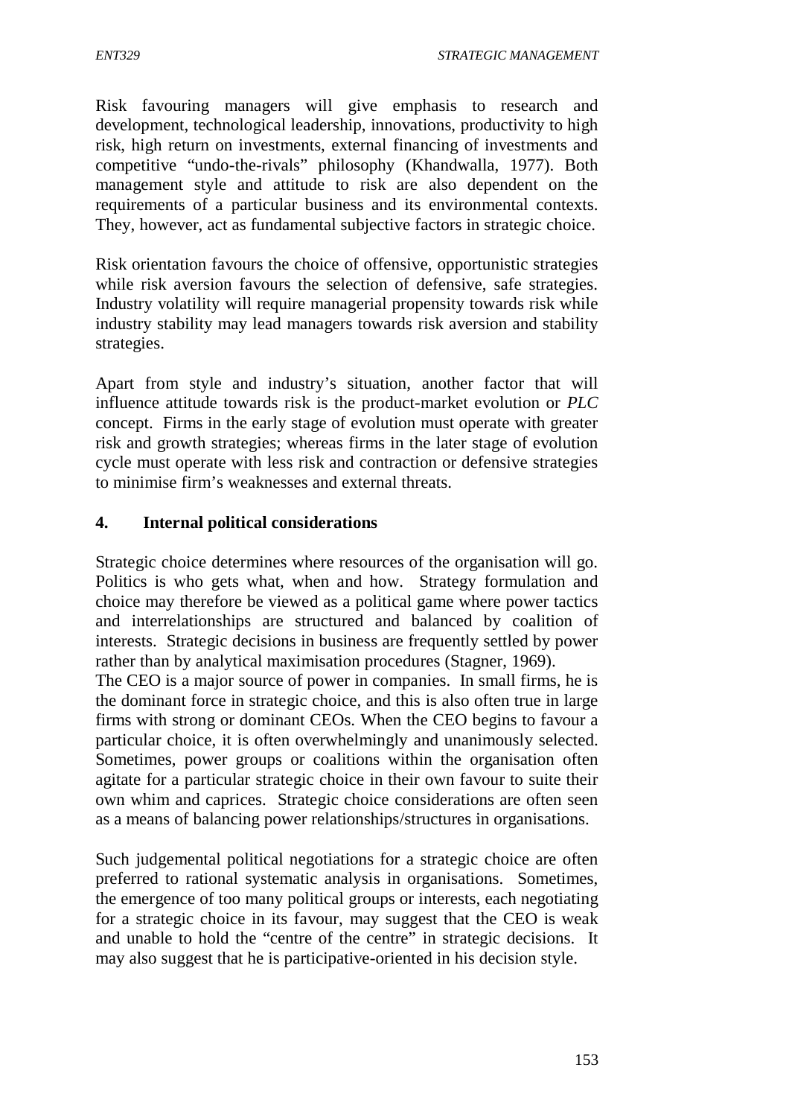Risk favouring managers will give emphasis to research and development, technological leadership, innovations, productivity to high risk, high return on investments, external financing of investments and competitive "undo-the-rivals" philosophy (Khandwalla, 1977). Both management style and attitude to risk are also dependent on the requirements of a particular business and its environmental contexts. They, however, act as fundamental subjective factors in strategic choice.

Risk orientation favours the choice of offensive, opportunistic strategies while risk aversion favours the selection of defensive, safe strategies. Industry volatility will require managerial propensity towards risk while industry stability may lead managers towards risk aversion and stability strategies.

Apart from style and industry's situation, another factor that will influence attitude towards risk is the product-market evolution or *PLC* concept. Firms in the early stage of evolution must operate with greater risk and growth strategies; whereas firms in the later stage of evolution cycle must operate with less risk and contraction or defensive strategies to minimise firm's weaknesses and external threats.

## **4. Internal political considerations**

Strategic choice determines where resources of the organisation will go. Politics is who gets what, when and how. Strategy formulation and choice may therefore be viewed as a political game where power tactics and interrelationships are structured and balanced by coalition of interests. Strategic decisions in business are frequently settled by power rather than by analytical maximisation procedures (Stagner, 1969).

The CEO is a major source of power in companies. In small firms, he is the dominant force in strategic choice, and this is also often true in large firms with strong or dominant CEOs. When the CEO begins to favour a particular choice, it is often overwhelmingly and unanimously selected. Sometimes, power groups or coalitions within the organisation often agitate for a particular strategic choice in their own favour to suite their own whim and caprices. Strategic choice considerations are often seen as a means of balancing power relationships/structures in organisations.

Such judgemental political negotiations for a strategic choice are often preferred to rational systematic analysis in organisations. Sometimes, the emergence of too many political groups or interests, each negotiating for a strategic choice in its favour, may suggest that the CEO is weak and unable to hold the "centre of the centre" in strategic decisions. It may also suggest that he is participative-oriented in his decision style.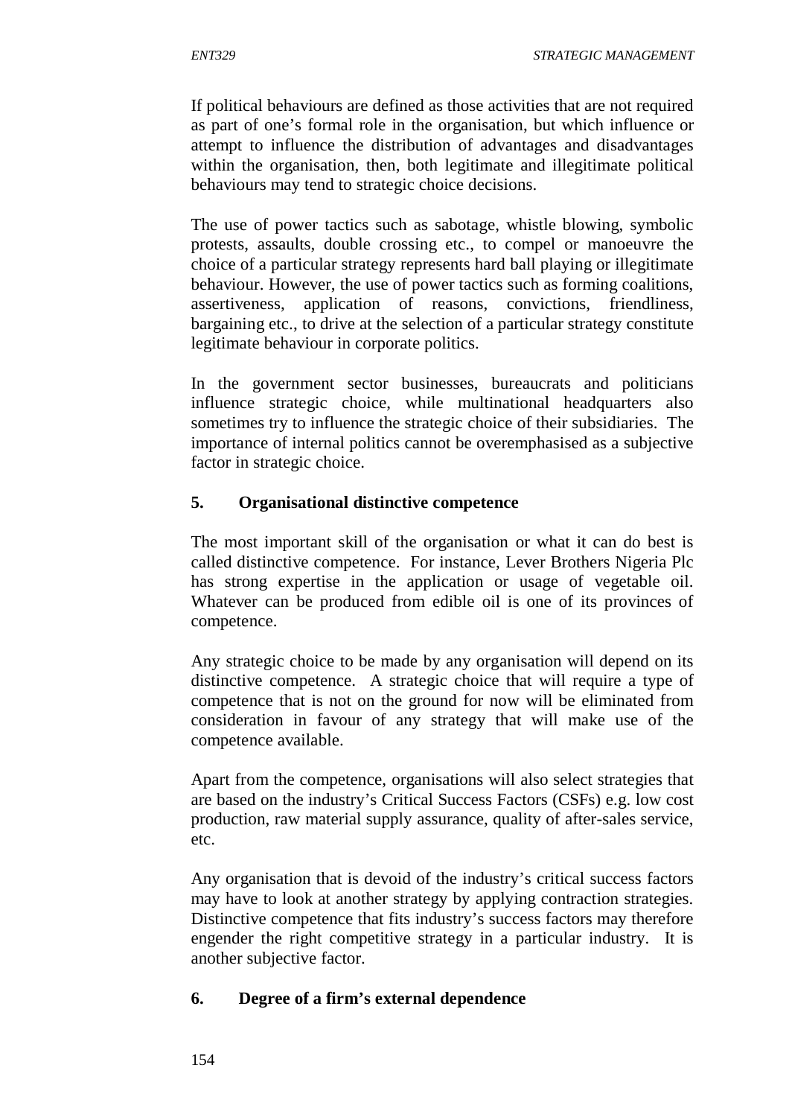If political behaviours are defined as those activities that are not required as part of one's formal role in the organisation, but which influence or attempt to influence the distribution of advantages and disadvantages within the organisation, then, both legitimate and illegitimate political behaviours may tend to strategic choice decisions.

The use of power tactics such as sabotage, whistle blowing, symbolic protests, assaults, double crossing etc., to compel or manoeuvre the choice of a particular strategy represents hard ball playing or illegitimate behaviour. However, the use of power tactics such as forming coalitions, assertiveness, application of reasons, convictions, friendliness, bargaining etc., to drive at the selection of a particular strategy constitute legitimate behaviour in corporate politics.

In the government sector businesses, bureaucrats and politicians influence strategic choice, while multinational headquarters also sometimes try to influence the strategic choice of their subsidiaries. The importance of internal politics cannot be overemphasised as a subjective factor in strategic choice.

### **5. Organisational distinctive competence**

The most important skill of the organisation or what it can do best is called distinctive competence. For instance, Lever Brothers Nigeria Plc has strong expertise in the application or usage of vegetable oil. Whatever can be produced from edible oil is one of its provinces of competence.

Any strategic choice to be made by any organisation will depend on its distinctive competence. A strategic choice that will require a type of competence that is not on the ground for now will be eliminated from consideration in favour of any strategy that will make use of the competence available.

Apart from the competence, organisations will also select strategies that are based on the industry's Critical Success Factors (CSFs) e.g. low cost production, raw material supply assurance, quality of after-sales service, etc.

Any organisation that is devoid of the industry's critical success factors may have to look at another strategy by applying contraction strategies. Distinctive competence that fits industry's success factors may therefore engender the right competitive strategy in a particular industry. It is another subjective factor.

### **6. Degree of a firm's external dependence**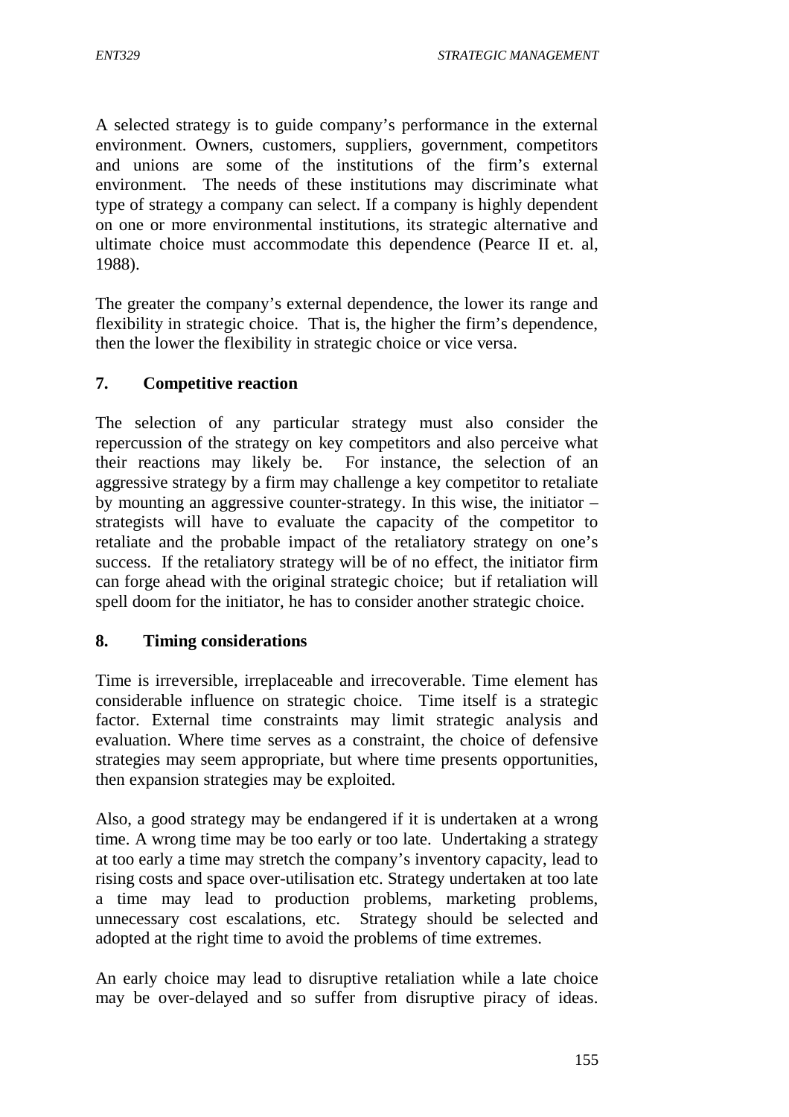A selected strategy is to guide company's performance in the external environment. Owners, customers, suppliers, government, competitors and unions are some of the institutions of the firm's external environment. The needs of these institutions may discriminate what type of strategy a company can select. If a company is highly dependent on one or more environmental institutions, its strategic alternative and ultimate choice must accommodate this dependence (Pearce II et. al, 1988).

The greater the company's external dependence, the lower its range and flexibility in strategic choice. That is, the higher the firm's dependence, then the lower the flexibility in strategic choice or vice versa.

#### **7. Competitive reaction**

The selection of any particular strategy must also consider the repercussion of the strategy on key competitors and also perceive what their reactions may likely be. For instance, the selection of an aggressive strategy by a firm may challenge a key competitor to retaliate by mounting an aggressive counter-strategy. In this wise, the initiator – strategists will have to evaluate the capacity of the competitor to retaliate and the probable impact of the retaliatory strategy on one's success. If the retaliatory strategy will be of no effect, the initiator firm can forge ahead with the original strategic choice; but if retaliation will spell doom for the initiator, he has to consider another strategic choice.

#### **8. Timing considerations**

Time is irreversible, irreplaceable and irrecoverable. Time element has considerable influence on strategic choice. Time itself is a strategic factor. External time constraints may limit strategic analysis and evaluation. Where time serves as a constraint, the choice of defensive strategies may seem appropriate, but where time presents opportunities, then expansion strategies may be exploited.

Also, a good strategy may be endangered if it is undertaken at a wrong time. A wrong time may be too early or too late. Undertaking a strategy at too early a time may stretch the company's inventory capacity, lead to rising costs and space over-utilisation etc. Strategy undertaken at too late a time may lead to production problems, marketing problems, unnecessary cost escalations, etc. Strategy should be selected and adopted at the right time to avoid the problems of time extremes.

An early choice may lead to disruptive retaliation while a late choice may be over-delayed and so suffer from disruptive piracy of ideas.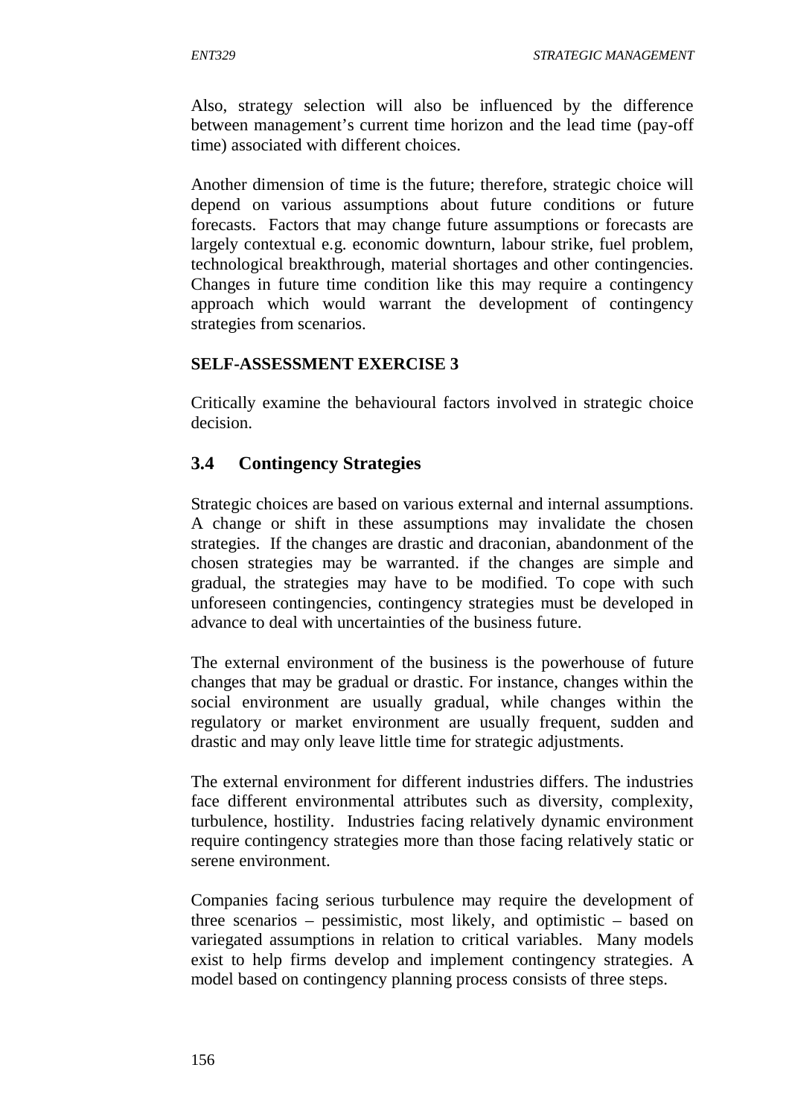Also, strategy selection will also be influenced by the difference between management's current time horizon and the lead time (pay-off time) associated with different choices.

Another dimension of time is the future; therefore, strategic choice will depend on various assumptions about future conditions or future forecasts. Factors that may change future assumptions or forecasts are largely contextual e.g. economic downturn, labour strike, fuel problem, technological breakthrough, material shortages and other contingencies. Changes in future time condition like this may require a contingency approach which would warrant the development of contingency strategies from scenarios.

## **SELF-ASSESSMENT EXERCISE 3**

Critically examine the behavioural factors involved in strategic choice decision.

# **3.4 Contingency Strategies**

Strategic choices are based on various external and internal assumptions. A change or shift in these assumptions may invalidate the chosen strategies. If the changes are drastic and draconian, abandonment of the chosen strategies may be warranted. if the changes are simple and gradual, the strategies may have to be modified. To cope with such unforeseen contingencies, contingency strategies must be developed in advance to deal with uncertainties of the business future.

The external environment of the business is the powerhouse of future changes that may be gradual or drastic. For instance, changes within the social environment are usually gradual, while changes within the regulatory or market environment are usually frequent, sudden and drastic and may only leave little time for strategic adjustments.

The external environment for different industries differs. The industries face different environmental attributes such as diversity, complexity, turbulence, hostility. Industries facing relatively dynamic environment require contingency strategies more than those facing relatively static or serene environment.

Companies facing serious turbulence may require the development of three scenarios – pessimistic, most likely, and optimistic – based on variegated assumptions in relation to critical variables. Many models exist to help firms develop and implement contingency strategies. A model based on contingency planning process consists of three steps.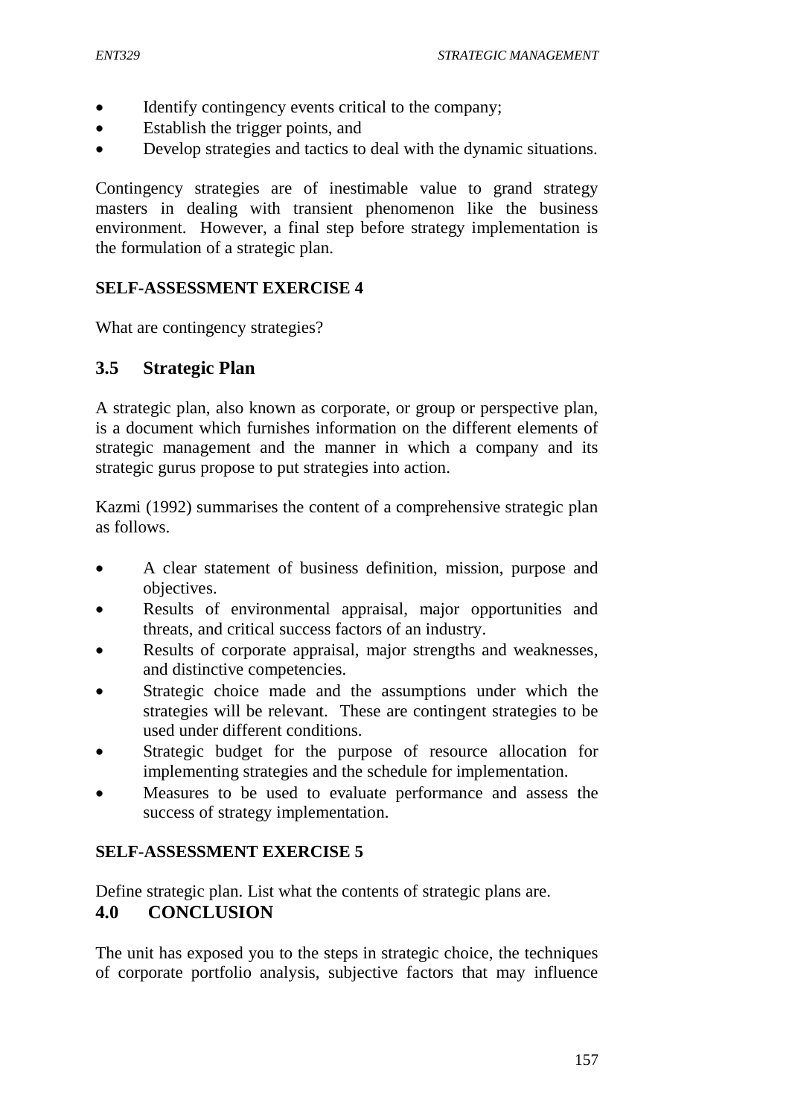- Identify contingency events critical to the company;
- Establish the trigger points, and
- Develop strategies and tactics to deal with the dynamic situations.

Contingency strategies are of inestimable value to grand strategy masters in dealing with transient phenomenon like the business environment. However, a final step before strategy implementation is the formulation of a strategic plan.

# **SELF-ASSESSMENT EXERCISE 4**

What are contingency strategies?

# **3.5 Strategic Plan**

A strategic plan, also known as corporate, or group or perspective plan, is a document which furnishes information on the different elements of strategic management and the manner in which a company and its strategic gurus propose to put strategies into action.

Kazmi (1992) summarises the content of a comprehensive strategic plan as follows.

- A clear statement of business definition, mission, purpose and objectives.
- Results of environmental appraisal, major opportunities and threats, and critical success factors of an industry.
- Results of corporate appraisal, major strengths and weaknesses, and distinctive competencies.
- Strategic choice made and the assumptions under which the strategies will be relevant. These are contingent strategies to be used under different conditions.
- Strategic budget for the purpose of resource allocation for implementing strategies and the schedule for implementation.
- Measures to be used to evaluate performance and assess the success of strategy implementation.

# **SELF-ASSESSMENT EXERCISE 5**

Define strategic plan. List what the contents of strategic plans are.

# **4.0 CONCLUSION**

The unit has exposed you to the steps in strategic choice, the techniques of corporate portfolio analysis, subjective factors that may influence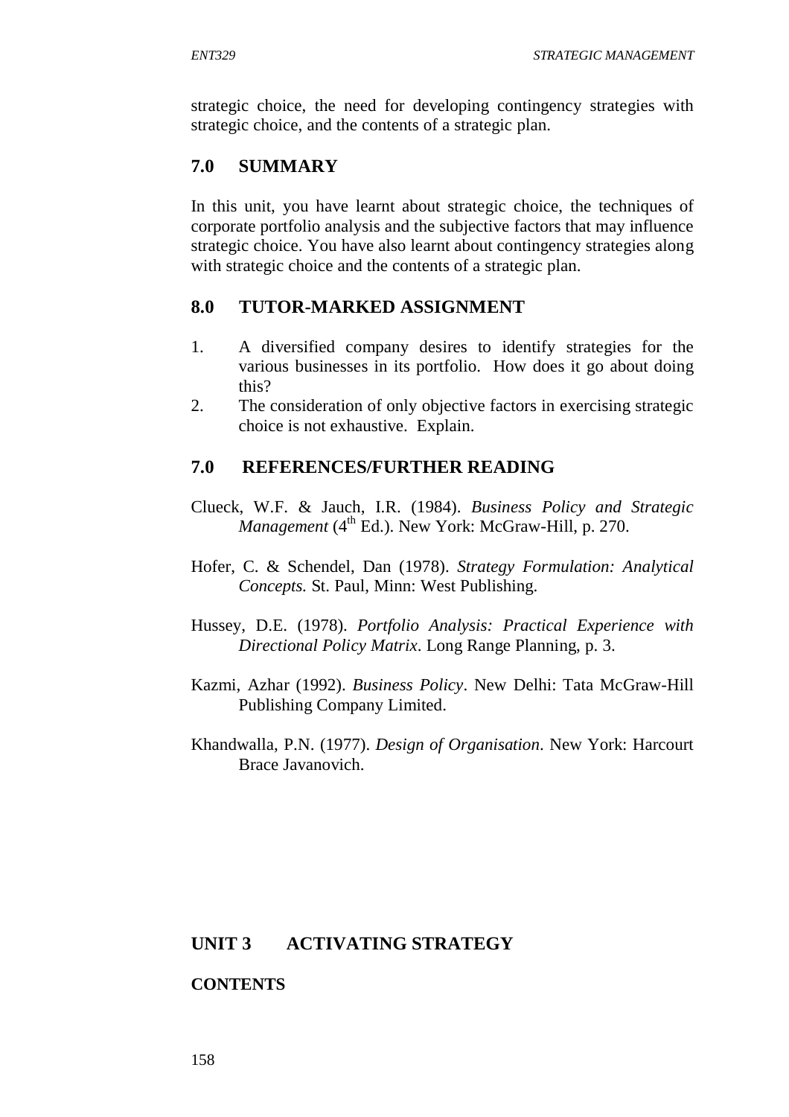strategic choice, the need for developing contingency strategies with strategic choice, and the contents of a strategic plan.

# **7.0 SUMMARY**

In this unit, you have learnt about strategic choice, the techniques of corporate portfolio analysis and the subjective factors that may influence strategic choice. You have also learnt about contingency strategies along with strategic choice and the contents of a strategic plan.

## **8.0 TUTOR-MARKED ASSIGNMENT**

- 1. A diversified company desires to identify strategies for the various businesses in its portfolio. How does it go about doing this?
- 2. The consideration of only objective factors in exercising strategic choice is not exhaustive. Explain.

# **7.0 REFERENCES/FURTHER READING**

- Clueck, W.F. & Jauch, I.R. (1984). *Business Policy and Strategic*  Management (4<sup>th</sup> Ed.). New York: McGraw-Hill, p. 270.
- Hofer, C. & Schendel, Dan (1978). *Strategy Formulation: Analytical Concepts.* St. Paul, Minn: West Publishing.
- Hussey, D.E. (1978). *Portfolio Analysis: Practical Experience with Directional Policy Matrix*. Long Range Planning, p. 3.
- Kazmi, Azhar (1992). *Business Policy*. New Delhi: Tata McGraw-Hill Publishing Company Limited.
- Khandwalla, P.N. (1977). *Design of Organisation*. New York: Harcourt Brace Javanovich.

### **UNIT 3 ACTIVATING STRATEGY**

### **CONTENTS**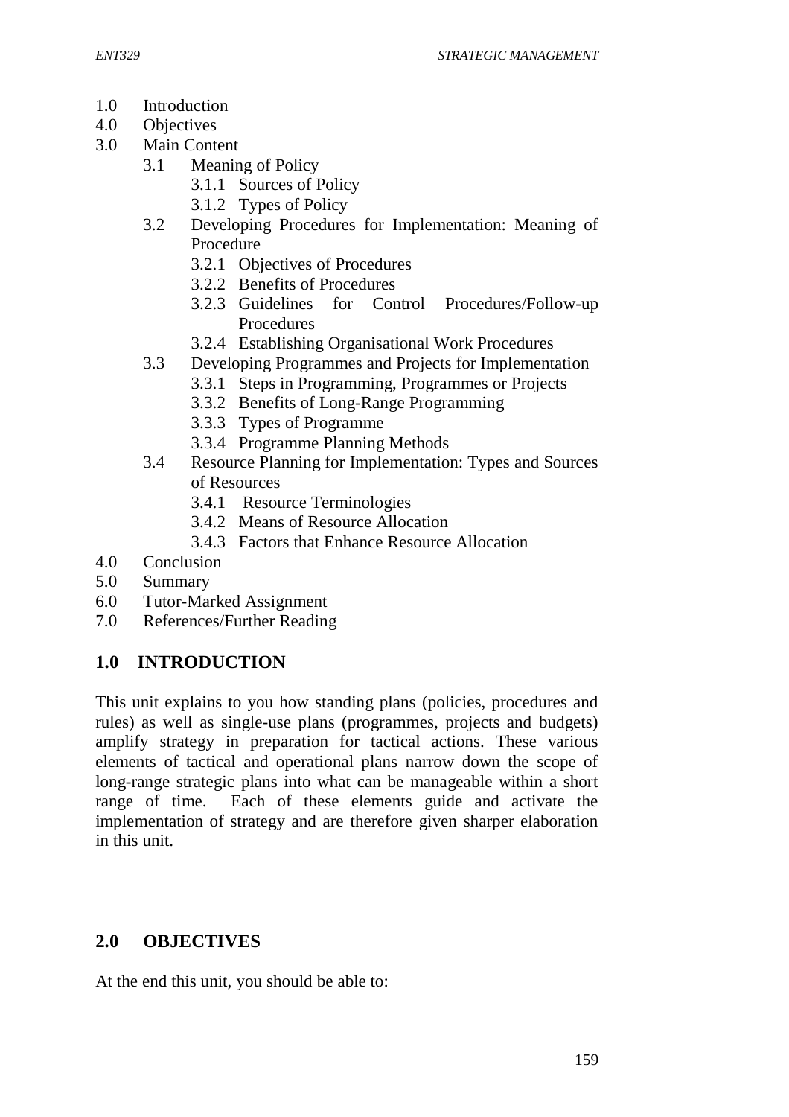- 1.0 Introduction
- 4.0 Objectives
- 3.0 Main Content
	- 3.1 Meaning of Policy
		- 3.1.1 Sources of Policy
		- 3.1.2 Types of Policy
	- 3.2 Developing Procedures for Implementation: Meaning of Procedure
		- 3.2.1 Objectives of Procedures
		- 3.2.2 Benefits of Procedures
		- 3.2.3 Guidelines for Control Procedures/Follow-up Procedures
		- 3.2.4 Establishing Organisational Work Procedures
	- 3.3 Developing Programmes and Projects for Implementation
		- 3.3.1 Steps in Programming, Programmes or Projects
		- 3.3.2 Benefits of Long-Range Programming
		- 3.3.3 Types of Programme
		- 3.3.4 Programme Planning Methods
	- 3.4 Resource Planning for Implementation: Types and Sources of Resources
		- 3.4.1 Resource Terminologies
		- 3.4.2 Means of Resource Allocation
		- 3.4.3 Factors that Enhance Resource Allocation
- 4.0 Conclusion
- 5.0 Summary
- 6.0 Tutor-Marked Assignment
- 7.0 References/Further Reading

# **1.0 INTRODUCTION**

This unit explains to you how standing plans (policies, procedures and rules) as well as single-use plans (programmes, projects and budgets) amplify strategy in preparation for tactical actions. These various elements of tactical and operational plans narrow down the scope of long-range strategic plans into what can be manageable within a short range of time. Each of these elements guide and activate the implementation of strategy and are therefore given sharper elaboration in this unit.

# **2.0 OBJECTIVES**

At the end this unit, you should be able to: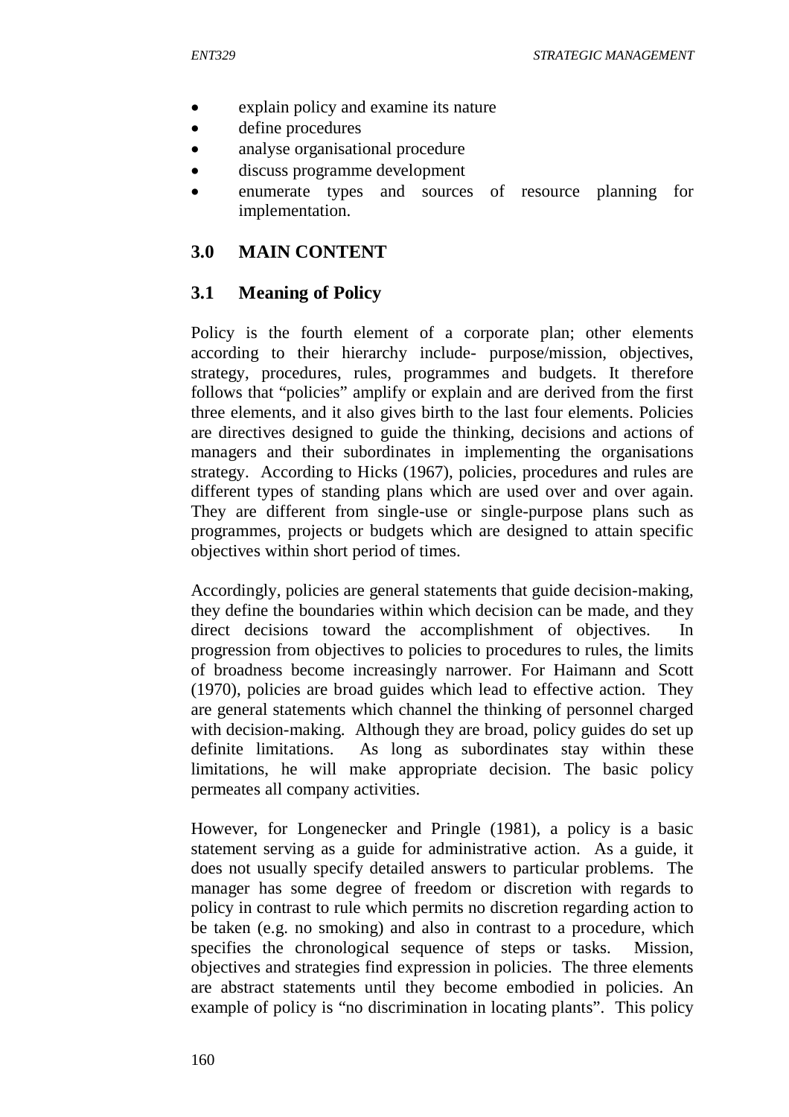- explain policy and examine its nature
- define procedures
- analyse organisational procedure
- discuss programme development
- enumerate types and sources of resource planning for implementation.

# **3.0 MAIN CONTENT**

# **3.1 Meaning of Policy**

Policy is the fourth element of a corporate plan; other elements according to their hierarchy include- purpose/mission, objectives, strategy, procedures, rules, programmes and budgets. It therefore follows that "policies" amplify or explain and are derived from the first three elements, and it also gives birth to the last four elements. Policies are directives designed to guide the thinking, decisions and actions of managers and their subordinates in implementing the organisations strategy. According to Hicks (1967), policies, procedures and rules are different types of standing plans which are used over and over again. They are different from single-use or single-purpose plans such as programmes, projects or budgets which are designed to attain specific objectives within short period of times.

Accordingly, policies are general statements that guide decision-making, they define the boundaries within which decision can be made, and they direct decisions toward the accomplishment of objectives. In progression from objectives to policies to procedures to rules, the limits of broadness become increasingly narrower. For Haimann and Scott (1970), policies are broad guides which lead to effective action. They are general statements which channel the thinking of personnel charged with decision-making. Although they are broad, policy guides do set up definite limitations. As long as subordinates stay within these limitations, he will make appropriate decision. The basic policy permeates all company activities.

However, for Longenecker and Pringle (1981), a policy is a basic statement serving as a guide for administrative action. As a guide, it does not usually specify detailed answers to particular problems. The manager has some degree of freedom or discretion with regards to policy in contrast to rule which permits no discretion regarding action to be taken (e.g. no smoking) and also in contrast to a procedure, which specifies the chronological sequence of steps or tasks. Mission, objectives and strategies find expression in policies. The three elements are abstract statements until they become embodied in policies. An example of policy is "no discrimination in locating plants". This policy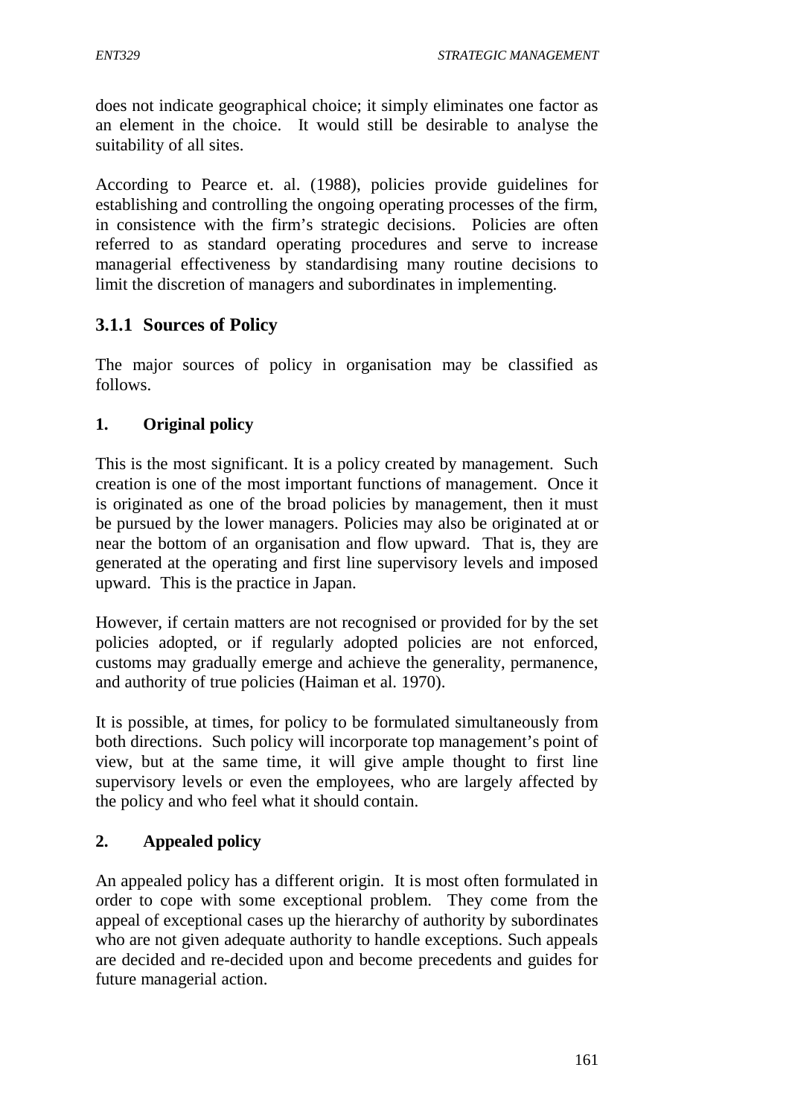does not indicate geographical choice; it simply eliminates one factor as an element in the choice. It would still be desirable to analyse the suitability of all sites.

According to Pearce et. al. (1988), policies provide guidelines for establishing and controlling the ongoing operating processes of the firm, in consistence with the firm's strategic decisions. Policies are often referred to as standard operating procedures and serve to increase managerial effectiveness by standardising many routine decisions to limit the discretion of managers and subordinates in implementing.

# **3.1.1 Sources of Policy**

The major sources of policy in organisation may be classified as follows.

## **1. Original policy**

This is the most significant. It is a policy created by management. Such creation is one of the most important functions of management. Once it is originated as one of the broad policies by management, then it must be pursued by the lower managers. Policies may also be originated at or near the bottom of an organisation and flow upward. That is, they are generated at the operating and first line supervisory levels and imposed upward. This is the practice in Japan.

However, if certain matters are not recognised or provided for by the set policies adopted, or if regularly adopted policies are not enforced, customs may gradually emerge and achieve the generality, permanence, and authority of true policies (Haiman et al. 1970).

It is possible, at times, for policy to be formulated simultaneously from both directions. Such policy will incorporate top management's point of view, but at the same time, it will give ample thought to first line supervisory levels or even the employees, who are largely affected by the policy and who feel what it should contain.

### **2. Appealed policy**

An appealed policy has a different origin. It is most often formulated in order to cope with some exceptional problem. They come from the appeal of exceptional cases up the hierarchy of authority by subordinates who are not given adequate authority to handle exceptions. Such appeals are decided and re-decided upon and become precedents and guides for future managerial action.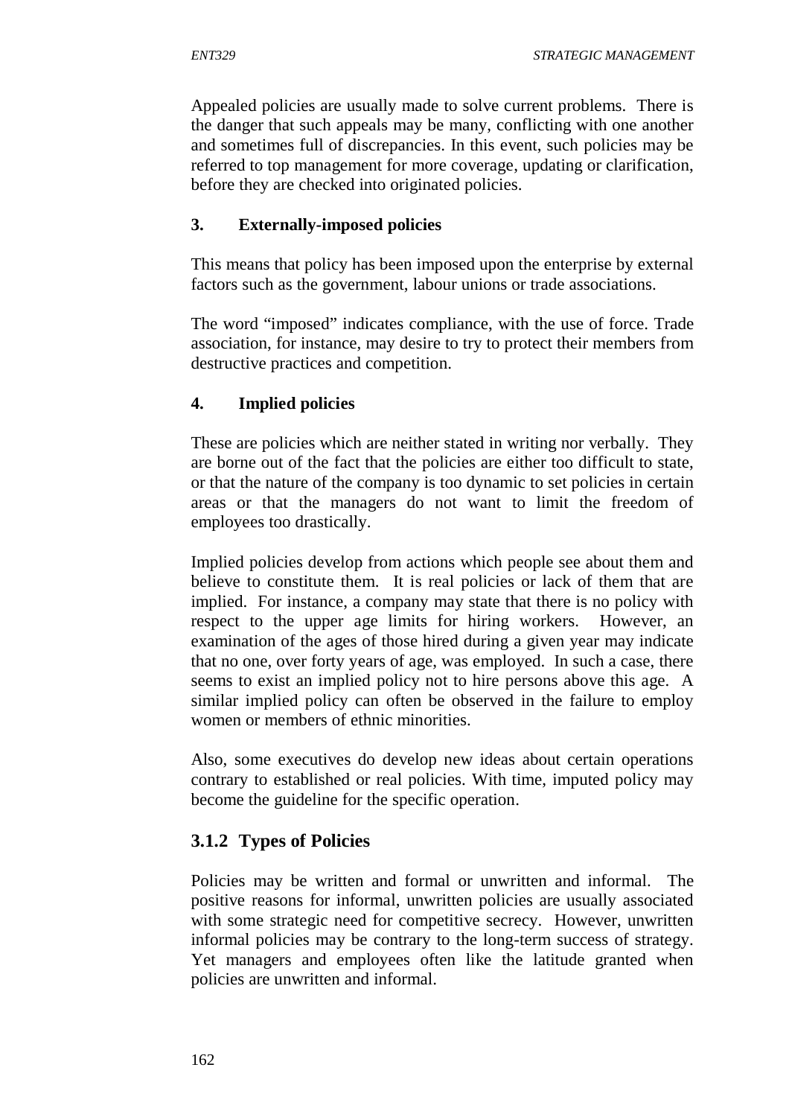Appealed policies are usually made to solve current problems. There is the danger that such appeals may be many, conflicting with one another and sometimes full of discrepancies. In this event, such policies may be referred to top management for more coverage, updating or clarification, before they are checked into originated policies.

## **3. Externally-imposed policies**

This means that policy has been imposed upon the enterprise by external factors such as the government, labour unions or trade associations.

The word "imposed" indicates compliance, with the use of force. Trade association, for instance, may desire to try to protect their members from destructive practices and competition.

## **4. Implied policies**

These are policies which are neither stated in writing nor verbally. They are borne out of the fact that the policies are either too difficult to state, or that the nature of the company is too dynamic to set policies in certain areas or that the managers do not want to limit the freedom of employees too drastically.

Implied policies develop from actions which people see about them and believe to constitute them. It is real policies or lack of them that are implied. For instance, a company may state that there is no policy with respect to the upper age limits for hiring workers. However, an examination of the ages of those hired during a given year may indicate that no one, over forty years of age, was employed. In such a case, there seems to exist an implied policy not to hire persons above this age. A similar implied policy can often be observed in the failure to employ women or members of ethnic minorities.

Also, some executives do develop new ideas about certain operations contrary to established or real policies. With time, imputed policy may become the guideline for the specific operation.

# **3.1.2 Types of Policies**

Policies may be written and formal or unwritten and informal. The positive reasons for informal, unwritten policies are usually associated with some strategic need for competitive secrecy. However, unwritten informal policies may be contrary to the long-term success of strategy. Yet managers and employees often like the latitude granted when policies are unwritten and informal.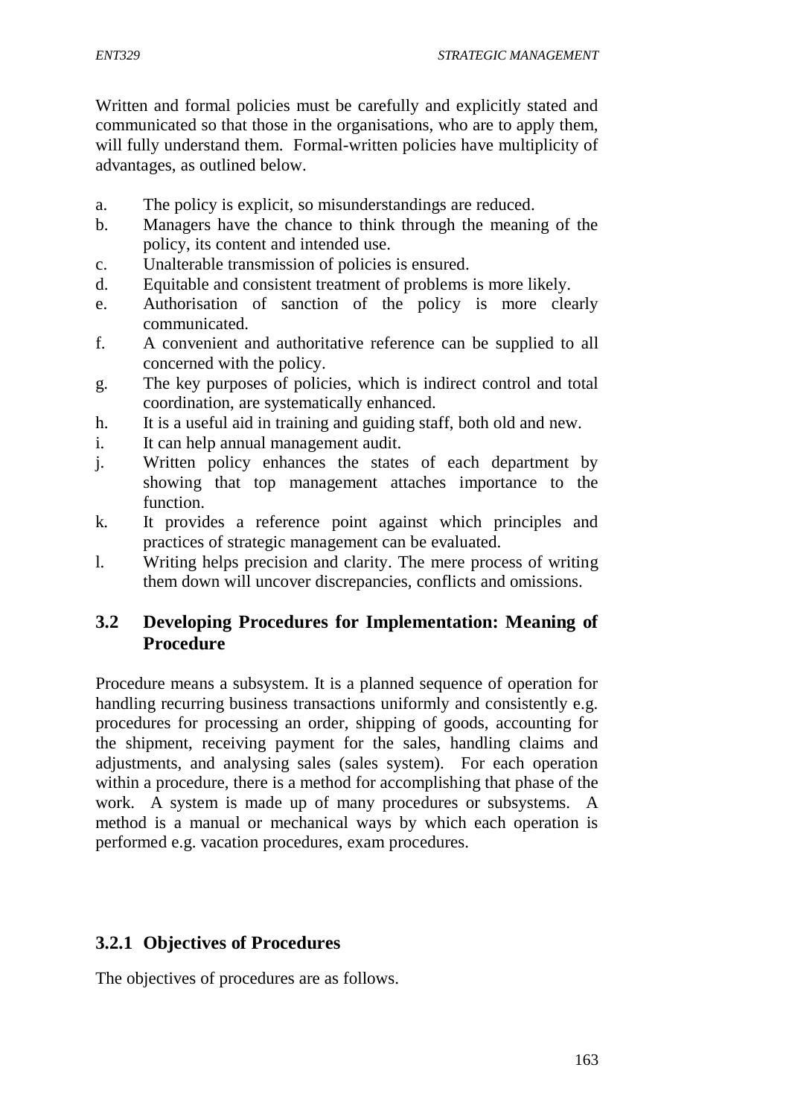Written and formal policies must be carefully and explicitly stated and communicated so that those in the organisations, who are to apply them, will fully understand them. Formal-written policies have multiplicity of advantages, as outlined below.

- a. The policy is explicit, so misunderstandings are reduced.
- b. Managers have the chance to think through the meaning of the policy, its content and intended use.
- c. Unalterable transmission of policies is ensured.
- d. Equitable and consistent treatment of problems is more likely.
- e. Authorisation of sanction of the policy is more clearly communicated.
- f. A convenient and authoritative reference can be supplied to all concerned with the policy.
- g. The key purposes of policies, which is indirect control and total coordination, are systematically enhanced.
- h. It is a useful aid in training and guiding staff, both old and new.
- i. It can help annual management audit.
- j. Written policy enhances the states of each department by showing that top management attaches importance to the function.
- k. It provides a reference point against which principles and practices of strategic management can be evaluated.
- l. Writing helps precision and clarity. The mere process of writing them down will uncover discrepancies, conflicts and omissions.

## **3.2 Developing Procedures for Implementation: Meaning of Procedure**

Procedure means a subsystem. It is a planned sequence of operation for handling recurring business transactions uniformly and consistently e.g. procedures for processing an order, shipping of goods, accounting for the shipment, receiving payment for the sales, handling claims and adjustments, and analysing sales (sales system). For each operation within a procedure, there is a method for accomplishing that phase of the work. A system is made up of many procedures or subsystems. A method is a manual or mechanical ways by which each operation is performed e.g. vacation procedures, exam procedures.

### **3.2.1 Objectives of Procedures**

The objectives of procedures are as follows.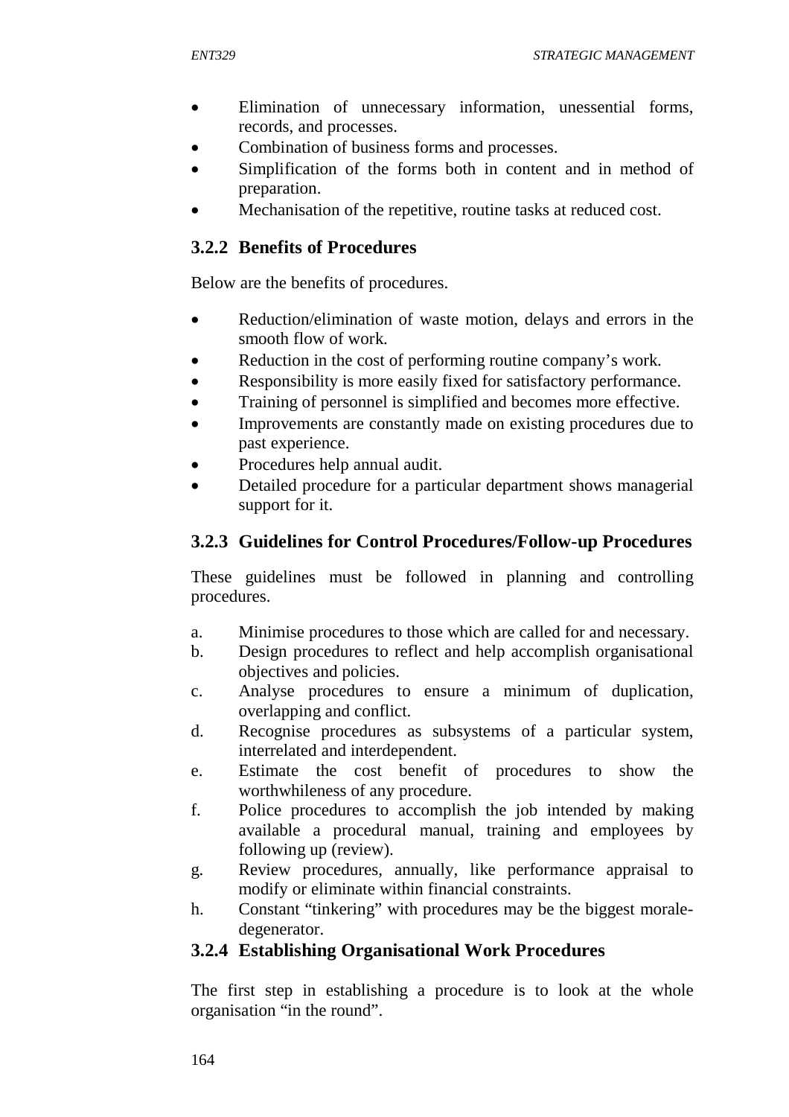- Elimination of unnecessary information, unessential forms, records, and processes.
- Combination of business forms and processes.
- Simplification of the forms both in content and in method of preparation.
- Mechanisation of the repetitive, routine tasks at reduced cost.

## **3.2.2 Benefits of Procedures**

Below are the benefits of procedures.

- Reduction/elimination of waste motion, delays and errors in the smooth flow of work.
- Reduction in the cost of performing routine company's work.
- Responsibility is more easily fixed for satisfactory performance.
- Training of personnel is simplified and becomes more effective.
- Improvements are constantly made on existing procedures due to past experience.
- Procedures help annual audit.
- Detailed procedure for a particular department shows managerial support for it.

# **3.2.3 Guidelines for Control Procedures/Follow-up Procedures**

These guidelines must be followed in planning and controlling procedures.

- a. Minimise procedures to those which are called for and necessary.
- b. Design procedures to reflect and help accomplish organisational objectives and policies.
- c. Analyse procedures to ensure a minimum of duplication, overlapping and conflict.
- d. Recognise procedures as subsystems of a particular system, interrelated and interdependent.
- e. Estimate the cost benefit of procedures to show the worthwhileness of any procedure.
- f. Police procedures to accomplish the job intended by making available a procedural manual, training and employees by following up (review).
- g. Review procedures, annually, like performance appraisal to modify or eliminate within financial constraints.
- h. Constant "tinkering" with procedures may be the biggest moraledegenerator.

# **3.2.4 Establishing Organisational Work Procedures**

The first step in establishing a procedure is to look at the whole organisation "in the round".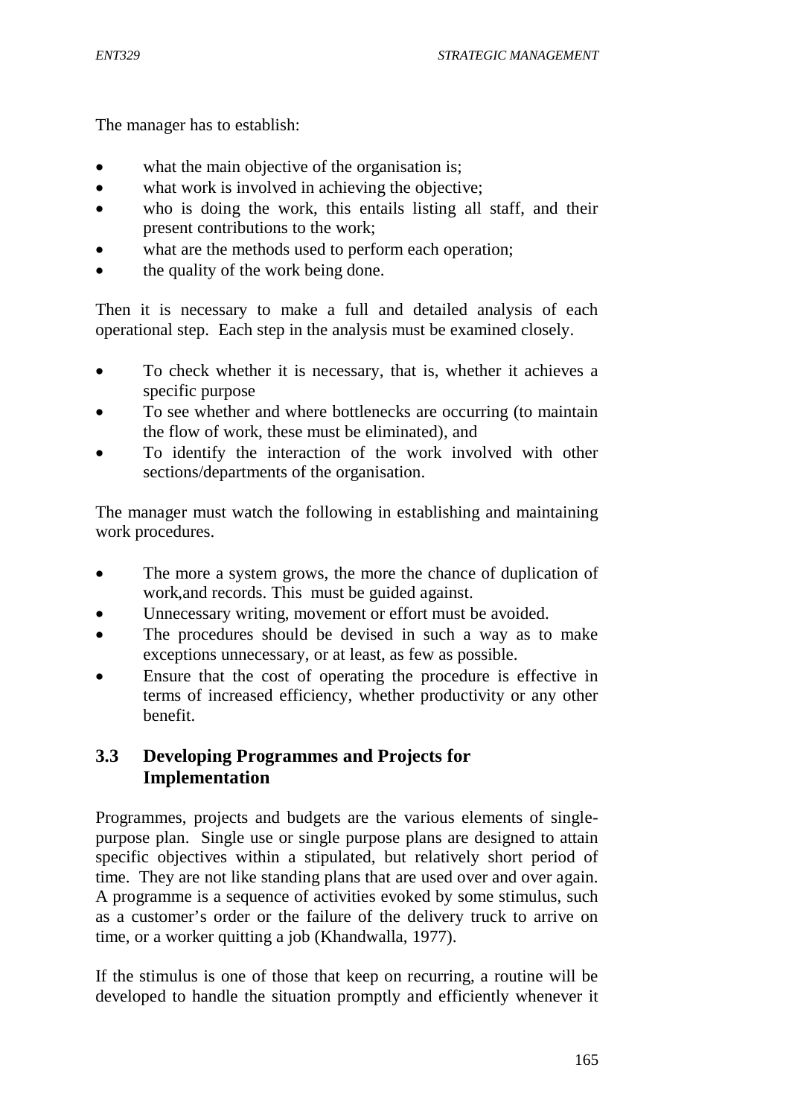The manager has to establish:

- what the main objective of the organisation is;
- what work is involved in achieving the objective;
- who is doing the work, this entails listing all staff, and their present contributions to the work;
- what are the methods used to perform each operation;
- the quality of the work being done.

Then it is necessary to make a full and detailed analysis of each operational step. Each step in the analysis must be examined closely.

- To check whether it is necessary, that is, whether it achieves a specific purpose
- To see whether and where bottlenecks are occurring (to maintain the flow of work, these must be eliminated), and
- To identify the interaction of the work involved with other sections/departments of the organisation.

The manager must watch the following in establishing and maintaining work procedures.

- The more a system grows, the more the chance of duplication of work,and records. This must be guided against.
- Unnecessary writing, movement or effort must be avoided.
- The procedures should be devised in such a way as to make exceptions unnecessary, or at least, as few as possible.
- Ensure that the cost of operating the procedure is effective in terms of increased efficiency, whether productivity or any other benefit.

# **3.3 Developing Programmes and Projects for Implementation**

Programmes, projects and budgets are the various elements of singlepurpose plan. Single use or single purpose plans are designed to attain specific objectives within a stipulated, but relatively short period of time. They are not like standing plans that are used over and over again. A programme is a sequence of activities evoked by some stimulus, such as a customer's order or the failure of the delivery truck to arrive on time, or a worker quitting a job (Khandwalla, 1977).

If the stimulus is one of those that keep on recurring, a routine will be developed to handle the situation promptly and efficiently whenever it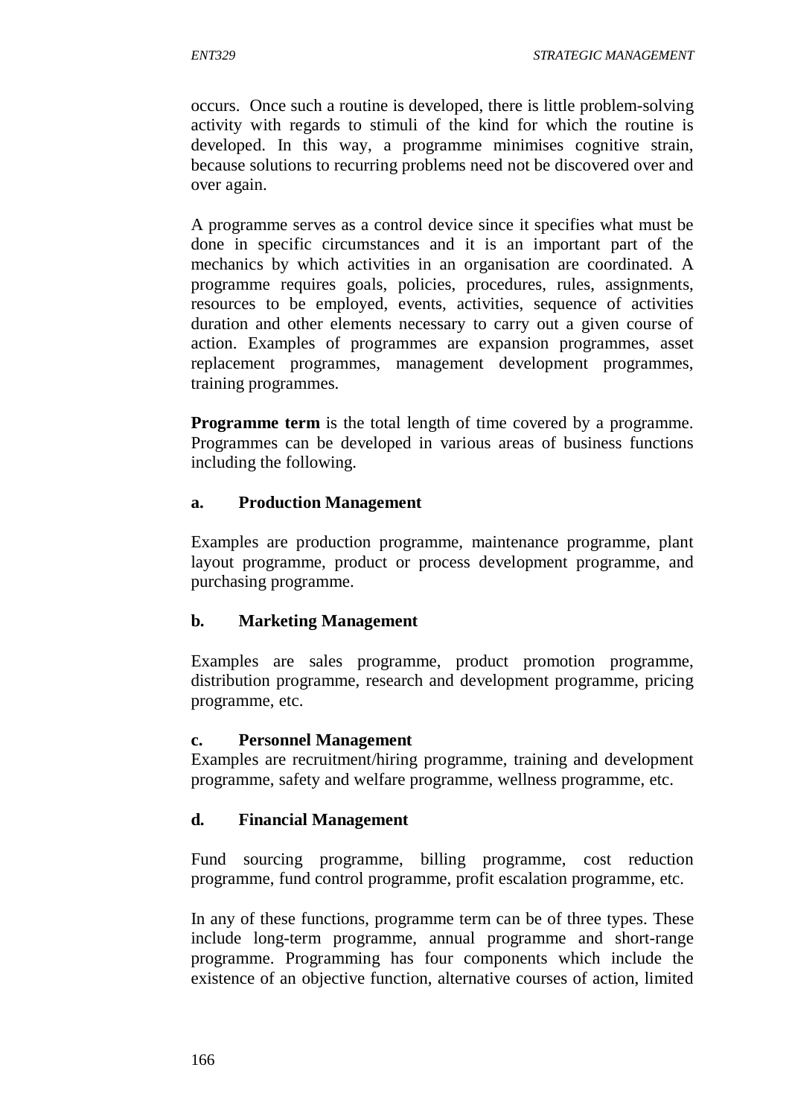occurs. Once such a routine is developed, there is little problem-solving activity with regards to stimuli of the kind for which the routine is developed. In this way, a programme minimises cognitive strain, because solutions to recurring problems need not be discovered over and over again.

A programme serves as a control device since it specifies what must be done in specific circumstances and it is an important part of the mechanics by which activities in an organisation are coordinated. A programme requires goals, policies, procedures, rules, assignments, resources to be employed, events, activities, sequence of activities duration and other elements necessary to carry out a given course of action. Examples of programmes are expansion programmes, asset replacement programmes, management development programmes, training programmes.

**Programme term** is the total length of time covered by a programme. Programmes can be developed in various areas of business functions including the following.

# **a. Production Management**

Examples are production programme, maintenance programme, plant layout programme, product or process development programme, and purchasing programme.

# **b. Marketing Management**

Examples are sales programme, product promotion programme, distribution programme, research and development programme, pricing programme, etc.

### **c. Personnel Management**

Examples are recruitment/hiring programme, training and development programme, safety and welfare programme, wellness programme, etc.

### **d. Financial Management**

Fund sourcing programme, billing programme, cost reduction programme, fund control programme, profit escalation programme, etc.

In any of these functions, programme term can be of three types. These include long-term programme, annual programme and short-range programme. Programming has four components which include the existence of an objective function, alternative courses of action, limited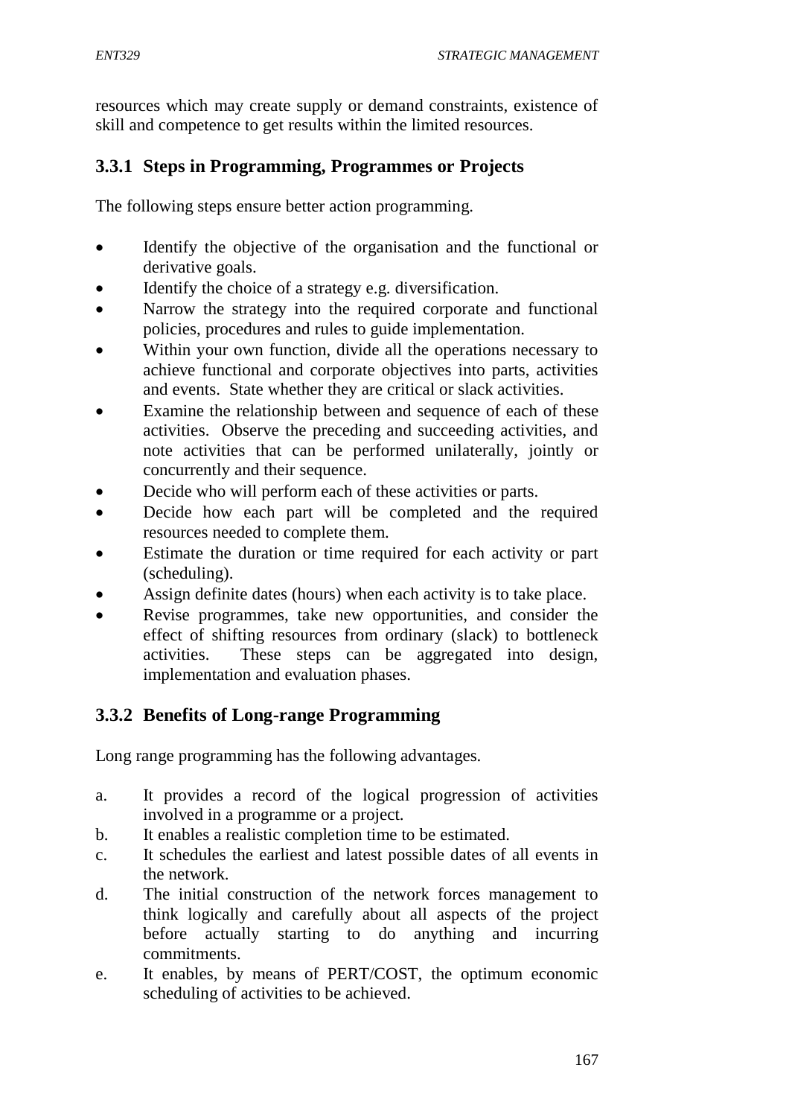resources which may create supply or demand constraints, existence of skill and competence to get results within the limited resources.

# **3.3.1 Steps in Programming, Programmes or Projects**

The following steps ensure better action programming.

- Identify the objective of the organisation and the functional or derivative goals.
- Identify the choice of a strategy e.g. diversification.
- Narrow the strategy into the required corporate and functional policies, procedures and rules to guide implementation.
- Within your own function, divide all the operations necessary to achieve functional and corporate objectives into parts, activities and events. State whether they are critical or slack activities.
- Examine the relationship between and sequence of each of these activities. Observe the preceding and succeeding activities, and note activities that can be performed unilaterally, jointly or concurrently and their sequence.
- Decide who will perform each of these activities or parts.
- Decide how each part will be completed and the required resources needed to complete them.
- Estimate the duration or time required for each activity or part (scheduling).
- Assign definite dates (hours) when each activity is to take place.
- Revise programmes, take new opportunities, and consider the effect of shifting resources from ordinary (slack) to bottleneck activities. These steps can be aggregated into design, implementation and evaluation phases.

# **3.3.2 Benefits of Long-range Programming**

Long range programming has the following advantages.

- a. It provides a record of the logical progression of activities involved in a programme or a project.
- b. It enables a realistic completion time to be estimated.
- c. It schedules the earliest and latest possible dates of all events in the network.
- d. The initial construction of the network forces management to think logically and carefully about all aspects of the project before actually starting to do anything and incurring commitments.
- e. It enables, by means of PERT/COST, the optimum economic scheduling of activities to be achieved.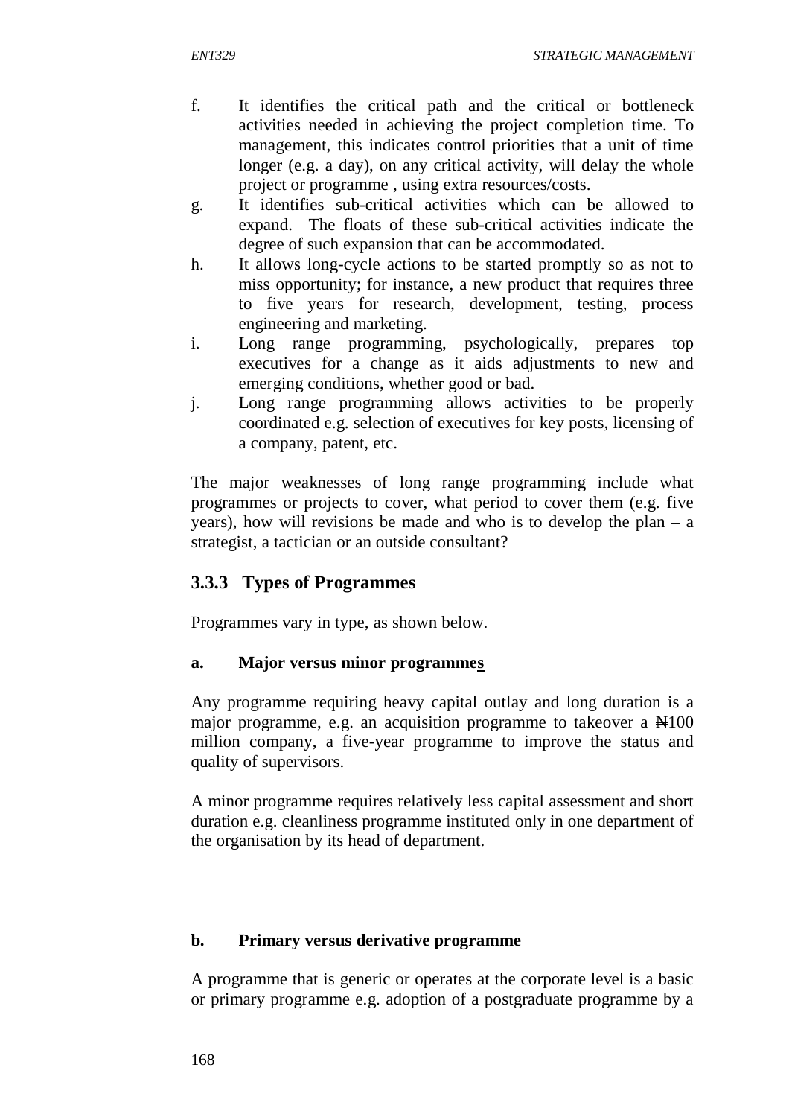- f. It identifies the critical path and the critical or bottleneck activities needed in achieving the project completion time. To management, this indicates control priorities that a unit of time longer (e.g. a day), on any critical activity, will delay the whole project or programme , using extra resources/costs.
- g. It identifies sub-critical activities which can be allowed to expand. The floats of these sub-critical activities indicate the degree of such expansion that can be accommodated.
- h. It allows long-cycle actions to be started promptly so as not to miss opportunity; for instance, a new product that requires three to five years for research, development, testing, process engineering and marketing.
- i. Long range programming, psychologically, prepares top executives for a change as it aids adjustments to new and emerging conditions, whether good or bad.
- j. Long range programming allows activities to be properly coordinated e.g. selection of executives for key posts, licensing of a company, patent, etc.

The major weaknesses of long range programming include what programmes or projects to cover, what period to cover them (e.g. five years), how will revisions be made and who is to develop the plan – a strategist, a tactician or an outside consultant?

# **3.3.3 Types of Programmes**

Programmes vary in type, as shown below.

### **a. Major versus minor programmes**

Any programme requiring heavy capital outlay and long duration is a major programme, e.g. an acquisition programme to takeover a  $\mathbb{H}100$ million company, a five-year programme to improve the status and quality of supervisors.

A minor programme requires relatively less capital assessment and short duration e.g. cleanliness programme instituted only in one department of the organisation by its head of department.

### **b. Primary versus derivative programme**

A programme that is generic or operates at the corporate level is a basic or primary programme e.g. adoption of a postgraduate programme by a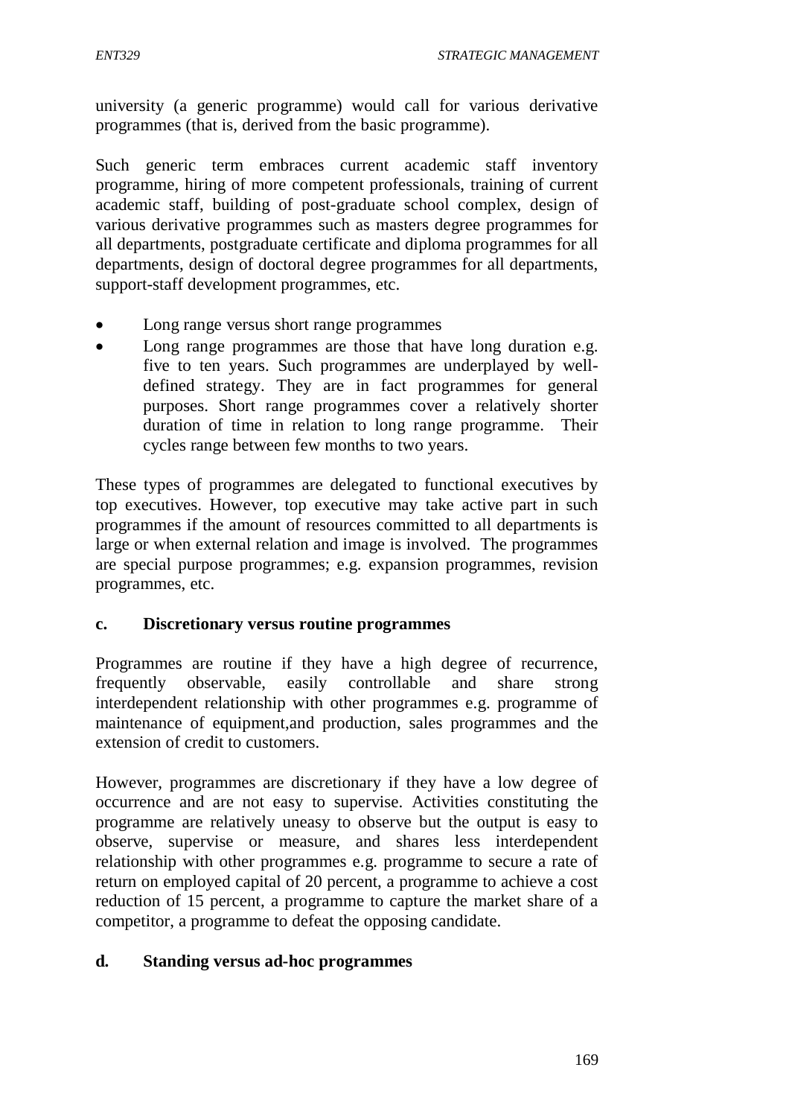university (a generic programme) would call for various derivative programmes (that is, derived from the basic programme).

Such generic term embraces current academic staff inventory programme, hiring of more competent professionals, training of current academic staff, building of post-graduate school complex, design of various derivative programmes such as masters degree programmes for all departments, postgraduate certificate and diploma programmes for all departments, design of doctoral degree programmes for all departments, support-staff development programmes, etc.

- Long range versus short range programmes
- Long range programmes are those that have long duration e.g. five to ten years. Such programmes are underplayed by welldefined strategy. They are in fact programmes for general purposes. Short range programmes cover a relatively shorter duration of time in relation to long range programme. Their cycles range between few months to two years.

These types of programmes are delegated to functional executives by top executives. However, top executive may take active part in such programmes if the amount of resources committed to all departments is large or when external relation and image is involved. The programmes are special purpose programmes; e.g. expansion programmes, revision programmes, etc.

### **c. Discretionary versus routine programmes**

Programmes are routine if they have a high degree of recurrence, frequently observable, easily controllable and share strong interdependent relationship with other programmes e.g. programme of maintenance of equipment,and production, sales programmes and the extension of credit to customers.

However, programmes are discretionary if they have a low degree of occurrence and are not easy to supervise. Activities constituting the programme are relatively uneasy to observe but the output is easy to observe, supervise or measure, and shares less interdependent relationship with other programmes e.g. programme to secure a rate of return on employed capital of 20 percent, a programme to achieve a cost reduction of 15 percent, a programme to capture the market share of a competitor, a programme to defeat the opposing candidate.

### **d. Standing versus ad-hoc programmes**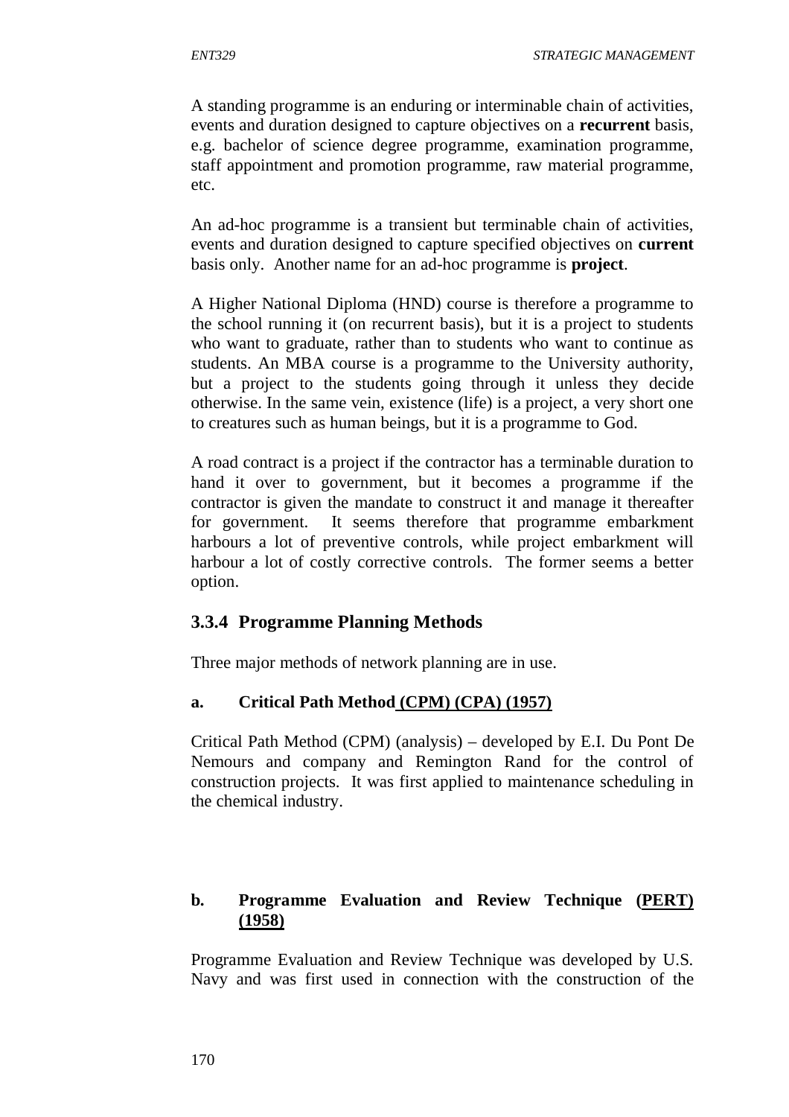A standing programme is an enduring or interminable chain of activities, events and duration designed to capture objectives on a **recurrent** basis, e.g. bachelor of science degree programme, examination programme, staff appointment and promotion programme, raw material programme, etc.

An ad-hoc programme is a transient but terminable chain of activities, events and duration designed to capture specified objectives on **current** basis only. Another name for an ad-hoc programme is **project**.

A Higher National Diploma (HND) course is therefore a programme to the school running it (on recurrent basis), but it is a project to students who want to graduate, rather than to students who want to continue as students. An MBA course is a programme to the University authority, but a project to the students going through it unless they decide otherwise. In the same vein, existence (life) is a project, a very short one to creatures such as human beings, but it is a programme to God.

A road contract is a project if the contractor has a terminable duration to hand it over to government, but it becomes a programme if the contractor is given the mandate to construct it and manage it thereafter for government. It seems therefore that programme embarkment harbours a lot of preventive controls, while project embarkment will harbour a lot of costly corrective controls. The former seems a better option.

### **3.3.4 Programme Planning Methods**

Three major methods of network planning are in use.

### **a. Critical Path Method (CPM) (CPA) (1957)**

Critical Path Method (CPM) (analysis) – developed by E.I. Du Pont De Nemours and company and Remington Rand for the control of construction projects. It was first applied to maintenance scheduling in the chemical industry.

# **b. Programme Evaluation and Review Technique (PERT) (1958)**

Programme Evaluation and Review Technique was developed by U.S. Navy and was first used in connection with the construction of the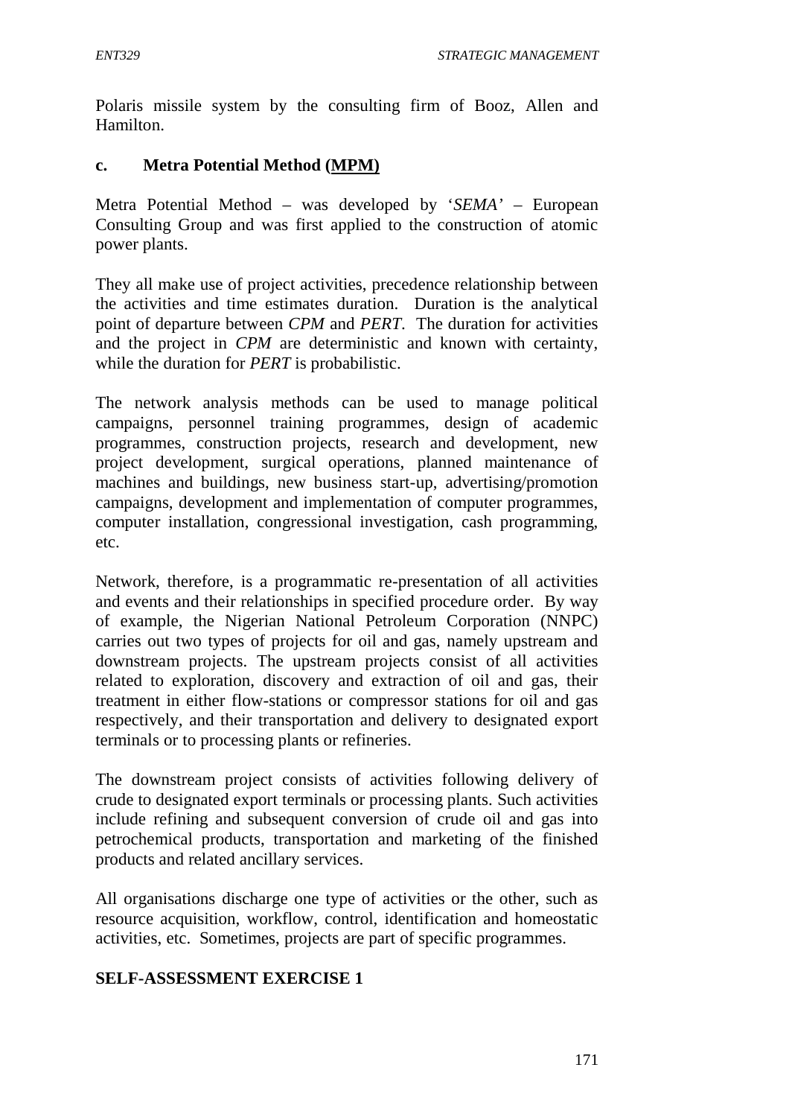Polaris missile system by the consulting firm of Booz, Allen and Hamilton.

### **c. Metra Potential Method (MPM)**

Metra Potential Method – was developed by '*SEMA'* – European Consulting Group and was first applied to the construction of atomic power plants.

They all make use of project activities, precedence relationship between the activities and time estimates duration. Duration is the analytical point of departure between *CPM* and *PERT*. The duration for activities and the project in *CPM* are deterministic and known with certainty, while the duration for *PERT* is probabilistic.

The network analysis methods can be used to manage political campaigns, personnel training programmes, design of academic programmes, construction projects, research and development, new project development, surgical operations, planned maintenance of machines and buildings, new business start-up, advertising/promotion campaigns, development and implementation of computer programmes, computer installation, congressional investigation, cash programming, etc.

Network, therefore, is a programmatic re-presentation of all activities and events and their relationships in specified procedure order. By way of example, the Nigerian National Petroleum Corporation (NNPC) carries out two types of projects for oil and gas, namely upstream and downstream projects. The upstream projects consist of all activities related to exploration, discovery and extraction of oil and gas, their treatment in either flow-stations or compressor stations for oil and gas respectively, and their transportation and delivery to designated export terminals or to processing plants or refineries.

The downstream project consists of activities following delivery of crude to designated export terminals or processing plants. Such activities include refining and subsequent conversion of crude oil and gas into petrochemical products, transportation and marketing of the finished products and related ancillary services.

All organisations discharge one type of activities or the other, such as resource acquisition, workflow, control, identification and homeostatic activities, etc. Sometimes, projects are part of specific programmes.

### **SELF-ASSESSMENT EXERCISE 1**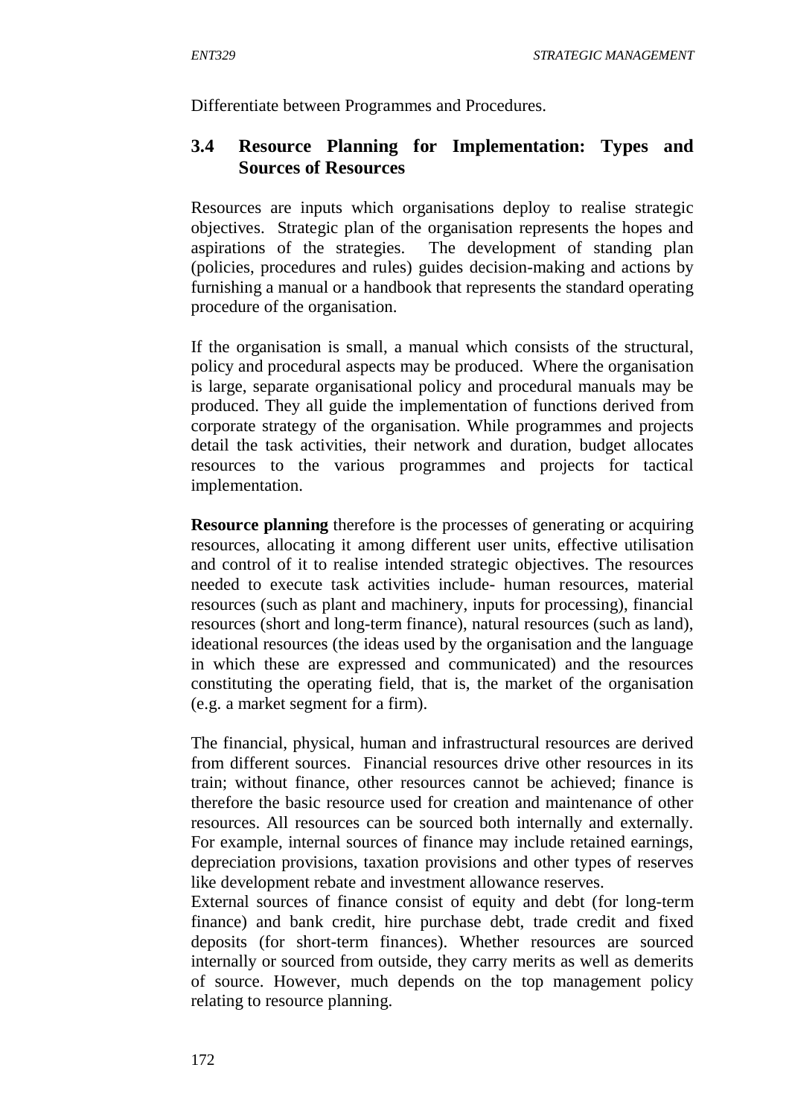Differentiate between Programmes and Procedures.

### **3.4 Resource Planning for Implementation: Types and Sources of Resources**

Resources are inputs which organisations deploy to realise strategic objectives. Strategic plan of the organisation represents the hopes and aspirations of the strategies. The development of standing plan (policies, procedures and rules) guides decision-making and actions by furnishing a manual or a handbook that represents the standard operating procedure of the organisation.

If the organisation is small, a manual which consists of the structural, policy and procedural aspects may be produced. Where the organisation is large, separate organisational policy and procedural manuals may be produced. They all guide the implementation of functions derived from corporate strategy of the organisation. While programmes and projects detail the task activities, their network and duration, budget allocates resources to the various programmes and projects for tactical implementation.

**Resource planning** therefore is the processes of generating or acquiring resources, allocating it among different user units, effective utilisation and control of it to realise intended strategic objectives. The resources needed to execute task activities include- human resources, material resources (such as plant and machinery, inputs for processing), financial resources (short and long-term finance), natural resources (such as land), ideational resources (the ideas used by the organisation and the language in which these are expressed and communicated) and the resources constituting the operating field, that is, the market of the organisation (e.g. a market segment for a firm).

The financial, physical, human and infrastructural resources are derived from different sources. Financial resources drive other resources in its train; without finance, other resources cannot be achieved; finance is therefore the basic resource used for creation and maintenance of other resources. All resources can be sourced both internally and externally. For example, internal sources of finance may include retained earnings, depreciation provisions, taxation provisions and other types of reserves like development rebate and investment allowance reserves.

External sources of finance consist of equity and debt (for long-term finance) and bank credit, hire purchase debt, trade credit and fixed deposits (for short-term finances). Whether resources are sourced internally or sourced from outside, they carry merits as well as demerits of source. However, much depends on the top management policy relating to resource planning.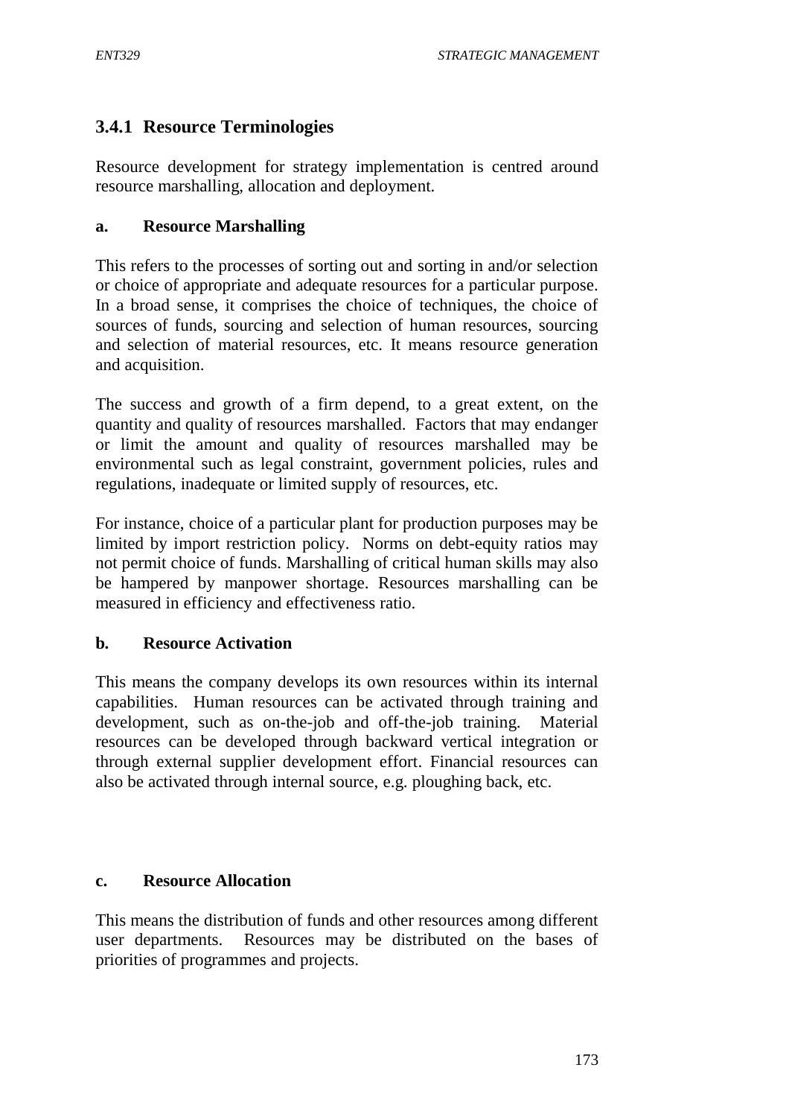## **3.4.1 Resource Terminologies**

Resource development for strategy implementation is centred around resource marshalling, allocation and deployment.

#### **a. Resource Marshalling**

This refers to the processes of sorting out and sorting in and/or selection or choice of appropriate and adequate resources for a particular purpose. In a broad sense, it comprises the choice of techniques, the choice of sources of funds, sourcing and selection of human resources, sourcing and selection of material resources, etc. It means resource generation and acquisition.

The success and growth of a firm depend, to a great extent, on the quantity and quality of resources marshalled. Factors that may endanger or limit the amount and quality of resources marshalled may be environmental such as legal constraint, government policies, rules and regulations, inadequate or limited supply of resources, etc.

For instance, choice of a particular plant for production purposes may be limited by import restriction policy. Norms on debt-equity ratios may not permit choice of funds. Marshalling of critical human skills may also be hampered by manpower shortage. Resources marshalling can be measured in efficiency and effectiveness ratio.

### **b. Resource Activation**

This means the company develops its own resources within its internal capabilities. Human resources can be activated through training and development, such as on-the-job and off-the-job training. Material resources can be developed through backward vertical integration or through external supplier development effort. Financial resources can also be activated through internal source, e.g. ploughing back, etc.

#### **c. Resource Allocation**

This means the distribution of funds and other resources among different user departments. Resources may be distributed on the bases of priorities of programmes and projects.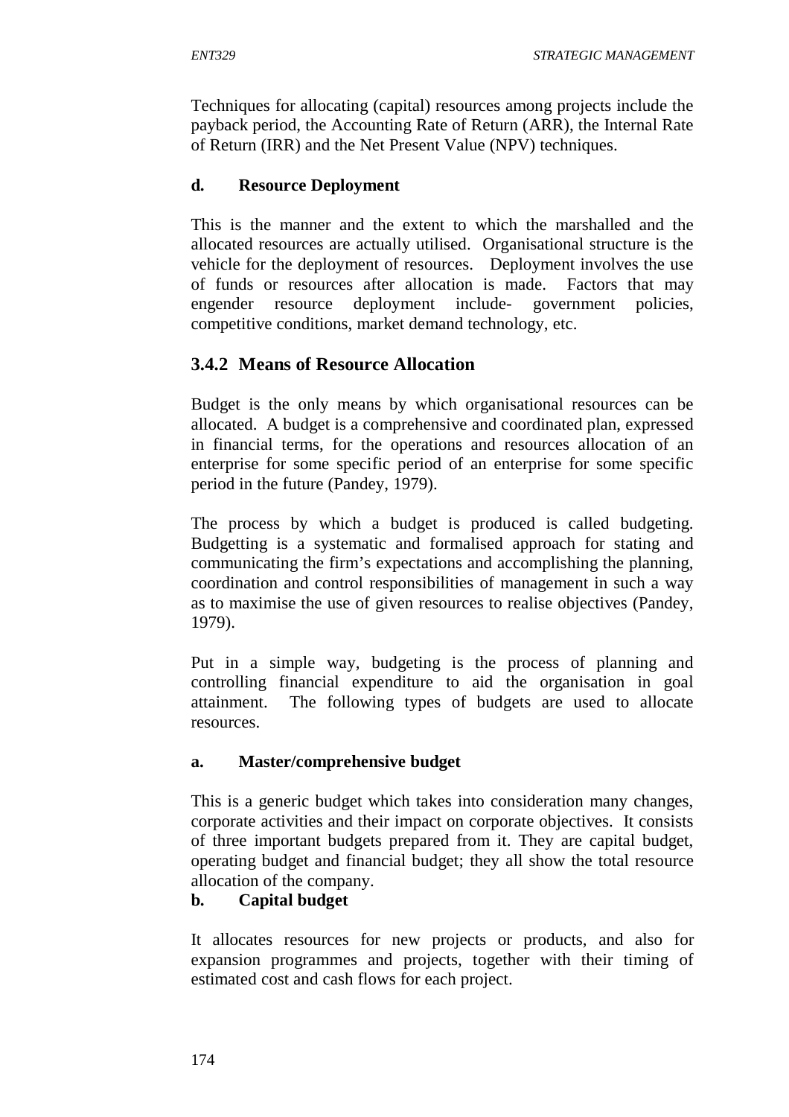Techniques for allocating (capital) resources among projects include the payback period, the Accounting Rate of Return (ARR), the Internal Rate of Return (IRR) and the Net Present Value (NPV) techniques.

### **d. Resource Deployment**

This is the manner and the extent to which the marshalled and the allocated resources are actually utilised. Organisational structure is the vehicle for the deployment of resources. Deployment involves the use of funds or resources after allocation is made. Factors that may engender resource deployment include- government policies, competitive conditions, market demand technology, etc.

# **3.4.2 Means of Resource Allocation**

Budget is the only means by which organisational resources can be allocated. A budget is a comprehensive and coordinated plan, expressed in financial terms, for the operations and resources allocation of an enterprise for some specific period of an enterprise for some specific period in the future (Pandey, 1979).

The process by which a budget is produced is called budgeting. Budgetting is a systematic and formalised approach for stating and communicating the firm's expectations and accomplishing the planning, coordination and control responsibilities of management in such a way as to maximise the use of given resources to realise objectives (Pandey, 1979).

Put in a simple way, budgeting is the process of planning and controlling financial expenditure to aid the organisation in goal attainment. The following types of budgets are used to allocate resources.

### **a. Master/comprehensive budget**

This is a generic budget which takes into consideration many changes, corporate activities and their impact on corporate objectives. It consists of three important budgets prepared from it. They are capital budget, operating budget and financial budget; they all show the total resource allocation of the company.

### **b. Capital budget**

It allocates resources for new projects or products, and also for expansion programmes and projects, together with their timing of estimated cost and cash flows for each project.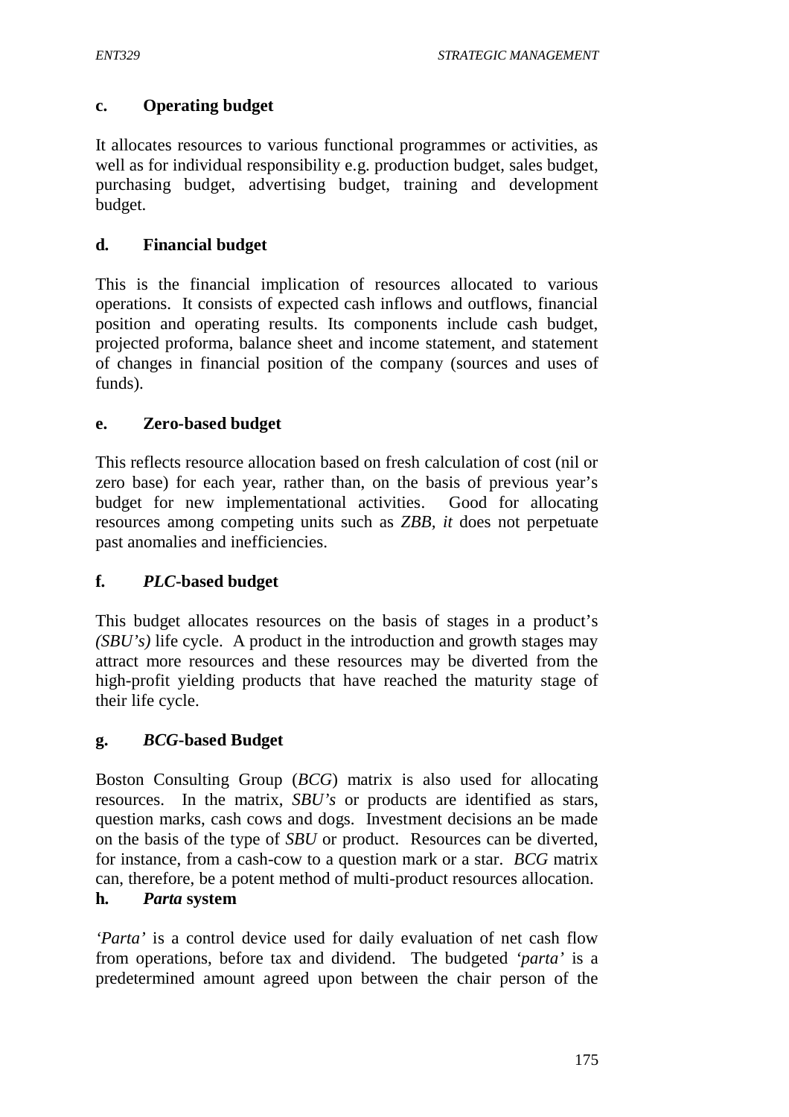### **c. Operating budget**

It allocates resources to various functional programmes or activities, as well as for individual responsibility e.g. production budget, sales budget, purchasing budget, advertising budget, training and development budget.

### **d. Financial budget**

This is the financial implication of resources allocated to various operations. It consists of expected cash inflows and outflows, financial position and operating results. Its components include cash budget, projected proforma, balance sheet and income statement, and statement of changes in financial position of the company (sources and uses of funds).

### **e. Zero-based budget**

This reflects resource allocation based on fresh calculation of cost (nil or zero base) for each year, rather than, on the basis of previous year's budget for new implementational activities. Good for allocating resources among competing units such as *ZBB, it* does not perpetuate past anomalies and inefficiencies.

### **f.** *PLC***-based budget**

This budget allocates resources on the basis of stages in a product's *(SBU's)* life cycle. A product in the introduction and growth stages may attract more resources and these resources may be diverted from the high-profit yielding products that have reached the maturity stage of their life cycle.

### **g.** *BCG***-based Budget**

Boston Consulting Group (*BCG*) matrix is also used for allocating resources. In the matrix, *SBU's* or products are identified as stars, question marks, cash cows and dogs. Investment decisions an be made on the basis of the type of *SBU* or product. Resources can be diverted, for instance, from a cash-cow to a question mark or a star. *BCG* matrix can, therefore, be a potent method of multi-product resources allocation.

### **h.** *Parta* **system**

*'Parta'* is a control device used for daily evaluation of net cash flow from operations, before tax and dividend. The budgeted *'parta'* is a predetermined amount agreed upon between the chair person of the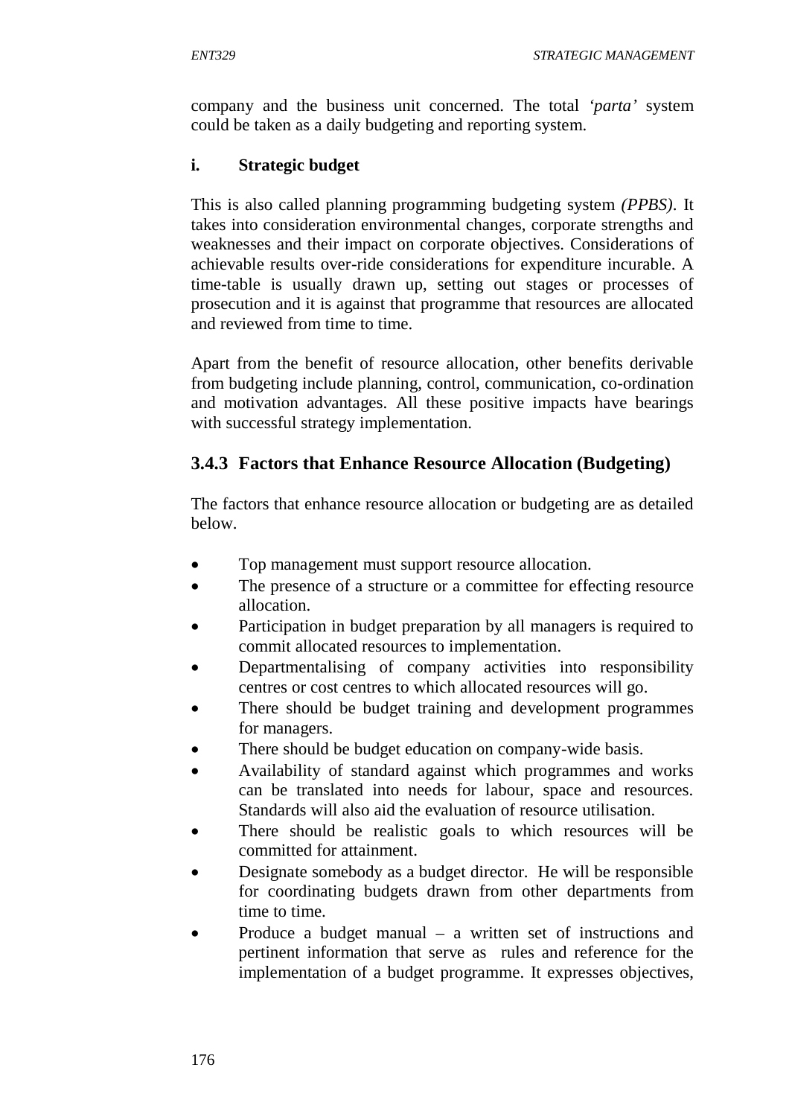company and the business unit concerned. The total *'parta'* system could be taken as a daily budgeting and reporting system.

### **i. Strategic budget**

This is also called planning programming budgeting system *(PPBS)*. It takes into consideration environmental changes, corporate strengths and weaknesses and their impact on corporate objectives. Considerations of achievable results over-ride considerations for expenditure incurable. A time-table is usually drawn up, setting out stages or processes of prosecution and it is against that programme that resources are allocated and reviewed from time to time.

Apart from the benefit of resource allocation, other benefits derivable from budgeting include planning, control, communication, co-ordination and motivation advantages. All these positive impacts have bearings with successful strategy implementation.

# **3.4.3 Factors that Enhance Resource Allocation (Budgeting)**

The factors that enhance resource allocation or budgeting are as detailed below.

- Top management must support resource allocation.
- The presence of a structure or a committee for effecting resource allocation.
- Participation in budget preparation by all managers is required to commit allocated resources to implementation.
- Departmentalising of company activities into responsibility centres or cost centres to which allocated resources will go.
- There should be budget training and development programmes for managers.
- There should be budget education on company-wide basis.
- Availability of standard against which programmes and works can be translated into needs for labour, space and resources. Standards will also aid the evaluation of resource utilisation.
- There should be realistic goals to which resources will be committed for attainment.
- Designate somebody as a budget director. He will be responsible for coordinating budgets drawn from other departments from time to time.
- Produce a budget manual a written set of instructions and pertinent information that serve as rules and reference for the implementation of a budget programme. It expresses objectives,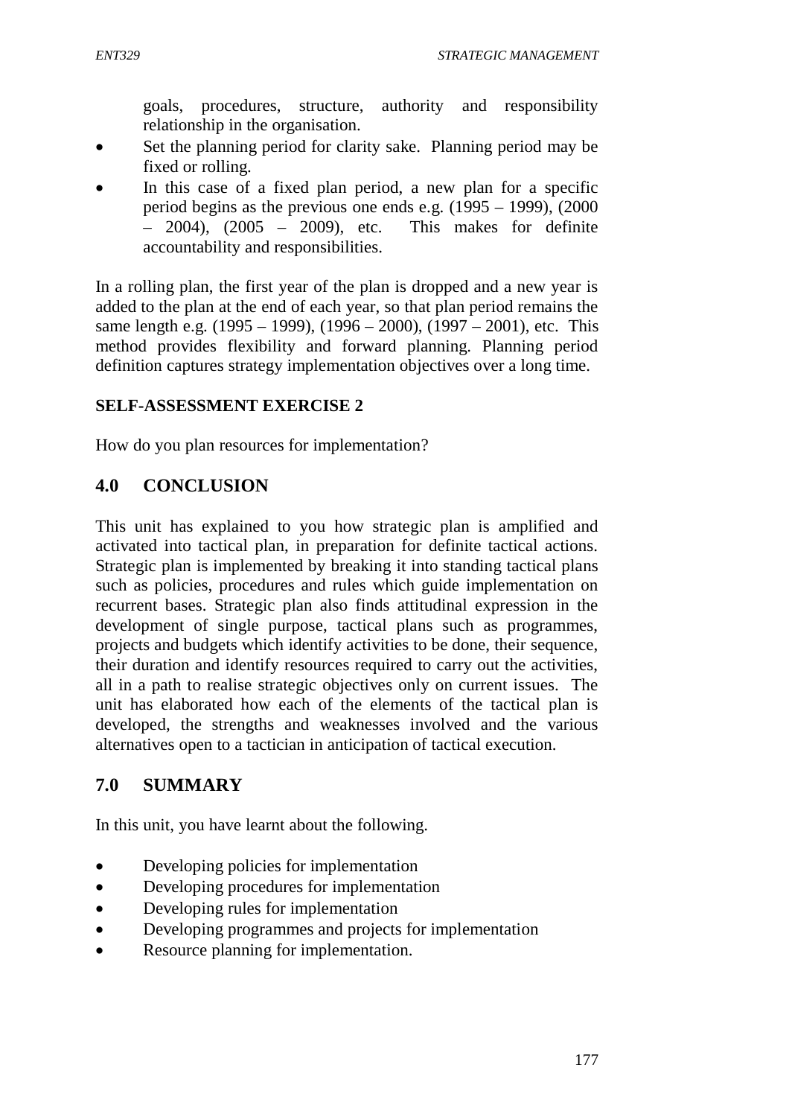goals, procedures, structure, authority and responsibility relationship in the organisation.

- Set the planning period for clarity sake. Planning period may be fixed or rolling.
- In this case of a fixed plan period, a new plan for a specific period begins as the previous one ends e.g. (1995 – 1999), (2000 – 2004), (2005 – 2009), etc. This makes for definite accountability and responsibilities.

In a rolling plan, the first year of the plan is dropped and a new year is added to the plan at the end of each year, so that plan period remains the same length e.g.  $(1995 - 1999)$ ,  $(1996 - 2000)$ ,  $(1997 - 2001)$ , etc. This method provides flexibility and forward planning. Planning period definition captures strategy implementation objectives over a long time.

### **SELF-ASSESSMENT EXERCISE 2**

How do you plan resources for implementation?

### **4.0 CONCLUSION**

This unit has explained to you how strategic plan is amplified and activated into tactical plan, in preparation for definite tactical actions. Strategic plan is implemented by breaking it into standing tactical plans such as policies, procedures and rules which guide implementation on recurrent bases. Strategic plan also finds attitudinal expression in the development of single purpose, tactical plans such as programmes, projects and budgets which identify activities to be done, their sequence, their duration and identify resources required to carry out the activities, all in a path to realise strategic objectives only on current issues. The unit has elaborated how each of the elements of the tactical plan is developed, the strengths and weaknesses involved and the various alternatives open to a tactician in anticipation of tactical execution.

### **7.0 SUMMARY**

In this unit, you have learnt about the following.

- Developing policies for implementation
- Developing procedures for implementation
- Developing rules for implementation
- Developing programmes and projects for implementation
- Resource planning for implementation.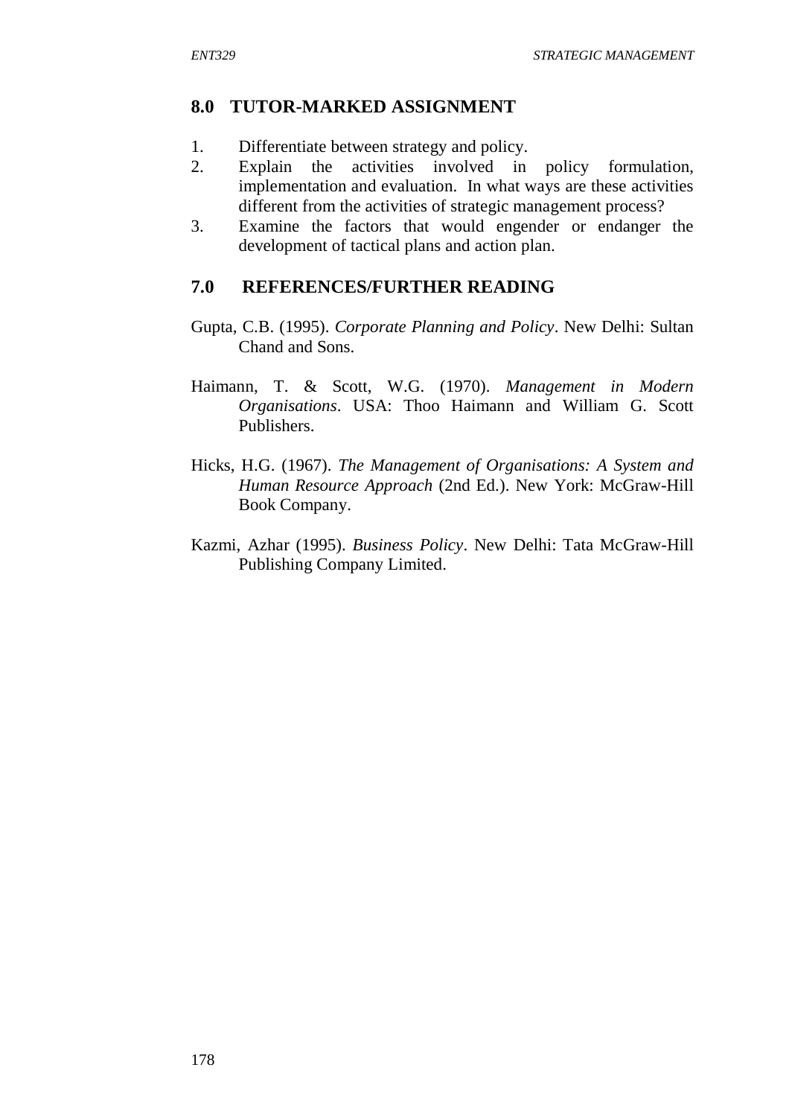### **8.0 TUTOR-MARKED ASSIGNMENT**

- 1. Differentiate between strategy and policy.
- 2. Explain the activities involved in policy formulation, implementation and evaluation. In what ways are these activities different from the activities of strategic management process?
- 3. Examine the factors that would engender or endanger the development of tactical plans and action plan.

### **7.0 REFERENCES/FURTHER READING**

- Gupta, C.B. (1995). *Corporate Planning and Policy*. New Delhi: Sultan Chand and Sons.
- Haimann, T. & Scott, W.G. (1970). *Management in Modern Organisations*. USA: Thoo Haimann and William G. Scott Publishers.
- Hicks, H.G. (1967). *The Management of Organisations: A System and Human Resource Approach* (2nd Ed.). New York: McGraw-Hill Book Company.
- Kazmi, Azhar (1995). *Business Policy*. New Delhi: Tata McGraw-Hill Publishing Company Limited.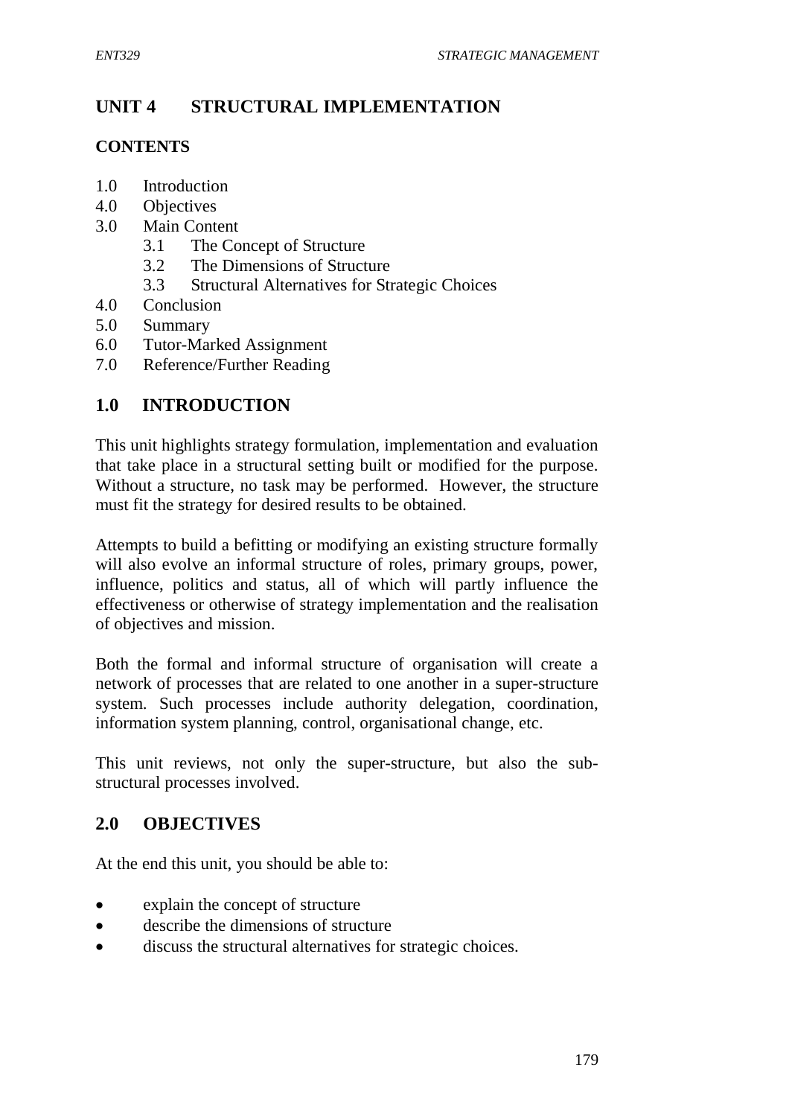# **UNIT 4 STRUCTURAL IMPLEMENTATION**

### **CONTENTS**

- 1.0 Introduction
- 4.0 Objectives
- 3.0 Main Content
	- 3.1 The Concept of Structure
	- 3.2 The Dimensions of Structure
	- 3.3 Structural Alternatives for Strategic Choices
- 4.0 Conclusion
- 5.0 Summary
- 6.0 Tutor-Marked Assignment
- 7.0 Reference/Further Reading

### **1.0 INTRODUCTION**

This unit highlights strategy formulation, implementation and evaluation that take place in a structural setting built or modified for the purpose. Without a structure, no task may be performed. However, the structure must fit the strategy for desired results to be obtained.

Attempts to build a befitting or modifying an existing structure formally will also evolve an informal structure of roles, primary groups, power, influence, politics and status, all of which will partly influence the effectiveness or otherwise of strategy implementation and the realisation of objectives and mission.

Both the formal and informal structure of organisation will create a network of processes that are related to one another in a super-structure system. Such processes include authority delegation, coordination, information system planning, control, organisational change, etc.

This unit reviews, not only the super-structure, but also the substructural processes involved.

### **2.0 OBJECTIVES**

At the end this unit, you should be able to:

- explain the concept of structure
- describe the dimensions of structure
- discuss the structural alternatives for strategic choices.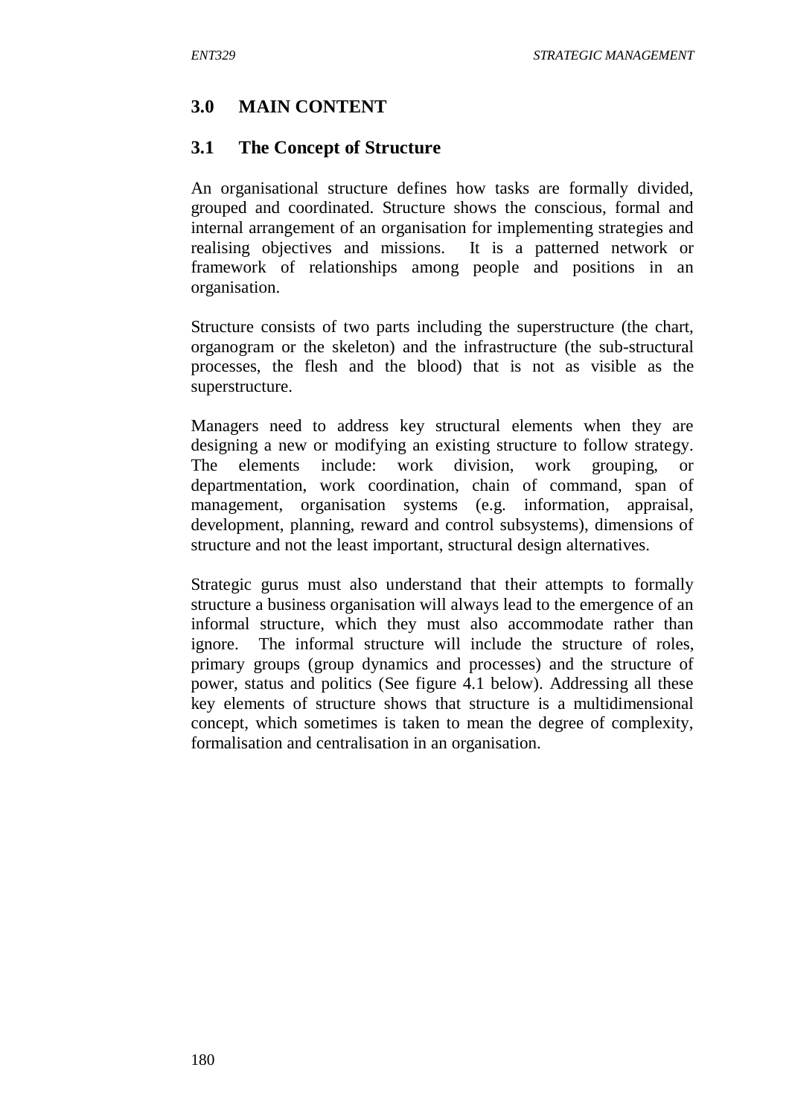### **3.0 MAIN CONTENT**

#### **3.1 The Concept of Structure**

An organisational structure defines how tasks are formally divided, grouped and coordinated. Structure shows the conscious, formal and internal arrangement of an organisation for implementing strategies and realising objectives and missions. It is a patterned network or framework of relationships among people and positions in an organisation.

Structure consists of two parts including the superstructure (the chart, organogram or the skeleton) and the infrastructure (the sub-structural processes, the flesh and the blood) that is not as visible as the superstructure.

Managers need to address key structural elements when they are designing a new or modifying an existing structure to follow strategy. The elements include: work division, work grouping, or departmentation, work coordination, chain of command, span of management, organisation systems (e.g. information, appraisal, development, planning, reward and control subsystems), dimensions of structure and not the least important, structural design alternatives.

Strategic gurus must also understand that their attempts to formally structure a business organisation will always lead to the emergence of an informal structure, which they must also accommodate rather than ignore. The informal structure will include the structure of roles, primary groups (group dynamics and processes) and the structure of power, status and politics (See figure 4.1 below). Addressing all these key elements of structure shows that structure is a multidimensional concept, which sometimes is taken to mean the degree of complexity, formalisation and centralisation in an organisation.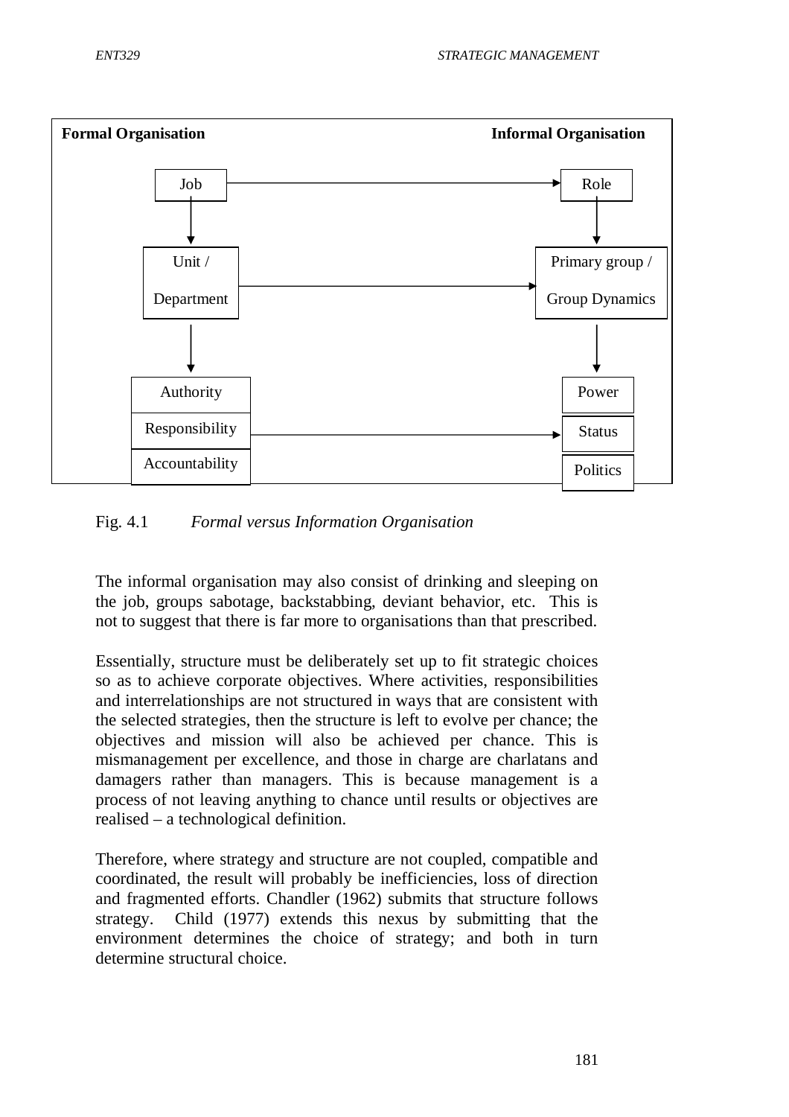

#### Fig. 4.1 *Formal versus Information Organisation*

The informal organisation may also consist of drinking and sleeping on the job, groups sabotage, backstabbing, deviant behavior, etc. This is not to suggest that there is far more to organisations than that prescribed.

Essentially, structure must be deliberately set up to fit strategic choices so as to achieve corporate objectives. Where activities, responsibilities and interrelationships are not structured in ways that are consistent with the selected strategies, then the structure is left to evolve per chance; the objectives and mission will also be achieved per chance. This is mismanagement per excellence, and those in charge are charlatans and damagers rather than managers. This is because management is a process of not leaving anything to chance until results or objectives are realised – a technological definition.

Therefore, where strategy and structure are not coupled, compatible and coordinated, the result will probably be inefficiencies, loss of direction and fragmented efforts. Chandler (1962) submits that structure follows strategy. Child (1977) extends this nexus by submitting that the environment determines the choice of strategy; and both in turn determine structural choice.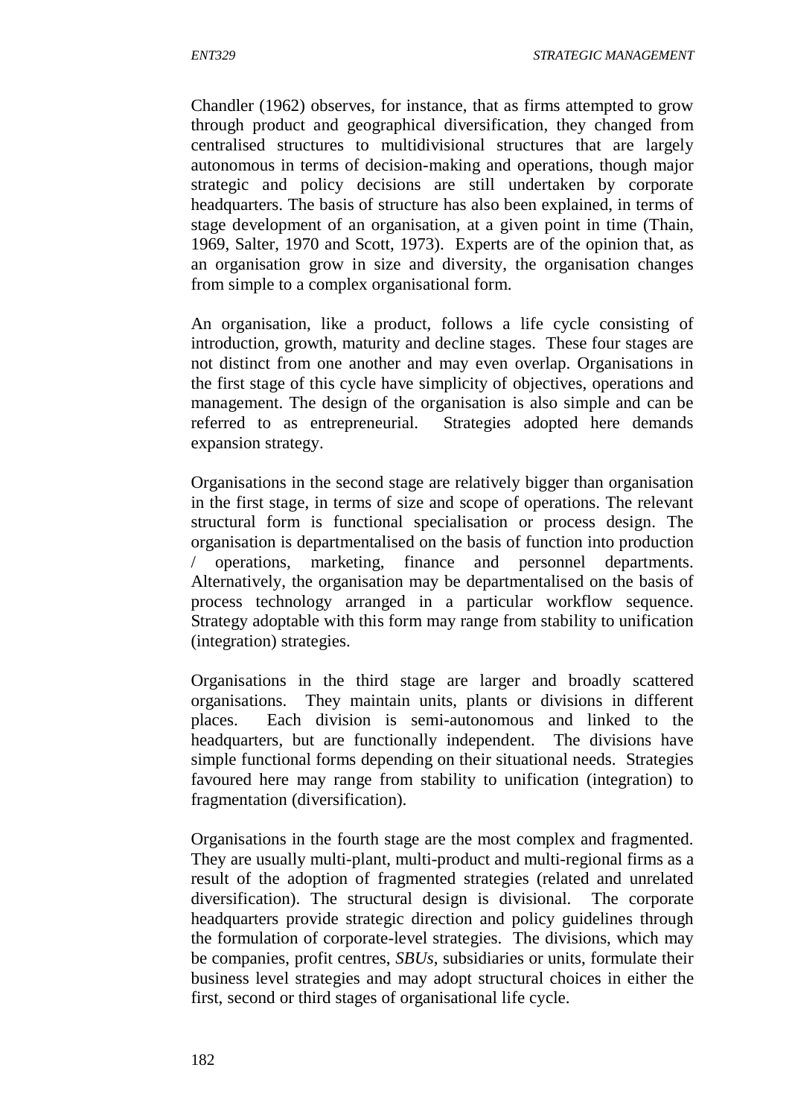Chandler (1962) observes, for instance, that as firms attempted to grow through product and geographical diversification, they changed from centralised structures to multidivisional structures that are largely autonomous in terms of decision-making and operations, though major strategic and policy decisions are still undertaken by corporate headquarters. The basis of structure has also been explained, in terms of stage development of an organisation, at a given point in time (Thain, 1969, Salter, 1970 and Scott, 1973). Experts are of the opinion that, as an organisation grow in size and diversity, the organisation changes from simple to a complex organisational form.

An organisation, like a product, follows a life cycle consisting of introduction, growth, maturity and decline stages. These four stages are not distinct from one another and may even overlap. Organisations in the first stage of this cycle have simplicity of objectives, operations and management. The design of the organisation is also simple and can be referred to as entrepreneurial. Strategies adopted here demands expansion strategy.

Organisations in the second stage are relatively bigger than organisation in the first stage, in terms of size and scope of operations. The relevant structural form is functional specialisation or process design. The organisation is departmentalised on the basis of function into production / operations, marketing, finance and personnel departments. Alternatively, the organisation may be departmentalised on the basis of process technology arranged in a particular workflow sequence. Strategy adoptable with this form may range from stability to unification (integration) strategies.

Organisations in the third stage are larger and broadly scattered organisations. They maintain units, plants or divisions in different places. Each division is semi-autonomous and linked to the headquarters, but are functionally independent. The divisions have simple functional forms depending on their situational needs. Strategies favoured here may range from stability to unification (integration) to fragmentation (diversification).

Organisations in the fourth stage are the most complex and fragmented. They are usually multi-plant, multi-product and multi-regional firms as a result of the adoption of fragmented strategies (related and unrelated diversification). The structural design is divisional. The corporate headquarters provide strategic direction and policy guidelines through the formulation of corporate-level strategies. The divisions, which may be companies, profit centres, *SBUs*, subsidiaries or units, formulate their business level strategies and may adopt structural choices in either the first, second or third stages of organisational life cycle.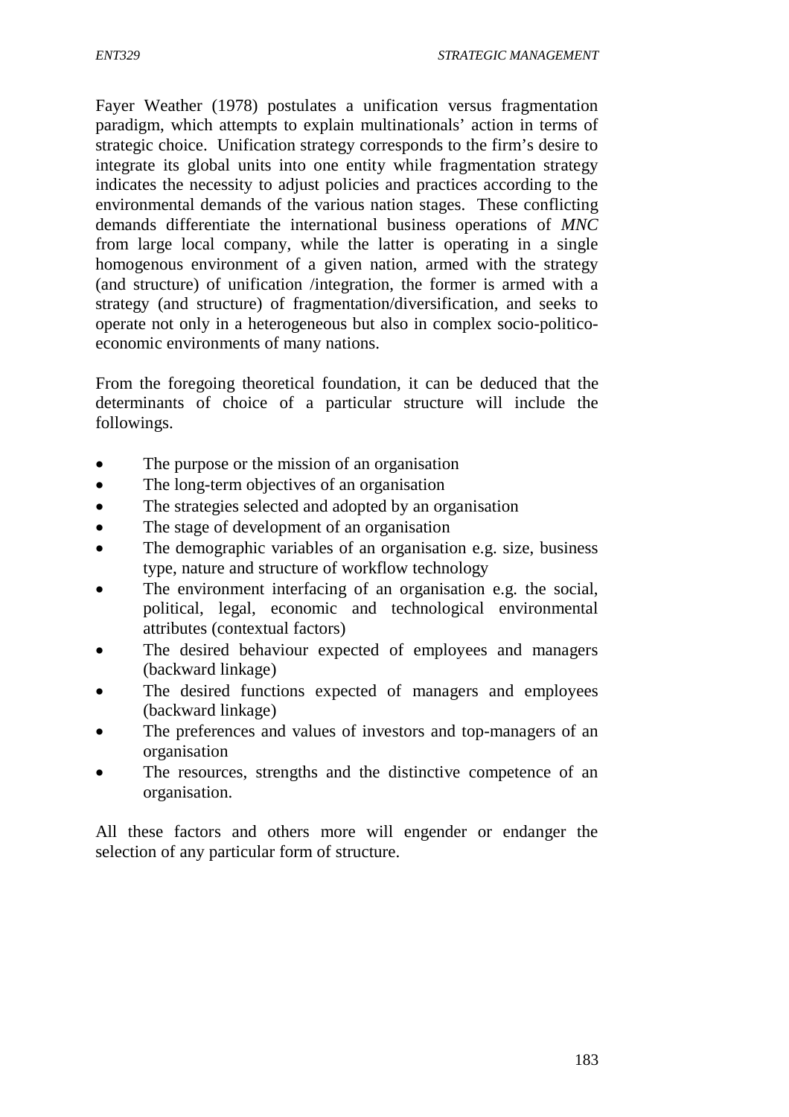Fayer Weather (1978) postulates a unification versus fragmentation paradigm, which attempts to explain multinationals' action in terms of strategic choice. Unification strategy corresponds to the firm's desire to integrate its global units into one entity while fragmentation strategy indicates the necessity to adjust policies and practices according to the environmental demands of the various nation stages. These conflicting demands differentiate the international business operations of *MNC* from large local company, while the latter is operating in a single homogenous environment of a given nation, armed with the strategy (and structure) of unification /integration, the former is armed with a strategy (and structure) of fragmentation/diversification, and seeks to operate not only in a heterogeneous but also in complex socio-politicoeconomic environments of many nations.

From the foregoing theoretical foundation, it can be deduced that the determinants of choice of a particular structure will include the followings.

- The purpose or the mission of an organisation
- The long-term objectives of an organisation
- The strategies selected and adopted by an organisation
- The stage of development of an organisation
- The demographic variables of an organisation e.g. size, business type, nature and structure of workflow technology
- The environment interfacing of an organisation e.g. the social, political, legal, economic and technological environmental attributes (contextual factors)
- The desired behaviour expected of employees and managers (backward linkage)
- The desired functions expected of managers and employees (backward linkage)
- The preferences and values of investors and top-managers of an organisation
- The resources, strengths and the distinctive competence of an organisation.

All these factors and others more will engender or endanger the selection of any particular form of structure.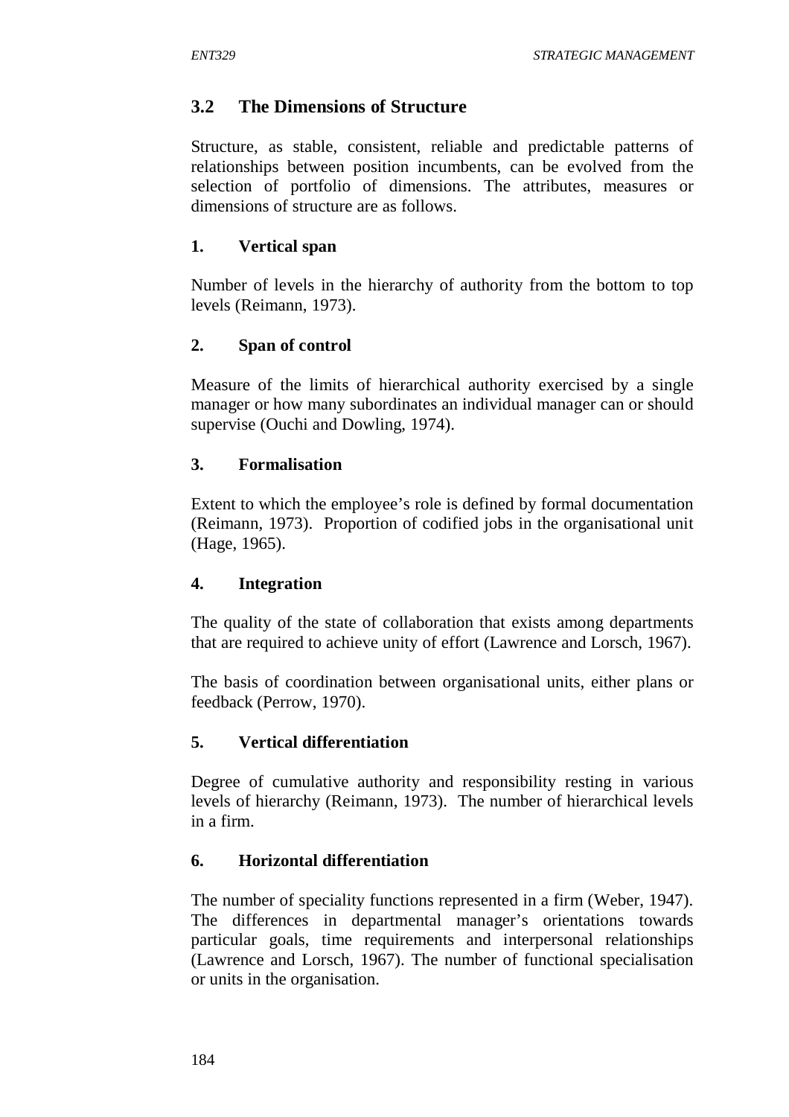### **3.2 The Dimensions of Structure**

Structure, as stable, consistent, reliable and predictable patterns of relationships between position incumbents, can be evolved from the selection of portfolio of dimensions. The attributes, measures or dimensions of structure are as follows.

#### **1. Vertical span**

Number of levels in the hierarchy of authority from the bottom to top levels (Reimann, 1973).

#### **2. Span of control**

Measure of the limits of hierarchical authority exercised by a single manager or how many subordinates an individual manager can or should supervise (Ouchi and Dowling, 1974).

#### **3. Formalisation**

Extent to which the employee's role is defined by formal documentation (Reimann, 1973). Proportion of codified jobs in the organisational unit (Hage, 1965).

### **4. Integration**

The quality of the state of collaboration that exists among departments that are required to achieve unity of effort (Lawrence and Lorsch, 1967).

The basis of coordination between organisational units, either plans or feedback (Perrow, 1970).

### **5. Vertical differentiation**

Degree of cumulative authority and responsibility resting in various levels of hierarchy (Reimann, 1973). The number of hierarchical levels in a firm.

### **6. Horizontal differentiation**

The number of speciality functions represented in a firm (Weber, 1947). The differences in departmental manager's orientations towards particular goals, time requirements and interpersonal relationships (Lawrence and Lorsch, 1967). The number of functional specialisation or units in the organisation.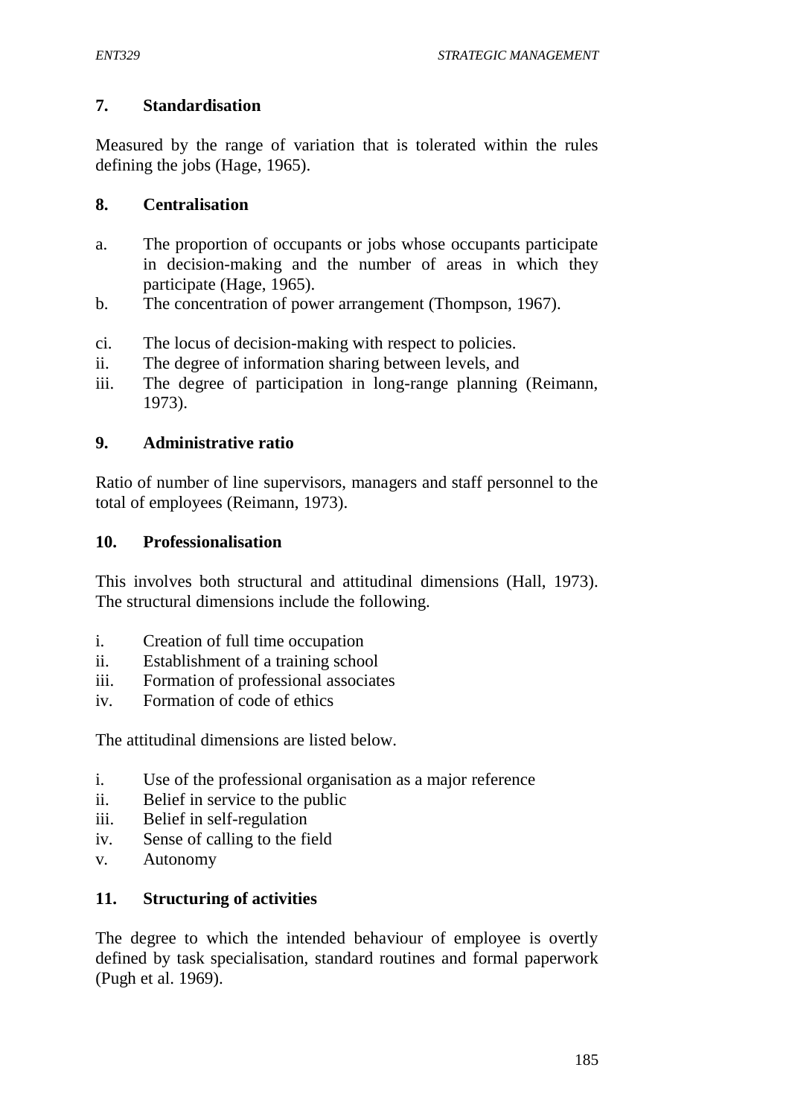### **7. Standardisation**

Measured by the range of variation that is tolerated within the rules defining the jobs (Hage, 1965).

### **8. Centralisation**

- a. The proportion of occupants or jobs whose occupants participate in decision-making and the number of areas in which they participate (Hage, 1965).
- b. The concentration of power arrangement (Thompson, 1967).
- ci. The locus of decision-making with respect to policies.
- ii. The degree of information sharing between levels, and
- iii. The degree of participation in long-range planning (Reimann, 1973).

### **9. Administrative ratio**

Ratio of number of line supervisors, managers and staff personnel to the total of employees (Reimann, 1973).

### **10. Professionalisation**

This involves both structural and attitudinal dimensions (Hall, 1973). The structural dimensions include the following.

- i. Creation of full time occupation
- ii. Establishment of a training school
- iii. Formation of professional associates
- iv. Formation of code of ethics

The attitudinal dimensions are listed below.

- i. Use of the professional organisation as a major reference
- ii. Belief in service to the public
- iii. Belief in self-regulation
- iv. Sense of calling to the field
- v. Autonomy

### **11. Structuring of activities**

The degree to which the intended behaviour of employee is overtly defined by task specialisation, standard routines and formal paperwork (Pugh et al. 1969).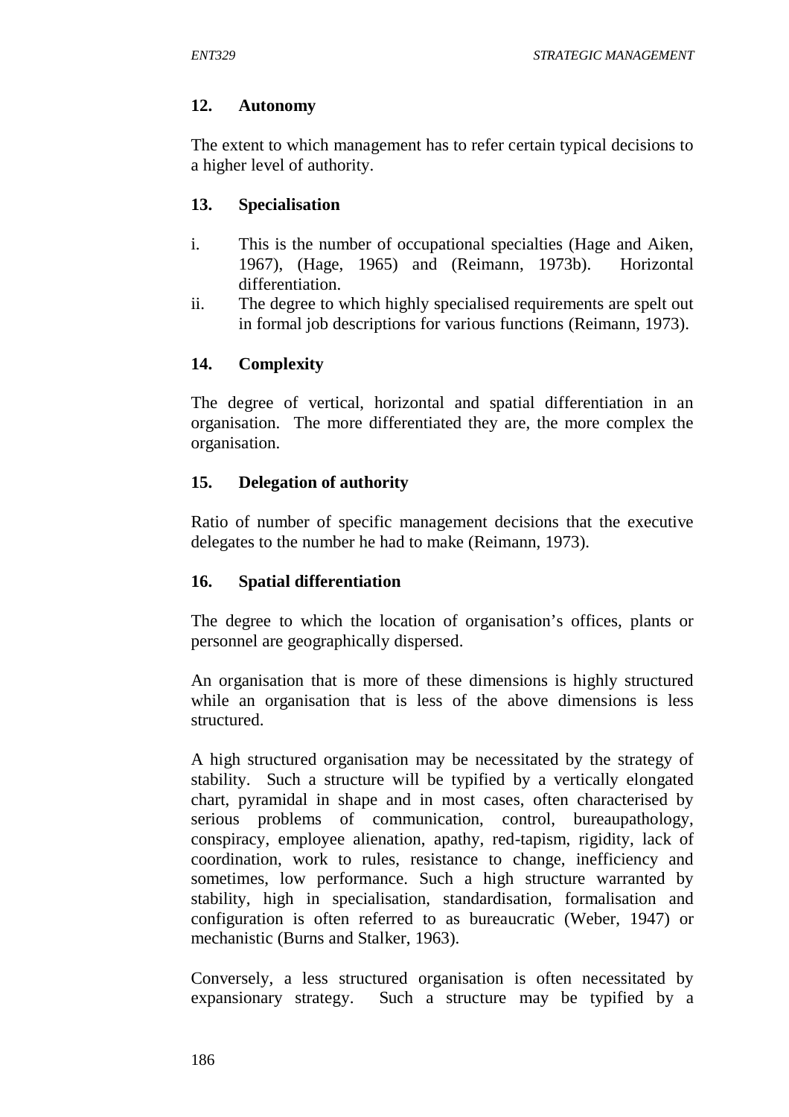### **12. Autonomy**

The extent to which management has to refer certain typical decisions to a higher level of authority.

## **13. Specialisation**

- i. This is the number of occupational specialties (Hage and Aiken, 1967), (Hage, 1965) and (Reimann, 1973b). Horizontal differentiation.
- ii. The degree to which highly specialised requirements are spelt out in formal job descriptions for various functions (Reimann, 1973).

# **14. Complexity**

The degree of vertical, horizontal and spatial differentiation in an organisation. The more differentiated they are, the more complex the organisation.

# **15. Delegation of authority**

Ratio of number of specific management decisions that the executive delegates to the number he had to make (Reimann, 1973).

### **16. Spatial differentiation**

The degree to which the location of organisation's offices, plants or personnel are geographically dispersed.

An organisation that is more of these dimensions is highly structured while an organisation that is less of the above dimensions is less structured.

A high structured organisation may be necessitated by the strategy of stability. Such a structure will be typified by a vertically elongated chart, pyramidal in shape and in most cases, often characterised by serious problems of communication, control, bureaupathology, conspiracy, employee alienation, apathy, red-tapism, rigidity, lack of coordination, work to rules, resistance to change, inefficiency and sometimes, low performance. Such a high structure warranted by stability, high in specialisation, standardisation, formalisation and configuration is often referred to as bureaucratic (Weber, 1947) or mechanistic (Burns and Stalker, 1963).

Conversely, a less structured organisation is often necessitated by expansionary strategy. Such a structure may be typified by a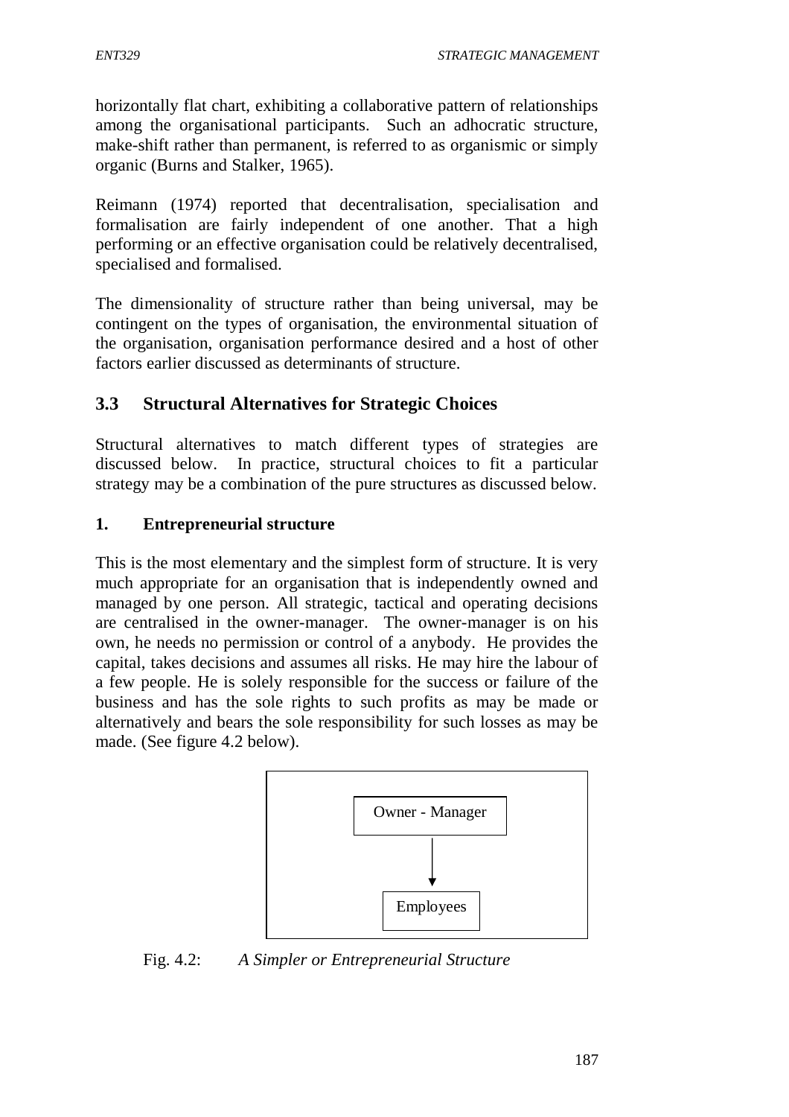horizontally flat chart, exhibiting a collaborative pattern of relationships among the organisational participants. Such an adhocratic structure, make-shift rather than permanent, is referred to as organismic or simply organic (Burns and Stalker, 1965).

Reimann (1974) reported that decentralisation, specialisation and formalisation are fairly independent of one another. That a high performing or an effective organisation could be relatively decentralised, specialised and formalised.

The dimensionality of structure rather than being universal, may be contingent on the types of organisation, the environmental situation of the organisation, organisation performance desired and a host of other factors earlier discussed as determinants of structure.

# **3.3 Structural Alternatives for Strategic Choices**

Structural alternatives to match different types of strategies are discussed below. In practice, structural choices to fit a particular strategy may be a combination of the pure structures as discussed below.

### **1. Entrepreneurial structure**

This is the most elementary and the simplest form of structure. It is very much appropriate for an organisation that is independently owned and managed by one person. All strategic, tactical and operating decisions are centralised in the owner-manager. The owner-manager is on his own, he needs no permission or control of a anybody. He provides the capital, takes decisions and assumes all risks. He may hire the labour of a few people. He is solely responsible for the success or failure of the business and has the sole rights to such profits as may be made or alternatively and bears the sole responsibility for such losses as may be made. (See figure 4.2 below).



Fig. 4.2: *A Simpler or Entrepreneurial Structure*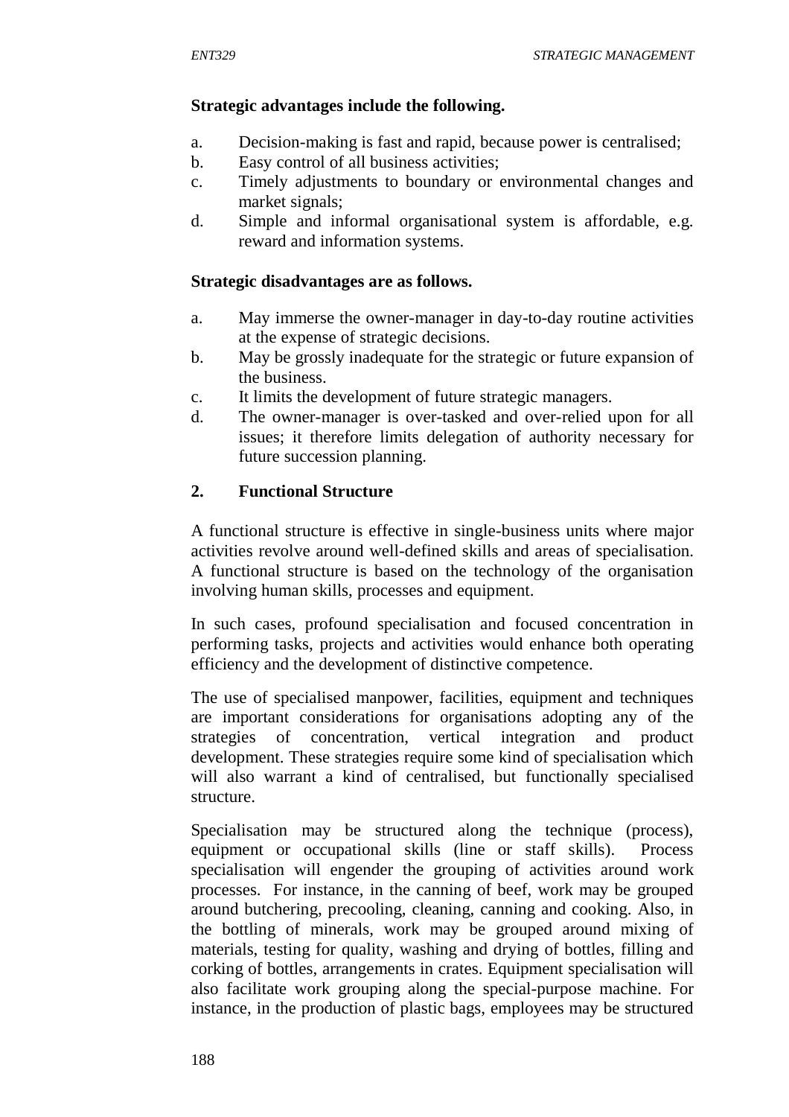### **Strategic advantages include the following.**

- a. Decision-making is fast and rapid, because power is centralised;
- b. Easy control of all business activities;
- c. Timely adjustments to boundary or environmental changes and market signals;
- d. Simple and informal organisational system is affordable, e.g. reward and information systems.

### **Strategic disadvantages are as follows.**

- a. May immerse the owner-manager in day-to-day routine activities at the expense of strategic decisions.
- b. May be grossly inadequate for the strategic or future expansion of the business.
- c. It limits the development of future strategic managers.
- d. The owner-manager is over-tasked and over-relied upon for all issues; it therefore limits delegation of authority necessary for future succession planning.

### **2. Functional Structure**

A functional structure is effective in single-business units where major activities revolve around well-defined skills and areas of specialisation. A functional structure is based on the technology of the organisation involving human skills, processes and equipment.

In such cases, profound specialisation and focused concentration in performing tasks, projects and activities would enhance both operating efficiency and the development of distinctive competence.

The use of specialised manpower, facilities, equipment and techniques are important considerations for organisations adopting any of the strategies of concentration, vertical integration and product development. These strategies require some kind of specialisation which will also warrant a kind of centralised, but functionally specialised structure.

Specialisation may be structured along the technique (process), equipment or occupational skills (line or staff skills). Process specialisation will engender the grouping of activities around work processes. For instance, in the canning of beef, work may be grouped around butchering, precooling, cleaning, canning and cooking. Also, in the bottling of minerals, work may be grouped around mixing of materials, testing for quality, washing and drying of bottles, filling and corking of bottles, arrangements in crates. Equipment specialisation will also facilitate work grouping along the special-purpose machine. For instance, in the production of plastic bags, employees may be structured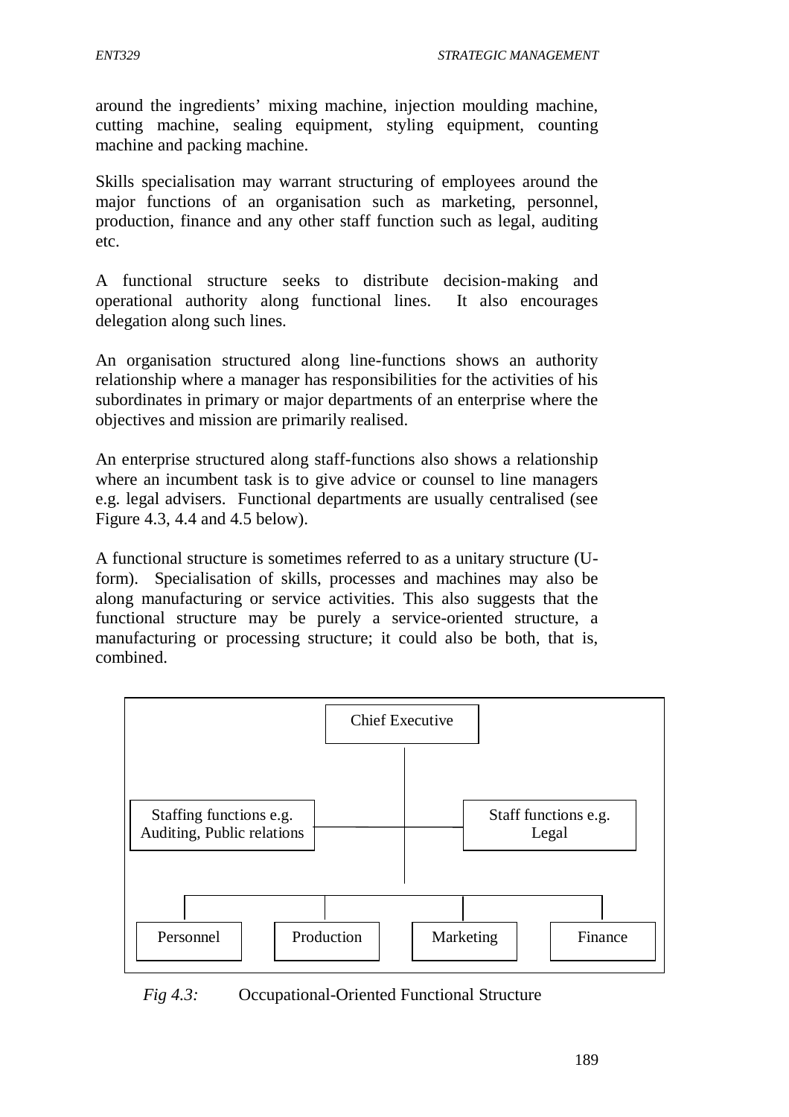around the ingredients' mixing machine, injection moulding machine, cutting machine, sealing equipment, styling equipment, counting machine and packing machine.

Skills specialisation may warrant structuring of employees around the major functions of an organisation such as marketing, personnel, production, finance and any other staff function such as legal, auditing etc.

A functional structure seeks to distribute decision-making and operational authority along functional lines. It also encourages delegation along such lines.

An organisation structured along line-functions shows an authority relationship where a manager has responsibilities for the activities of his subordinates in primary or major departments of an enterprise where the objectives and mission are primarily realised.

An enterprise structured along staff-functions also shows a relationship where an incumbent task is to give advice or counsel to line managers e.g. legal advisers. Functional departments are usually centralised (see Figure 4.3, 4.4 and 4.5 below).

A functional structure is sometimes referred to as a unitary structure (Uform). Specialisation of skills, processes and machines may also be along manufacturing or service activities. This also suggests that the functional structure may be purely a service-oriented structure, a manufacturing or processing structure; it could also be both, that is, combined.



*Fig 4.3:* Occupational-Oriented Functional Structure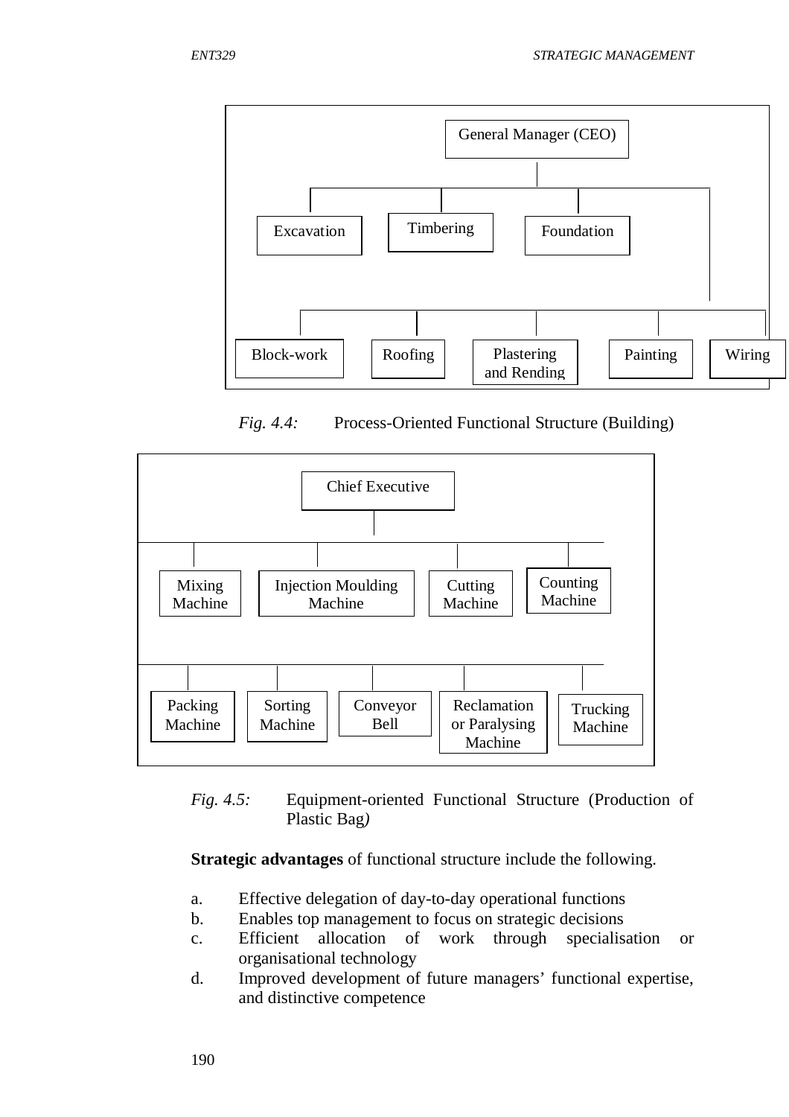

*Fig. 4.4:* Process-Oriented Functional Structure (Building)



*Fig. 4.5:* Equipment-oriented Functional Structure (Production of Plastic Bag*)*

**Strategic advantages** of functional structure include the following.

- a. Effective delegation of day-to-day operational functions
- b. Enables top management to focus on strategic decisions
- c. Efficient allocation of work through specialisation or organisational technology
- d. Improved development of future managers' functional expertise, and distinctive competence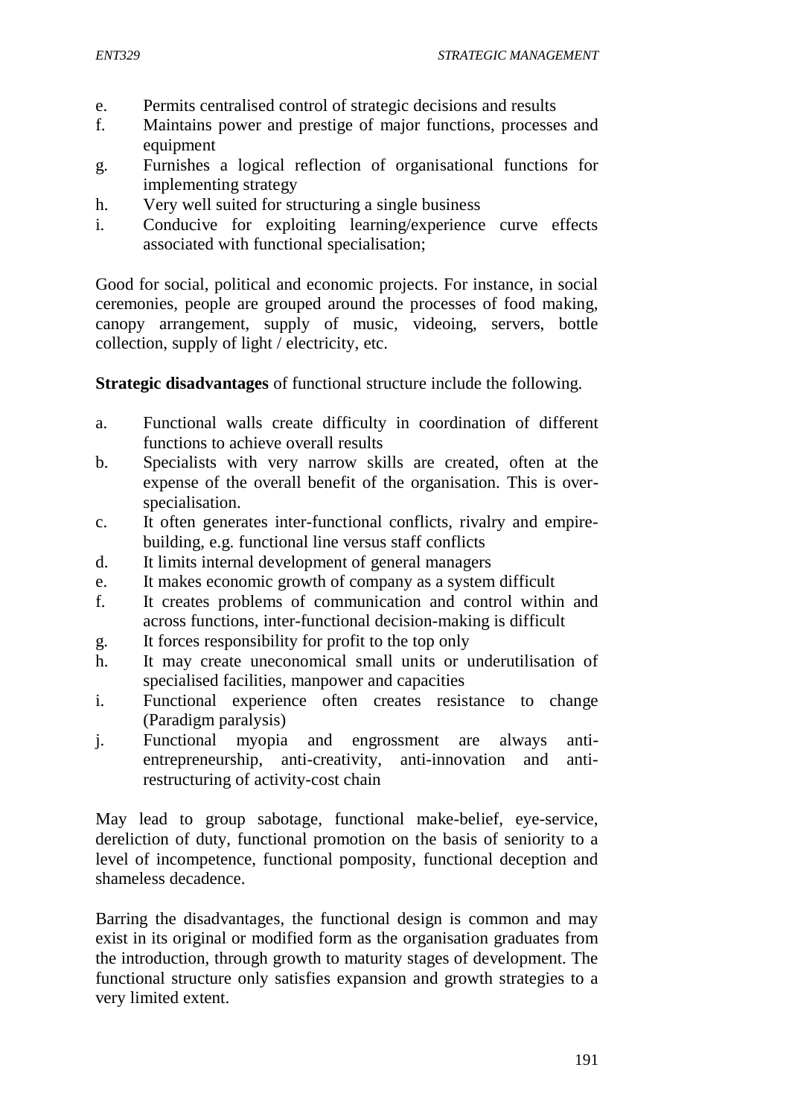- e. Permits centralised control of strategic decisions and results
- f. Maintains power and prestige of major functions, processes and equipment
- g. Furnishes a logical reflection of organisational functions for implementing strategy
- h. Very well suited for structuring a single business
- i. Conducive for exploiting learning/experience curve effects associated with functional specialisation;

Good for social, political and economic projects. For instance, in social ceremonies, people are grouped around the processes of food making, canopy arrangement, supply of music, videoing, servers, bottle collection, supply of light / electricity, etc.

**Strategic disadvantages** of functional structure include the following.

- a. Functional walls create difficulty in coordination of different functions to achieve overall results
- b. Specialists with very narrow skills are created, often at the expense of the overall benefit of the organisation. This is overspecialisation.
- c. It often generates inter-functional conflicts, rivalry and empirebuilding, e.g. functional line versus staff conflicts
- d. It limits internal development of general managers
- e. It makes economic growth of company as a system difficult
- f. It creates problems of communication and control within and across functions, inter-functional decision-making is difficult
- g. It forces responsibility for profit to the top only
- h. It may create uneconomical small units or underutilisation of specialised facilities, manpower and capacities
- i. Functional experience often creates resistance to change (Paradigm paralysis)
- j. Functional myopia and engrossment are always antientrepreneurship, anti-creativity, anti-innovation and antirestructuring of activity-cost chain

May lead to group sabotage, functional make-belief, eye-service, dereliction of duty, functional promotion on the basis of seniority to a level of incompetence, functional pomposity, functional deception and shameless decadence.

Barring the disadvantages, the functional design is common and may exist in its original or modified form as the organisation graduates from the introduction, through growth to maturity stages of development. The functional structure only satisfies expansion and growth strategies to a very limited extent.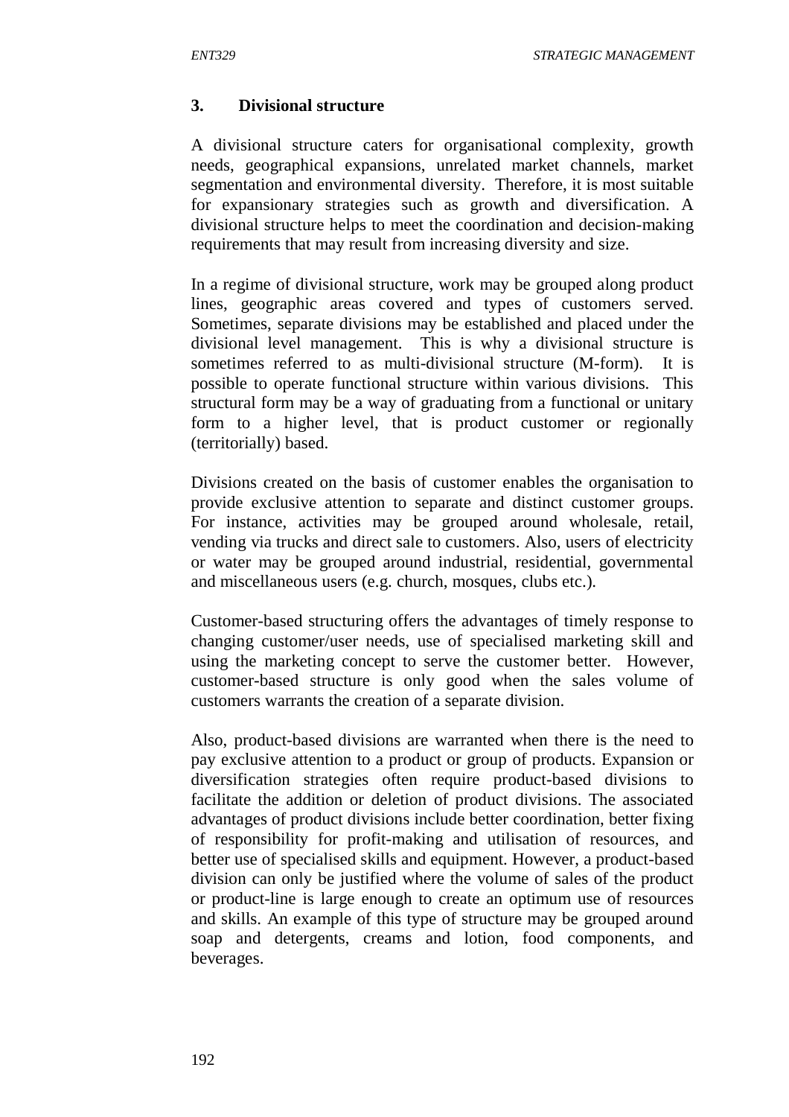#### **3. Divisional structure**

A divisional structure caters for organisational complexity, growth needs, geographical expansions, unrelated market channels, market segmentation and environmental diversity. Therefore, it is most suitable for expansionary strategies such as growth and diversification. A divisional structure helps to meet the coordination and decision-making requirements that may result from increasing diversity and size.

In a regime of divisional structure, work may be grouped along product lines, geographic areas covered and types of customers served. Sometimes, separate divisions may be established and placed under the divisional level management. This is why a divisional structure is sometimes referred to as multi-divisional structure (M-form). It is possible to operate functional structure within various divisions. This structural form may be a way of graduating from a functional or unitary form to a higher level, that is product customer or regionally (territorially) based.

Divisions created on the basis of customer enables the organisation to provide exclusive attention to separate and distinct customer groups. For instance, activities may be grouped around wholesale, retail, vending via trucks and direct sale to customers. Also, users of electricity or water may be grouped around industrial, residential, governmental and miscellaneous users (e.g. church, mosques, clubs etc.).

Customer-based structuring offers the advantages of timely response to changing customer/user needs, use of specialised marketing skill and using the marketing concept to serve the customer better. However, customer-based structure is only good when the sales volume of customers warrants the creation of a separate division.

Also, product-based divisions are warranted when there is the need to pay exclusive attention to a product or group of products. Expansion or diversification strategies often require product-based divisions to facilitate the addition or deletion of product divisions. The associated advantages of product divisions include better coordination, better fixing of responsibility for profit-making and utilisation of resources, and better use of specialised skills and equipment. However, a product-based division can only be justified where the volume of sales of the product or product-line is large enough to create an optimum use of resources and skills. An example of this type of structure may be grouped around soap and detergents, creams and lotion, food components, and beverages.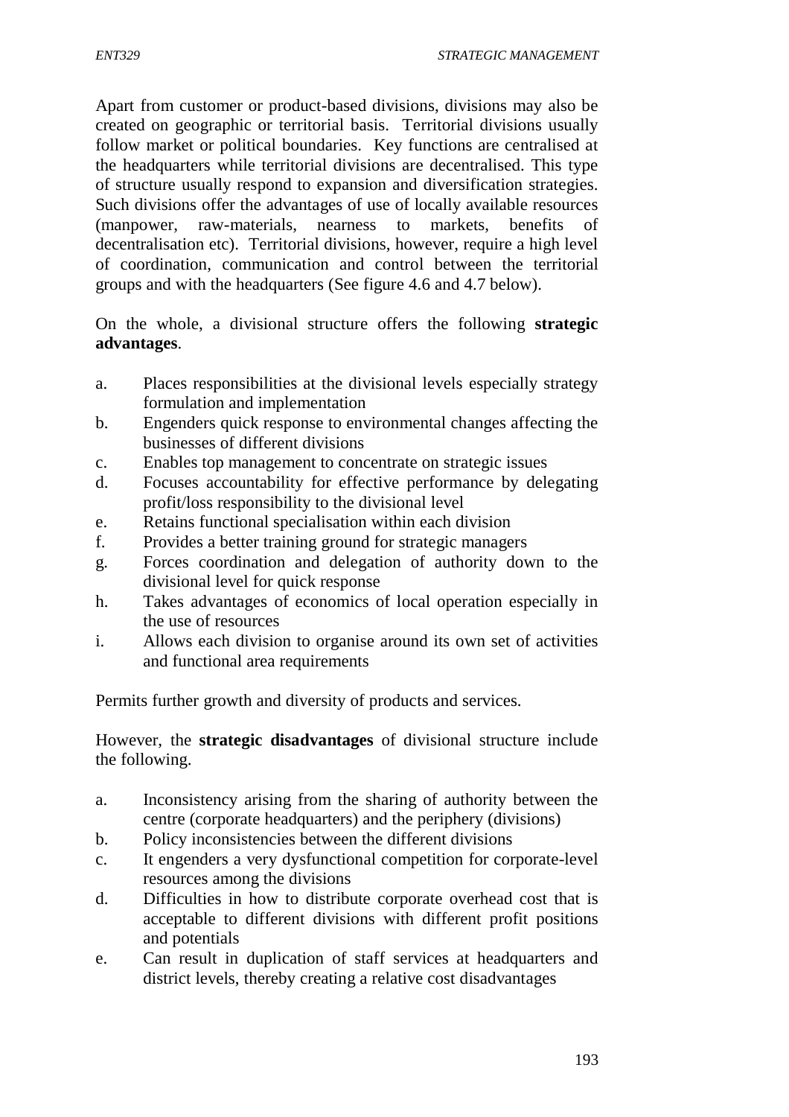Apart from customer or product-based divisions, divisions may also be created on geographic or territorial basis. Territorial divisions usually follow market or political boundaries. Key functions are centralised at the headquarters while territorial divisions are decentralised. This type of structure usually respond to expansion and diversification strategies. Such divisions offer the advantages of use of locally available resources (manpower, raw-materials, nearness to markets, benefits of decentralisation etc). Territorial divisions, however, require a high level of coordination, communication and control between the territorial groups and with the headquarters (See figure 4.6 and 4.7 below).

On the whole, a divisional structure offers the following **strategic advantages**.

- a. Places responsibilities at the divisional levels especially strategy formulation and implementation
- b. Engenders quick response to environmental changes affecting the businesses of different divisions
- c. Enables top management to concentrate on strategic issues
- d. Focuses accountability for effective performance by delegating profit/loss responsibility to the divisional level
- e. Retains functional specialisation within each division
- f. Provides a better training ground for strategic managers
- g. Forces coordination and delegation of authority down to the divisional level for quick response
- h. Takes advantages of economics of local operation especially in the use of resources
- i. Allows each division to organise around its own set of activities and functional area requirements

Permits further growth and diversity of products and services.

However, the **strategic disadvantages** of divisional structure include the following.

- a. Inconsistency arising from the sharing of authority between the centre (corporate headquarters) and the periphery (divisions)
- b. Policy inconsistencies between the different divisions
- c. It engenders a very dysfunctional competition for corporate-level resources among the divisions
- d. Difficulties in how to distribute corporate overhead cost that is acceptable to different divisions with different profit positions and potentials
- e. Can result in duplication of staff services at headquarters and district levels, thereby creating a relative cost disadvantages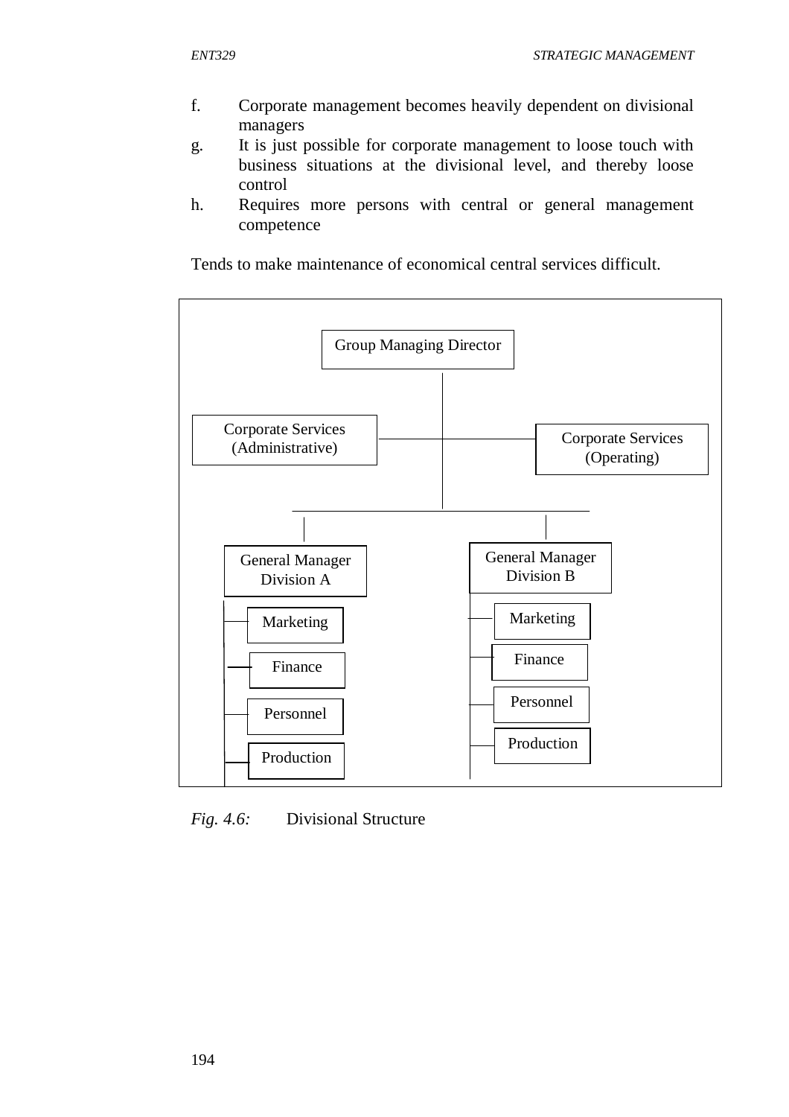- f. Corporate management becomes heavily dependent on divisional managers
- g. It is just possible for corporate management to loose touch with business situations at the divisional level, and thereby loose control
- h. Requires more persons with central or general management competence

Tends to make maintenance of economical central services difficult.



*Fig. 4.6:* Divisional Structure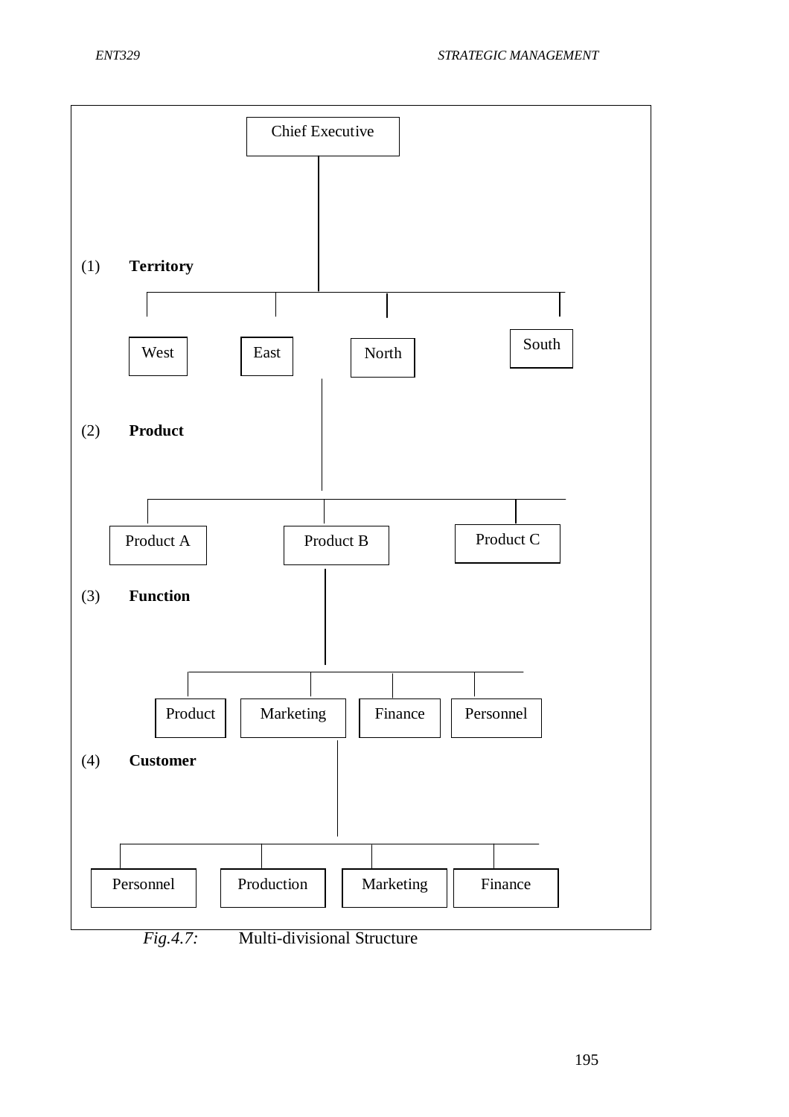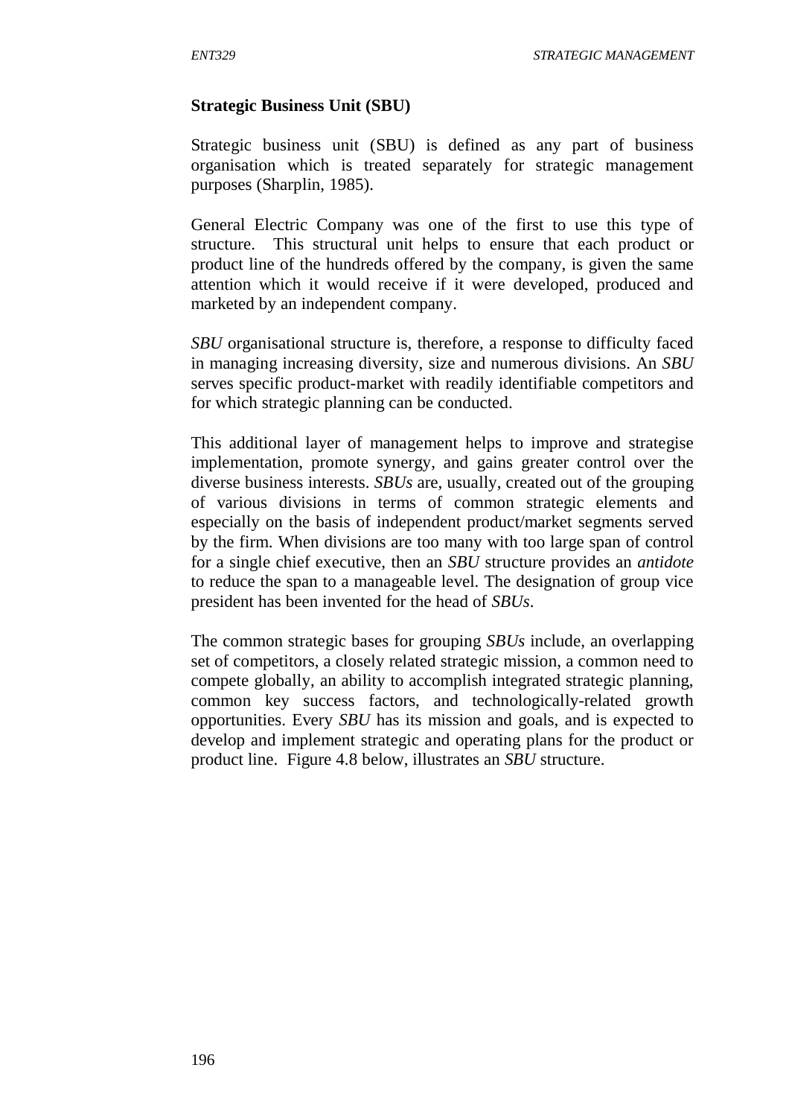#### **Strategic Business Unit (SBU)**

Strategic business unit (SBU) is defined as any part of business organisation which is treated separately for strategic management purposes (Sharplin, 1985).

General Electric Company was one of the first to use this type of structure. This structural unit helps to ensure that each product or product line of the hundreds offered by the company, is given the same attention which it would receive if it were developed, produced and marketed by an independent company.

*SBU* organisational structure is, therefore, a response to difficulty faced in managing increasing diversity, size and numerous divisions. An *SBU* serves specific product-market with readily identifiable competitors and for which strategic planning can be conducted.

This additional layer of management helps to improve and strategise implementation, promote synergy, and gains greater control over the diverse business interests. *SBUs* are, usually, created out of the grouping of various divisions in terms of common strategic elements and especially on the basis of independent product/market segments served by the firm. When divisions are too many with too large span of control for a single chief executive, then an *SBU* structure provides an *antidote* to reduce the span to a manageable level. The designation of group vice president has been invented for the head of *SBUs*.

The common strategic bases for grouping *SBUs* include, an overlapping set of competitors, a closely related strategic mission, a common need to compete globally, an ability to accomplish integrated strategic planning, common key success factors, and technologically-related growth opportunities. Every *SBU* has its mission and goals, and is expected to develop and implement strategic and operating plans for the product or product line. Figure 4.8 below, illustrates an *SBU* structure.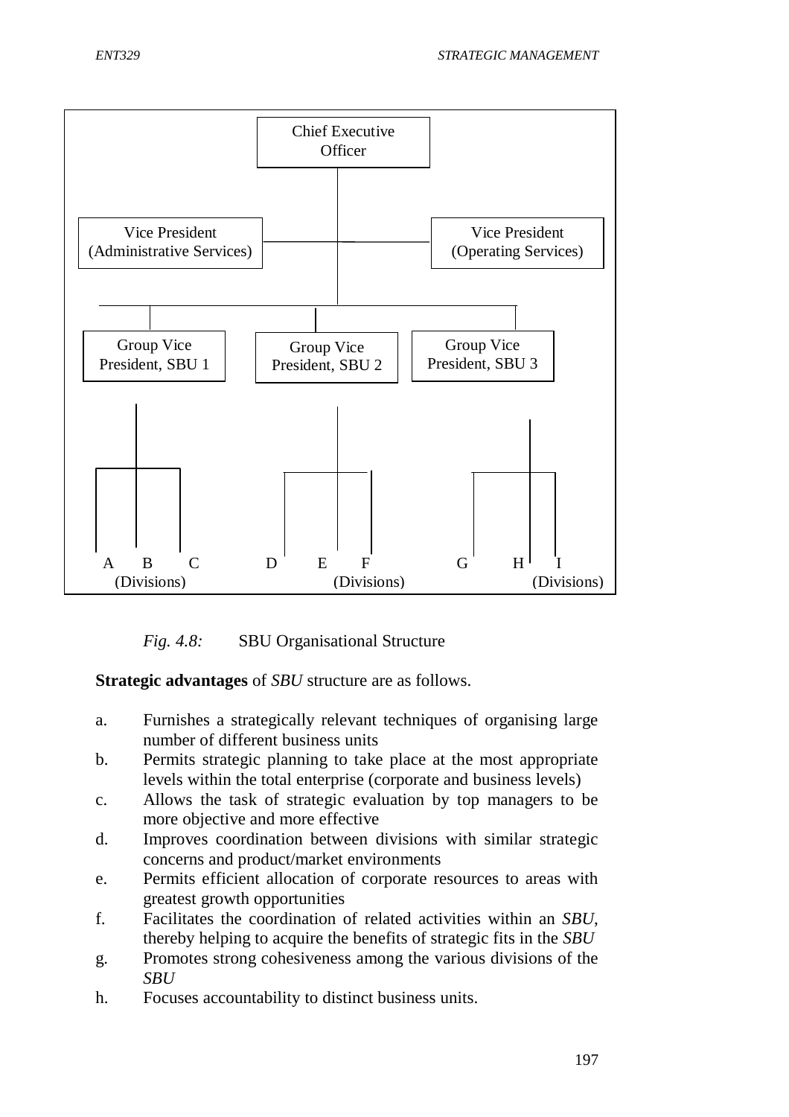

*Fig. 4.8:* SBU Organisational Structure

**Strategic advantages** of *SBU* structure are as follows.

- a. Furnishes a strategically relevant techniques of organising large number of different business units
- b. Permits strategic planning to take place at the most appropriate levels within the total enterprise (corporate and business levels)
- c. Allows the task of strategic evaluation by top managers to be more objective and more effective
- d. Improves coordination between divisions with similar strategic concerns and product/market environments
- e. Permits efficient allocation of corporate resources to areas with greatest growth opportunities
- f. Facilitates the coordination of related activities within an *SBU*, thereby helping to acquire the benefits of strategic fits in the *SBU*
- g. Promotes strong cohesiveness among the various divisions of the *SBU*
- h. Focuses accountability to distinct business units.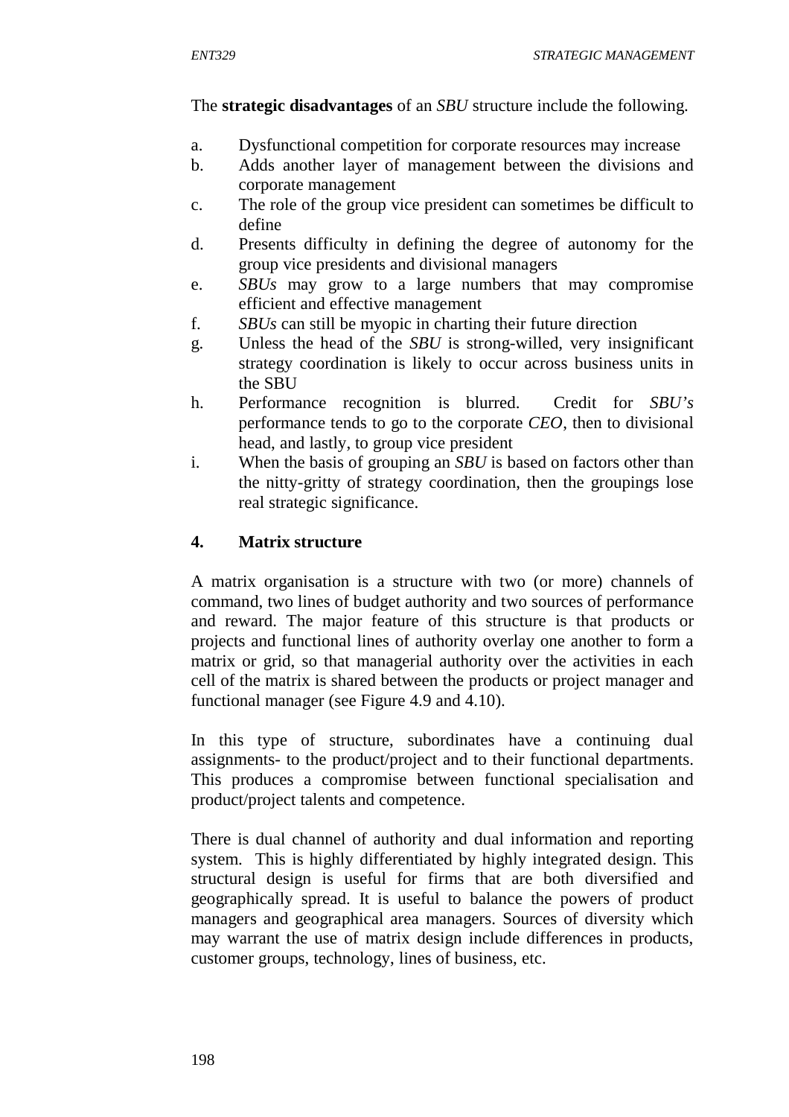#### The **strategic disadvantages** of an *SBU* structure include the following.

- a. Dysfunctional competition for corporate resources may increase
- b. Adds another layer of management between the divisions and corporate management
- c. The role of the group vice president can sometimes be difficult to define
- d. Presents difficulty in defining the degree of autonomy for the group vice presidents and divisional managers
- e. *SBUs* may grow to a large numbers that may compromise efficient and effective management
- f. *SBUs* can still be myopic in charting their future direction
- g. Unless the head of the *SBU* is strong-willed, very insignificant strategy coordination is likely to occur across business units in the SBU
- h. Performance recognition is blurred. Credit for *SBU's* performance tends to go to the corporate *CEO*, then to divisional head, and lastly, to group vice president
- i. When the basis of grouping an *SBU* is based on factors other than the nitty-gritty of strategy coordination, then the groupings lose real strategic significance.

### **4. Matrix structure**

A matrix organisation is a structure with two (or more) channels of command, two lines of budget authority and two sources of performance and reward. The major feature of this structure is that products or projects and functional lines of authority overlay one another to form a matrix or grid, so that managerial authority over the activities in each cell of the matrix is shared between the products or project manager and functional manager (see Figure 4.9 and 4.10).

In this type of structure, subordinates have a continuing dual assignments- to the product/project and to their functional departments. This produces a compromise between functional specialisation and product/project talents and competence.

There is dual channel of authority and dual information and reporting system. This is highly differentiated by highly integrated design. This structural design is useful for firms that are both diversified and geographically spread. It is useful to balance the powers of product managers and geographical area managers. Sources of diversity which may warrant the use of matrix design include differences in products, customer groups, technology, lines of business, etc.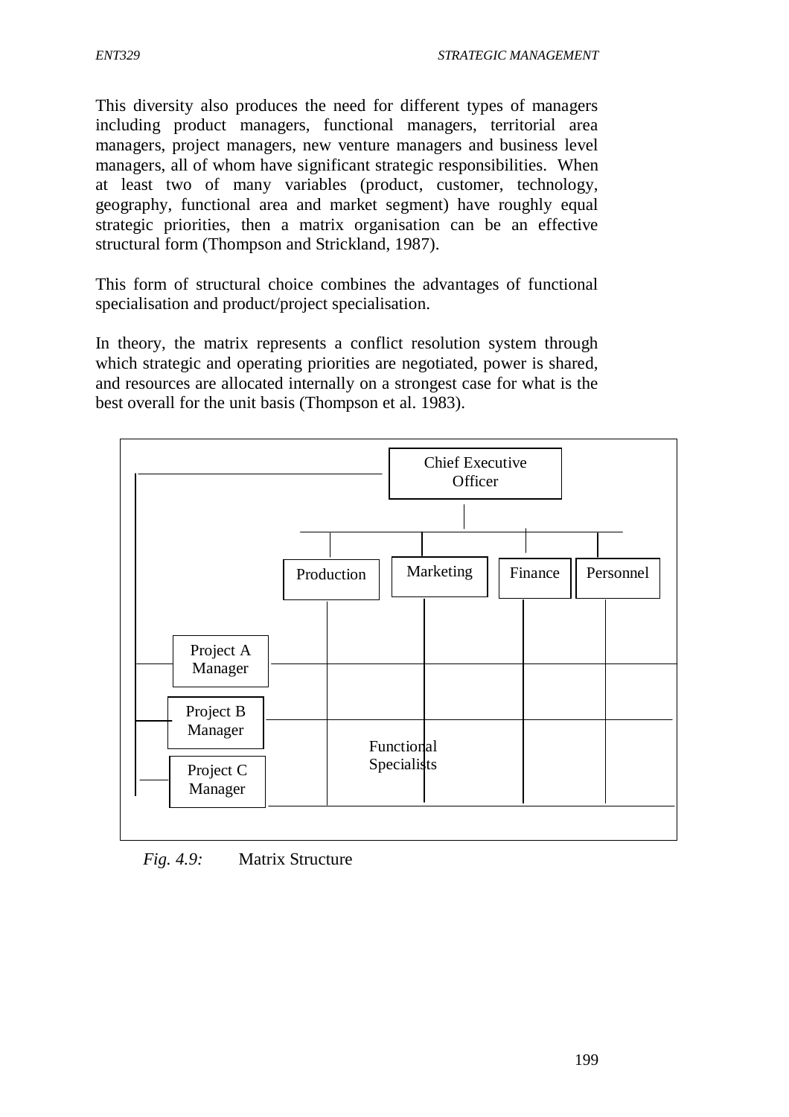This diversity also produces the need for different types of managers including product managers, functional managers, territorial area managers, project managers, new venture managers and business level managers, all of whom have significant strategic responsibilities. When at least two of many variables (product, customer, technology, geography, functional area and market segment) have roughly equal strategic priorities, then a matrix organisation can be an effective structural form (Thompson and Strickland, 1987).

This form of structural choice combines the advantages of functional specialisation and product/project specialisation.

In theory, the matrix represents a conflict resolution system through which strategic and operating priorities are negotiated, power is shared, and resources are allocated internally on a strongest case for what is the best overall for the unit basis (Thompson et al. 1983).



*Fig. 4.9:* Matrix Structure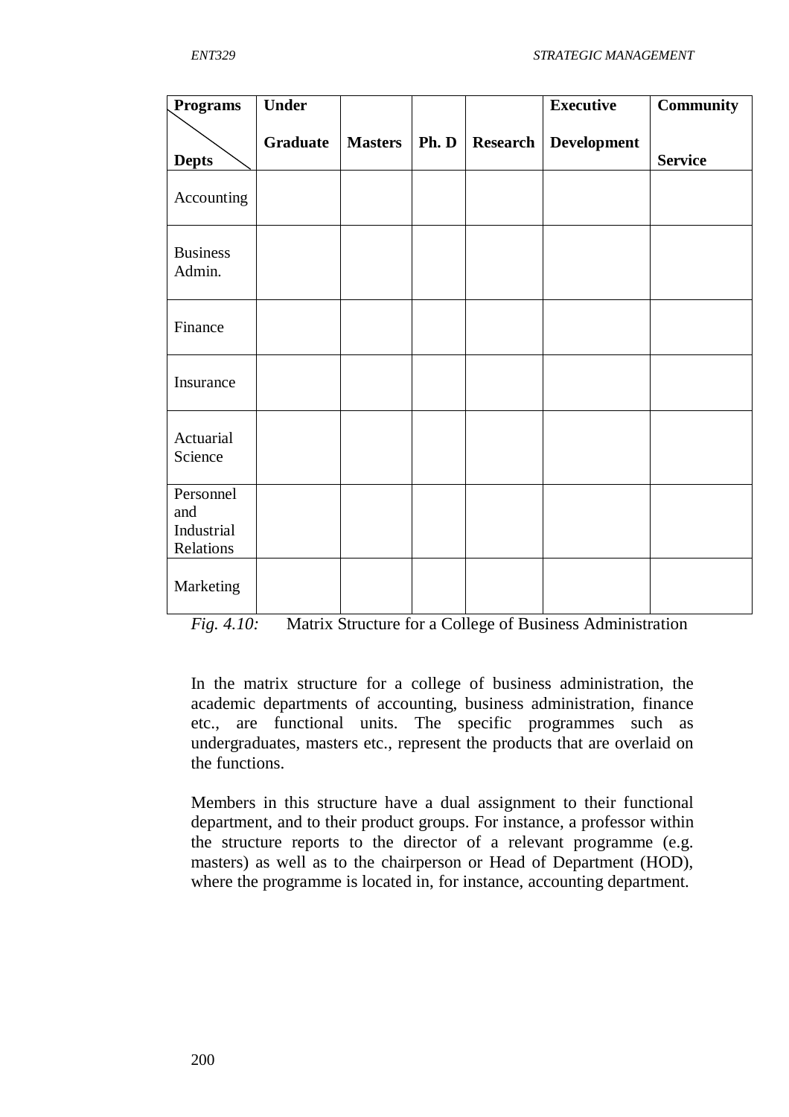| Programs                                    | <b>Under</b> |                |       |                 | <b>Executive</b>   | <b>Community</b> |
|---------------------------------------------|--------------|----------------|-------|-----------------|--------------------|------------------|
| <b>Depts</b>                                | Graduate     | <b>Masters</b> | Ph. D | <b>Research</b> | <b>Development</b> | <b>Service</b>   |
| Accounting                                  |              |                |       |                 |                    |                  |
| <b>Business</b><br>Admin.                   |              |                |       |                 |                    |                  |
| Finance                                     |              |                |       |                 |                    |                  |
| Insurance                                   |              |                |       |                 |                    |                  |
| Actuarial<br>Science                        |              |                |       |                 |                    |                  |
| Personnel<br>and<br>Industrial<br>Relations |              |                |       |                 |                    |                  |
| Marketing                                   |              |                |       |                 |                    |                  |

*Fig. 4.10:* Matrix Structure for a College of Business Administration

In the matrix structure for a college of business administration, the academic departments of accounting, business administration, finance etc., are functional units. The specific programmes such as undergraduates, masters etc., represent the products that are overlaid on the functions.

Members in this structure have a dual assignment to their functional department, and to their product groups. For instance, a professor within the structure reports to the director of a relevant programme (e.g. masters) as well as to the chairperson or Head of Department (HOD), where the programme is located in, for instance, accounting department.